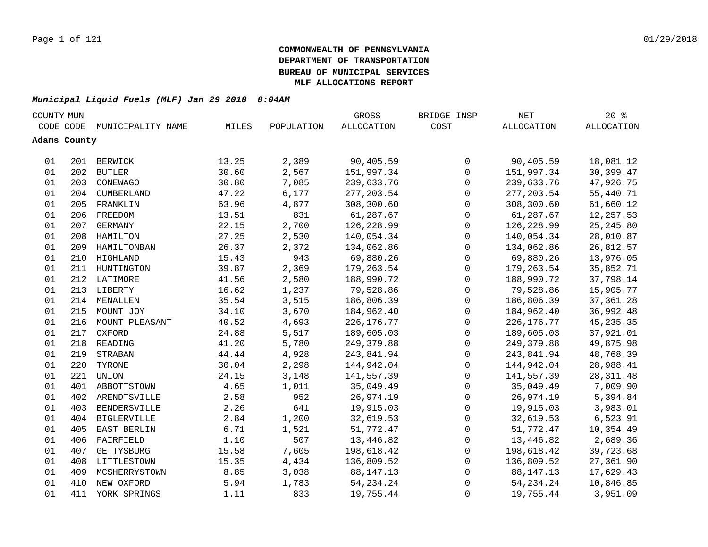| COUNTY MUN |              |                    |       |            | GROSS             | BRIDGE INSP  | NET          | $20*$             |  |
|------------|--------------|--------------------|-------|------------|-------------------|--------------|--------------|-------------------|--|
|            | CODE CODE    | MUNICIPALITY NAME  | MILES | POPULATION | <b>ALLOCATION</b> | COST         | ALLOCATION   | <b>ALLOCATION</b> |  |
|            | Adams County |                    |       |            |                   |              |              |                   |  |
|            |              |                    |       |            |                   |              |              |                   |  |
| 01         |              | 201 BERWICK        | 13.25 | 2,389      | 90,405.59         | 0            | 90,405.59    | 18,081.12         |  |
| 01         |              | 202 BUTLER         | 30.60 | 2,567      | 151,997.34        | $\mathbf 0$  | 151,997.34   | 30,399.47         |  |
| 01         |              | 203 CONEWAGO       | 30.80 | 7,085      | 239,633.76        | $\mathsf{O}$ | 239,633.76   | 47,926.75         |  |
| 01         |              | 204 CUMBERLAND     | 47.22 | 6,177      | 277, 203.54       | 0            | 277, 203.54  | 55,440.71         |  |
| 01         | 205          | FRANKLIN           | 63.96 | 4,877      | 308,300.60        | $\mathsf{O}$ | 308,300.60   | 61,660.12         |  |
| 01         | 206          | FREEDOM            | 13.51 | 831        | 61,287.67         | $\mathbf 0$  | 61,287.67    | 12,257.53         |  |
| 01         | 207          | GERMANY            | 22.15 | 2,700      | 126,228.99        | $\mathbf 0$  | 126,228.99   | 25, 245.80        |  |
| 01         | 208          | HAMILTON           | 27.25 | 2,530      | 140,054.34        | $\mathbf 0$  | 140,054.34   | 28,010.87         |  |
| 01         | 209          | HAMILTONBAN        | 26.37 | 2,372      | 134,062.86        | $\mathbf 0$  | 134,062.86   | 26,812.57         |  |
| 01         | 210          | HIGHLAND           | 15.43 | 943        | 69,880.26         | $\mathsf{O}$ | 69,880.26    | 13,976.05         |  |
| 01         | 211          | HUNTINGTON         | 39.87 | 2,369      | 179,263.54        | $\mathsf{O}$ | 179,263.54   | 35,852.71         |  |
| 01         | 212          | LATIMORE           | 41.56 | 2,580      | 188,990.72        | 0            | 188,990.72   | 37,798.14         |  |
| 01         |              | 213 LIBERTY        | 16.62 | 1,237      | 79,528.86         | 0            | 79,528.86    | 15,905.77         |  |
| 01         |              | 214 MENALLEN       | 35.54 | 3,515      | 186,806.39        | $\mathsf 0$  | 186,806.39   | 37, 361.28        |  |
| 01         |              | 215 MOUNT JOY      | 34.10 | 3,670      | 184,962.40        | 0            | 184,962.40   | 36,992.48         |  |
| 01         |              | 216 MOUNT PLEASANT | 40.52 | 4,693      | 226, 176. 77      | 0            | 226, 176. 77 | 45, 235. 35       |  |
| 01         |              | 217 OXFORD         | 24.88 | 5,517      | 189,605.03        | 0            | 189,605.03   | 37,921.01         |  |
| 01         |              | 218 READING        | 41.20 | 5,780      | 249, 379.88       | 0            | 249, 379.88  | 49,875.98         |  |
| 01         | 219          | STRABAN            | 44.44 | 4,928      | 243,841.94        | $\mathsf{O}$ | 243,841.94   | 48,768.39         |  |
| 01         | 220          | TYRONE             | 30.04 | 2,298      | 144,942.04        | $\mathsf{O}$ | 144,942.04   | 28,988.41         |  |
| 01         | 221          | UNION              | 24.15 | 3,148      | 141,557.39        | $\mathbf 0$  | 141,557.39   | 28, 311.48        |  |
| 01         | 401          | ABBOTTSTOWN        | 4.65  | 1,011      | 35,049.49         | $\mathbf 0$  | 35,049.49    | 7,009.90          |  |
| 01         | 402          | ARENDTSVILLE       | 2.58  | 952        | 26,974.19         | $\mathbf 0$  | 26,974.19    | 5,394.84          |  |
| 01         | 403          | BENDERSVILLE       | 2.26  | 641        | 19,915.03         | $\mathbf 0$  | 19,915.03    | 3,983.01          |  |
| 01         | 404          | BIGLERVILLE        | 2.84  | 1,200      | 32,619.53         | 0            | 32,619.53    | 6,523.91          |  |
| 01         | 405          | EAST BERLIN        | 6.71  | 1,521      | 51,772.47         | 0            | 51,772.47    | 10,354.49         |  |
| 01         | 406          | FAIRFIELD          | 1.10  | 507        | 13,446.82         | 0            | 13,446.82    | 2,689.36          |  |
| 01         | 407          | GETTYSBURG         | 15.58 | 7,605      | 198,618.42        | 0            | 198,618.42   | 39,723.68         |  |
| 01         |              | 408 LITTLESTOWN    | 15.35 | 4,434      | 136,809.52        | $\mathbf 0$  | 136,809.52   | 27,361.90         |  |
| 01         | 409          | MCSHERRYSTOWN      | 8.85  | 3,038      | 88, 147. 13       | 0            | 88, 147. 13  | 17,629.43         |  |
| 01         | 410          | NEW OXFORD         | 5.94  | 1,783      | 54, 234. 24       | 0            | 54, 234. 24  | 10,846.85         |  |
| 01         | 411          | YORK SPRINGS       | 1.11  | 833        | 19,755.44         | $\mathbf 0$  | 19,755.44    | 3,951.09          |  |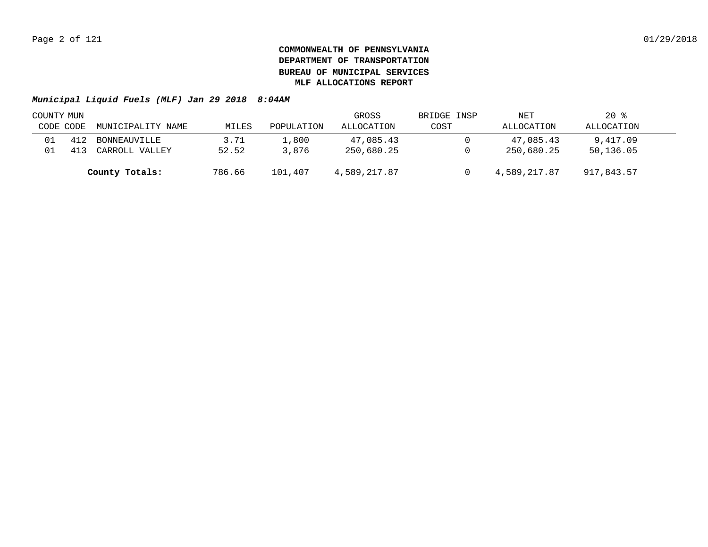|           | COUNTY MUN |                   |        |            | GROSS        | BRIDGE INSP | NET          | $20*$      |  |
|-----------|------------|-------------------|--------|------------|--------------|-------------|--------------|------------|--|
| CODE CODE |            | MUNICIPALITY NAME | MILES  | POPULATION | ALLOCATION   | COST        | ALLOCATION   | ALLOCATION |  |
|           | 412        | BONNEAUVILLE      | 3.71   | 1,800      | 47,085.43    |             | 47,085.43    | 9,417.09   |  |
|           |            | CARROLL VALLEY    | 52.52  | 3,876      | 250,680.25   |             | 250,680.25   | 50,136.05  |  |
|           |            | County Totals:    | 786.66 | 101,407    | 4,589,217.87 |             | 4,589,217.87 | 917,843.57 |  |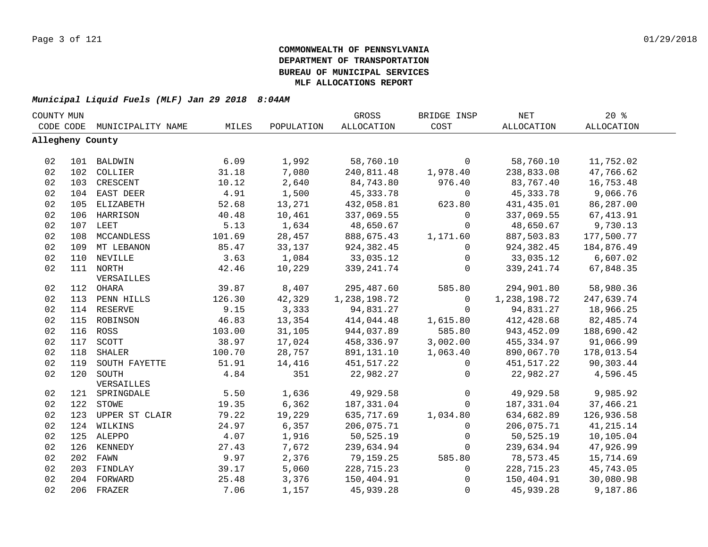| COUNTY MUN       |     |                    |        |            | GROSS        | BRIDGE INSP  | <b>NET</b>   | 20%               |  |
|------------------|-----|--------------------|--------|------------|--------------|--------------|--------------|-------------------|--|
| CODE CODE        |     | MUNICIPALITY NAME  | MILES  | POPULATION | ALLOCATION   | COST         | ALLOCATION   | <b>ALLOCATION</b> |  |
| Allegheny County |     |                    |        |            |              |              |              |                   |  |
|                  |     |                    |        |            |              |              |              |                   |  |
| 02               |     | 101 BALDWIN        | 6.09   | 1,992      | 58,760.10    | $\mathbf 0$  | 58,760.10    | 11,752.02         |  |
| 02               |     | 102 COLLIER        | 31.18  | 7,080      | 240,811.48   | 1,978.40     | 238,833.08   | 47,766.62         |  |
| 02               | 103 | CRESCENT           | 10.12  | 2,640      | 84,743.80    | 976.40       | 83,767.40    | 16,753.48         |  |
| 02               |     | 104 EAST DEER      | 4.91   | 1,500      | 45,333.78    | 0            | 45, 333. 78  | 9,066.76          |  |
| 02               | 105 | ELIZABETH          | 52.68  | 13,271     | 432,058.81   | 623.80       | 431,435.01   | 86,287.00         |  |
| 02               |     | 106 HARRISON       | 40.48  | 10,461     | 337,069.55   | $\mathbf 0$  | 337,069.55   | 67, 413.91        |  |
| 02               |     | 107 LEET           | 5.13   | 1,634      | 48,650.67    | $\mathbf 0$  | 48,650.67    | 9,730.13          |  |
| 02               | 108 | MCCANDLESS         | 101.69 | 28,457     | 888,675.43   | 1,171.60     | 887,503.83   | 177,500.77        |  |
| 02               | 109 | MT LEBANON         | 85.47  | 33,137     | 924,382.45   | $\mathbf 0$  | 924,382.45   | 184,876.49        |  |
| 02               | 110 | NEVILLE            | 3.63   | 1,084      | 33,035.12    | $\mathbf 0$  | 33,035.12    | 6,607.02          |  |
| 02               |     | 111 NORTH          | 42.46  | 10,229     | 339, 241.74  | $\Omega$     | 339, 241.74  | 67,848.35         |  |
|                  |     | VERSAILLES         |        |            |              |              |              |                   |  |
| 02               |     | 112 OHARA          | 39.87  | 8,407      | 295,487.60   | 585.80       | 294,901.80   | 58,980.36         |  |
| 02               |     | 113 PENN HILLS     | 126.30 | 42,329     | 1,238,198.72 | $\mathbf 0$  | 1,238,198.72 | 247,639.74        |  |
| 02               |     | 114 RESERVE        | 9.15   | 3,333      | 94,831.27    | $\Omega$     | 94,831.27    | 18,966.25         |  |
| 02               |     | 115 ROBINSON       | 46.83  | 13,354     | 414,044.48   | 1,615.80     | 412,428.68   | 82,485.74         |  |
| 02               |     | 116 ROSS           | 103.00 | 31,105     | 944,037.89   | 585.80       | 943,452.09   | 188,690.42        |  |
| 02               |     | 117 SCOTT          | 38.97  | 17,024     | 458,336.97   | 3,002.00     | 455, 334.97  | 91,066.99         |  |
| 02               | 118 | SHALER             | 100.70 | 28,757     | 891,131.10   | 1,063.40     | 890,067.70   | 178,013.54        |  |
| 02               | 119 | SOUTH FAYETTE      | 51.91  | 14,416     | 451,517.22   | 0            | 451,517.22   | 90,303.44         |  |
| 02               |     | 120 SOUTH          | 4.84   | 351        | 22,982.27    | $\mathbf 0$  | 22,982.27    | 4,596.45          |  |
|                  |     | VERSAILLES         |        |            |              |              |              |                   |  |
| 02               |     | 121 SPRINGDALE     | 5.50   | 1,636      | 49,929.58    | $\mathsf{O}$ | 49,929.58    | 9,985.92          |  |
| 02               |     | 122 STOWE          | 19.35  | 6,362      | 187,331.04   | 0            | 187,331.04   | 37,466.21         |  |
| 02               |     | 123 UPPER ST CLAIR | 79.22  | 19,229     | 635,717.69   | 1,034.80     | 634,682.89   | 126,936.58        |  |
| 02               |     | 124 WILKINS        | 24.97  | 6,357      | 206,075.71   | $\mathbf 0$  | 206,075.71   | 41, 215.14        |  |
| 02               |     | 125 ALEPPO         | 4.07   | 1,916      | 50,525.19    | 0            | 50,525.19    | 10,105.04         |  |
| 02               |     | 126 KENNEDY        | 27.43  | 7,672      | 239,634.94   | $\mathbf 0$  | 239,634.94   | 47,926.99         |  |
| 02               |     | 202 FAWN           | 9.97   | 2,376      | 79,159.25    | 585.80       | 78,573.45    | 15,714.69         |  |
| 02               |     | 203 FINDLAY        | 39.17  | 5,060      | 228,715.23   | 0            | 228,715.23   | 45,743.05         |  |
| 02               |     | 204 FORWARD        | 25.48  | 3,376      | 150,404.91   | $\mathbf 0$  | 150,404.91   | 30,080.98         |  |
| 02               |     | 206 FRAZER         | 7.06   | 1,157      | 45,939.28    | $\mathbf 0$  | 45,939.28    | 9,187.86          |  |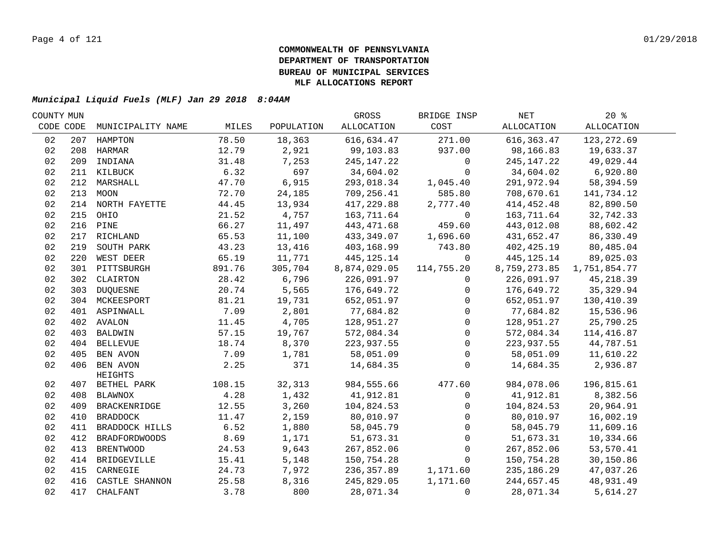| COUNTY MUN |     |                         |        |            | GROSS        | BRIDGE INSP  | NET          | $20*$        |  |
|------------|-----|-------------------------|--------|------------|--------------|--------------|--------------|--------------|--|
| CODE CODE  |     | MUNICIPALITY NAME       | MILES  | POPULATION | ALLOCATION   | COST         | ALLOCATION   | ALLOCATION   |  |
| 02         | 207 | HAMPTON                 | 78.50  | 18,363     | 616,634.47   | 271.00       | 616, 363.47  | 123, 272.69  |  |
| 02         |     | 208 HARMAR              | 12.79  | 2,921      | 99,103.83    | 937.00       | 98,166.83    | 19,633.37    |  |
| 02         | 209 | INDIANA                 | 31.48  | 7,253      | 245, 147. 22 | $\mathbf 0$  | 245, 147. 22 | 49,029.44    |  |
| 02         |     | 211 KILBUCK             | 6.32   | 697        | 34,604.02    | $\Omega$     | 34,604.02    | 6,920.80     |  |
| 02         |     | 212 MARSHALL            | 47.70  | 6,915      | 293,018.34   | 1,045.40     | 291,972.94   | 58,394.59    |  |
| 02         |     | 213 MOON                | 72.70  | 24,185     | 709,256.41   | 585.80       | 708,670.61   | 141,734.12   |  |
| 02         |     | 214 NORTH FAYETTE       | 44.45  | 13,934     | 417,229.88   | 2,777.40     | 414,452.48   | 82,890.50    |  |
| 02         |     | 215 OHIO                | 21.52  | 4,757      | 163,711.64   | $\mathsf{O}$ | 163,711.64   | 32,742.33    |  |
| 02         | 216 | PINE                    | 66.27  | 11,497     | 443, 471.68  | 459.60       | 443,012.08   | 88,602.42    |  |
| 02         | 217 | RICHLAND                | 65.53  | 11,100     | 433,349.07   | 1,696.60     | 431,652.47   | 86,330.49    |  |
| 02         | 219 | SOUTH PARK              | 43.23  | 13,416     | 403,168.99   | 743.80       | 402, 425.19  | 80,485.04    |  |
| 02         | 220 | WEST DEER               | 65.19  | 11,771     | 445, 125. 14 | $\Omega$     | 445, 125. 14 | 89,025.03    |  |
| 02         |     | 301 PITTSBURGH          | 891.76 | 305,704    | 8,874,029.05 | 114,755.20   | 8,759,273.85 | 1,751,854.77 |  |
| 02         |     | 302 CLAIRTON            | 28.42  | 6,796      | 226,091.97   | $\mathbf{0}$ | 226,091.97   | 45, 218.39   |  |
| 02         | 303 | <b>DUQUESNE</b>         | 20.74  | 5,565      | 176,649.72   | $\mathbf{0}$ | 176,649.72   | 35, 329.94   |  |
| 02         |     | 304 MCKEESPORT          | 81.21  | 19,731     | 652,051.97   | $\mathbf 0$  | 652,051.97   | 130,410.39   |  |
| 02         |     | 401 ASPINWALL           | 7.09   | 2,801      | 77,684.82    | $\mathbf 0$  | 77,684.82    | 15,536.96    |  |
| 02         |     | 402 AVALON              | 11.45  | 4,705      | 128,951.27   | $\mathbf 0$  | 128,951.27   | 25,790.25    |  |
| 02         |     | 403 BALDWIN             | 57.15  | 19,767     | 572,084.34   | $\mathbf 0$  | 572,084.34   | 114,416.87   |  |
| 02         |     | 404 BELLEVUE            | 18.74  | 8,370      | 223,937.55   | $\mathbf 0$  | 223,937.55   | 44,787.51    |  |
| 02         |     | 405 BEN AVON            | 7.09   | 1,781      | 58,051.09    | $\mathbf 0$  | 58,051.09    | 11,610.22    |  |
| 02         |     | 406 BEN AVON<br>HEIGHTS | 2.25   | 371        | 14,684.35    | $\Omega$     | 14,684.35    | 2,936.87     |  |
| 02         |     | 407 BETHEL PARK         | 108.15 | 32,313     | 984,555.66   | 477.60       | 984,078.06   | 196,815.61   |  |
| 02         |     | 408 BLAWNOX             | 4.28   | 1,432      | 41,912.81    | $\mathsf{O}$ | 41,912.81    | 8,382.56     |  |
| 02         |     | 409 BRACKENRIDGE        | 12.55  | 3,260      | 104,824.53   | $\mathbf{0}$ | 104,824.53   | 20,964.91    |  |
| 02         |     | 410 BRADDOCK            | 11.47  | 2,159      | 80,010.97    | $\Omega$     | 80,010.97    | 16,002.19    |  |
| 02         |     | 411 BRADDOCK HILLS      | 6.52   | 1,880      | 58,045.79    | $\mathbf 0$  | 58,045.79    | 11,609.16    |  |
| 02         | 412 | <b>BRADFORDWOODS</b>    | 8.69   | 1,171      | 51,673.31    | $\mathbf{0}$ | 51,673.31    | 10,334.66    |  |
| 02         | 413 | <b>BRENTWOOD</b>        | 24.53  | 9,643      | 267,852.06   | $\mathbf 0$  | 267,852.06   | 53,570.41    |  |
| 02         |     | 414 BRIDGEVILLE         | 15.41  | 5,148      | 150,754.28   | $\mathbf 0$  | 150,754.28   | 30,150.86    |  |
| 02         |     | 415 CARNEGIE            | 24.73  | 7,972      | 236,357.89   | 1,171.60     | 235,186.29   | 47,037.26    |  |
| 02         |     | 416 CASTLE SHANNON      | 25.58  | 8,316      | 245,829.05   | 1,171.60     | 244,657.45   | 48,931.49    |  |
| 02         | 417 | CHALFANT                | 3.78   | 800        | 28,071.34    | $\mathbf 0$  | 28,071.34    | 5,614.27     |  |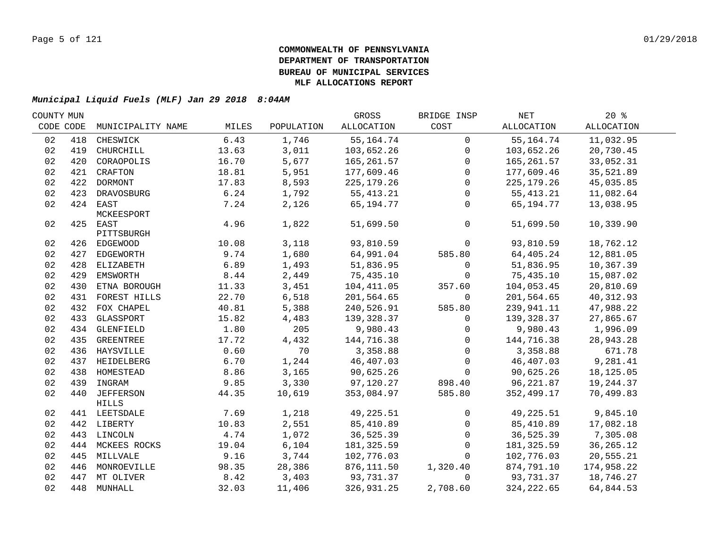| COUNTY MUN |     |                   |       |            | GROSS        | BRIDGE INSP  | NET          | $20*$       |  |
|------------|-----|-------------------|-------|------------|--------------|--------------|--------------|-------------|--|
| CODE CODE  |     | MUNICIPALITY NAME | MILES | POPULATION | ALLOCATION   | COST         | ALLOCATION   | ALLOCATION  |  |
| 02         | 418 | CHESWICK          | 6.43  | 1,746      | 55, 164. 74  | $\mathbf 0$  | 55,164.74    | 11,032.95   |  |
| 02         | 419 | CHURCHILL         | 13.63 | 3,011      | 103,652.26   | $\mathbf 0$  | 103,652.26   | 20,730.45   |  |
| 02         | 420 | CORAOPOLIS        | 16.70 | 5,677      | 165,261.57   | $\mathbf 0$  | 165,261.57   | 33,052.31   |  |
| 02         |     | 421 CRAFTON       | 18.81 | 5,951      | 177,609.46   | $\mathbf 0$  | 177,609.46   | 35,521.89   |  |
| 02         |     | 422 DORMONT       | 17.83 | 8,593      | 225, 179. 26 | $\Omega$     | 225, 179. 26 | 45,035.85   |  |
| 02         |     | 423 DRAVOSBURG    | 6.24  | 1,792      | 55,413.21    | $\mathbf 0$  | 55, 413. 21  | 11,082.64   |  |
| 02         |     | 424 EAST          | 7.24  | 2,126      | 65,194.77    | $\mathbf 0$  | 65,194.77    | 13,038.95   |  |
|            |     | MCKEESPORT        |       |            |              |              |              |             |  |
| 02         |     | 425 EAST          | 4.96  | 1,822      | 51,699.50    | $\mathbf 0$  | 51,699.50    | 10,339.90   |  |
|            |     | PITTSBURGH        |       |            |              |              |              |             |  |
| 02         |     | 426 EDGEWOOD      | 10.08 | 3,118      | 93,810.59    | $\mathbf 0$  | 93,810.59    | 18,762.12   |  |
| 02         |     | 427 EDGEWORTH     | 9.74  | 1,680      | 64,991.04    | 585.80       | 64,405.24    | 12,881.05   |  |
| 02         |     | 428 ELIZABETH     | 6.89  | 1,493      | 51,836.95    | $\mathsf{O}$ | 51,836.95    | 10,367.39   |  |
| 02         |     | 429 EMSWORTH      | 8.44  | 2,449      | 75,435.10    | 0            | 75,435.10    | 15,087.02   |  |
| 02         | 430 | ETNA BOROUGH      | 11.33 | 3,451      | 104,411.05   | 357.60       | 104,053.45   | 20,810.69   |  |
| 02         | 431 | FOREST HILLS      | 22.70 | 6,518      | 201,564.65   | $\Omega$     | 201,564.65   | 40,312.93   |  |
| 02         | 432 | FOX CHAPEL        | 40.81 | 5,388      | 240,526.91   | 585.80       | 239,941.11   | 47,988.22   |  |
| 02         | 433 | GLASSPORT         | 15.82 | 4,483      | 139,328.37   | $\Omega$     | 139,328.37   | 27,865.67   |  |
| 02         | 434 | GLENFIELD         | 1.80  | 205        | 9,980.43     | $\mathbf{0}$ | 9,980.43     | 1,996.09    |  |
| 02         | 435 | GREENTREE         | 17.72 | 4,432      | 144,716.38   | $\Omega$     | 144,716.38   | 28,943.28   |  |
| 02         |     | 436 HAYSVILLE     | 0.60  | 70         | 3,358.88     | $\Omega$     | 3,358.88     | 671.78      |  |
| 02         |     | 437 HEIDELBERG    | 6.70  | 1,244      | 46,407.03    | $\mathbf 0$  | 46,407.03    | 9,281.41    |  |
| 02         |     | 438 HOMESTEAD     | 8.86  | 3,165      | 90,625.26    | $\Omega$     | 90,625.26    | 18,125.05   |  |
| 02         |     | 439 INGRAM        | 9.85  | 3,330      | 97,120.27    | 898.40       | 96,221.87    | 19,244.37   |  |
| 02         |     | 440 JEFFERSON     | 44.35 | 10,619     | 353,084.97   | 585.80       | 352,499.17   | 70,499.83   |  |
|            |     | HILLS             |       |            |              |              |              |             |  |
| 02         |     | 441 LEETSDALE     | 7.69  | 1,218      | 49,225.51    | $\mathbf 0$  | 49,225.51    | 9,845.10    |  |
| 02         |     | 442 LIBERTY       | 10.83 | 2,551      | 85,410.89    | $\mathsf{O}$ | 85,410.89    | 17,082.18   |  |
| 02         |     | 443 LINCOLN       | 4.74  | 1,072      | 36,525.39    | $\mathbf 0$  | 36,525.39    | 7,305.08    |  |
| 02         |     | 444 MCKEES ROCKS  | 19.04 | 6,104      | 181, 325.59  | $\mathbf 0$  | 181,325.59   | 36, 265. 12 |  |
| 02         |     | 445 MILLVALE      | 9.16  | 3,744      | 102,776.03   | $\Omega$     | 102,776.03   | 20,555.21   |  |
| 02         |     | 446 MONROEVILLE   | 98.35 | 28,386     | 876,111.50   | 1,320.40     | 874,791.10   | 174,958.22  |  |
| 02         |     | 447 MT OLIVER     | 8.42  | 3,403      | 93,731.37    | $\mathbf 0$  | 93,731.37    | 18,746.27   |  |
| 02         |     | 448 MUNHALL       | 32.03 | 11,406     | 326,931.25   | 2,708.60     | 324, 222.65  | 64,844.53   |  |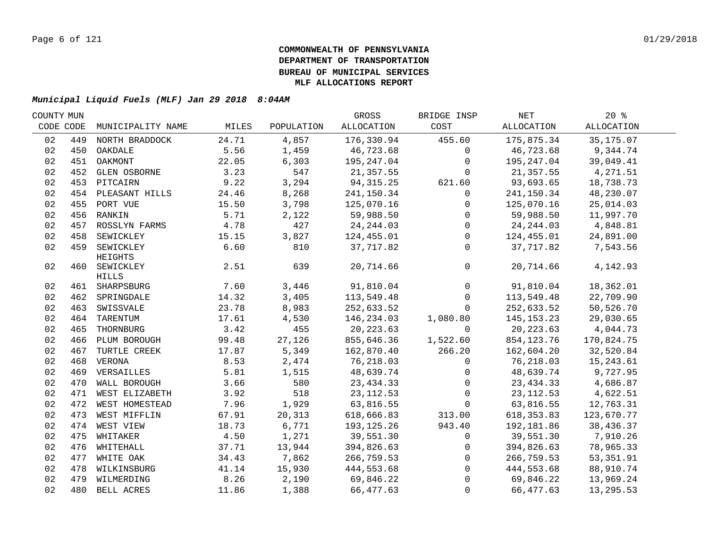| COUNTY MUN |     |                    |       |            | GROSS       | BRIDGE INSP  | NET          | $20*$      |  |
|------------|-----|--------------------|-------|------------|-------------|--------------|--------------|------------|--|
| CODE CODE  |     | MUNICIPALITY NAME  | MILES | POPULATION | ALLOCATION  | COST         | ALLOCATION   | ALLOCATION |  |
| 02         | 449 | NORTH BRADDOCK     | 24.71 | 4,857      | 176,330.94  | 455.60       | 175,875.34   | 35, 175.07 |  |
| 02         |     | 450 OAKDALE        | 5.56  | 1,459      | 46,723.68   | $\mathbf{0}$ | 46,723.68    | 9,344.74   |  |
| 02         |     | 451 OAKMONT        | 22.05 | 6,303      | 195,247.04  | $\mathbf 0$  | 195,247.04   | 39,049.41  |  |
| 02         |     | 452 GLEN OSBORNE   | 3.23  | 547        | 21,357.55   | $\Omega$     | 21,357.55    | 4,271.51   |  |
| 02         |     | 453 PITCAIRN       | 9.22  | 3,294      | 94, 315. 25 | 621.60       | 93,693.65    | 18,738.73  |  |
| 02         |     | 454 PLEASANT HILLS | 24.46 | 8,268      | 241,150.34  | 0            | 241,150.34   | 48,230.07  |  |
| 02         |     | 455 PORT VUE       | 15.50 | 3,798      | 125,070.16  | $\mathbf 0$  | 125,070.16   | 25,014.03  |  |
| 02         |     | 456 RANKIN         | 5.71  | 2,122      | 59,988.50   | 0            | 59,988.50    | 11,997.70  |  |
| 02         | 457 | ROSSLYN FARMS      | 4.78  | 427        | 24, 244.03  | $\mathbf 0$  | 24, 244.03   | 4,848.81   |  |
| 02         | 458 | SEWICKLEY          | 15.15 | 3,827      | 124,455.01  | $\mathbf 0$  | 124,455.01   | 24,891.00  |  |
| 02         | 459 | SEWICKLEY          | 6.60  | 810        | 37,717.82   | $\mathbf 0$  | 37,717.82    | 7,543.56   |  |
|            |     | HEIGHTS            |       |            |             |              |              |            |  |
| 02         |     | 460 SEWICKLEY      | 2.51  | 639        | 20,714.66   | $\mathbf{0}$ | 20,714.66    | 4,142.93   |  |
|            |     | <b>HILLS</b>       |       |            |             |              |              |            |  |
| 02         |     | 461 SHARPSBURG     | 7.60  | 3,446      | 91,810.04   | $\mathbf 0$  | 91,810.04    | 18,362.01  |  |
| 02         |     | 462 SPRINGDALE     | 14.32 | 3,405      | 113,549.48  | $\mathbf 0$  | 113,549.48   | 22,709.90  |  |
| 02         | 463 | SWISSVALE          | 23.78 | 8,983      | 252,633.52  | $\mathbf 0$  | 252,633.52   | 50,526.70  |  |
| 02         | 464 | TARENTUM           | 17.61 | 4,530      | 146,234.03  | 1,080.80     | 145, 153. 23 | 29,030.65  |  |
| 02         | 465 | THORNBURG          | 3.42  | 455        | 20, 223.63  | $\Omega$     | 20, 223.63   | 4,044.73   |  |
| 02         | 466 | PLUM BOROUGH       | 99.48 | 27,126     | 855,646.36  | 1,522.60     | 854,123.76   | 170,824.75 |  |
| 02         | 467 | TURTLE CREEK       | 17.87 | 5,349      | 162,870.40  | 266.20       | 162,604.20   | 32,520.84  |  |
| 02         | 468 | VERONA             | 8.53  | 2,474      | 76,218.03   | $\mathbf 0$  | 76,218.03    | 15,243.61  |  |
| 02         |     | 469 VERSAILLES     | 5.81  | 1,515      | 48,639.74   | $\mathbf{0}$ | 48,639.74    | 9,727.95   |  |
| 02         |     | 470 WALL BOROUGH   | 3.66  | 580        | 23, 434.33  | $\mathbf 0$  | 23, 434.33   | 4,686.87   |  |
| 02         |     | 471 WEST ELIZABETH | 3.92  | 518        | 23, 112.53  | $\mathbf 0$  | 23, 112.53   | 4,622.51   |  |
| 02         |     | 472 WEST HOMESTEAD | 7.96  | 1,929      | 63,816.55   | $\mathbf{0}$ | 63,816.55    | 12,763.31  |  |
| 02         |     | 473 WEST MIFFLIN   | 67.91 | 20,313     | 618,666.83  | 313.00       | 618, 353.83  | 123,670.77 |  |
| 02         |     | 474 WEST VIEW      | 18.73 | 6,771      | 193,125.26  | 943.40       | 192,181.86   | 38,436.37  |  |
| 02         |     | 475 WHITAKER       | 4.50  | 1,271      | 39,551.30   | $\mathbf 0$  | 39,551.30    | 7,910.26   |  |
| 02         |     | 476 WHITEHALL      | 37.71 | 13,944     | 394,826.63  | 0            | 394,826.63   | 78,965.33  |  |
| 02         |     | 477 WHITE OAK      | 34.43 | 7,862      | 266,759.53  | $\mathbf 0$  | 266,759.53   | 53, 351.91 |  |
| 02         |     | 478 WILKINSBURG    | 41.14 | 15,930     | 444,553.68  | $\mathbf 0$  | 444,553.68   | 88,910.74  |  |
| 02         |     | 479 WILMERDING     | 8.26  | 2,190      | 69,846.22   | $\Omega$     | 69,846.22    | 13,969.24  |  |
| 02         |     | 480 BELL ACRES     | 11.86 | 1,388      | 66,477.63   | $\mathbf{0}$ | 66,477.63    | 13,295.53  |  |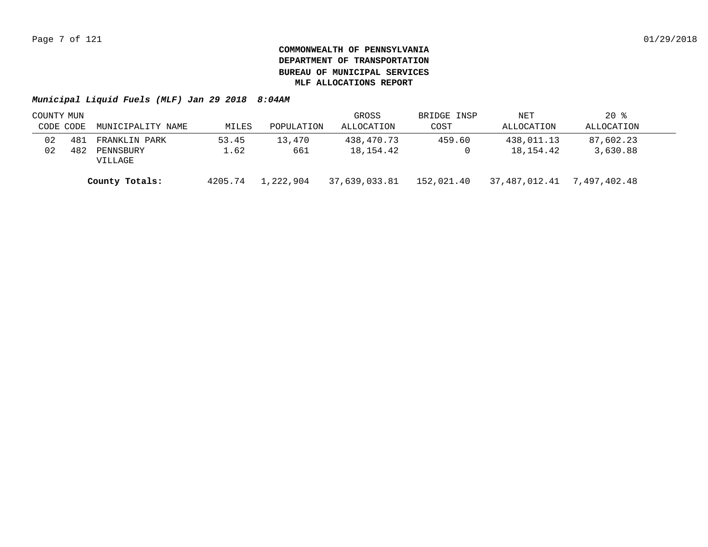|           | COUNTY MUN |                      |         |            | GROSS         | BRIDGE INSP | NET           | $20*$        |  |
|-----------|------------|----------------------|---------|------------|---------------|-------------|---------------|--------------|--|
| CODE CODE |            | MUNICIPALITY NAME    | MILES   | POPULATION | ALLOCATION    | COST        | ALLOCATION    | ALLOCATION   |  |
| 02        | 481        | FRANKLIN PARK        | 53.45   | 13,470     | 438,470.73    | 459.60      | 438,011.13    | 87,602.23    |  |
| 02        | 482        | PENNSBURY<br>VILLAGE | 1.62    | 661        | 18,154.42     |             | 18,154.42     | 3,630.88     |  |
|           |            | County Totals:       | 4205.74 | 1,222,904  | 37,639,033.81 | 152,021.40  | 37,487,012.41 | 7,497,402.48 |  |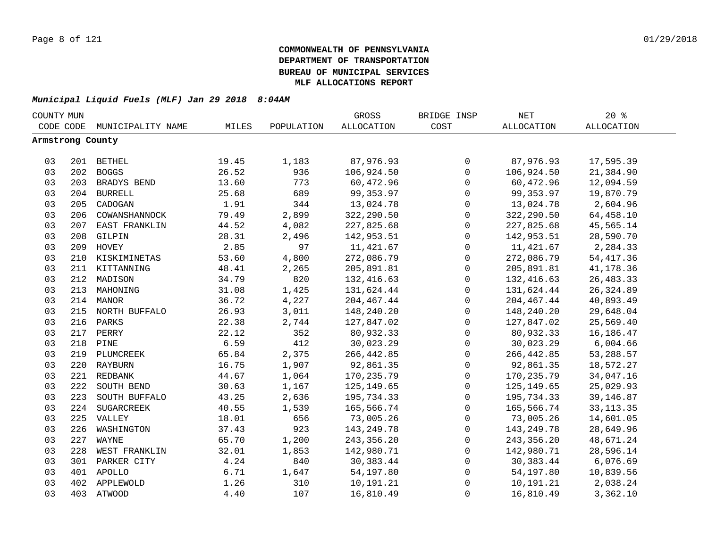|    | COUNTY MUN       |                   |       |            | GROSS             | BRIDGE INSP  | $\operatorname{NET}$ | $20*$             |  |
|----|------------------|-------------------|-------|------------|-------------------|--------------|----------------------|-------------------|--|
|    | CODE CODE        | MUNICIPALITY NAME | MILES | POPULATION | <b>ALLOCATION</b> | COST         | ALLOCATION           | <b>ALLOCATION</b> |  |
|    | Armstrong County |                   |       |            |                   |              |                      |                   |  |
|    |                  |                   |       |            |                   |              |                      |                   |  |
| 03 |                  | 201 BETHEL        | 19.45 | 1,183      | 87,976.93         | 0            | 87,976.93            | 17,595.39         |  |
| 03 |                  | 202 BOGGS         | 26.52 | 936        | 106,924.50        | $\mathsf{O}$ | 106,924.50           | 21,384.90         |  |
| 03 |                  | 203 BRADYS BEND   | 13.60 | 773        | 60,472.96         | 0            | 60,472.96            | 12,094.59         |  |
| 03 |                  | 204 BURRELL       | 25.68 | 689        | 99, 353.97        | 0            | 99,353.97            | 19,870.79         |  |
| 03 | 205              | CADOGAN           | 1.91  | 344        | 13,024.78         | 0            | 13,024.78            | 2,604.96          |  |
| 03 | 206              | COWANSHANNOCK     | 79.49 | 2,899      | 322,290.50        | 0            | 322,290.50           | 64,458.10         |  |
| 03 | 207              | EAST FRANKLIN     | 44.52 | 4,082      | 227,825.68        | $\mathsf 0$  | 227,825.68           | 45,565.14         |  |
| 03 | 208              | GILPIN            | 28.31 | 2,496      | 142,953.51        | $\mathbf{0}$ | 142,953.51           | 28,590.70         |  |
| 03 | 209              | HOVEY             | 2.85  | 97         | 11,421.67         | $\mathbf{0}$ | 11,421.67            | 2,284.33          |  |
| 03 | 210              | KISKIMINETAS      | 53.60 | 4,800      | 272,086.79        | 0            | 272,086.79           | 54, 417.36        |  |
| 03 | 211              | KITTANNING        | 48.41 | 2,265      | 205,891.81        | $\mathsf 0$  | 205,891.81           | 41,178.36         |  |
| 03 | 212              | MADISON           | 34.79 | 820        | 132,416.63        | $\mathsf 0$  | 132,416.63           | 26, 483.33        |  |
| 03 | 213              | MAHONING          | 31.08 | 1,425      | 131,624.44        | $\mathsf 0$  | 131,624.44           | 26, 324.89        |  |
| 03 |                  | 214 MANOR         | 36.72 | 4,227      | 204, 467. 44      | $\mathsf 0$  | 204, 467. 44         | 40,893.49         |  |
| 03 |                  | 215 NORTH BUFFALO | 26.93 | 3,011      | 148,240.20        | $\mathsf 0$  | 148,240.20           | 29,648.04         |  |
| 03 |                  | 216 PARKS         | 22.38 | 2,744      | 127,847.02        | $\mathsf 0$  | 127,847.02           | 25,569.40         |  |
| 03 |                  | 217 PERRY         | 22.12 | 352        | 80,932.33         | 0            | 80,932.33            | 16,186.47         |  |
| 03 |                  | 218 PINE          | 6.59  | 412        | 30,023.29         | $\mathsf{O}$ | 30,023.29            | 6,004.66          |  |
| 03 |                  | 219 PLUMCREEK     | 65.84 | 2,375      | 266, 442.85       | 0            | 266,442.85           | 53,288.57         |  |
| 03 |                  | 220 RAYBURN       | 16.75 | 1,907      | 92,861.35         | 0            | 92,861.35            | 18,572.27         |  |
| 03 |                  | 221 REDBANK       | 44.67 | 1,064      | 170, 235.79       | $\mathbf 0$  | 170,235.79           | 34,047.16         |  |
| 03 | 222              | SOUTH BEND        | 30.63 | 1,167      | 125,149.65        | $\mathbf 0$  | 125,149.65           | 25,029.93         |  |
| 03 | 223              | SOUTH BUFFALO     | 43.25 | 2,636      | 195,734.33        | $\mathbf 0$  | 195,734.33           | 39,146.87         |  |
| 03 | 224              | SUGARCREEK        | 40.55 | 1,539      | 165,566.74        | $\mathbf 0$  | 165,566.74           | 33, 113. 35       |  |
| 03 |                  | 225 VALLEY        | 18.01 | 656        | 73,005.26         | $\mathbf 0$  | 73,005.26            | 14,601.05         |  |
| 03 | 226              | WASHINGTON        | 37.43 | 923        | 143, 249. 78      | 0            | 143,249.78           | 28,649.96         |  |
| 03 | 227              | WAYNE             | 65.70 | 1,200      | 243,356.20        | 0            | 243,356.20           | 48,671.24         |  |
| 03 | 228              | WEST FRANKLIN     | 32.01 | 1,853      | 142,980.71        | 0            | 142,980.71           | 28,596.14         |  |
| 03 | 301              | PARKER CITY       | 4.24  | 840        | 30,383.44         | $\mathsf 0$  | 30,383.44            | 6,076.69          |  |
| 03 |                  | 401 APOLLO        | 6.71  | 1,647      | 54,197.80         | $\mathsf 0$  | 54,197.80            | 10,839.56         |  |
| 03 |                  | 402 APPLEWOLD     | 1.26  | 310        | 10,191.21         | $\mathsf 0$  | 10,191.21            | 2,038.24          |  |
| 03 |                  | 403 ATWOOD        | 4.40  | 107        | 16,810.49         | $\mathsf 0$  | 16,810.49            | 3,362.10          |  |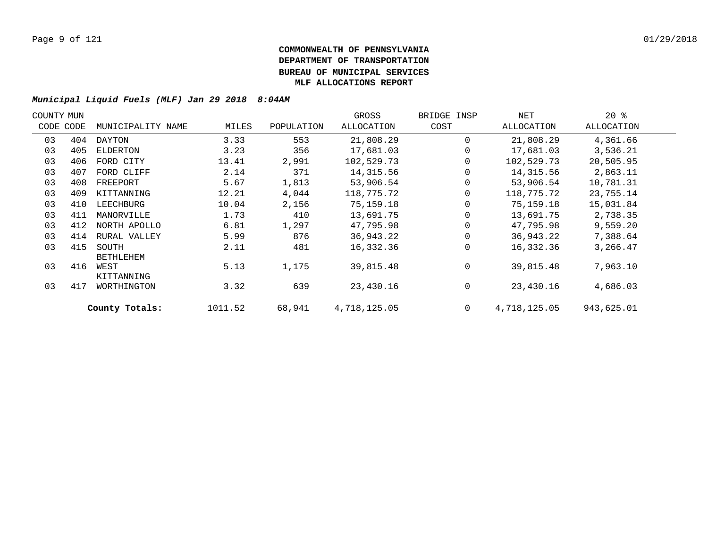| COUNTY MUN |           |                           |         |            | GROSS        | BRIDGE INSP    | NET          | $20*$      |  |
|------------|-----------|---------------------------|---------|------------|--------------|----------------|--------------|------------|--|
|            | CODE CODE | MUNICIPALITY NAME         | MILES   | POPULATION | ALLOCATION   | COST           | ALLOCATION   | ALLOCATION |  |
| 03         | 404       | DAYTON                    | 3.33    | 553        | 21,808.29    | $\mathbf 0$    | 21,808.29    | 4,361.66   |  |
| 03         | 405       | ELDERTON                  | 3.23    | 356        | 17,681.03    | 0              | 17,681.03    | 3,536.21   |  |
| 03         | 406       | FORD CITY                 | 13.41   | 2,991      | 102,529.73   | $\mathbf 0$    | 102,529.73   | 20,505.95  |  |
| 03         | 407       | FORD CLIFF                | 2.14    | 371        | 14,315.56    | 0              | 14,315.56    | 2,863.11   |  |
| 03         | 408       | FREEPORT                  | 5.67    | 1,813      | 53,906.54    | $\mathbf 0$    | 53,906.54    | 10,781.31  |  |
| 03         | 409       | KITTANNING                | 12.21   | 4,044      | 118,775.72   | 0              | 118,775.72   | 23,755.14  |  |
| 03         | 410       | LEECHBURG                 | 10.04   | 2,156      | 75,159.18    | $\mathbf 0$    | 75,159.18    | 15,031.84  |  |
| 03         | 411       | MANORVILLE                | 1.73    | 410        | 13,691.75    | $\mathbf 0$    | 13,691.75    | 2,738.35   |  |
| 03         | 412       | NORTH APOLLO              | 6.81    | 1,297      | 47,795.98    | $\Omega$       | 47,795.98    | 9,559.20   |  |
| 03         | 414       | RURAL VALLEY              | 5.99    | 876        | 36,943.22    | $\mathbf 0$    | 36,943.22    | 7,388.64   |  |
| 03         | 415       | SOUTH<br><b>BETHLEHEM</b> | 2.11    | 481        | 16,332.36    | $\Omega$       | 16,332.36    | 3,266.47   |  |
| 03         | 416       | WEST<br>KITTANNING        | 5.13    | 1,175      | 39,815.48    | $\mathbf 0$    | 39,815.48    | 7,963.10   |  |
| 03         | 417       | WORTHINGTON               | 3.32    | 639        | 23,430.16    | 0              | 23,430.16    | 4,686.03   |  |
|            |           | County Totals:            | 1011.52 | 68,941     | 4,718,125.05 | $\overline{0}$ | 4,718,125.05 | 943,625.01 |  |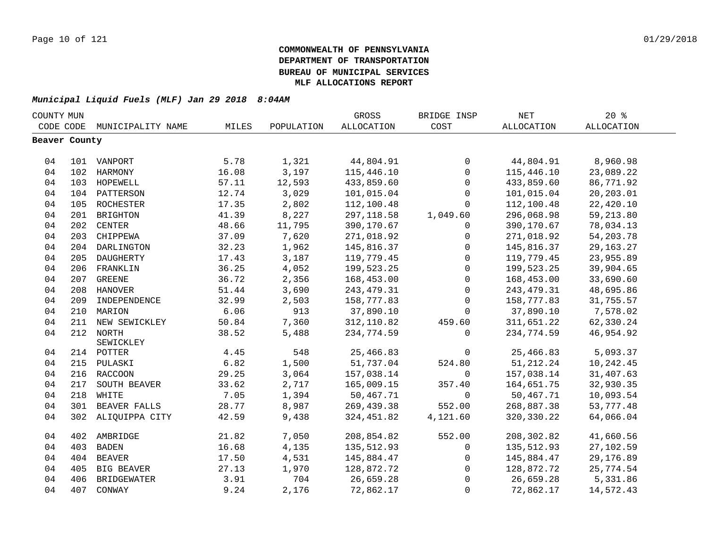| COUNTY MUN    |     |                    |       |            | GROSS       | BRIDGE INSP  | <b>NET</b>   | 20%               |  |
|---------------|-----|--------------------|-------|------------|-------------|--------------|--------------|-------------------|--|
| CODE CODE     |     | MUNICIPALITY NAME  | MILES | POPULATION | ALLOCATION  | COST         | ALLOCATION   | <b>ALLOCATION</b> |  |
| Beaver County |     |                    |       |            |             |              |              |                   |  |
|               |     |                    |       |            |             |              |              |                   |  |
| 04            |     | 101 VANPORT        | 5.78  | 1,321      | 44,804.91   | $\mathsf{O}$ | 44,804.91    | 8,960.98          |  |
| 04            |     | 102 HARMONY        | 16.08 | 3,197      | 115,446.10  | $\mathsf{O}$ | 115,446.10   | 23,089.22         |  |
| 04            | 103 | HOPEWELL           | 57.11 | 12,593     | 433,859.60  | $\mathbf 0$  | 433,859.60   | 86,771.92         |  |
| 04            | 104 | PATTERSON          | 12.74 | 3,029      | 101,015.04  | $\mathbf 0$  | 101,015.04   | 20,203.01         |  |
| 04            | 105 | ROCHESTER          | 17.35 | 2,802      | 112,100.48  | $\mathbf 0$  | 112,100.48   | 22,420.10         |  |
| 04            | 201 | <b>BRIGHTON</b>    | 41.39 | 8,227      | 297,118.58  | 1,049.60     | 296,068.98   | 59,213.80         |  |
| 04            | 202 | <b>CENTER</b>      | 48.66 | 11,795     | 390,170.67  | 0            | 390,170.67   | 78,034.13         |  |
| 04            | 203 | CHIPPEWA           | 37.09 | 7,620      | 271,018.92  | 0            | 271,018.92   | 54, 203. 78       |  |
| 04            | 204 | DARLINGTON         | 32.23 | 1,962      | 145,816.37  | 0            | 145,816.37   | 29, 163. 27       |  |
| 04            | 205 | DAUGHERTY          | 17.43 | 3,187      | 119,779.45  | $\mathbf 0$  | 119,779.45   | 23,955.89         |  |
| 04            | 206 | FRANKLIN           | 36.25 | 4,052      | 199,523.25  | $\mathsf{O}$ | 199,523.25   | 39,904.65         |  |
| 04            |     | 207 GREENE         | 36.72 | 2,356      | 168,453.00  | 0            | 168,453.00   | 33,690.60         |  |
| 04            |     | 208 HANOVER        | 51.44 | 3,690      | 243, 479.31 | $\mathsf{O}$ | 243, 479.31  | 48,695.86         |  |
| 04            | 209 | INDEPENDENCE       | 32.99 | 2,503      | 158,777.83  | $\mathbf 0$  | 158,777.83   | 31,755.57         |  |
| 04            |     | 210 MARION         | 6.06  | 913        | 37,890.10   | $\mathbf 0$  | 37,890.10    | 7,578.02          |  |
| 04            | 211 | NEW SEWICKLEY      | 50.84 | 7,360      | 312,110.82  | 459.60       | 311,651.22   | 62,330.24         |  |
| 04            |     | 212 NORTH          | 38.52 | 5,488      | 234,774.59  | $\Omega$     | 234,774.59   | 46,954.92         |  |
|               |     | SEWICKLEY          |       |            |             |              |              |                   |  |
| 04            |     | 214 POTTER         | 4.45  | 548        | 25,466.83   | $\mathsf{O}$ | 25,466.83    | 5,093.37          |  |
| 04            |     | 215 PULASKI        | 6.82  | 1,500      | 51,737.04   | 524.80       | 51, 212. 24  | 10,242.45         |  |
| 04            |     | 216 RACCOON        | 29.25 | 3,064      | 157,038.14  | $\mathbf 0$  | 157,038.14   | 31,407.63         |  |
| 04            | 217 | SOUTH BEAVER       | 33.62 | 2,717      | 165,009.15  | 357.40       | 164,651.75   | 32,930.35         |  |
| 04            | 218 | WHITE              | 7.05  | 1,394      | 50,467.71   | $\mathbf 0$  | 50,467.71    | 10,093.54         |  |
| 04            | 301 | BEAVER FALLS       | 28.77 | 8,987      | 269,439.38  | 552.00       | 268,887.38   | 53,777.48         |  |
| 04            |     | 302 ALIQUIPPA CITY | 42.59 | 9,438      | 324, 451.82 | 4,121.60     | 320, 330. 22 | 64,066.04         |  |
| 04            | 402 | AMBRIDGE           | 21.82 | 7,050      | 208,854.82  | 552.00       | 208,302.82   | 41,660.56         |  |
| 04            | 403 | <b>BADEN</b>       | 16.68 | 4,135      | 135,512.93  | $\mathbf 0$  | 135,512.93   | 27,102.59         |  |
| 04            | 404 | <b>BEAVER</b>      | 17.50 | 4,531      | 145,884.47  | 0            | 145,884.47   | 29,176.89         |  |
| 04            | 405 | <b>BIG BEAVER</b>  | 27.13 | 1,970      | 128,872.72  | $\mathbf 0$  | 128,872.72   | 25,774.54         |  |
| 04            | 406 | <b>BRIDGEWATER</b> | 3.91  | 704        | 26,659.28   | $\mathbf 0$  | 26,659.28    | 5,331.86          |  |
| 04            | 407 | CONWAY             | 9.24  | 2,176      | 72,862.17   | $\mathbf 0$  | 72,862.17    | 14,572.43         |  |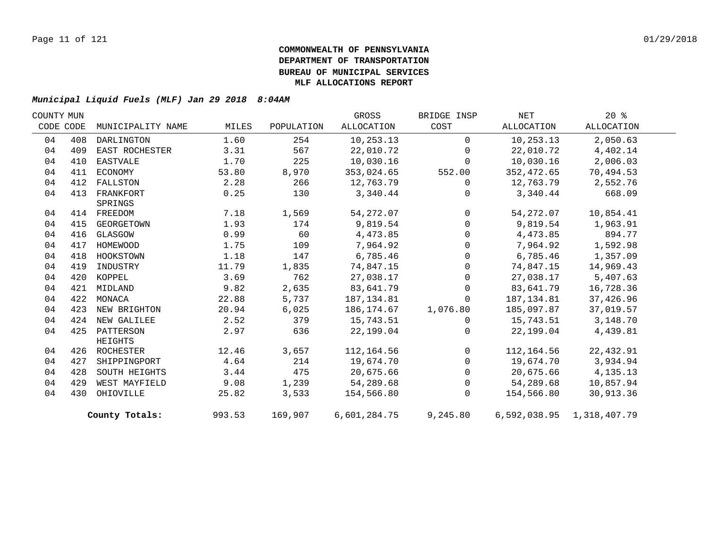| COUNTY MUN |           |                   |        |            | GROSS        | BRIDGE INSP  | NET        | $20*$                     |  |
|------------|-----------|-------------------|--------|------------|--------------|--------------|------------|---------------------------|--|
|            | CODE CODE | MUNICIPALITY NAME | MILES  | POPULATION | ALLOCATION   | COST         | ALLOCATION | ALLOCATION                |  |
| 04         | 408       | DARLINGTON        | 1.60   | 254        | 10,253.13    | $\Omega$     | 10,253.13  | 2,050.63                  |  |
| 04         | 409       | EAST ROCHESTER    | 3.31   | 567        | 22,010.72    | $\Omega$     | 22,010.72  | 4,402.14                  |  |
| 04         | 410       | EASTVALE          | 1.70   | 225        | 10,030.16    | $\mathbf 0$  | 10,030.16  | 2,006.03                  |  |
| 04         | 411       | ECONOMY           | 53.80  | 8,970      | 353,024.65   | 552.00       | 352,472.65 | 70,494.53                 |  |
| 04         | 412       | FALLSTON          | 2.28   | 266        | 12,763.79    | $\Omega$     | 12,763.79  | 2,552.76                  |  |
| 04         | 413       | FRANKFORT         | 0.25   | 130        | 3,340.44     | $\mathbf{0}$ | 3,340.44   | 668.09                    |  |
|            |           | SPRINGS           |        |            |              |              |            |                           |  |
| 04         |           | 414 FREEDOM       | 7.18   | 1,569      | 54, 272.07   | $\Omega$     | 54,272.07  | 10,854.41                 |  |
| 04         | 415       | GEORGETOWN        | 1.93   | 174        | 9,819.54     | $\Omega$     | 9,819.54   | 1,963.91                  |  |
| 04         | 416       | GLASGOW           | 0.99   | 60         | 4,473.85     | $\mathbf{0}$ | 4,473.85   | 894.77                    |  |
| 04         | 417       | HOMEWOOD          | 1.75   | 109        | 7,964.92     | $\Omega$     | 7,964.92   | 1,592.98                  |  |
| 04         | 418       | HOOKSTOWN         | 1.18   | 147        | 6,785.46     | $\mathbf 0$  | 6,785.46   | 1,357.09                  |  |
| 04         | 419       | INDUSTRY          | 11.79  | 1,835      | 74,847.15    | $\Omega$     | 74,847.15  | 14,969.43                 |  |
| 04         | 420       | KOPPEL            | 3.69   | 762        | 27,038.17    | $\mathbf 0$  | 27,038.17  | 5,407.63                  |  |
| 04         | 421       | MIDLAND           | 9.82   | 2,635      | 83,641.79    | $\Omega$     | 83,641.79  | 16,728.36                 |  |
| 04         | 422       | MONACA            | 22.88  | 5,737      | 187, 134.81  | $\Omega$     | 187,134.81 | 37,426.96                 |  |
| 04         | 423       | NEW BRIGHTON      | 20.94  | 6,025      | 186,174.67   | 1,076.80     | 185,097.87 | 37,019.57                 |  |
| 04         | 424       | NEW GALILEE       | 2.52   | 379        | 15,743.51    | $\Omega$     | 15,743.51  | 3,148.70                  |  |
| 04         |           | 425 PATTERSON     | 2.97   | 636        | 22,199.04    | $\Omega$     | 22,199.04  | 4,439.81                  |  |
|            |           | HEIGHTS           |        |            |              |              |            |                           |  |
| 04         |           | 426 ROCHESTER     | 12.46  | 3,657      | 112,164.56   | $\mathbf 0$  | 112,164.56 | 22,432.91                 |  |
| 04         | 427       | SHIPPINGPORT      | 4.64   | 214        | 19,674.70    | $\Omega$     | 19,674.70  | 3,934.94                  |  |
| 04         | 428       | SOUTH HEIGHTS     | 3.44   | 475        | 20,675.66    | $\mathbf 0$  | 20,675.66  | 4,135.13                  |  |
| 04         | 429       | WEST MAYFIELD     | 9.08   | 1,239      | 54,289.68    | $\mathbf 0$  | 54,289.68  | 10,857.94                 |  |
| 04         | 430       | OHIOVILLE         | 25.82  | 3,533      | 154,566.80   | $\mathbf 0$  | 154,566.80 | 30,913.36                 |  |
|            |           | County Totals:    | 993.53 | 169,907    | 6,601,284.75 | 9,245.80     |            | 6,592,038.95 1,318,407.79 |  |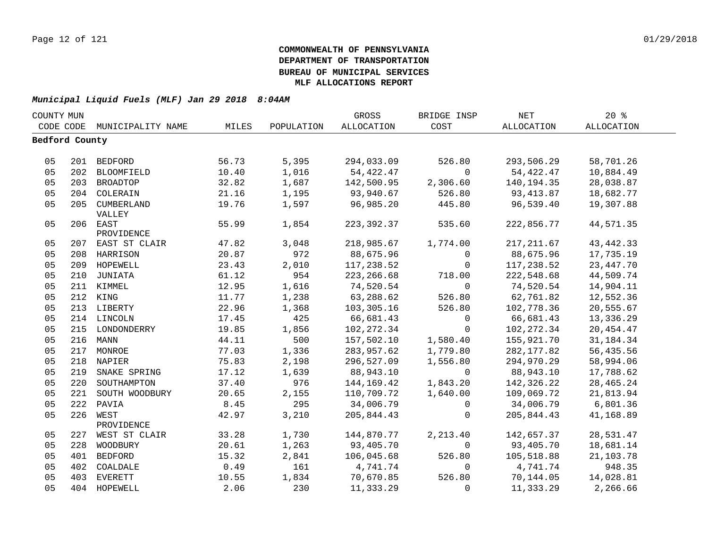| COUNTY MUN     |     |                             |       |            | GROSS       | BRIDGE INSP    | <b>NET</b>  | $20*$       |  |
|----------------|-----|-----------------------------|-------|------------|-------------|----------------|-------------|-------------|--|
|                |     | CODE CODE MUNICIPALITY NAME | MILES | POPULATION | ALLOCATION  | COST           | ALLOCATION  | ALLOCATION  |  |
| Bedford County |     |                             |       |            |             |                |             |             |  |
|                |     |                             |       |            |             |                |             |             |  |
| 05             |     | 201 BEDFORD                 | 56.73 | 5,395      | 294,033.09  | 526.80         | 293,506.29  | 58,701.26   |  |
| 05             |     | 202 BLOOMFIELD              | 10.40 | 1,016      | 54,422.47   | $\Omega$       | 54,422.47   | 10,884.49   |  |
| 05             |     | 203 BROADTOP                | 32.82 | 1,687      | 142,500.95  | 2,306.60       | 140,194.35  | 28,038.87   |  |
| 05             |     | 204 COLERAIN                | 21.16 | 1,195      | 93,940.67   | 526.80         | 93, 413.87  | 18,682.77   |  |
| 05             |     | 205 CUMBERLAND<br>VALLEY    | 19.76 | 1,597      | 96,985.20   | 445.80         | 96,539.40   | 19,307.88   |  |
| 05             |     | 206 EAST<br>PROVIDENCE      | 55.99 | 1,854      | 223, 392.37 | 535.60         | 222,856.77  | 44,571.35   |  |
| 05             |     | 207 EAST ST CLAIR           | 47.82 | 3,048      | 218,985.67  | 1,774.00       | 217, 211.67 | 43, 442. 33 |  |
| 05             |     | 208 HARRISON                | 20.87 | 972        | 88,675.96   | $\overline{0}$ | 88,675.96   | 17,735.19   |  |
| 05             |     | 209 HOPEWELL                | 23.43 | 2,010      | 117,238.52  | $\overline{0}$ | 117,238.52  | 23, 447. 70 |  |
| 05             | 210 | JUNIATA                     | 61.12 | 954        | 223, 266.68 | 718.00         | 222,548.68  | 44,509.74   |  |
| 05             |     | 211 KIMMEL                  | 12.95 | 1,616      | 74,520.54   | $\Omega$       | 74,520.54   | 14,904.11   |  |
| 05             |     | 212 KING                    | 11.77 | 1,238      | 63,288.62   | 526.80         | 62,761.82   | 12,552.36   |  |
| 05             |     | 213 LIBERTY                 | 22.96 | 1,368      | 103,305.16  | 526.80         | 102,778.36  | 20,555.67   |  |
| 05             |     | 214 LINCOLN                 | 17.45 | 425        | 66,681.43   | $\mathbf 0$    | 66,681.43   | 13,336.29   |  |
| 05             |     | 215 LONDONDERRY             | 19.85 | 1,856      | 102, 272.34 | $\Omega$       | 102,272.34  | 20, 454.47  |  |
| 05             |     | 216 MANN                    | 44.11 | 500        | 157,502.10  | 1,580.40       | 155,921.70  | 31, 184. 34 |  |
| 05             |     | 217 MONROE                  | 77.03 | 1,336      | 283,957.62  | 1,779.80       | 282, 177.82 | 56,435.56   |  |
| 05             |     | 218 NAPIER                  | 75.83 | 2,198      | 296,527.09  | 1,556.80       | 294,970.29  | 58,994.06   |  |
| 05             | 219 | SNAKE SPRING                | 17.12 | 1,639      | 88,943.10   | $\overline{0}$ | 88,943.10   | 17,788.62   |  |
| 05             | 220 | SOUTHAMPTON                 | 37.40 | 976        | 144,169.42  | 1,843.20       | 142,326.22  | 28, 465. 24 |  |
| 05             | 221 | SOUTH WOODBURY              | 20.65 | 2,155      | 110,709.72  | 1,640.00       | 109,069.72  | 21,813.94   |  |
| 05             | 222 | PAVIA                       | 8.45  | 295        | 34,006.79   | $\Omega$       | 34,006.79   | 6,801.36    |  |
| 05             | 226 | WEST                        | 42.97 | 3,210      | 205,844.43  | $\Omega$       | 205,844.43  | 41,168.89   |  |
|                |     | PROVIDENCE                  |       |            |             |                |             |             |  |
| 05             |     | 227 WEST ST CLAIR           | 33.28 | 1,730      | 144,870.77  | 2,213.40       | 142,657.37  | 28,531.47   |  |
| 05             | 228 | WOODBURY                    | 20.61 | 1,263      | 93,405.70   | $\mathbf 0$    | 93,405.70   | 18,681.14   |  |
| 05             |     | 401 BEDFORD                 | 15.32 | 2,841      | 106,045.68  | 526.80         | 105,518.88  | 21,103.78   |  |
| 05             | 402 | COALDALE                    | 0.49  | 161        | 4,741.74    | $\mathbf{0}$   | 4,741.74    | 948.35      |  |
| 05             | 403 | <b>EVERETT</b>              | 10.55 | 1,834      | 70,670.85   | 526.80         | 70,144.05   | 14,028.81   |  |
| 05             |     | 404 HOPEWELL                | 2.06  | 230        | 11,333.29   | $\Omega$       | 11,333.29   | 2,266.66    |  |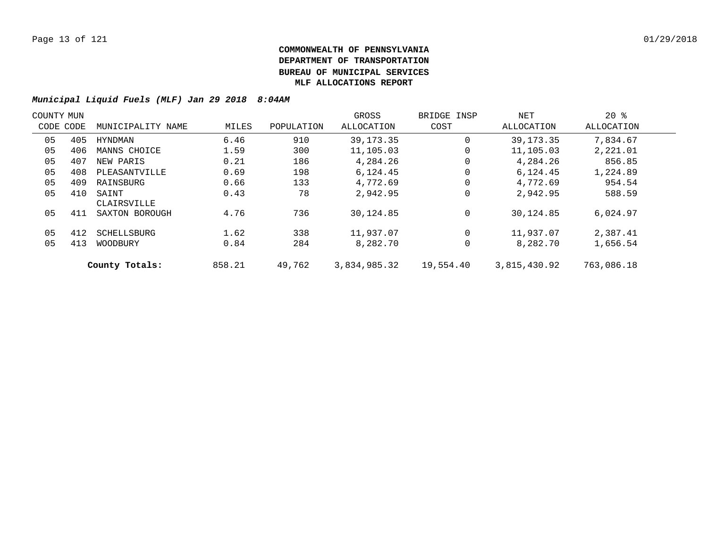| COUNTY MUN |           |                      |        |            | GROSS        | BRIDGE INSP | NET          | $20*$      |  |
|------------|-----------|----------------------|--------|------------|--------------|-------------|--------------|------------|--|
|            | CODE CODE | MUNICIPALITY NAME    | MILES  | POPULATION | ALLOCATION   | COST        | ALLOCATION   | ALLOCATION |  |
| 05         | 405       | HYNDMAN              | 6.46   | 910        | 39, 173, 35  | 0           | 39, 173. 35  | 7,834.67   |  |
| 05         | 406       | MANNS CHOICE         | 1.59   | 300        | 11,105.03    | 0           | 11,105.03    | 2,221.01   |  |
| 05         | 407       | NEW PARIS            | 0.21   | 186        | 4,284.26     | 0           | 4,284.26     | 856.85     |  |
| 05         | 408       | PLEASANTVILLE        | 0.69   | 198        | 6,124.45     | 0           | 6,124.45     | 1,224.89   |  |
| 05         | 409       | RAINSBURG            | 0.66   | 133        | 4,772.69     | 0           | 4,772.69     | 954.54     |  |
| 05         | 410       | SAINT<br>CLAIRSVILLE | 0.43   | 78         | 2,942.95     | 0           | 2,942.95     | 588.59     |  |
| 05         | 411       | SAXTON BOROUGH       | 4.76   | 736        | 30,124.85    | $\mathbf 0$ | 30,124.85    | 6,024.97   |  |
| 05         | 412       | SCHELLSBURG          | 1.62   | 338        | 11,937.07    | $\Omega$    | 11,937.07    | 2,387.41   |  |
| 05         | 413       | WOODBURY             | 0.84   | 284        | 8,282.70     | 0           | 8,282.70     | 1,656.54   |  |
|            |           | County Totals:       | 858.21 | 49,762     | 3,834,985.32 | 19,554.40   | 3,815,430.92 | 763,086.18 |  |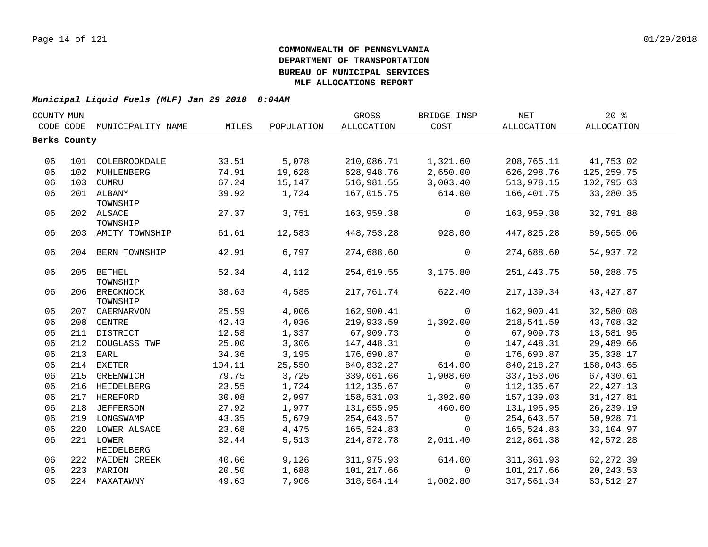| COUNTY MUN |                   |                                                                                                                                                                                                                                                                                                                                                                                                                                                                                                                             |                                                                                                                                                        | GROSS                                                                                                                                                   | BRIDGE INSP                                                                                                                                                                                                                               | NET                                                                                                                                                                                                  | 20%                                                                                                                                                                                                                                             |                                                                                                                                                                                                                                  |
|------------|-------------------|-----------------------------------------------------------------------------------------------------------------------------------------------------------------------------------------------------------------------------------------------------------------------------------------------------------------------------------------------------------------------------------------------------------------------------------------------------------------------------------------------------------------------------|--------------------------------------------------------------------------------------------------------------------------------------------------------|---------------------------------------------------------------------------------------------------------------------------------------------------------|-------------------------------------------------------------------------------------------------------------------------------------------------------------------------------------------------------------------------------------------|------------------------------------------------------------------------------------------------------------------------------------------------------------------------------------------------------|-------------------------------------------------------------------------------------------------------------------------------------------------------------------------------------------------------------------------------------------------|----------------------------------------------------------------------------------------------------------------------------------------------------------------------------------------------------------------------------------|
| CODE CODE  |                   | MILES                                                                                                                                                                                                                                                                                                                                                                                                                                                                                                                       | POPULATION                                                                                                                                             | ALLOCATION                                                                                                                                              | COST                                                                                                                                                                                                                                      | ALLOCATION                                                                                                                                                                                           | ALLOCATION                                                                                                                                                                                                                                      |                                                                                                                                                                                                                                  |
|            |                   |                                                                                                                                                                                                                                                                                                                                                                                                                                                                                                                             |                                                                                                                                                        |                                                                                                                                                         |                                                                                                                                                                                                                                           |                                                                                                                                                                                                      |                                                                                                                                                                                                                                                 |                                                                                                                                                                                                                                  |
|            |                   |                                                                                                                                                                                                                                                                                                                                                                                                                                                                                                                             |                                                                                                                                                        |                                                                                                                                                         |                                                                                                                                                                                                                                           |                                                                                                                                                                                                      |                                                                                                                                                                                                                                                 |                                                                                                                                                                                                                                  |
|            |                   | 33.51                                                                                                                                                                                                                                                                                                                                                                                                                                                                                                                       | 5,078                                                                                                                                                  | 210,086.71                                                                                                                                              | 1,321.60                                                                                                                                                                                                                                  | 208,765.11                                                                                                                                                                                           | 41,753.02                                                                                                                                                                                                                                       |                                                                                                                                                                                                                                  |
|            |                   | 74.91                                                                                                                                                                                                                                                                                                                                                                                                                                                                                                                       | 19,628                                                                                                                                                 | 628,948.76                                                                                                                                              | 2,650.00                                                                                                                                                                                                                                  | 626, 298.76                                                                                                                                                                                          | 125, 259. 75                                                                                                                                                                                                                                    |                                                                                                                                                                                                                                  |
|            |                   | 67.24                                                                                                                                                                                                                                                                                                                                                                                                                                                                                                                       | 15,147                                                                                                                                                 | 516,981.55                                                                                                                                              | 3,003.40                                                                                                                                                                                                                                  | 513,978.15                                                                                                                                                                                           | 102,795.63                                                                                                                                                                                                                                      |                                                                                                                                                                                                                                  |
|            |                   | 39.92                                                                                                                                                                                                                                                                                                                                                                                                                                                                                                                       | 1,724                                                                                                                                                  | 167,015.75                                                                                                                                              | 614.00                                                                                                                                                                                                                                    | 166,401.75                                                                                                                                                                                           | 33,280.35                                                                                                                                                                                                                                       |                                                                                                                                                                                                                                  |
|            |                   |                                                                                                                                                                                                                                                                                                                                                                                                                                                                                                                             |                                                                                                                                                        |                                                                                                                                                         |                                                                                                                                                                                                                                           |                                                                                                                                                                                                      |                                                                                                                                                                                                                                                 |                                                                                                                                                                                                                                  |
|            |                   |                                                                                                                                                                                                                                                                                                                                                                                                                                                                                                                             |                                                                                                                                                        |                                                                                                                                                         |                                                                                                                                                                                                                                           |                                                                                                                                                                                                      |                                                                                                                                                                                                                                                 |                                                                                                                                                                                                                                  |
|            |                   |                                                                                                                                                                                                                                                                                                                                                                                                                                                                                                                             |                                                                                                                                                        |                                                                                                                                                         |                                                                                                                                                                                                                                           |                                                                                                                                                                                                      |                                                                                                                                                                                                                                                 |                                                                                                                                                                                                                                  |
|            |                   |                                                                                                                                                                                                                                                                                                                                                                                                                                                                                                                             |                                                                                                                                                        |                                                                                                                                                         |                                                                                                                                                                                                                                           |                                                                                                                                                                                                      |                                                                                                                                                                                                                                                 |                                                                                                                                                                                                                                  |
|            |                   | 42.91                                                                                                                                                                                                                                                                                                                                                                                                                                                                                                                       | 6,797                                                                                                                                                  | 274,688.60                                                                                                                                              | $\overline{0}$                                                                                                                                                                                                                            | 274,688.60                                                                                                                                                                                           | 54,937.72                                                                                                                                                                                                                                       |                                                                                                                                                                                                                                  |
|            |                   |                                                                                                                                                                                                                                                                                                                                                                                                                                                                                                                             |                                                                                                                                                        |                                                                                                                                                         |                                                                                                                                                                                                                                           |                                                                                                                                                                                                      |                                                                                                                                                                                                                                                 |                                                                                                                                                                                                                                  |
|            |                   |                                                                                                                                                                                                                                                                                                                                                                                                                                                                                                                             |                                                                                                                                                        |                                                                                                                                                         |                                                                                                                                                                                                                                           |                                                                                                                                                                                                      |                                                                                                                                                                                                                                                 |                                                                                                                                                                                                                                  |
|            |                   |                                                                                                                                                                                                                                                                                                                                                                                                                                                                                                                             |                                                                                                                                                        |                                                                                                                                                         |                                                                                                                                                                                                                                           |                                                                                                                                                                                                      |                                                                                                                                                                                                                                                 |                                                                                                                                                                                                                                  |
|            |                   |                                                                                                                                                                                                                                                                                                                                                                                                                                                                                                                             |                                                                                                                                                        |                                                                                                                                                         |                                                                                                                                                                                                                                           |                                                                                                                                                                                                      |                                                                                                                                                                                                                                                 |                                                                                                                                                                                                                                  |
|            |                   |                                                                                                                                                                                                                                                                                                                                                                                                                                                                                                                             |                                                                                                                                                        |                                                                                                                                                         |                                                                                                                                                                                                                                           |                                                                                                                                                                                                      |                                                                                                                                                                                                                                                 |                                                                                                                                                                                                                                  |
|            |                   |                                                                                                                                                                                                                                                                                                                                                                                                                                                                                                                             |                                                                                                                                                        |                                                                                                                                                         |                                                                                                                                                                                                                                           |                                                                                                                                                                                                      |                                                                                                                                                                                                                                                 |                                                                                                                                                                                                                                  |
|            |                   |                                                                                                                                                                                                                                                                                                                                                                                                                                                                                                                             |                                                                                                                                                        |                                                                                                                                                         |                                                                                                                                                                                                                                           |                                                                                                                                                                                                      |                                                                                                                                                                                                                                                 |                                                                                                                                                                                                                                  |
|            |                   |                                                                                                                                                                                                                                                                                                                                                                                                                                                                                                                             |                                                                                                                                                        |                                                                                                                                                         |                                                                                                                                                                                                                                           |                                                                                                                                                                                                      |                                                                                                                                                                                                                                                 |                                                                                                                                                                                                                                  |
|            |                   |                                                                                                                                                                                                                                                                                                                                                                                                                                                                                                                             |                                                                                                                                                        |                                                                                                                                                         |                                                                                                                                                                                                                                           |                                                                                                                                                                                                      |                                                                                                                                                                                                                                                 |                                                                                                                                                                                                                                  |
|            |                   |                                                                                                                                                                                                                                                                                                                                                                                                                                                                                                                             |                                                                                                                                                        |                                                                                                                                                         |                                                                                                                                                                                                                                           |                                                                                                                                                                                                      |                                                                                                                                                                                                                                                 |                                                                                                                                                                                                                                  |
|            |                   |                                                                                                                                                                                                                                                                                                                                                                                                                                                                                                                             |                                                                                                                                                        |                                                                                                                                                         |                                                                                                                                                                                                                                           |                                                                                                                                                                                                      |                                                                                                                                                                                                                                                 |                                                                                                                                                                                                                                  |
|            |                   |                                                                                                                                                                                                                                                                                                                                                                                                                                                                                                                             |                                                                                                                                                        |                                                                                                                                                         |                                                                                                                                                                                                                                           |                                                                                                                                                                                                      |                                                                                                                                                                                                                                                 |                                                                                                                                                                                                                                  |
|            |                   |                                                                                                                                                                                                                                                                                                                                                                                                                                                                                                                             |                                                                                                                                                        |                                                                                                                                                         |                                                                                                                                                                                                                                           |                                                                                                                                                                                                      |                                                                                                                                                                                                                                                 |                                                                                                                                                                                                                                  |
|            |                   |                                                                                                                                                                                                                                                                                                                                                                                                                                                                                                                             |                                                                                                                                                        |                                                                                                                                                         |                                                                                                                                                                                                                                           |                                                                                                                                                                                                      |                                                                                                                                                                                                                                                 |                                                                                                                                                                                                                                  |
|            |                   |                                                                                                                                                                                                                                                                                                                                                                                                                                                                                                                             |                                                                                                                                                        |                                                                                                                                                         |                                                                                                                                                                                                                                           |                                                                                                                                                                                                      |                                                                                                                                                                                                                                                 |                                                                                                                                                                                                                                  |
|            |                   |                                                                                                                                                                                                                                                                                                                                                                                                                                                                                                                             |                                                                                                                                                        |                                                                                                                                                         | $\mathbf{0}$                                                                                                                                                                                                                              |                                                                                                                                                                                                      |                                                                                                                                                                                                                                                 |                                                                                                                                                                                                                                  |
|            |                   |                                                                                                                                                                                                                                                                                                                                                                                                                                                                                                                             |                                                                                                                                                        |                                                                                                                                                         |                                                                                                                                                                                                                                           |                                                                                                                                                                                                      |                                                                                                                                                                                                                                                 |                                                                                                                                                                                                                                  |
|            | <b>HEIDELBERG</b> |                                                                                                                                                                                                                                                                                                                                                                                                                                                                                                                             |                                                                                                                                                        |                                                                                                                                                         |                                                                                                                                                                                                                                           |                                                                                                                                                                                                      |                                                                                                                                                                                                                                                 |                                                                                                                                                                                                                                  |
|            |                   | 40.66                                                                                                                                                                                                                                                                                                                                                                                                                                                                                                                       | 9,126                                                                                                                                                  | 311,975.93                                                                                                                                              | 614.00                                                                                                                                                                                                                                    | 311,361.93                                                                                                                                                                                           | 62, 272.39                                                                                                                                                                                                                                      |                                                                                                                                                                                                                                  |
|            |                   | 20.50                                                                                                                                                                                                                                                                                                                                                                                                                                                                                                                       | 1,688                                                                                                                                                  | 101,217.66                                                                                                                                              | $\Omega$                                                                                                                                                                                                                                  | 101,217.66                                                                                                                                                                                           | 20, 243.53                                                                                                                                                                                                                                      |                                                                                                                                                                                                                                  |
|            |                   | 49.63                                                                                                                                                                                                                                                                                                                                                                                                                                                                                                                       | 7,906                                                                                                                                                  | 318,564.14                                                                                                                                              | 1,002.80                                                                                                                                                                                                                                  | 317,561.34                                                                                                                                                                                           | 63,512.27                                                                                                                                                                                                                                       |                                                                                                                                                                                                                                  |
|            |                   | MUNICIPALITY NAME<br>Berks County<br>101 COLEBROOKDALE<br>102 MUHLENBERG<br>103 CUMRU<br>201 ALBANY<br>TOWNSHIP<br>202 ALSACE<br>TOWNSHIP<br>203 AMITY TOWNSHIP<br>204 BERN TOWNSHIP<br>205 BETHEL<br>TOWNSHIP<br>206 BRECKNOCK<br>TOWNSHIP<br>207 CAERNARVON<br>208 CENTRE<br>211 DISTRICT<br>212<br>DOUGLASS TWP<br>213<br>EARL<br>214 EXETER<br>215<br>GREENWICH<br>216 HEIDELBERG<br>217 HEREFORD<br>218 JEFFERSON<br>219 LONGSWAMP<br>220 LOWER ALSACE<br>221 LOWER<br>222 MAIDEN CREEK<br>223 MARION<br>224 MAXATAWNY | 27.37<br>61.61<br>52.34<br>38.63<br>25.59<br>42.43<br>12.58<br>25.00<br>34.36<br>104.11<br>79.75<br>23.55<br>30.08<br>27.92<br>43.35<br>23.68<br>32.44 | 3,751<br>12,583<br>4,112<br>4,585<br>4,006<br>4,036<br>1,337<br>3,306<br>3,195<br>25,550<br>3,725<br>1,724<br>2,997<br>1,977<br>5,679<br>4,475<br>5,513 | 163,959.38<br>448,753.28<br>254,619.55<br>217,761.74<br>162,900.41<br>219,933.59<br>67,909.73<br>147,448.31<br>176,690.87<br>840,832.27<br>339,061.66<br>112,135.67<br>158,531.03<br>131,655.95<br>254,643.57<br>165,524.83<br>214,872.78 | $\mathbf 0$<br>928.00<br>3,175.80<br>622.40<br>$\mathbf 0$<br>1,392.00<br>$\mathbf{0}$<br>$\overline{0}$<br>$\mathbf{0}$<br>614.00<br>1,908.60<br>$\mathbf 0$<br>1,392.00<br>460.00<br>0<br>2,011.40 | 163,959.38<br>447,825.28<br>251, 443.75<br>217, 139.34<br>162,900.41<br>218,541.59<br>67,909.73<br>147,448.31<br>176,690.87<br>840, 218.27<br>337, 153.06<br>112, 135.67<br>157,139.03<br>131, 195.95<br>254,643.57<br>165,524.83<br>212,861.38 | 32,791.88<br>89,565.06<br>50,288.75<br>43, 427.87<br>32,580.08<br>43,708.32<br>13,581.95<br>29,489.66<br>35, 338. 17<br>168,043.65<br>67,430.61<br>22, 427.13<br>31, 427.81<br>26, 239.19<br>50,928.71<br>33,104.97<br>42,572.28 |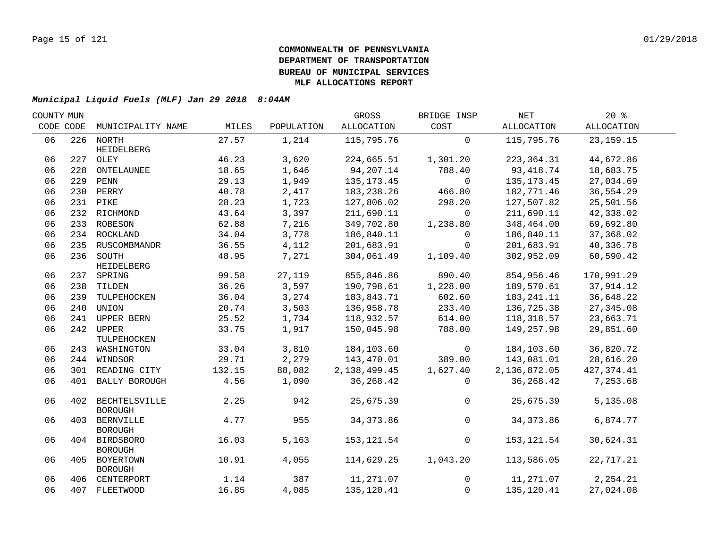| COUNTY MUN |     |                                     |        |            | GROSS           | BRIDGE INSP    | NET          | 20%         |  |
|------------|-----|-------------------------------------|--------|------------|-----------------|----------------|--------------|-------------|--|
| CODE CODE  |     | MUNICIPALITY NAME                   | MILES  | POPULATION | ALLOCATION      | COST           | ALLOCATION   | ALLOCATION  |  |
| 06         |     | 226 NORTH                           | 27.57  | 1,214      | 115,795.76      | $\mathbf 0$    | 115,795.76   | 23, 159. 15 |  |
| 06         |     | HEIDELBERG<br>227 OLEY              | 46.23  | 3,620      | 224,665.51      | 1,301.20       | 223,364.31   | 44,672.86   |  |
| 06         | 228 | ONTELAUNEE                          | 18.65  | 1,646      | 94,207.14       | 788.40         | 93,418.74    | 18,683.75   |  |
| 06         |     | 229 PENN                            | 29.13  | 1,949      | 135, 173. 45    | $\Omega$       | 135, 173. 45 | 27,034.69   |  |
| 06         |     | 230 PERRY                           | 40.78  | 2,417      | 183,238.26      | 466.80         | 182,771.46   | 36,554.29   |  |
| 06         |     | 231 PIKE                            | 28.23  | 1,723      | 127,806.02      | 298.20         | 127,507.82   | 25,501.56   |  |
| 06         |     | 232 RICHMOND                        | 43.64  | 3,397      | 211,690.11      | $\Omega$       | 211,690.11   | 42,338.02   |  |
| 06         |     |                                     | 62.88  | 7,216      | 349,702.80      |                | 348,464.00   | 69,692.80   |  |
| 06         |     | 233 ROBESON                         |        |            |                 | 1,238.80       |              |             |  |
|            |     | 234 ROCKLAND                        | 34.04  | 3,778      | 186,840.11      | 0              | 186,840.11   | 37,368.02   |  |
| 06         |     | 235 RUSCOMBMANOR                    | 36.55  | 4,112      | 201,683.91      | $\overline{0}$ | 201,683.91   | 40,336.78   |  |
| 06         |     | 236 SOUTH                           | 48.95  | 7,271      | 304,061.49      | 1,109.40       | 302,952.09   | 60,590.42   |  |
| 06         |     | HEIDELBERG<br>237 SPRING            | 99.58  | 27,119     | 855,846.86      | 890.40         | 854,956.46   | 170,991.29  |  |
| 06         |     | 238 TILDEN                          | 36.26  | 3,597      | 190,798.61      | 1,228.00       | 189,570.61   | 37,914.12   |  |
| 06         |     | 239 TULPEHOCKEN                     | 36.04  | 3,274      | 183,843.71      | 602.60         | 183,241.11   | 36,648.22   |  |
| 06         | 240 | UNION                               | 20.74  | 3,503      | 136,958.78      | 233.40         | 136,725.38   | 27,345.08   |  |
| 06         | 241 | UPPER BERN                          | 25.52  | 1,734      | 118,932.57      | 614.00         | 118,318.57   | 23,663.71   |  |
| 06         |     | 242 UPPER                           | 33.75  |            |                 | 788.00         | 149,257.98   |             |  |
|            |     | TULPEHOCKEN                         |        | 1,917      | 150,045.98      |                |              | 29,851.60   |  |
| 06         |     | 243 WASHINGTON                      | 33.04  | 3,810      | 184,103.60      | $\overline{0}$ | 184,103.60   | 36,820.72   |  |
| 06         |     | 244 WINDSOR                         | 29.71  | 2,279      | 143,470.01      | 389.00         | 143,081.01   | 28,616.20   |  |
| 06         |     | 301 READING CITY                    | 132.15 | 88,082     | 2, 138, 499. 45 | 1,627.40       | 2,136,872.05 | 427, 374.41 |  |
| 06         | 401 | BALLY BOROUGH                       | 4.56   | 1,090      | 36, 268.42      | $\Omega$       | 36,268.42    | 7,253.68    |  |
| 06         |     | 402 BECHTELSVILLE<br><b>BOROUGH</b> | 2.25   | 942        | 25,675.39       | $\overline{0}$ | 25,675.39    | 5,135.08    |  |
| 06         | 403 | <b>BERNVILLE</b><br><b>BOROUGH</b>  | 4.77   | 955        | 34, 373.86      | $\mathsf 0$    | 34, 373.86   | 6,874.77    |  |
| 06         |     | 404 BIRDSBORO<br><b>BOROUGH</b>     | 16.03  | 5,163      | 153,121.54      | $\mathbf 0$    | 153,121.54   | 30,624.31   |  |
| 06         |     | 405 BOYERTOWN<br><b>BOROUGH</b>     | 10.91  | 4,055      | 114,629.25      | 1,043.20       | 113,586.05   | 22,717.21   |  |
| 06         |     | 406 CENTERPORT                      | 1.14   | 387        | 11,271.07       | $\overline{0}$ | 11,271.07    | 2,254.21    |  |
| 06         |     | 407 FLEETWOOD                       | 16.85  | 4,085      | 135,120.41      | $\overline{0}$ | 135,120.41   | 27,024.08   |  |
|            |     |                                     |        |            |                 |                |              |             |  |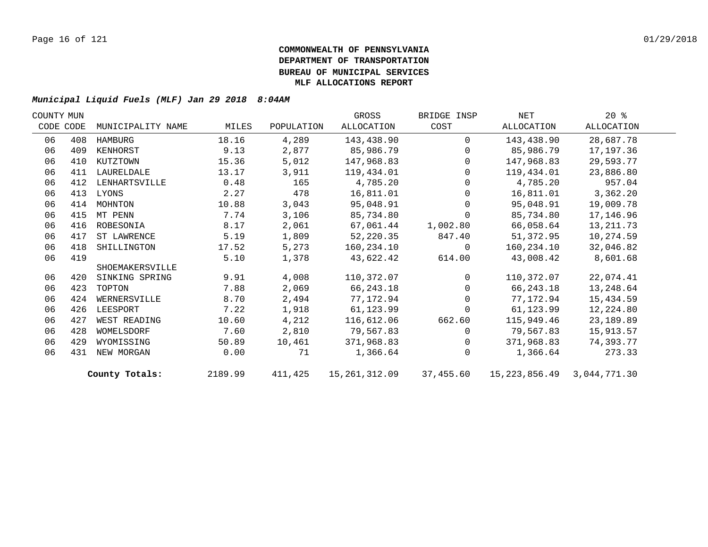| COUNTY MUN |           |                   |         |            | GROSS         | BRIDGE INSP    | NET                              | $20*$      |  |
|------------|-----------|-------------------|---------|------------|---------------|----------------|----------------------------------|------------|--|
|            | CODE CODE | MUNICIPALITY NAME | MILES   | POPULATION | ALLOCATION    | COST           | ALLOCATION                       | ALLOCATION |  |
| 06         | 408       | HAMBURG           | 18.16   | 4,289      | 143,438.90    | $\Omega$       | 143,438.90                       | 28,687.78  |  |
| 06         | 409       | KENHORST          | 9.13    | 2,877      | 85,986.79     | $\overline{0}$ | 85,986.79                        | 17,197.36  |  |
| 06         | 410       | KUTZTOWN          | 15.36   | 5,012      | 147,968.83    | $\overline{0}$ | 147,968.83                       | 29,593.77  |  |
| 06         | 411       | LAURELDALE        | 13.17   | 3,911      | 119,434.01    | $\overline{0}$ | 119,434.01                       | 23,886.80  |  |
| 06         | 412       | LENHARTSVILLE     | 0.48    | 165        | 4,785.20      | $\overline{0}$ | 4,785.20                         | 957.04     |  |
| 06         | 413       | LYONS             | 2.27    | 478        | 16,811.01     | $\mathbf{0}$   | 16,811.01                        | 3,362.20   |  |
| 06         | 414       | MOHNTON           | 10.88   | 3,043      | 95,048.91     | $\mathbf 0$    | 95,048.91                        | 19,009.78  |  |
| 06         | 415       | MT PENN           | 7.74    | 3,106      | 85,734.80     | $\mathbf 0$    | 85,734.80                        | 17,146.96  |  |
| 06         | 416       | ROBESONIA         | 8.17    | 2,061      | 67,061.44     | 1,002.80       | 66,058.64                        | 13,211.73  |  |
| 06         | 417       | ST LAWRENCE       | 5.19    | 1,809      | 52,220.35     | 847.40         | 51,372.95                        | 10,274.59  |  |
| 06         | 418       | SHILLINGTON       | 17.52   | 5,273      | 160,234.10    | $\overline{0}$ | 160,234.10                       | 32,046.82  |  |
| 06         | 419       |                   | 5.10    | 1,378      | 43,622.42     | 614.00         | 43,008.42                        | 8,601.68   |  |
|            |           | SHOEMAKERSVILLE   |         |            |               |                |                                  |            |  |
| 06         | 420       | SINKING SPRING    | 9.91    | 4,008      | 110,372.07    | $\Omega$       | 110,372.07                       | 22,074.41  |  |
| 06         | 423       | TOPTON            | 7.88    | 2,069      | 66,243.18     | $\Omega$       | 66,243.18                        | 13,248.64  |  |
| 06         | 424       | WERNERSVILLE      | 8.70    | 2,494      | 77,172.94     | $\Omega$       | 77,172.94                        | 15,434.59  |  |
| 06         | 426       | LEESPORT          | 7.22    | 1,918      | 61,123.99     | $\Omega$       | 61,123.99                        | 12,224.80  |  |
| 06         | 427       | WEST READING      | 10.60   | 4,212      | 116,612.06    | 662.60         | 115,949.46                       | 23,189.89  |  |
| 06         | 428       | WOMELSDORF        | 7.60    | 2,810      | 79,567.83     | $\Omega$       | 79,567.83                        | 15,913.57  |  |
| 06         | 429       | WYOMISSING        | 50.89   | 10,461     | 371,968.83    | $\Omega$       | 371,968.83                       | 74,393.77  |  |
| 06         | 431       | NEW MORGAN        | 0.00    | 71         | 1,366.64      | $\Omega$       | 1,366.64                         | 273.33     |  |
|            |           | County Totals:    | 2189.99 | 411,425    | 15,261,312.09 | 37,455.60      | 15, 223, 856. 49 3, 044, 771. 30 |            |  |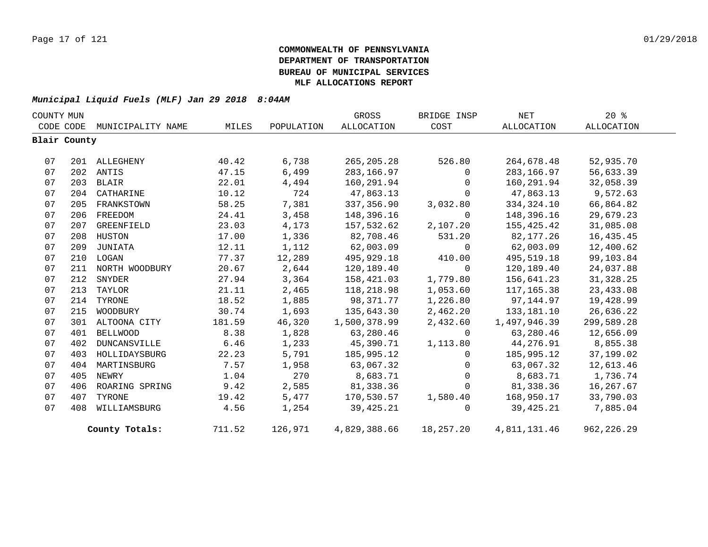| COUNTY MUN |              |                    |        |            | GROSS        | BRIDGE INSP  | NET          | $20*$       |  |
|------------|--------------|--------------------|--------|------------|--------------|--------------|--------------|-------------|--|
| CODE CODE  |              | MUNICIPALITY NAME  | MILES  | POPULATION | ALLOCATION   | COST         | ALLOCATION   | ALLOCATION  |  |
|            | Blair County |                    |        |            |              |              |              |             |  |
|            |              |                    |        |            |              |              |              |             |  |
| 07         |              | 201 ALLEGHENY      | 40.42  | 6,738      | 265,205.28   | 526.80       | 264,678.48   | 52,935.70   |  |
| 07         |              | 202 ANTIS          | 47.15  | 6,499      | 283,166.97   | $\Omega$     | 283,166.97   | 56,633.39   |  |
| 07         |              | 203 BLAIR          | 22.01  | 4,494      | 160,291.94   | $\Omega$     | 160,291.94   | 32,058.39   |  |
| 07         |              | 204 CATHARINE      | 10.12  | 724        | 47,863.13    | $\Omega$     | 47,863.13    | 9,572.63    |  |
| 07         |              | 205 FRANKSTOWN     | 58.25  | 7,381      | 337,356.90   | 3,032.80     | 334,324.10   | 66,864.82   |  |
| 07         |              | 206 FREEDOM        | 24.41  | 3,458      | 148,396.16   | $\Omega$     | 148,396.16   | 29,679.23   |  |
| 07         | 207          | GREENFIELD         | 23.03  | 4,173      | 157,532.62   | 2,107.20     | 155,425.42   | 31,085.08   |  |
| 07         |              | 208 HUSTON         | 17.00  | 1,336      | 82,708.46    | 531.20       | 82,177.26    | 16,435.45   |  |
| 07         | 209          | JUNIATA            | 12.11  | 1,112      | 62,003.09    | $\mathbf 0$  | 62,003.09    | 12,400.62   |  |
| 07         |              | 210 LOGAN          | 77.37  | 12,289     | 495,929.18   | 410.00       | 495,519.18   | 99,103.84   |  |
| 07         |              | 211 NORTH WOODBURY | 20.67  | 2,644      | 120,189.40   | $\Omega$     | 120,189.40   | 24,037.88   |  |
| 07         | 212          | SNYDER             | 27.94  | 3,364      | 158,421.03   | 1,779.80     | 156,641.23   | 31, 328.25  |  |
| 07         | 213          | TAYLOR             | 21.11  | 2,465      | 118,218.98   | 1,053.60     | 117,165.38   | 23,433.08   |  |
| 07         | 214          | TYRONE             | 18.52  | 1,885      | 98,371.77    | 1,226.80     | 97,144.97    | 19,428.99   |  |
| 07         | 215          | WOODBURY           | 30.74  | 1,693      | 135,643.30   | 2,462.20     | 133,181.10   | 26,636.22   |  |
| 07         |              | 301 ALTOONA CITY   | 181.59 | 46,320     | 1,500,378.99 | 2,432.60     | 1,497,946.39 | 299,589.28  |  |
| 07         | 401          | <b>BELLWOOD</b>    | 8.38   | 1,828      | 63,280.46    | $\Omega$     | 63,280.46    | 12,656.09   |  |
| 07         | 402          | DUNCANSVILLE       | 6.46   | 1,233      | 45,390.71    | 1,113.80     | 44,276.91    | 8,855.38    |  |
| 07         | 403          | HOLLIDAYSBURG      | 22.23  | 5,791      | 185,995.12   | $\Omega$     | 185,995.12   | 37,199.02   |  |
| 07         |              | 404 MARTINSBURG    | 7.57   | 1,958      | 63,067.32    | $\mathsf{O}$ | 63,067.32    | 12,613.46   |  |
| 07         | 405          | NEWRY              | 1.04   | 270        | 8,683.71     | $\Omega$     | 8,683.71     | 1,736.74    |  |
| 07         | 406          | ROARING SPRING     | 9.42   | 2,585      | 81,338.36    | $\mathbf 0$  | 81,338.36    | 16,267.67   |  |
| 07         | 407          | TYRONE             | 19.42  | 5,477      | 170,530.57   | 1,580.40     | 168,950.17   | 33,790.03   |  |
| 07         | 408          | WILLIAMSBURG       | 4.56   | 1,254      | 39,425.21    | $\Omega$     | 39,425.21    | 7,885.04    |  |
|            |              | County Totals:     | 711.52 | 126,971    | 4,829,388.66 | 18,257.20    | 4,811,131.46 | 962, 226.29 |  |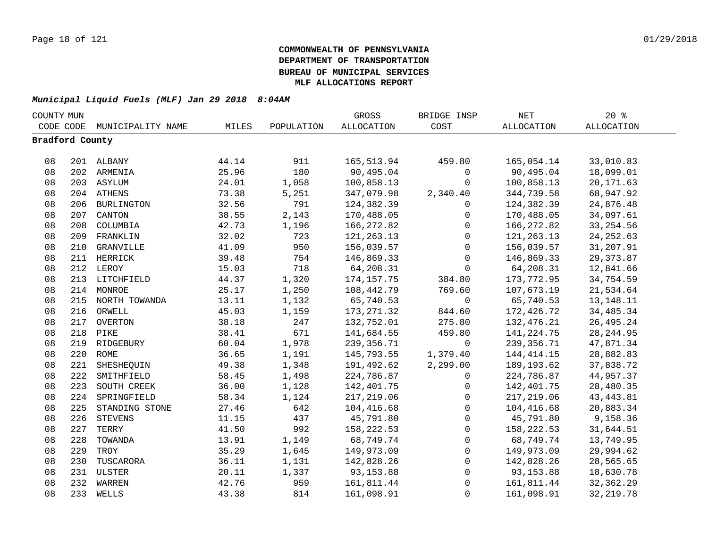|                 | COUNTY MUN |                   |       |            | GROSS             | BRIDGE INSP  | NET               | 20%               |
|-----------------|------------|-------------------|-------|------------|-------------------|--------------|-------------------|-------------------|
| CODE CODE       |            | MUNICIPALITY NAME | MILES | POPULATION | <b>ALLOCATION</b> | COST         | <b>ALLOCATION</b> | <b>ALLOCATION</b> |
| Bradford County |            |                   |       |            |                   |              |                   |                   |
|                 |            |                   |       |            |                   |              |                   |                   |
| 08              |            | 201 ALBANY        | 44.14 | 911        | 165,513.94        | 459.80       | 165,054.14        | 33,010.83         |
| 08              |            | 202 ARMENIA       | 25.96 | 180        | 90,495.04         | 0            | 90,495.04         | 18,099.01         |
| 08              |            | 203 ASYLUM        | 24.01 | 1,058      | 100,858.13        | 0            | 100,858.13        | 20, 171.63        |
| 08              |            | 204 ATHENS        | 73.38 | 5,251      | 347,079.98        | 2,340.40     | 344,739.58        | 68,947.92         |
| 08              | 206        | <b>BURLINGTON</b> | 32.56 | 791        | 124,382.39        | 0            | 124,382.39        | 24,876.48         |
| 08              | 207        | CANTON            | 38.55 | 2,143      | 170,488.05        | 0            | 170,488.05        | 34,097.61         |
| 08              | 208        | COLUMBIA          | 42.73 | 1,196      | 166,272.82        | $\mathsf{O}$ | 166,272.82        | 33, 254.56        |
| 08              | 209        | FRANKLIN          | 32.02 | 723        | 121, 263. 13      | $\mathsf{O}$ | 121, 263. 13      | 24, 252.63        |
| 08              | 210        | GRANVILLE         | 41.09 | 950        | 156,039.57        | $\mathsf{O}$ | 156,039.57        | 31,207.91         |
| 08              | 211        | HERRICK           | 39.48 | 754        | 146,869.33        | $\mathsf{O}$ | 146,869.33        | 29, 373.87        |
| 08              |            | 212 LEROY         | 15.03 | 718        | 64,208.31         | $\mathsf{O}$ | 64,208.31         | 12,841.66         |
| 08              |            | 213 LITCHFIELD    | 44.37 | 1,320      | 174, 157. 75      | 384.80       | 173,772.95        | 34,754.59         |
| 08              | 214        | MONROE            | 25.17 | 1,250      | 108,442.79        | 769.60       | 107,673.19        | 21,534.64         |
| 08              |            | 215 NORTH TOWANDA | 13.11 | 1,132      | 65,740.53         | $\mathsf{O}$ | 65,740.53         | 13, 148. 11       |
| 08              | 216        | ORWELL            | 45.03 | 1,159      | 173, 271.32       | 844.60       | 172,426.72        | 34, 485. 34       |
| 08              |            | 217 OVERTON       | 38.18 | 247        | 132,752.01        | 275.80       | 132,476.21        | 26, 495.24        |
| 08              |            | 218 PIKE          | 38.41 | 671        | 141,684.55        | 459.80       | 141, 224. 75      | 28, 244.95        |
| 08              |            | 219 RIDGEBURY     | 60.04 | 1,978      | 239, 356.71       | $\mathbf 0$  | 239, 356.71       | 47,871.34         |
| 08              |            | 220 ROME          | 36.65 | 1,191      | 145,793.55        | 1,379.40     | 144, 414. 15      | 28,882.83         |
| 08              | 221        | SHESHEQUIN        | 49.38 | 1,348      | 191,492.62        | 2,299.00     | 189, 193.62       | 37,838.72         |
| 08              | 222        | SMITHFIELD        | 58.45 | 1,498      | 224,786.87        | $\mathbf 0$  | 224,786.87        | 44,957.37         |
| 08              | 223        | SOUTH CREEK       | 36.00 | 1,128      | 142,401.75        | 0            | 142,401.75        | 28,480.35         |
| 08              | 224        | SPRINGFIELD       | 58.34 | 1,124      | 217,219.06        | $\mathbf 0$  | 217,219.06        | 43, 443.81        |
| 08              | 225        | STANDING STONE    | 27.46 | 642        | 104,416.68        | $\mathbf 0$  | 104,416.68        | 20,883.34         |
| 08              | 226        | <b>STEVENS</b>    | 11.15 | 437        | 45,791.80         | $\mathbf 0$  | 45,791.80         | 9,158.36          |
| 08              | 227        | TERRY             | 41.50 | 992        | 158,222.53        | 0            | 158,222.53        | 31,644.51         |
| 08              | 228        | TOWANDA           | 13.91 | 1,149      | 68,749.74         | 0            | 68,749.74         | 13,749.95         |
| 08              | 229        | TROY              | 35.29 | 1,645      | 149,973.09        | 0            | 149,973.09        | 29,994.62         |
| 08              | 230        | TUSCARORA         | 36.11 | 1,131      | 142,828.26        | $\mathsf{O}$ | 142,828.26        | 28,565.65         |
| 08              |            | 231 ULSTER        | 20.11 | 1,337      | 93,153.88         | $\mathsf{O}$ | 93,153.88         | 18,630.78         |
| 08              | 232        | WARREN            | 42.76 | 959        | 161,811.44        | $\mathsf{O}$ | 161,811.44        | 32, 362.29        |
| 08              | 233        | WELLS             | 43.38 | 814        | 161,098.91        | $\mathbf 0$  | 161,098.91        | 32, 219.78        |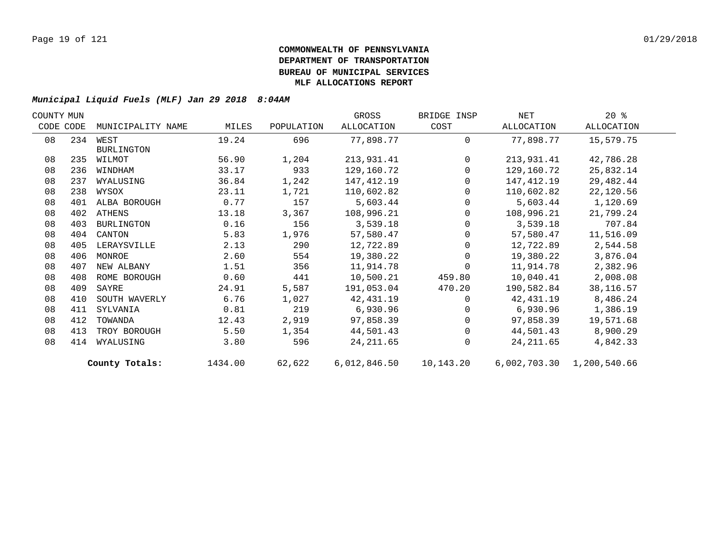| COUNTY MUN |           |                   |         |            | GROSS        | BRIDGE INSP | NET        | $20*$                     |  |
|------------|-----------|-------------------|---------|------------|--------------|-------------|------------|---------------------------|--|
|            | CODE CODE | MUNICIPALITY NAME | MILES   | POPULATION | ALLOCATION   | COST        | ALLOCATION | ALLOCATION                |  |
| 08         |           | 234 WEST          | 19.24   | 696        | 77,898.77    | $\Omega$    | 77,898.77  | 15,579.75                 |  |
|            |           | <b>BURLINGTON</b> |         |            |              |             |            |                           |  |
| 08         | 235       | WILMOT            | 56.90   | 1,204      | 213,931.41   | $\mathbf 0$ | 213,931.41 | 42,786.28                 |  |
| 08         | 236       | WINDHAM           | 33.17   | 933        | 129,160.72   | $\Omega$    | 129,160.72 | 25,832.14                 |  |
| 08         | 237       | WYALUSING         | 36.84   | 1,242      | 147,412.19   | 0           | 147,412.19 | 29,482.44                 |  |
| 08         | 238       | WYSOX             | 23.11   | 1,721      | 110,602.82   | $\Omega$    | 110,602.82 | 22,120.56                 |  |
| 08         |           | 401 ALBA BOROUGH  | 0.77    | 157        | 5,603.44     | $\Omega$    | 5,603.44   | 1,120.69                  |  |
| 08         |           | 402 ATHENS        | 13.18   | 3,367      | 108,996.21   | $\Omega$    | 108,996.21 | 21,799.24                 |  |
| 08         | 403       | BURLINGTON        | 0.16    | 156        | 3,539.18     | $\Omega$    | 3,539.18   | 707.84                    |  |
| 08         | 404       | CANTON            | 5.83    | 1,976      | 57,580.47    | 0           | 57,580.47  | 11,516.09                 |  |
| 08         | 405       | LERAYSVILLE       | 2.13    | 290        | 12,722.89    | 0           | 12,722.89  | 2,544.58                  |  |
| 08         | 406       | MONROE            | 2.60    | 554        | 19,380.22    | $\Omega$    | 19,380.22  | 3,876.04                  |  |
| 08         | 407       | NEW ALBANY        | 1.51    | 356        | 11,914.78    | $\Omega$    | 11,914.78  | 2,382.96                  |  |
| 08         | 408       | ROME BOROUGH      | 0.60    | 441        | 10,500.21    | 459.80      | 10,040.41  | 2,008.08                  |  |
| 08         | 409       | SAYRE             | 24.91   | 5,587      | 191,053.04   | 470.20      | 190,582.84 | 38, 116.57                |  |
| 08         | 410       | SOUTH WAVERLY     | 6.76    | 1,027      | 42,431.19    | $\Omega$    | 42,431.19  | 8,486.24                  |  |
| 08         | 411       | SYLVANIA          | 0.81    | 219        | 6,930.96     | $\Omega$    | 6,930.96   | 1,386.19                  |  |
| 08         | 412       | TOWANDA           | 12.43   | 2,919      | 97,858.39    | $\Omega$    | 97,858.39  | 19,571.68                 |  |
| 08         | 413       | TROY BOROUGH      | 5.50    | 1,354      | 44,501.43    | $\Omega$    | 44,501.43  | 8,900.29                  |  |
| 08         | 414       | WYALUSING         | 3.80    | 596        | 24, 211.65   | $\Omega$    | 24,211.65  | 4,842.33                  |  |
|            |           | County Totals:    | 1434.00 | 62,622     | 6,012,846.50 | 10,143.20   |            | 6,002,703.30 1,200,540.66 |  |
|            |           |                   |         |            |              |             |            |                           |  |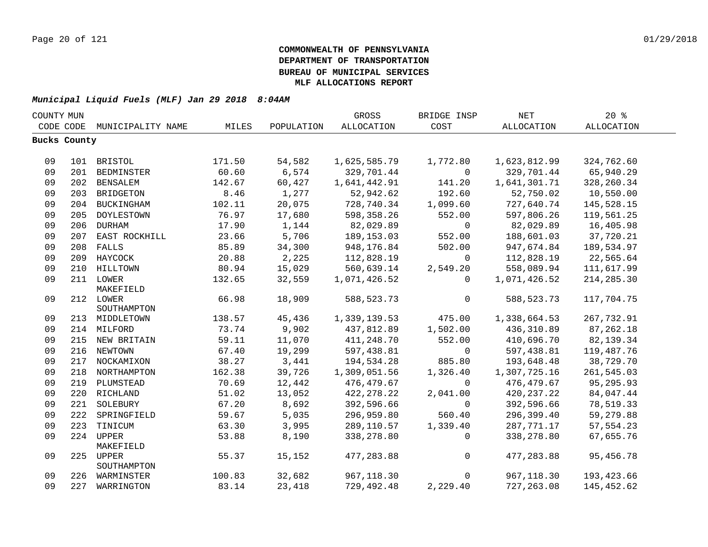| COUNTY MUN |                     |                               |        |            | GROSS        | BRIDGE INSP  | <b>NET</b>   | 20%        |  |
|------------|---------------------|-------------------------------|--------|------------|--------------|--------------|--------------|------------|--|
|            | CODE CODE           | MUNICIPALITY NAME             | MILES  | POPULATION | ALLOCATION   | COST         | ALLOCATION   | ALLOCATION |  |
|            | <b>Bucks County</b> |                               |        |            |              |              |              |            |  |
|            |                     |                               |        |            |              |              |              |            |  |
| 09         |                     | 101 BRISTOL                   | 171.50 | 54,582     | 1,625,585.79 | 1,772.80     | 1,623,812.99 | 324,762.60 |  |
| 09         |                     | 201 BEDMINSTER                | 60.60  | 6,574      | 329,701.44   | $\mathbf{0}$ | 329,701.44   | 65,940.29  |  |
| 09         |                     | 202 BENSALEM                  | 142.67 | 60,427     | 1,641,442.91 | 141.20       | 1,641,301.71 | 328,260.34 |  |
| 09         |                     | 203 BRIDGETON                 | 8.46   | 1,277      | 52,942.62    | 192.60       | 52,750.02    | 10,550.00  |  |
| 09         |                     | 204 BUCKINGHAM                | 102.11 | 20,075     | 728,740.34   | 1,099.60     | 727,640.74   | 145,528.15 |  |
| 09         | 205                 | DOYLESTOWN                    | 76.97  | 17,680     | 598,358.26   | 552.00       | 597,806.26   | 119,561.25 |  |
| 09         | 206                 | DURHAM                        | 17.90  | 1,144      | 82,029.89    | $\mathbf 0$  | 82,029.89    | 16,405.98  |  |
| 09         |                     | 207 EAST ROCKHILL             | 23.66  | 5,706      | 189, 153.03  | 552.00       | 188,601.03   | 37,720.21  |  |
| 09         |                     | 208 FALLS                     | 85.89  | 34,300     | 948,176.84   | 502.00       | 947,674.84   | 189,534.97 |  |
| 09         |                     | 209 HAYCOCK                   | 20.88  | 2,225      | 112,828.19   | $\mathbf 0$  | 112,828.19   | 22,565.64  |  |
| 09         |                     | 210 HILLTOWN                  | 80.94  | 15,029     | 560,639.14   | 2,549.20     | 558,089.94   | 111,617.99 |  |
| 09         |                     | 211 LOWER                     | 132.65 | 32,559     | 1,071,426.52 | $\Omega$     | 1,071,426.52 | 214,285.30 |  |
|            |                     | MAKEFIELD                     |        |            |              |              |              |            |  |
| 09         |                     | 212 LOWER                     | 66.98  | 18,909     | 588, 523. 73 | 0            | 588, 523. 73 | 117,704.75 |  |
|            |                     | SOUTHAMPTON                   |        |            |              |              |              |            |  |
| 09         |                     | 213 MIDDLETOWN                | 138.57 | 45,436     | 1,339,139.53 | 475.00       | 1,338,664.53 | 267,732.91 |  |
| 09         |                     | 214 MILFORD                   | 73.74  | 9,902      | 437,812.89   | 1,502.00     | 436, 310.89  | 87,262.18  |  |
| 09         |                     | 215 NEW BRITAIN               | 59.11  | 11,070     | 411,248.70   | 552.00       | 410,696.70   | 82,139.34  |  |
| 09         |                     | 216 NEWTOWN                   | 67.40  | 19,299     | 597,438.81   | $\mathbf 0$  | 597,438.81   | 119,487.76 |  |
| 09         |                     | 217 NOCKAMIXON                | 38.27  | 3,441      | 194,534.28   | 885.80       | 193,648.48   | 38,729.70  |  |
| 09         |                     | 218 NORTHAMPTON               | 162.38 | 39,726     | 1,309,051.56 | 1,326.40     | 1,307,725.16 | 261,545.03 |  |
| 09         |                     | 219 PLUMSTEAD                 | 70.69  | 12,442     | 476,479.67   | $\Omega$     | 476,479.67   | 95,295.93  |  |
| 09         |                     | 220 RICHLAND                  | 51.02  | 13,052     | 422,278.22   | 2,041.00     | 420, 237. 22 | 84,047.44  |  |
| 09         | 221                 | SOLEBURY                      | 67.20  | 8,692      | 392,596.66   | $\mathbf 0$  | 392,596.66   | 78,519.33  |  |
| 09         | 222                 | SPRINGFIELD                   | 59.67  | 5,035      | 296,959.80   | 560.40       | 296,399.40   | 59,279.88  |  |
| 09         |                     | 223 TINICUM                   | 63.30  | 3,995      | 289,110.57   | 1,339.40     | 287,771.17   | 57, 554.23 |  |
| 09         |                     | 224 UPPER                     | 53.88  | 8,190      | 338,278.80   | $\mathbf 0$  | 338,278.80   | 67,655.76  |  |
|            |                     | MAKEFIELD                     |        |            |              |              |              |            |  |
| 09         |                     | 225 UPPER                     | 55.37  | 15,152     | 477, 283.88  | $\mathbf 0$  | 477,283.88   | 95,456.78  |  |
| 09         |                     | SOUTHAMPTON<br>226 WARMINSTER | 100.83 | 32,682     | 967,118.30   | $\mathbf 0$  | 967,118.30   | 193,423.66 |  |
| 09         |                     | 227 WARRINGTON                | 83.14  | 23,418     | 729,492.48   | 2,229.40     | 727, 263.08  | 145,452.62 |  |
|            |                     |                               |        |            |              |              |              |            |  |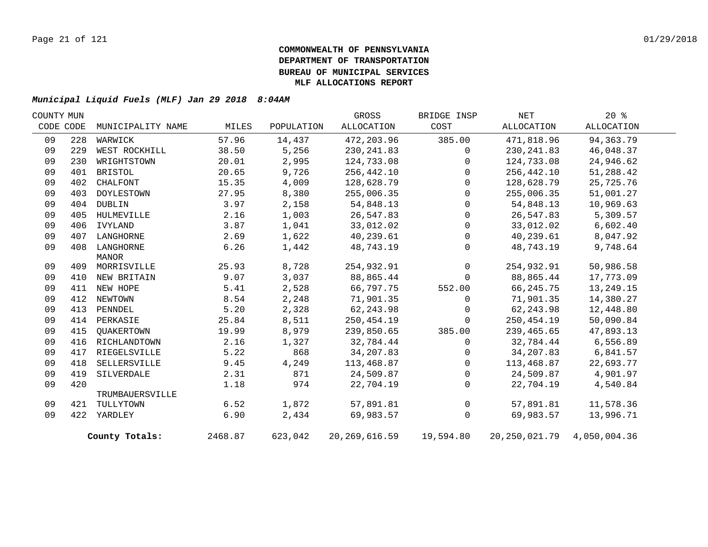| COUNTY MUN |           |                   |         |            | GROSS                      | BRIDGE INSP  | NET                            | 20%        |  |
|------------|-----------|-------------------|---------|------------|----------------------------|--------------|--------------------------------|------------|--|
|            | CODE CODE | MUNICIPALITY NAME | MILES   | POPULATION | ALLOCATION                 | COST         | ALLOCATION                     | ALLOCATION |  |
| 09         | 228       | WARWICK           | 57.96   | 14,437     | 472,203.96                 | 385.00       | 471,818.96                     | 94,363.79  |  |
| 09         | 229       | WEST ROCKHILL     | 38.50   | 5,256      | 230, 241.83                | $\mathbf{0}$ | 230, 241.83                    | 46,048.37  |  |
| 09         | 230       | WRIGHTSTOWN       | 20.01   | 2,995      | 124,733.08                 | $\Omega$     | 124,733.08                     | 24,946.62  |  |
| 09         | 401       | BRISTOL           | 20.65   | 9,726      | 256,442.10                 | $\Omega$     | 256,442.10                     | 51,288.42  |  |
| 09         | 402       | CHALFONT          | 15.35   | 4,009      | 128,628.79                 | $\mathbf 0$  | 128,628.79                     | 25,725.76  |  |
| 09         | 403       | DOYLESTOWN        | 27.95   | 8,380      | 255,006.35                 | $\Omega$     | 255,006.35                     | 51,001.27  |  |
| 09         | 404       | DUBLIN            | 3.97    | 2,158      | 54,848.13                  | $\Omega$     | 54,848.13                      | 10,969.63  |  |
| 09         | 405       | HULMEVILLE        | 2.16    | 1,003      | 26,547.83                  | $\Omega$     | 26,547.83                      | 5,309.57   |  |
| 09         | 406       | IVYLAND           | 3.87    | 1,041      | 33,012.02                  | $\Omega$     | 33,012.02                      | 6,602.40   |  |
| 09         | 407       | LANGHORNE         | 2.69    | 1,622      | 40,239.61                  | $\mathbf 0$  | 40,239.61                      | 8,047.92   |  |
| 09         |           | 408 LANGHORNE     | 6.26    | 1,442      | 48,743.19                  | $\Omega$     | 48,743.19                      | 9,748.64   |  |
|            |           | MANOR             |         |            |                            |              |                                |            |  |
| 09         |           | 409 MORRISVILLE   | 25.93   | 8,728      | 254,932.91                 | $\mathbf 0$  | 254,932.91                     | 50,986.58  |  |
| 09         |           | 410 NEW BRITAIN   | 9.07    | 3,037      | 88,865.44                  | $\Omega$     | 88,865.44                      | 17,773.09  |  |
| 09         |           | 411 NEW HOPE      | 5.41    | 2,528      | 66,797.75                  | 552.00       | 66,245.75                      | 13,249.15  |  |
| 09         |           | 412 NEWTOWN       | 8.54    | 2,248      | 71,901.35                  | $\Omega$     | 71,901.35                      | 14,380.27  |  |
| 09         | 413       | PENNDEL           | 5.20    | 2,328      | 62, 243.98                 | $\Omega$     | 62, 243.98                     | 12,448.80  |  |
| 09         |           | 414 PERKASIE      | 25.84   | 8,511      | 250,454.19                 | $\Omega$     | 250,454.19                     | 50,090.84  |  |
| 09         | 415       | QUAKERTOWN        | 19.99   | 8,979      | 239,850.65                 | 385.00       | 239,465.65                     | 47,893.13  |  |
| 09         | 416       | RICHLANDTOWN      | 2.16    | 1,327      | 32,784.44                  | $\mathbf 0$  | 32,784.44                      | 6,556.89   |  |
| 09         | 417       | RIEGELSVILLE      | 5.22    | 868        | 34,207.83                  | $\Omega$     | 34,207.83                      | 6,841.57   |  |
| 09         | 418       | SELLERSVILLE      | 9.45    | 4,249      | 113,468.87                 | $\mathbf 0$  | 113,468.87                     | 22,693.77  |  |
| 09         | 419       | SILVERDALE        | 2.31    | 871        | 24,509.87                  | $\mathbf 0$  | 24,509.87                      | 4,901.97   |  |
| 09         | 420       |                   | 1.18    | 974        | 22,704.19                  | $\mathbf{0}$ | 22,704.19                      | 4,540.84   |  |
|            |           | TRUMBAUERSVILLE   |         |            |                            |              |                                |            |  |
| 09         | 421       | TULLYTOWN         | 6.52    | 1,872      | 57,891.81                  | $\mathbf 0$  | 57,891.81                      | 11,578.36  |  |
| 09         |           | 422 YARDLEY       | 6.90    | 2,434      | 69,983.57                  | $\mathbf 0$  | 69,983.57                      | 13,996.71  |  |
|            |           | County Totals:    | 2468.87 | 623,042    | 20, 269, 616.59 19, 594.80 |              | 20, 250, 021.79 4, 050, 004.36 |            |  |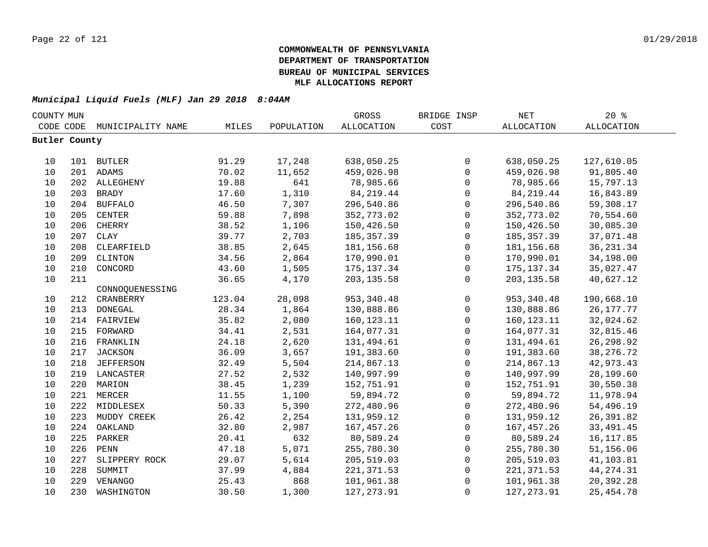| COUNTY MUN    |                                |                  |        |            | GROSS             | BRIDGE INSP  | NET               | 20%         |
|---------------|--------------------------------|------------------|--------|------------|-------------------|--------------|-------------------|-------------|
|               | CODE CODE<br>MUNICIPALITY NAME |                  | MILES  | POPULATION | <b>ALLOCATION</b> | COST         | <b>ALLOCATION</b> | ALLOCATION  |
| Butler County |                                |                  |        |            |                   |              |                   |             |
|               |                                |                  |        |            |                   |              |                   |             |
| 10            |                                | 101 BUTLER       | 91.29  | 17,248     | 638,050.25        | 0            | 638,050.25        | 127,610.05  |
| 10            |                                | 201 ADAMS        | 70.02  | 11,652     | 459,026.98        | $\mathsf{O}$ | 459,026.98        | 91,805.40   |
| 10            |                                | 202 ALLEGHENY    | 19.88  | 641        | 78,985.66         | $\mathbf 0$  | 78,985.66         | 15,797.13   |
| 10            | 203                            | <b>BRADY</b>     | 17.60  | 1,310      | 84, 219.44        | 0            | 84, 219.44        | 16,843.89   |
| 10            | 204                            | <b>BUFFALO</b>   | 46.50  | 7,307      | 296,540.86        | $\mathsf{O}$ | 296,540.86        | 59,308.17   |
| 10            | 205                            | CENTER           | 59.88  | 7,898      | 352,773.02        | $\mathbf 0$  | 352,773.02        | 70,554.60   |
| 10            | 206                            | CHERRY           | 38.52  | 1,106      | 150,426.50        | $\mathsf{O}$ | 150,426.50        | 30,085.30   |
| 10            | 207                            | <b>CLAY</b>      | 39.77  | 2,703      | 185, 357.39       | $\mathsf{O}$ | 185, 357.39       | 37,071.48   |
| 10            | 208                            | CLEARFIELD       | 38.85  | 2,645      | 181, 156.68       | $\mathsf 0$  | 181,156.68        | 36, 231.34  |
| 10            | 209                            | CLINTON          | 34.56  | 2,864      | 170,990.01        | $\mathsf{O}$ | 170,990.01        | 34,198.00   |
| 10            | 210                            | CONCORD          | 43.60  | 1,505      | 175, 137.34       | $\mathbf 0$  | 175,137.34        | 35,027.47   |
| 10            | 211                            |                  | 36.65  | 4,170      | 203, 135.58       | $\mathbf 0$  | 203, 135.58       | 40,627.12   |
|               |                                | CONNOQUENESSING  |        |            |                   |              |                   |             |
| 10            | 212                            | CRANBERRY        | 123.04 | 28,098     | 953, 340.48       | $\mathsf{O}$ | 953,340.48        | 190,668.10  |
| 10            | 213                            | DONEGAL          | 28.34  | 1,864      | 130,888.86        | 0            | 130,888.86        | 26, 177. 77 |
| 10            | 214                            | FAIRVIEW         | 35.82  | 2,080      | 160,123.11        | 0            | 160,123.11        | 32,024.62   |
| 10            | 215                            | FORWARD          | 34.41  | 2,531      | 164,077.31        | $\mathsf 0$  | 164,077.31        | 32,815.46   |
| 10            | 216                            | FRANKLIN         | 24.18  | 2,620      | 131,494.61        | $\mathsf 0$  | 131,494.61        | 26, 298.92  |
| 10            | 217                            | <b>JACKSON</b>   | 36.09  | 3,657      | 191,383.60        | 0            | 191,383.60        | 38, 276. 72 |
| 10            | 218                            | <b>JEFFERSON</b> | 32.49  | 5,504      | 214,867.13        | 0            | 214,867.13        | 42,973.43   |
| 10            |                                | 219 LANCASTER    | 27.52  | 2,532      | 140,997.99        | 0            | 140,997.99        | 28,199.60   |
| 10            |                                | 220 MARION       | 38.45  | 1,239      | 152,751.91        | 0            | 152,751.91        | 30,550.38   |
| 10            |                                | 221 MERCER       | 11.55  | 1,100      | 59,894.72         | 0            | 59,894.72         | 11,978.94   |
| 10            |                                | 222 MIDDLESEX    | 50.33  | 5,390      | 272,480.96        | 0            | 272,480.96        | 54,496.19   |
| 10            | 223                            | MUDDY CREEK      | 26.42  | 2,254      | 131,959.12        | $\mathbf 0$  | 131,959.12        | 26,391.82   |
| 10            | 224                            | OAKLAND          | 32.80  | 2,987      | 167,457.26        | $\mathbf 0$  | 167,457.26        | 33, 491.45  |
| 10            | 225                            | PARKER           | 20.41  | 632        | 80,589.24         | $\mathbf 0$  | 80,589.24         | 16, 117.85  |
| 10            | 226                            | PENN             | 47.18  | 5,071      | 255,780.30        | $\mathsf{O}$ | 255,780.30        | 51,156.06   |
| 10            | 227                            | SLIPPERY ROCK    | 29.07  | 5,614      | 205,519.03        | 0            | 205,519.03        | 41,103.81   |
| 10            | 228                            | SUMMIT           | 37.99  | 4,884      | 221, 371.53       | 0            | 221, 371.53       | 44, 274. 31 |
| 10            | 229                            | VENANGO          | 25.43  | 868        | 101,961.38        | 0            | 101,961.38        | 20,392.28   |
| 10            | 230                            | WASHINGTON       | 30.50  | 1,300      | 127, 273.91       | $\mathbf 0$  | 127, 273.91       | 25, 454.78  |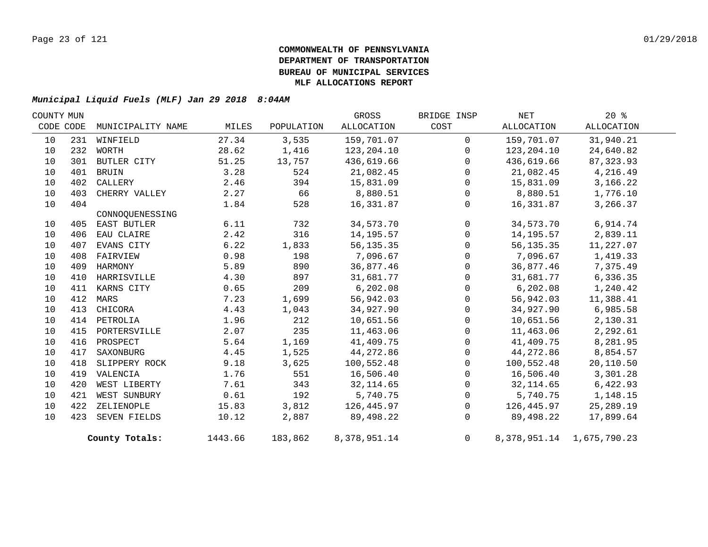| COUNTY MUN |     |                   |         |            | GROSS        | BRIDGE INSP    | NET        | 20%                             |  |
|------------|-----|-------------------|---------|------------|--------------|----------------|------------|---------------------------------|--|
| CODE CODE  |     | MUNICIPALITY NAME | MILES   | POPULATION | ALLOCATION   | COST           | ALLOCATION | ALLOCATION                      |  |
| 10         |     | 231 WINFIELD      | 27.34   | 3,535      | 159,701.07   | $\mathbf 0$    | 159,701.07 | 31,940.21                       |  |
| 10         | 232 | WORTH             | 28.62   | 1,416      | 123,204.10   | $\Omega$       | 123,204.10 | 24,640.82                       |  |
| 10         | 301 | BUTLER CITY       | 51.25   | 13,757     | 436,619.66   | $\Omega$       | 436,619.66 | 87, 323.93                      |  |
| 10         | 401 | <b>BRUIN</b>      | 3.28    | 524        | 21,082.45    | $\Omega$       | 21,082.45  | 4,216.49                        |  |
| 10         | 402 | CALLERY           | 2.46    | 394        | 15,831.09    | $\mathbf{0}$   | 15,831.09  | 3,166.22                        |  |
| 10         | 403 | CHERRY VALLEY     | 2.27    | 66         | 8,880.51     | $\Omega$       | 8,880.51   | 1,776.10                        |  |
| 10         | 404 |                   | 1.84    | 528        | 16,331.87    | $\mathbf{0}$   | 16,331.87  | 3,266.37                        |  |
|            |     | CONNOOUENESSING   |         |            |              |                |            |                                 |  |
| 10         |     | 405 EAST BUTLER   | 6.11    | 732        | 34,573.70    | $\mathbf 0$    | 34,573.70  | 6,914.74                        |  |
| 10         | 406 | EAU CLAIRE        | 2.42    | 316        | 14,195.57    | $\Omega$       | 14,195.57  | 2,839.11                        |  |
| 10         | 407 | EVANS CITY        | 6.22    | 1,833      | 56, 135. 35  | $\mathbf{0}$   | 56,135.35  | 11,227.07                       |  |
| 10         | 408 | FAIRVIEW          | 0.98    | 198        | 7,096.67     | $\Omega$       | 7,096.67   | 1,419.33                        |  |
| 10         | 409 | HARMONY           | 5.89    | 890        | 36,877.46    | $\Omega$       | 36,877.46  | 7,375.49                        |  |
| 10         | 410 | HARRISVILLE       | 4.30    | 897        | 31,681.77    | $\Omega$       | 31,681.77  | 6,336.35                        |  |
| 10         |     | 411 KARNS CITY    | 0.65    | 209        | 6,202.08     | $\Omega$       | 6,202.08   | 1,240.42                        |  |
| 10         |     | 412 MARS          | 7.23    | 1,699      | 56,942.03    | 0              | 56,942.03  | 11,388.41                       |  |
| 10         | 413 | CHICORA           | 4.43    | 1,043      | 34,927.90    | $\Omega$       | 34,927.90  | 6,985.58                        |  |
| 10         |     | 414 PETROLIA      | 1.96    | 212        | 10,651.56    | $\Omega$       | 10,651.56  | 2,130.31                        |  |
| 10         |     | 415 PORTERSVILLE  | 2.07    | 235        | 11,463.06    | $\Omega$       | 11,463.06  | 2,292.61                        |  |
| 10         |     | 416 PROSPECT      | 5.64    | 1,169      | 41,409.75    | $\Omega$       | 41,409.75  | 8,281.95                        |  |
| 10         | 417 | SAXONBURG         | 4.45    | 1,525      | 44,272.86    | $\mathbf{0}$   | 44,272.86  | 8,854.57                        |  |
| 10         |     | 418 SLIPPERY ROCK | 9.18    | 3,625      | 100,552.48   | $\Omega$       | 100,552.48 | 20,110.50                       |  |
| 10         | 419 | VALENCIA          | 1.76    | 551        | 16,506.40    | $\Omega$       | 16,506.40  | 3,301.28                        |  |
| 10         | 420 | WEST LIBERTY      | 7.61    | 343        | 32, 114.65   | $\mathbf 0$    | 32, 114.65 | 6,422.93                        |  |
| 10         | 421 | WEST SUNBURY      | 0.61    | 192        | 5,740.75     | $\Omega$       | 5,740.75   | 1,148.15                        |  |
| 10         |     | 422 ZELIENOPLE    | 15.83   | 3,812      | 126,445.97   | 0              | 126,445.97 | 25,289.19                       |  |
| 10         |     | 423 SEVEN FIELDS  | 10.12   | 2,887      | 89,498.22    | $\Omega$       | 89,498.22  | 17,899.64                       |  |
|            |     | County Totals:    | 1443.66 | 183,862    | 8,378,951.14 | $\overline{0}$ |            | 8, 378, 951. 14 1, 675, 790. 23 |  |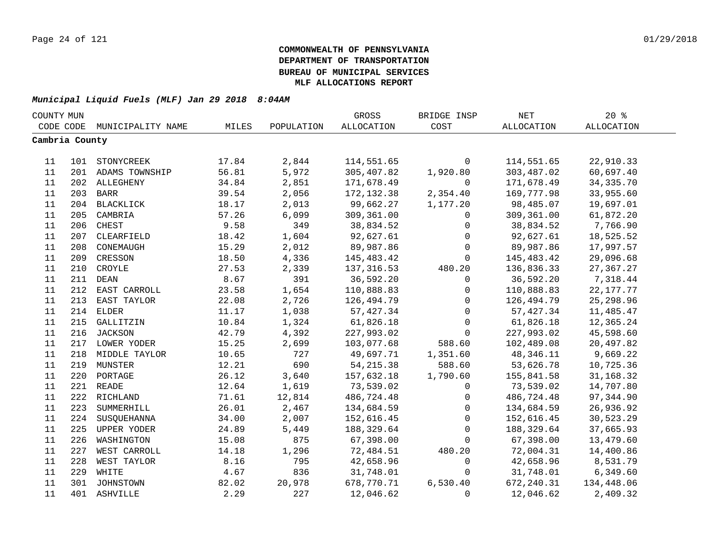| COUNTY MUN     |     |                    |       |            | GROSS             | BRIDGE INSP  | $\operatorname{NET}$ | $20*$             |  |
|----------------|-----|--------------------|-------|------------|-------------------|--------------|----------------------|-------------------|--|
| CODE CODE      |     | MUNICIPALITY NAME  | MILES | POPULATION | <b>ALLOCATION</b> | COST         | ALLOCATION           | <b>ALLOCATION</b> |  |
| Cambria County |     |                    |       |            |                   |              |                      |                   |  |
|                |     |                    |       |            |                   |              |                      |                   |  |
| 11             |     | 101 STONYCREEK     | 17.84 | 2,844      | 114,551.65        | $\mathbf 0$  | 114,551.65           | 22,910.33         |  |
| 11             |     | 201 ADAMS TOWNSHIP | 56.81 | 5,972      | 305,407.82        | 1,920.80     | 303,487.02           | 60,697.40         |  |
| 11             |     | 202 ALLEGHENY      | 34.84 | 2,851      | 171,678.49        | $\mathsf{O}$ | 171,678.49           | 34, 335. 70       |  |
| 11             |     | 203 BARR           | 39.54 | 2,056      | 172, 132.38       | 2,354.40     | 169,777.98           | 33,955.60         |  |
| 11             |     | 204 BLACKLICK      | 18.17 | 2,013      | 99,662.27         | 1,177.20     | 98,485.07            | 19,697.01         |  |
| 11             | 205 | CAMBRIA            | 57.26 | 6,099      | 309,361.00        | $\mathbf{0}$ | 309,361.00           | 61,872.20         |  |
| 11             | 206 | CHEST              | 9.58  | 349        | 38,834.52         | $\mathbf 0$  | 38,834.52            | 7,766.90          |  |
| 11             | 207 | CLEARFIELD         | 18.42 | 1,604      | 92,627.61         | $\mathbf 0$  | 92,627.61            | 18,525.52         |  |
| 11             | 208 | CONEMAUGH          | 15.29 | 2,012      | 89,987.86         | $\mathbf 0$  | 89,987.86            | 17,997.57         |  |
| 11             | 209 | CRESSON            | 18.50 | 4,336      | 145,483.42        | $\mathbf 0$  | 145,483.42           | 29,096.68         |  |
| 11             | 210 | CROYLE             | 27.53 | 2,339      | 137,316.53        | 480.20       | 136,836.33           | 27,367.27         |  |
| 11             | 211 | <b>DEAN</b>        | 8.67  | 391        | 36,592.20         | $\mathsf{O}$ | 36,592.20            | 7,318.44          |  |
| 11             | 212 | EAST CARROLL       | 23.58 | 1,654      | 110,888.83        | $\mathsf{O}$ | 110,888.83           | 22, 177. 77       |  |
| 11             | 213 | EAST TAYLOR        | 22.08 | 2,726      | 126,494.79        | $\mathbf 0$  | 126,494.79           | 25, 298.96        |  |
| 11             | 214 | <b>ELDER</b>       | 11.17 | 1,038      | 57, 427.34        | $\mathbf 0$  | 57,427.34            | 11,485.47         |  |
| 11             |     | 215 GALLITZIN      | 10.84 | 1,324      | 61,826.18         | $\mathbf 0$  | 61,826.18            | 12,365.24         |  |
| 11             |     | 216 JACKSON        | 42.79 | 4,392      | 227,993.02        | $\Omega$     | 227,993.02           | 45,598.60         |  |
| 11             |     | 217 LOWER YODER    | 15.25 | 2,699      | 103,077.68        | 588.60       | 102,489.08           | 20,497.82         |  |
| 11             |     | 218 MIDDLE TAYLOR  | 10.65 | 727        | 49,697.71         | 1,351.60     | 48,346.11            | 9,669.22          |  |
| 11             | 219 | MUNSTER            | 12.21 | 690        | 54, 215.38        | 588.60       | 53,626.78            | 10,725.36         |  |
| 11             | 220 | PORTAGE            | 26.12 | 3,640      | 157,632.18        | 1,790.60     | 155,841.58           | 31, 168. 32       |  |
| 11             |     | 221 READE          | 12.64 | 1,619      | 73,539.02         | $\mathbf 0$  | 73,539.02            | 14,707.80         |  |
| 11             | 222 | RICHLAND           | 71.61 | 12,814     | 486,724.48        | $\mathsf{O}$ | 486,724.48           | 97,344.90         |  |
| 11             | 223 | SUMMERHILL         | 26.01 | 2,467      | 134,684.59        | $\mathbf 0$  | 134,684.59           | 26,936.92         |  |
| 11             | 224 | SUSQUEHANNA        | 34.00 | 2,007      | 152,616.45        | $\Omega$     | 152,616.45           | 30,523.29         |  |
| 11             | 225 | UPPER YODER        | 24.89 | 5,449      | 188,329.64        | $\mathbf 0$  | 188,329.64           | 37,665.93         |  |
| 11             | 226 | WASHINGTON         | 15.08 | 875        | 67,398.00         | 0            | 67,398.00            | 13,479.60         |  |
| 11             | 227 | WEST CARROLL       | 14.18 | 1,296      | 72,484.51         | 480.20       | 72,004.31            | 14,400.86         |  |
| 11             | 228 | WEST TAYLOR        | 8.16  | 795        | 42,658.96         | 0            | 42,658.96            | 8,531.79          |  |
| 11             | 229 | WHITE              | 4.67  | 836        | 31,748.01         | $\mathbf 0$  | 31,748.01            | 6,349.60          |  |
| 11             |     | 301 JOHNSTOWN      | 82.02 | 20,978     | 678,770.71        | 6,530.40     | 672,240.31           | 134,448.06        |  |
| 11             |     | 401 ASHVILLE       | 2.29  | 227        | 12,046.62         | $\mathbf 0$  | 12,046.62            | 2,409.32          |  |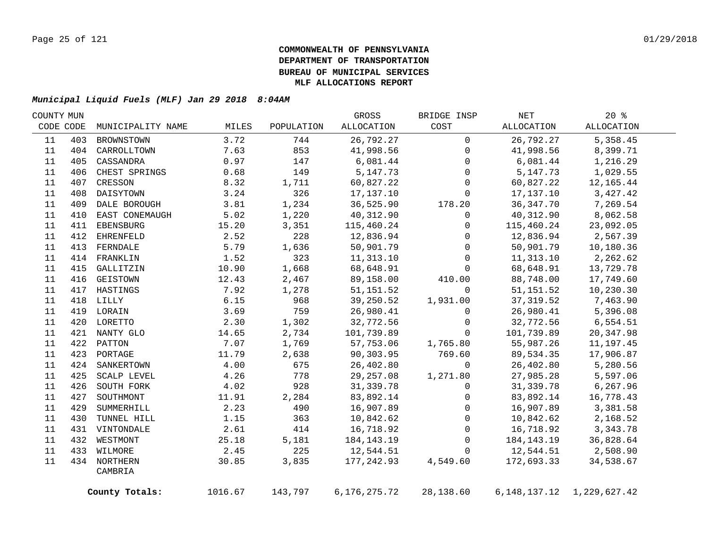| COUNTY MUN |     |                   |         |            | GROSS           | BRIDGE INSP  | NET        | $20*$                           |
|------------|-----|-------------------|---------|------------|-----------------|--------------|------------|---------------------------------|
| CODE CODE  |     | MUNICIPALITY NAME | MILES   | POPULATION | ALLOCATION      | COST         | ALLOCATION | ALLOCATION                      |
| 11         | 403 | BROWNSTOWN        | 3.72    | 744        | 26,792.27       | $\mathbf 0$  | 26,792.27  | 5,358.45                        |
| 11         |     | 404 CARROLLTOWN   | 7.63    | 853        | 41,998.56       | $\mathbf{0}$ | 41,998.56  | 8,399.71                        |
| 11         | 405 | CASSANDRA         | 0.97    | 147        | 6,081.44        | $\mathbf 0$  | 6,081.44   | 1,216.29                        |
| 11         | 406 | CHEST SPRINGS     | 0.68    | 149        | 5, 147. 73      | $\Omega$     | 5,147.73   | 1,029.55                        |
| 11         | 407 | CRESSON           | 8.32    | 1,711      | 60,827.22       | $\mathbf 0$  | 60,827.22  | 12,165.44                       |
| 11         | 408 | DAISYTOWN         | 3.24    | 326        | 17,137.10       | $\mathbf 0$  | 17,137.10  | 3,427.42                        |
| 11         | 409 | DALE BOROUGH      | 3.81    | 1,234      | 36,525.90       | 178.20       | 36, 347.70 | 7,269.54                        |
| 11         | 410 | EAST CONEMAUGH    | 5.02    | 1,220      | 40,312.90       | $\mathsf{O}$ | 40,312.90  | 8,062.58                        |
| 11         | 411 | EBENSBURG         | 15.20   | 3,351      | 115,460.24      | $\mathbf 0$  | 115,460.24 | 23,092.05                       |
| 11         | 412 | EHRENFELD         | 2.52    | 228        | 12,836.94       | $\mathbf{0}$ | 12,836.94  | 2,567.39                        |
| 11         | 413 | FERNDALE          | 5.79    | 1,636      | 50,901.79       | $\mathbf 0$  | 50,901.79  | 10,180.36                       |
| 11         |     | 414 FRANKLIN      | 1.52    | 323        | 11,313.10       | $\Omega$     | 11,313.10  | 2,262.62                        |
| 11         | 415 | GALLITZIN         | 10.90   | 1,668      | 68,648.91       | $\mathbf{0}$ | 68,648.91  | 13,729.78                       |
| 11         | 416 | GEISTOWN          | 12.43   | 2,467      | 89,158.00       | 410.00       | 88,748.00  | 17,749.60                       |
| 11         | 417 | HASTINGS          | 7.92    | 1,278      | 51, 151.52      | $\Omega$     | 51, 151.52 | 10,230.30                       |
| 11         |     | 418 LILLY         | 6.15    | 968        | 39,250.52       | 1,931.00     | 37, 319.52 | 7,463.90                        |
| 11         |     | 419 LORAIN        | 3.69    | 759        | 26,980.41       | $\mathbf 0$  | 26,980.41  | 5,396.08                        |
| 11         |     | 420 LORETTO       | 2.30    | 1,302      | 32,772.56       | $\mathsf{O}$ | 32,772.56  | 6,554.51                        |
| 11         |     | 421 NANTY GLO     | 14.65   | 2,734      | 101,739.89      | $\Omega$     | 101,739.89 | 20, 347.98                      |
| 11         |     | 422 PATTON        | 7.07    | 1,769      | 57,753.06       | 1,765.80     | 55,987.26  | 11, 197.45                      |
| $11\,$     |     | 423 PORTAGE       | 11.79   | 2,638      | 90,303.95       | 769.60       | 89,534.35  | 17,906.87                       |
| 11         |     | 424 SANKERTOWN    | 4.00    | 675        | 26,402.80       | $\Omega$     | 26,402.80  | 5,280.56                        |
| 11         | 425 | SCALP LEVEL       | 4.26    | 778        | 29,257.08       | 1,271.80     | 27,985.28  | 5,597.06                        |
| 11         | 426 | SOUTH FORK        | 4.02    | 928        | 31,339.78       | $\Omega$     | 31,339.78  | 6,267.96                        |
| 11         | 427 | SOUTHMONT         | 11.91   | 2,284      | 83,892.14       | $\mathbf 0$  | 83,892.14  | 16,778.43                       |
| 11         | 429 | SUMMERHILL        | 2.23    | 490        | 16,907.89       | $\mathbf 0$  | 16,907.89  | 3,381.58                        |
| 11         | 430 | TUNNEL HILL       | 1.15    | 363        | 10,842.62       | $\mathbf 0$  | 10,842.62  | 2,168.52                        |
| 11         |     | 431 VINTONDALE    | 2.61    | 414        | 16,718.92       | $\mathbf 0$  | 16,718.92  | 3, 343. 78                      |
| $11\,$     |     | 432 WESTMONT      | 25.18   | 5,181      | 184, 143. 19    | $\mathbf 0$  | 184,143.19 | 36,828.64                       |
| 11         |     | 433 WILMORE       | 2.45    | 225        | 12,544.51       | $\mathbf 0$  | 12,544.51  | 2,508.90                        |
| 11         |     | 434 NORTHERN      | 30.85   | 3,835      | 177,242.93      | 4,549.60     | 172,693.33 | 34,538.67                       |
|            |     | CAMBRIA           |         |            |                 |              |            |                                 |
|            |     | County Totals:    | 1016.67 | 143,797    | 6, 176, 275. 72 | 28,138.60    |            | 6, 148, 137. 12 1, 229, 627. 42 |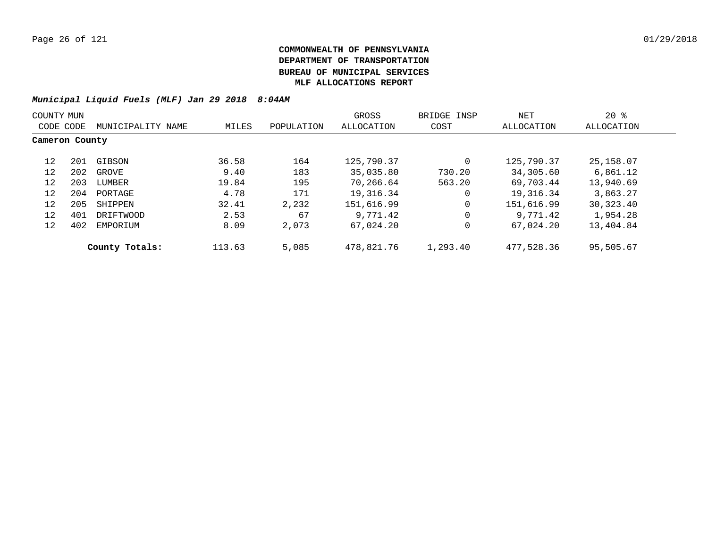| COUNTY MUN     |     |                   |        |            | GROSS      | BRIDGE INSP | NET        | $20*$      |  |
|----------------|-----|-------------------|--------|------------|------------|-------------|------------|------------|--|
| CODE CODE      |     | MUNICIPALITY NAME | MILES  | POPULATION | ALLOCATION | COST        | ALLOCATION | ALLOCATION |  |
| Cameron County |     |                   |        |            |            |             |            |            |  |
| 12             | 201 | GIBSON            | 36.58  | 164        | 125,790.37 | 0           | 125,790.37 | 25, 158.07 |  |
| 12             | 202 | GROVE             | 9.40   | 183        | 35,035.80  | 730.20      | 34,305.60  | 6,861.12   |  |
| 12             | 203 | LUMBER            | 19.84  | 195        | 70,266.64  | 563.20      | 69,703.44  | 13,940.69  |  |
| 12             | 204 | PORTAGE           | 4.78   | 171        | 19,316.34  | 0           | 19,316.34  | 3,863.27   |  |
| 12             | 205 | SHIPPEN           | 32.41  | 2,232      | 151,616.99 | $\mathbf 0$ | 151,616.99 | 30,323.40  |  |
| 12             | 401 | DRIFTWOOD         | 2.53   | 67         | 9,771.42   | 0           | 9,771.42   | 1,954.28   |  |
| 12             | 402 | EMPORIUM          | 8.09   | 2,073      | 67,024.20  | 0           | 67,024.20  | 13,404.84  |  |
|                |     | County Totals:    | 113.63 | 5,085      | 478,821.76 | 1,293.40    | 477,528.36 | 95,505.67  |  |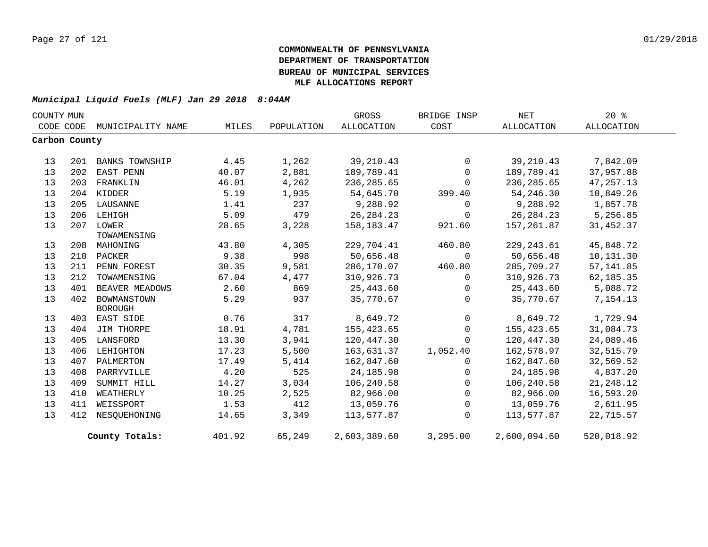| COUNTY MUN |               |                       |        |            | GROSS             | BRIDGE INSP    | NET          | $20*$       |
|------------|---------------|-----------------------|--------|------------|-------------------|----------------|--------------|-------------|
|            | CODE CODE     | MUNICIPALITY NAME     | MILES  | POPULATION | <b>ALLOCATION</b> | COST           | ALLOCATION   | ALLOCATION  |
|            | Carbon County |                       |        |            |                   |                |              |             |
|            |               |                       |        |            |                   |                |              |             |
| 13         | 201           | <b>BANKS TOWNSHIP</b> | 4.45   | 1,262      | 39,210.43         | $\overline{0}$ | 39,210.43    | 7,842.09    |
| 13         | 202           | EAST PENN             | 40.07  | 2,881      | 189,789.41        | $\overline{0}$ | 189,789.41   | 37,957.88   |
| 13         | 203           | FRANKLIN              | 46.01  | 4,262      | 236, 285.65       | $\Omega$       | 236, 285.65  | 47, 257. 13 |
| 13         |               | 204 KIDDER            | 5.19   | 1,935      | 54,645.70         | 399.40         | 54,246.30    | 10,849.26   |
| 13         |               | 205 LAUSANNE          | 1.41   | 237        | 9,288.92          | $\Omega$       | 9,288.92     | 1,857.78    |
| 13         | 206           | LEHIGH                | 5.09   | 479        | 26, 284. 23       | $\Omega$       | 26,284.23    | 5,256.85    |
| 13         |               | 207 LOWER             | 28.65  | 3,228      | 158, 183. 47      | 921.60         | 157,261.87   | 31,452.37   |
|            |               | TOWAMENSING           |        |            |                   |                |              |             |
| 13         | 208           | MAHONING              | 43.80  | 4,305      | 229,704.41        | 460.80         | 229, 243.61  | 45,848.72   |
| 13         | 210           | PACKER                | 9.38   | 998        | 50,656.48         | $\mathbf 0$    | 50,656.48    | 10,131.30   |
| 13         | 211           | PENN FOREST           | 30.35  | 9,581      | 286,170.07        | 460.80         | 285,709.27   | 57, 141.85  |
| 13         | 212           | TOWAMENSING           | 67.04  | 4,477      | 310,926.73        | $\mathbf 0$    | 310,926.73   | 62, 185. 35 |
| 13         | 401           | BEAVER MEADOWS        | 2.60   | 869        | 25,443.60         | $\mathbf 0$    | 25,443.60    | 5,088.72    |
| 13         | 402           | BOWMANSTOWN           | 5.29   | 937        | 35,770.67         | $\Omega$       | 35,770.67    | 7,154.13    |
|            |               | <b>BOROUGH</b>        |        |            |                   |                |              |             |
| 13         | 403           | EAST SIDE             | 0.76   | 317        | 8,649.72          | $\mathbf 0$    | 8,649.72     | 1,729.94    |
| 13         | 404           | JIM THORPE            | 18.91  | 4,781      | 155,423.65        | $\Omega$       | 155,423.65   | 31,084.73   |
| 13         | 405           | LANSFORD              | 13.30  | 3,941      | 120,447.30        | $\mathbf 0$    | 120,447.30   | 24,089.46   |
| 13         | 406           | LEHIGHTON             | 17.23  | 5,500      | 163,631.37        | 1,052.40       | 162,578.97   | 32,515.79   |
| 13         | 407           | PALMERTON             | 17.49  | 5,414      | 162,847.60        | $\Omega$       | 162,847.60   | 32,569.52   |
| 13         | 408           | PARRYVILLE            | 4.20   | 525        | 24, 185. 98       | $\mathbf{0}$   | 24,185.98    | 4,837.20    |
| 13         | 409           | SUMMIT HILL           | 14.27  | 3,034      | 106,240.58        | $\Omega$       | 106,240.58   | 21,248.12   |
| 13         | 410           | WEATHERLY             | 10.25  | 2,525      | 82,966.00         | $\mathbf 0$    | 82,966.00    | 16,593.20   |
| 13         | 411           | WEISSPORT             | 1.53   | 412        | 13,059.76         | $\mathbf 0$    | 13,059.76    | 2,611.95    |
| 13         | 412           | NESQUEHONING          | 14.65  | 3,349      | 113,577.87        | $\Omega$       | 113,577.87   | 22,715.57   |
|            |               | County Totals:        | 401.92 | 65,249     | 2,603,389.60      | 3,295.00       | 2,600,094.60 | 520,018.92  |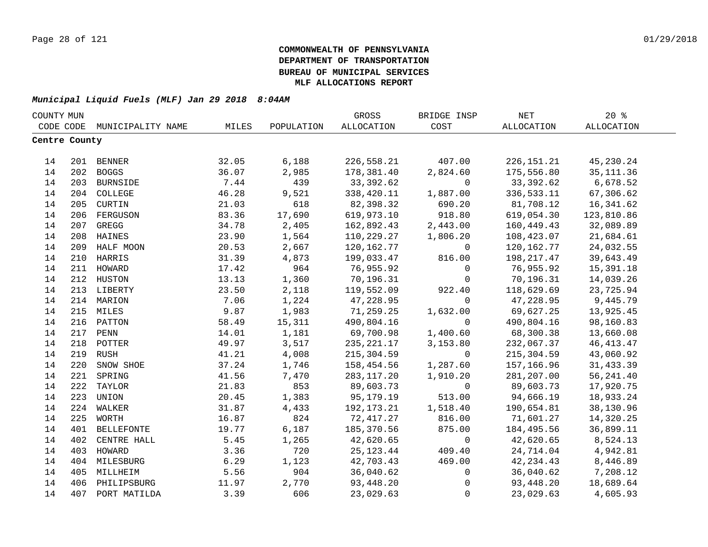|               | COUNTY MUN |                             |       |            | GROSS        | BRIDGE INSP         | NET          | 20%         |  |
|---------------|------------|-----------------------------|-------|------------|--------------|---------------------|--------------|-------------|--|
|               |            | CODE CODE MUNICIPALITY NAME | MILES | POPULATION | ALLOCATION   | COST                | ALLOCATION   | ALLOCATION  |  |
| Centre County |            |                             |       |            |              |                     |              |             |  |
|               |            |                             |       |            |              |                     |              |             |  |
| 14            |            | 201 BENNER                  | 32.05 | 6,188      | 226,558.21   | 407.00              | 226, 151. 21 | 45,230.24   |  |
| 14            |            | 202 BOGGS                   | 36.07 | 2,985      | 178,381.40   | 2,824.60            | 175,556.80   | 35, 111.36  |  |
| 14            |            | 203 BURNSIDE                | 7.44  | 439        | 33,392.62    | $\mathsf{O}$        | 33,392.62    | 6,678.52    |  |
| 14            |            | 204 COLLEGE                 | 46.28 | 9,521      | 338,420.11   | 1,887.00            | 336,533.11   | 67,306.62   |  |
| 14            |            | 205 CURTIN                  | 21.03 | 618        | 82,398.32    | 690.20              | 81,708.12    | 16,341.62   |  |
| 14            | 206        | FERGUSON                    | 83.36 | 17,690     | 619,973.10   | 918.80              | 619,054.30   | 123,810.86  |  |
| 14            | 207        | GREGG                       | 34.78 | 2,405      | 162,892.43   | 2,443.00            | 160,449.43   | 32,089.89   |  |
| 14            | 208        | HAINES                      | 23.90 | 1,564      | 110,229.27   | 1,806.20            | 108,423.07   | 21,684.61   |  |
| 14            | 209        | HALF MOON                   | 20.53 | 2,667      | 120, 162. 77 | 0                   | 120,162.77   | 24,032.55   |  |
| 14            | 210        | HARRIS                      | 31.39 | 4,873      | 199,033.47   | 816.00              | 198,217.47   | 39,643.49   |  |
| 14            | 211        | HOWARD                      | 17.42 | 964        | 76,955.92    | $\Omega$            | 76,955.92    | 15,391.18   |  |
| 14            | 212        | HUSTON                      | 13.13 | 1,360      | 70,196.31    | $\mathbf{0}$        | 70,196.31    | 14,039.26   |  |
| 14            |            | 213 LIBERTY                 | 23.50 | 2,118      | 119,552.09   | 922.40              | 118,629.69   | 23,725.94   |  |
| 14            |            | 214 MARION                  | 7.06  | 1,224      | 47,228.95    | $\mathbf 0$         | 47,228.95    | 9,445.79    |  |
| 14            |            | 215 MILES                   | 9.87  | 1,983      | 71,259.25    | 1,632.00            | 69,627.25    | 13,925.45   |  |
| 14            |            | 216 PATTON                  | 58.49 | 15,311     | 490,804.16   | $\mathbf 0$         | 490,804.16   | 98,160.83   |  |
| 14            |            | 217 PENN                    | 14.01 | 1,181      | 69,700.98    | 1,400.60            | 68,300.38    | 13,660.08   |  |
| 14            |            | 218 POTTER                  | 49.97 | 3,517      | 235, 221.17  | 3,153.80            | 232,067.37   | 46, 413. 47 |  |
| 14            | 219        | <b>RUSH</b>                 | 41.21 | 4,008      | 215,304.59   | $\overline{0}$      | 215,304.59   | 43,060.92   |  |
| 14            | 220        | SNOW SHOE                   | 37.24 | 1,746      | 158,454.56   | 1,287.60            | 157,166.96   | 31,433.39   |  |
| 14            | 221        | SPRING                      | 41.56 | 7,470      | 283,117.20   | 1,910.20            | 281, 207.00  | 56, 241.40  |  |
| 14            | 222        | TAYLOR                      | 21.83 | 853        | 89,603.73    | $\mathbf 0$         | 89,603.73    | 17,920.75   |  |
| 14            | 223        | UNION                       | 20.45 | 1,383      | 95,179.19    | 513.00              | 94,666.19    | 18,933.24   |  |
| 14            | 224        | WALKER                      | 31.87 | 4,433      | 192, 173. 21 | 1,518.40            | 190,654.81   | 38,130.96   |  |
| 14            | 225        | WORTH                       | 16.87 | 824        | 72,417.27    | 816.00              | 71,601.27    | 14,320.25   |  |
| 14            | 401        | <b>BELLEFONTE</b>           | 19.77 | 6,187      | 185,370.56   | 875.00              | 184,495.56   | 36,899.11   |  |
| 14            | 402        | CENTRE HALL                 | 5.45  | 1,265      | 42,620.65    | $\mathbf 0$         | 42,620.65    | 8,524.13    |  |
| 14            | 403        | HOWARD                      | 3.36  | 720        | 25, 123. 44  | 409.40              | 24,714.04    | 4,942.81    |  |
| 14            |            | 404 MILESBURG               | 6.29  | 1,123      | 42,703.43    | 469.00              | 42, 234. 43  | 8,446.89    |  |
| 14            | 405        | MILLHEIM                    | 5.56  | 904        | 36,040.62    | $\mathsf{O}$        | 36,040.62    | 7,208.12    |  |
| 14            |            | 406 PHILIPSBURG             | 11.97 | 2,770      | 93,448.20    | $\mathsf{O}\xspace$ | 93,448.20    | 18,689.64   |  |
| 14            | 407        | PORT MATILDA                | 3.39  | 606        | 23,029.63    | $\mathbf 0$         | 23,029.63    | 4,605.93    |  |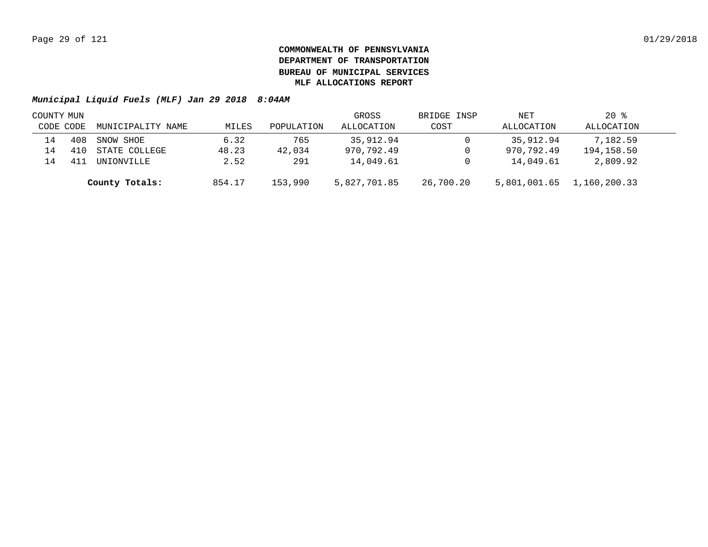|           | COUNTY MUN |                   |        |            | GROSS        | BRIDGE INSP | NET          | $20*$        |  |
|-----------|------------|-------------------|--------|------------|--------------|-------------|--------------|--------------|--|
| CODE CODE |            | MUNICIPALITY NAME | MILES  | POPULATION | ALLOCATION   | COST        | ALLOCATION   | ALLOCATION   |  |
| 14        | 408        | SNOW SHOE         | 6.32   | 765        | 35,912.94    |             | 35,912.94    | 7,182.59     |  |
| 14        |            | STATE COLLEGE     | 48.23  | 42,034     | 970,792.49   |             | 970,792.49   | 194,158.50   |  |
| L4        |            | UNIONVILLE        | 2.52   | 291        | 14,049.61    |             | 14,049.61    | 2,809.92     |  |
|           |            | County Totals:    | 854.17 | 153,990    | 5,827,701.85 | 26,700.20   | 5,801,001.65 | 1,160,200.33 |  |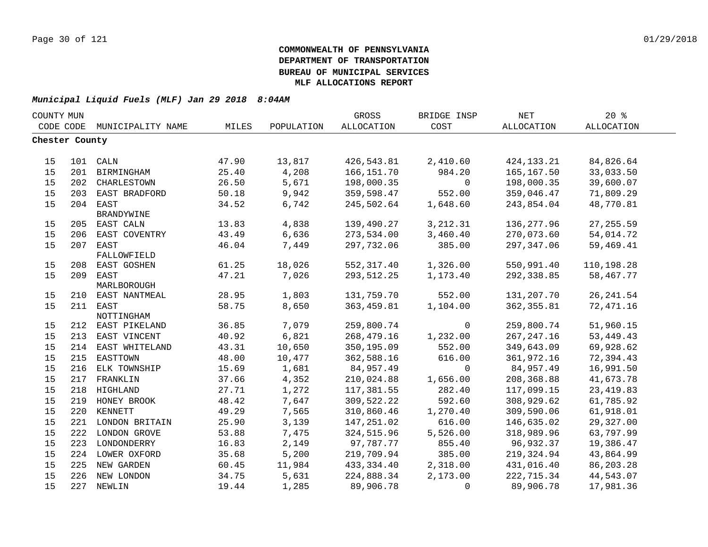| COUNTY MUN     |     |                    |       |            | GROSS       | BRIDGE INSP    | NET          | 20%         |  |
|----------------|-----|--------------------|-------|------------|-------------|----------------|--------------|-------------|--|
| CODE CODE      |     | MUNICIPALITY NAME  | MILES | POPULATION | ALLOCATION  | COST           | ALLOCATION   | ALLOCATION  |  |
| Chester County |     |                    |       |            |             |                |              |             |  |
|                |     |                    |       |            |             |                |              |             |  |
| 15             |     | 101 CALN           | 47.90 | 13,817     | 426,543.81  | 2,410.60       | 424, 133. 21 | 84,826.64   |  |
| 15             |     | 201 BIRMINGHAM     | 25.40 | 4,208      | 166, 151.70 | 984.20         | 165, 167.50  | 33,033.50   |  |
| 15             |     | 202 CHARLESTOWN    | 26.50 | 5,671      | 198,000.35  | $\overline{0}$ | 198,000.35   | 39,600.07   |  |
| 15             | 203 | EAST BRADFORD      | 50.18 | 9,942      | 359,598.47  | 552.00         | 359,046.47   | 71,809.29   |  |
| 15             | 204 | EAST<br>BRANDYWINE | 34.52 | 6,742      | 245,502.64  | 1,648.60       | 243,854.04   | 48,770.81   |  |
| 15             |     | 205 EAST CALN      | 13.83 | 4,838      | 139,490.27  | 3, 212.31      | 136, 277.96  | 27, 255.59  |  |
| 15             | 206 | EAST COVENTRY      | 43.49 | 6,636      | 273,534.00  | 3,460.40       | 270,073.60   | 54,014.72   |  |
| 15             | 207 | EAST               | 46.04 | 7,449      | 297,732.06  | 385.00         | 297,347.06   | 59,469.41   |  |
|                |     | FALLOWFIELD        |       |            |             |                |              |             |  |
| 15             | 208 | EAST GOSHEN        | 61.25 | 18,026     | 552,317.40  | 1,326.00       | 550,991.40   | 110,198.28  |  |
| 15             | 209 | EAST               | 47.21 | 7,026      | 293,512.25  | 1,173.40       | 292,338.85   | 58,467.77   |  |
|                |     | MARLBOROUGH        |       |            |             |                |              |             |  |
| 15             |     | 210 EAST NANTMEAL  | 28.95 | 1,803      | 131,759.70  | 552.00         | 131,207.70   | 26, 241.54  |  |
| 15             | 211 | EAST               | 58.75 | 8,650      | 363,459.81  | 1,104.00       | 362,355.81   | 72,471.16   |  |
|                |     | NOTTINGHAM         |       |            |             |                |              |             |  |
| 15             |     | 212 EAST PIKELAND  | 36.85 | 7,079      | 259,800.74  | $\overline{0}$ | 259,800.74   | 51,960.15   |  |
| 15             | 213 | EAST VINCENT       | 40.92 | 6,821      | 268,479.16  | 1,232.00       | 267, 247. 16 | 53, 449. 43 |  |
| 15             | 214 | EAST WHITELAND     | 43.31 | 10,650     | 350,195.09  | 552.00         | 349,643.09   | 69,928.62   |  |
| 15             | 215 | EASTTOWN           | 48.00 | 10,477     | 362,588.16  | 616.00         | 361,972.16   | 72,394.43   |  |
| 15             | 216 | ELK TOWNSHIP       | 15.69 | 1,681      | 84,957.49   | $\mathbf 0$    | 84,957.49    | 16,991.50   |  |
| 15             | 217 | FRANKLIN           | 37.66 | 4,352      | 210,024.88  | 1,656.00       | 208,368.88   | 41,673.78   |  |
| 15             | 218 | HIGHLAND           | 27.71 | 1,272      | 117,381.55  | 282.40         | 117,099.15   | 23, 419.83  |  |
| 15             |     | 219 HONEY BROOK    | 48.42 | 7,647      | 309,522.22  | 592.60         | 308,929.62   | 61,785.92   |  |
| 15             |     | 220 KENNETT        | 49.29 | 7,565      | 310,860.46  | 1,270.40       | 309,590.06   | 61,918.01   |  |
| 15             |     | 221 LONDON BRITAIN | 25.90 | 3,139      | 147,251.02  | 616.00         | 146,635.02   | 29,327.00   |  |
| 15             |     | 222 LONDON GROVE   | 53.88 | 7,475      | 324,515.96  | 5,526.00       | 318,989.96   | 63,797.99   |  |
| 15             |     | 223 LONDONDERRY    | 16.83 | 2,149      | 97,787.77   | 855.40         | 96,932.37    | 19,386.47   |  |
| 15             |     | 224 LOWER OXFORD   | 35.68 | 5,200      | 219,709.94  | 385.00         | 219,324.94   | 43,864.99   |  |
| 15             |     | 225 NEW GARDEN     | 60.45 | 11,984     | 433,334.40  | 2,318.00       | 431,016.40   | 86,203.28   |  |
| 15             |     | 226 NEW LONDON     | 34.75 | 5,631      | 224,888.34  | 2,173.00       | 222,715.34   | 44,543.07   |  |
| 15             |     | 227 NEWLIN         | 19.44 | 1,285      | 89,906.78   | $\mathbf 0$    | 89,906.78    | 17,981.36   |  |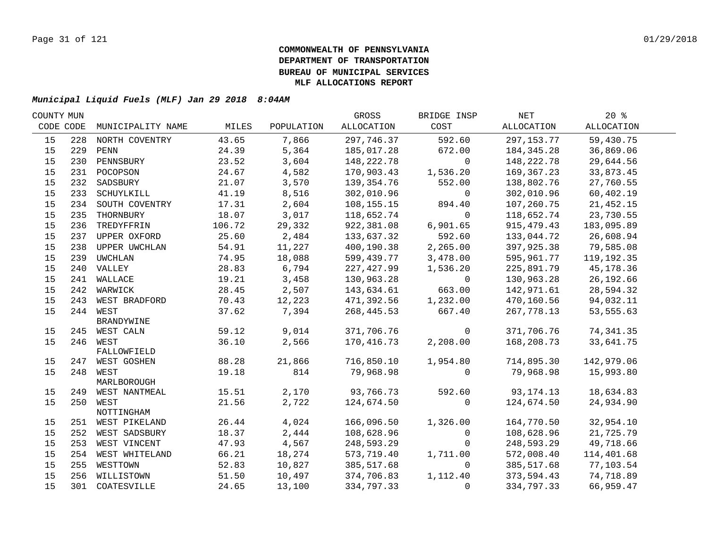| COUNTY MUN |     |                                  |        |            | GROSS      | BRIDGE INSP | NET          | $20*$      |  |
|------------|-----|----------------------------------|--------|------------|------------|-------------|--------------|------------|--|
| CODE CODE  |     | MUNICIPALITY NAME                | MILES  | POPULATION | ALLOCATION | COST        | ALLOCATION   | ALLOCATION |  |
| 15         | 228 | NORTH COVENTRY                   | 43.65  | 7,866      | 297,746.37 | 592.60      | 297, 153. 77 | 59,430.75  |  |
| 15         | 229 | PENN                             | 24.39  | 5,364      | 185,017.28 | 672.00      | 184, 345. 28 | 36,869.06  |  |
| 15         | 230 | PENNSBURY                        | 23.52  | 3,604      | 148,222.78 | $\Omega$    | 148,222.78   | 29,644.56  |  |
| 15         |     | 231 POCOPSON                     | 24.67  | 4,582      | 170,903.43 | 1,536.20    | 169,367.23   | 33,873.45  |  |
| 15         | 232 | SADSBURY                         | 21.07  | 3,570      | 139,354.76 | 552.00      | 138,802.76   | 27,760.55  |  |
| 15         | 233 | SCHUYLKILL                       | 41.19  | 8,516      | 302,010.96 | $\mathbf 0$ | 302,010.96   | 60,402.19  |  |
| 15         | 234 | SOUTH COVENTRY                   | 17.31  | 2,604      | 108,155.15 | 894.40      | 107,260.75   | 21,452.15  |  |
| 15         | 235 | THORNBURY                        | 18.07  | 3,017      | 118,652.74 | $\mathbf 0$ | 118,652.74   | 23,730.55  |  |
| 15         | 236 | TREDYFFRIN                       | 106.72 | 29,332     | 922,381.08 | 6,901.65    | 915,479.43   | 183,095.89 |  |
| 15         |     | 237 UPPER OXFORD                 | 25.60  | 2,484      | 133,637.32 | 592.60      | 133,044.72   | 26,608.94  |  |
| 15         | 238 | UPPER UWCHLAN                    | 54.91  | 11,227     | 400,190.38 | 2,265.00    | 397,925.38   | 79,585.08  |  |
| 15         | 239 | UWCHLAN                          | 74.95  | 18,088     | 599,439.77 | 3,478.00    | 595,961.77   | 119,192.35 |  |
| 15         |     | 240 VALLEY                       | 28.83  | 6,794      | 227,427.99 | 1,536.20    | 225,891.79   | 45,178.36  |  |
| 15         |     | 241 WALLACE                      | 19.21  | 3,458      | 130,963.28 | $\mathbf 0$ | 130,963.28   | 26,192.66  |  |
| 15         |     | 242 WARWICK                      | 28.45  | 2,507      | 143,634.61 | 663.00      | 142,971.61   | 28,594.32  |  |
| 15         |     | 243 WEST BRADFORD                | 70.43  | 12,223     | 471,392.56 | 1,232.00    | 470,160.56   | 94,032.11  |  |
| 15         |     | 244 WEST                         | 37.62  | 7,394      | 268,445.53 | 667.40      | 267,778.13   | 53,555.63  |  |
|            |     | BRANDYWINE                       |        |            |            |             |              |            |  |
| 15         |     | 245 WEST CALN                    | 59.12  | 9,014      | 371,706.76 | $\mathbf 0$ | 371,706.76   | 74,341.35  |  |
| 15         |     | 246 WEST                         | 36.10  | 2,566      | 170,416.73 | 2,208.00    | 168,208.73   | 33,641.75  |  |
|            |     | FALLOWFIELD                      |        |            |            |             |              |            |  |
| 15         |     | 247 WEST GOSHEN                  | 88.28  | 21,866     | 716,850.10 | 1,954.80    | 714,895.30   | 142,979.06 |  |
| 15         |     | 248 WEST                         | 19.18  | 814        | 79,968.98  | $\Omega$    | 79,968.98    | 15,993.80  |  |
| 15         |     | MARLBOROUGH<br>249 WEST NANTMEAL | 15.51  | 2,170      | 93,766.73  | 592.60      | 93, 174. 13  | 18,634.83  |  |
| 15         |     | 250 WEST                         | 21.56  | 2,722      | 124,674.50 | $\mathbf 0$ | 124,674.50   | 24,934.90  |  |
|            |     | NOTTINGHAM                       |        |            |            |             |              |            |  |
| 15         |     | 251 WEST PIKELAND                | 26.44  | 4,024      | 166,096.50 | 1,326.00    | 164,770.50   | 32,954.10  |  |
| 15         |     | 252 WEST SADSBURY                | 18.37  | 2,444      | 108,628.96 | 0           | 108,628.96   | 21,725.79  |  |
| 15         |     | 253 WEST VINCENT                 | 47.93  | 4,567      | 248,593.29 | $\Omega$    | 248,593.29   | 49,718.66  |  |
| 15         |     | 254 WEST WHITELAND               | 66.21  | 18,274     | 573,719.40 | 1,711.00    | 572,008.40   | 114,401.68 |  |
| 15         |     | 255 WESTTOWN                     | 52.83  | 10,827     | 385,517.68 | $\mathbf 0$ | 385,517.68   | 77,103.54  |  |
| 15         |     | 256 WILLISTOWN                   | 51.50  | 10,497     | 374,706.83 | 1,112.40    | 373,594.43   | 74,718.89  |  |
| 15         |     | 301 COATESVILLE                  | 24.65  | 13,100     | 334,797.33 | 0           | 334,797.33   | 66,959.47  |  |
|            |     |                                  |        |            |            |             |              |            |  |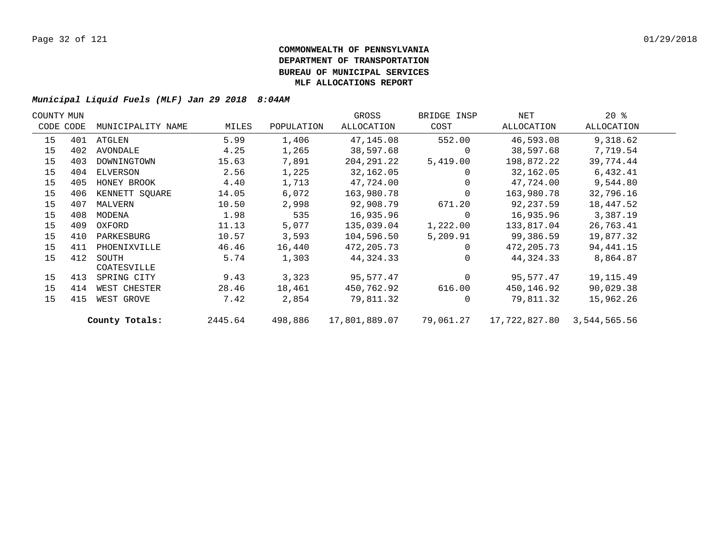| COUNTY MUN |     |                   |         |            | GROSS         | BRIDGE INSP    | NET           | $20*$        |  |
|------------|-----|-------------------|---------|------------|---------------|----------------|---------------|--------------|--|
| CODE CODE  |     | MUNICIPALITY NAME | MILES   | POPULATION | ALLOCATION    | COST           | ALLOCATION    | ALLOCATION   |  |
| 15         |     | 401 ATGLEN        | 5.99    | 1,406      | 47,145.08     | 552.00         | 46,593.08     | 9,318.62     |  |
| 15         | 402 | AVONDALE          | 4.25    | 1,265      | 38,597.68     | $\Omega$       | 38,597.68     | 7,719.54     |  |
| 15         | 403 | DOWNINGTOWN       | 15.63   | 7,891      | 204, 291. 22  | 5,419.00       | 198,872.22    | 39,774.44    |  |
| 15         | 404 | ELVERSON          | 2.56    | 1,225      | 32,162.05     | $\mathbf{0}$   | 32,162.05     | 6,432.41     |  |
| 15         | 405 | HONEY BROOK       | 4.40    | 1,713      | 47,724.00     | $\mathbf{0}$   | 47,724.00     | 9,544.80     |  |
| 15         | 406 | KENNETT SQUARE    | 14.05   | 6,072      | 163,980.78    | $\Omega$       | 163,980.78    | 32,796.16    |  |
| 15         | 407 | MALVERN           | 10.50   | 2,998      | 92,908.79     | 671.20         | 92,237.59     | 18,447.52    |  |
| 15         | 408 | MODENA            | 1.98    | 535        | 16,935.96     | $\mathbf{0}$   | 16,935.96     | 3,387.19     |  |
| 15         | 409 | OXFORD            | 11.13   | 5,077      | 135,039.04    | 1,222.00       | 133,817.04    | 26,763.41    |  |
| 15         | 410 | PARKESBURG        | 10.57   | 3,593      | 104,596.50    | 5,209.91       | 99,386.59     | 19,877.32    |  |
| 15         | 411 | PHOENIXVILLE      | 46.46   | 16,440     | 472, 205. 73  | $\overline{0}$ | 472, 205. 73  | 94, 441. 15  |  |
| 15         | 412 | SOUTH             | 5.74    | 1,303      | 44,324.33     | $\Omega$       | 44,324.33     | 8,864.87     |  |
|            |     | COATESVILLE       |         |            |               |                |               |              |  |
| 15         | 413 | SPRING CITY       | 9.43    | 3,323      | 95,577.47     | $\mathbf 0$    | 95,577.47     | 19, 115. 49  |  |
| 15         | 414 | WEST CHESTER      | 28.46   | 18,461     | 450,762.92    | 616.00         | 450,146.92    | 90,029.38    |  |
| 15         | 415 | WEST GROVE        | 7.42    | 2,854      | 79,811.32     | $\mathbf 0$    | 79,811.32     | 15,962.26    |  |
|            |     | County Totals:    | 2445.64 | 498,886    | 17,801,889.07 | 79,061.27      | 17,722,827.80 | 3,544,565.56 |  |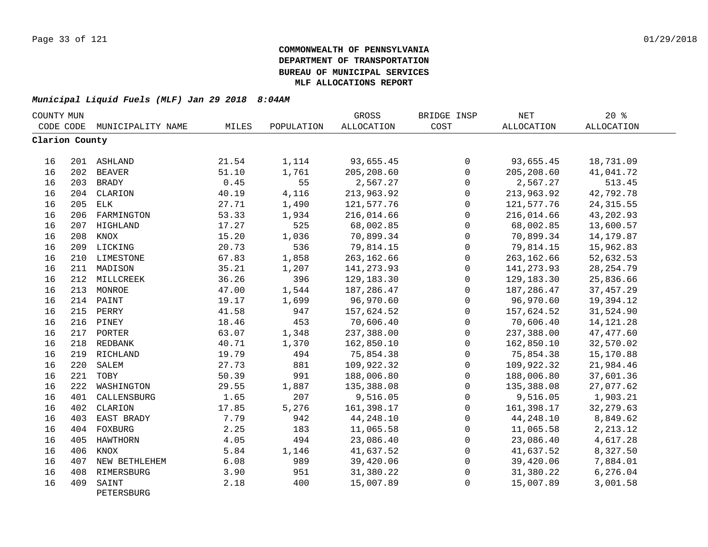| COUNTY MUN     |     |                     |       |            | GROSS       | BRIDGE INSP  | $\operatorname{NET}$ | 20%         |  |
|----------------|-----|---------------------|-------|------------|-------------|--------------|----------------------|-------------|--|
| CODE CODE      |     | MUNICIPALITY NAME   | MILES | POPULATION | ALLOCATION  | COST         | <b>ALLOCATION</b>    | ALLOCATION  |  |
| Clarion County |     |                     |       |            |             |              |                      |             |  |
| 16             |     | 201 ASHLAND         | 21.54 | 1,114      | 93,655.45   | 0            | 93,655.45            | 18,731.09   |  |
| 16             |     | 202 BEAVER          | 51.10 | 1,761      | 205, 208.60 | $\mathsf{O}$ | 205, 208.60          | 41,041.72   |  |
| 16             | 203 | BRADY               | 0.45  | 55         | 2,567.27    | $\Omega$     | 2,567.27             | 513.45      |  |
| 16             | 204 | CLARION             | 40.19 | 4,116      | 213,963.92  | $\mathbf 0$  | 213,963.92           | 42,792.78   |  |
| 16             | 205 | ELK                 | 27.71 | 1,490      | 121,577.76  | $\Omega$     | 121,577.76           | 24, 315.55  |  |
| 16             | 206 | FARMINGTON          | 53.33 | 1,934      | 216,014.66  | $\mathbf 0$  | 216,014.66           | 43,202.93   |  |
| 16             |     | 207 HIGHLAND        | 17.27 | 525        | 68,002.85   | $\Omega$     | 68,002.85            | 13,600.57   |  |
| 16             | 208 | KNOX                | 15.20 | 1,036      | 70,899.34   | $\mathbf 0$  | 70,899.34            | 14, 179.87  |  |
| 16             |     | 209 LICKING         | 20.73 | 536        | 79,814.15   | 0            | 79,814.15            | 15,962.83   |  |
| 16             | 210 | LIMESTONE           | 67.83 | 1,858      | 263, 162.66 | $\mathbf 0$  | 263, 162.66          | 52,632.53   |  |
| 16             |     | 211 MADISON         | 35.21 | 1,207      | 141, 273.93 | $\mathbf 0$  | 141, 273.93          | 28, 254.79  |  |
| 16             |     | 212 MILLCREEK       | 36.26 | 396        | 129,183.30  | 0            | 129,183.30           | 25,836.66   |  |
| 16             |     | 213 MONROE          | 47.00 | 1,544      | 187,286.47  | $\mathsf 0$  | 187, 286.47          | 37, 457.29  |  |
| 16             |     | 214 PAINT           | 19.17 | 1,699      | 96,970.60   | $\mathsf{O}$ | 96,970.60            | 19,394.12   |  |
| 16             | 215 | PERRY               | 41.58 | 947        | 157,624.52  | 0            | 157,624.52           | 31,524.90   |  |
| 16             |     | 216 PINEY           | 18.46 | 453        | 70,606.40   | $\mathbf 0$  | 70,606.40            | 14, 121. 28 |  |
| 16             |     | 217 PORTER          | 63.07 | 1,348      | 237,388.00  | $\mathbf 0$  | 237,388.00           | 47, 477.60  |  |
| 16             |     | 218 REDBANK         | 40.71 | 1,370      | 162,850.10  | $\Omega$     | 162,850.10           | 32,570.02   |  |
| 16             |     | 219 RICHLAND        | 19.79 | 494        | 75,854.38   | $\mathbf 0$  | 75,854.38            | 15,170.88   |  |
| 16             | 220 | SALEM               | 27.73 | 881        | 109,922.32  | $\mathbf 0$  | 109,922.32           | 21,984.46   |  |
| 16             | 221 | TOBY                | 50.39 | 991        | 188,006.80  | $\Omega$     | 188,006.80           | 37,601.36   |  |
| 16             | 222 | WASHINGTON          | 29.55 | 1,887      | 135,388.08  | $\mathbf 0$  | 135,388.08           | 27,077.62   |  |
| 16             | 401 | CALLENSBURG         | 1.65  | 207        | 9,516.05    | $\mathbf 0$  | 9,516.05             | 1,903.21    |  |
| 16             | 402 | CLARION             | 17.85 | 5,276      | 161,398.17  | $\mathsf{O}$ | 161,398.17           | 32, 279.63  |  |
| 16             | 403 | EAST BRADY          | 7.79  | 942        | 44,248.10   | 0            | 44,248.10            | 8,849.62    |  |
| 16             | 404 | FOXBURG             | 2.25  | 183        | 11,065.58   | 0            | 11,065.58            | 2, 213.12   |  |
| 16             | 405 | HAWTHORN            | 4.05  | 494        | 23,086.40   | 0            | 23,086.40            | 4,617.28    |  |
| 16             | 406 | KNOX                | 5.84  | 1,146      | 41,637.52   | 0            | 41,637.52            | 8,327.50    |  |
| 16             | 407 | NEW BETHLEHEM       | 6.08  | 989        | 39,420.06   | $\mathbf 0$  | 39,420.06            | 7,884.01    |  |
| 16             | 408 | RIMERSBURG          | 3.90  | 951        | 31,380.22   | 0            | 31,380.22            | 6,276.04    |  |
| 16             | 409 | SAINT<br>PETERSBURG | 2.18  | 400        | 15,007.89   | $\mathbf 0$  | 15,007.89            | 3,001.58    |  |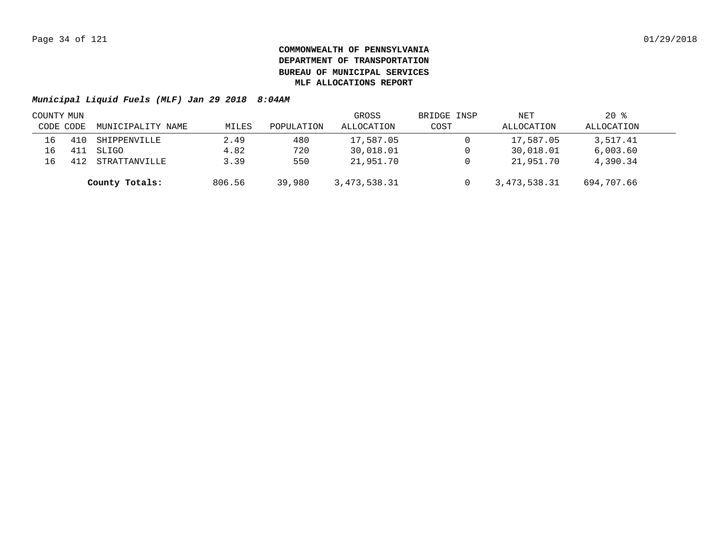| COUNTY MUN |           |                   |        |            | GROSS        | BRIDGE INSP | NET            | $20*$      |  |
|------------|-----------|-------------------|--------|------------|--------------|-------------|----------------|------------|--|
|            | CODE CODE | MUNICIPALITY NAME | MILES  | POPULATION | ALLOCATION   | COST        | ALLOCATION     | ALLOCATION |  |
| 16         |           | SHIPPENVILLE      | 2.49   | 480        | 17,587.05    |             | 17,587.05      | 3,517.41   |  |
| 16         |           | SLIGO             | 4.82   | 720        | 30,018.01    |             | 30,018.01      | 6,003.60   |  |
| 16         |           | STRATTANVILLE     | 3.39   | 550        | 21,951.70    |             | 21,951.70      | 4,390.34   |  |
|            |           | County Totals:    | 806.56 | 39,980     | 3,473,538.31 |             | 3, 473, 538.31 | 694,707.66 |  |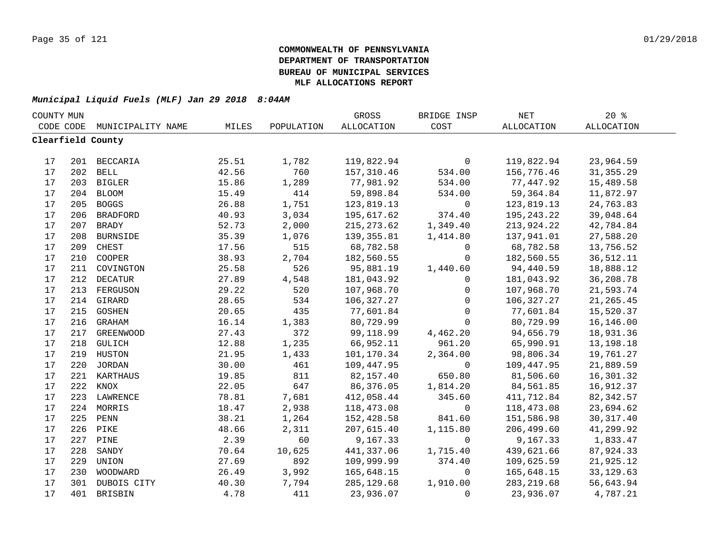| COUNTY MUN |           |                   |       |            | GROSS       | BRIDGE INSP  | $\operatorname{NET}$ | $20*$      |  |
|------------|-----------|-------------------|-------|------------|-------------|--------------|----------------------|------------|--|
|            | CODE CODE | MUNICIPALITY NAME | MILES | POPULATION | ALLOCATION  | COST         | ALLOCATION           | ALLOCATION |  |
|            |           | Clearfield County |       |            |             |              |                      |            |  |
|            |           |                   |       |            |             |              |                      |            |  |
| 17         |           | 201 BECCARIA      | 25.51 | 1,782      | 119,822.94  | 0            | 119,822.94           | 23,964.59  |  |
| 17         |           | 202 BELL          | 42.56 | 760        | 157,310.46  | 534.00       | 156,776.46           | 31, 355.29 |  |
| 17         |           | 203 BIGLER        | 15.86 | 1,289      | 77,981.92   | 534.00       | 77,447.92            | 15,489.58  |  |
| 17         |           | 204 BLOOM         | 15.49 | 414        | 59,898.84   | 534.00       | 59,364.84            | 11,872.97  |  |
| 17         | 205       | <b>BOGGS</b>      | 26.88 | 1,751      | 123,819.13  | 0            | 123,819.13           | 24,763.83  |  |
| 17         | 206       | <b>BRADFORD</b>   | 40.93 | 3,034      | 195,617.62  | 374.40       | 195, 243. 22         | 39,048.64  |  |
| 17         | 207       | <b>BRADY</b>      | 52.73 | 2,000      | 215, 273.62 | 1,349.40     | 213,924.22           | 42,784.84  |  |
| 17         | 208       | <b>BURNSIDE</b>   | 35.39 | 1,076      | 139, 355.81 | 1,414.80     | 137,941.01           | 27,588.20  |  |
| 17         | 209       | CHEST             | 17.56 | 515        | 68,782.58   | 0            | 68,782.58            | 13,756.52  |  |
| 17         | 210       | COOPER            | 38.93 | 2,704      | 182,560.55  | $\mathbf 0$  | 182,560.55           | 36,512.11  |  |
| 17         | 211       | COVINGTON         | 25.58 | 526        | 95,881.19   | 1,440.60     | 94,440.59            | 18,888.12  |  |
| 17         | 212       | <b>DECATUR</b>    | 27.89 | 4,548      | 181,043.92  | $\mathbf{0}$ | 181,043.92           | 36,208.78  |  |
| 17         | 213       | FERGUSON          | 29.22 | 520        | 107,968.70  | $\mathsf{O}$ | 107,968.70           | 21,593.74  |  |
| $17$       | 214       | GIRARD            | 28.65 | 534        | 106,327.27  | $\mathbf 0$  | 106,327.27           | 21, 265.45 |  |
| 17         | 215       | GOSHEN            | 20.65 | 435        | 77,601.84   | $\mathbf 0$  | 77,601.84            | 15,520.37  |  |
| 17         | 216       | GRAHAM            | 16.14 | 1,383      | 80,729.99   | $\Omega$     | 80,729.99            | 16,146.00  |  |
| 17         |           | 217 GREENWOOD     | 27.43 | 372        | 99,118.99   | 4,462.20     | 94,656.79            | 18,931.36  |  |
| 17         | 218       | GULICH            | 12.88 | 1,235      | 66,952.11   | 961.20       | 65,990.91            | 13,198.18  |  |
| 17         |           | 219 HUSTON        | 21.95 | 1,433      | 101,170.34  | 2,364.00     | 98,806.34            | 19,761.27  |  |
| 17         |           | 220 JORDAN        | 30.00 | 461        | 109,447.95  | $\mathbf 0$  | 109,447.95           | 21,889.59  |  |
| 17         | 221       | KARTHAUS          | 19.85 | 811        | 82,157.40   | 650.80       | 81,506.60            | 16,301.32  |  |
| 17         | 222       | KNOX              | 22.05 | 647        | 86,376.05   | 1,814.20     | 84,561.85            | 16,912.37  |  |
| 17         | 223       | LAWRENCE          | 78.81 | 7,681      | 412,058.44  | 345.60       | 411,712.84           | 82, 342.57 |  |
| 17         | 224       | MORRIS            | 18.47 | 2,938      | 118,473.08  | $\mathsf{O}$ | 118,473.08           | 23,694.62  |  |
| 17         | 225       | PENN              | 38.21 | 1,264      | 152,428.58  | 841.60       | 151,586.98           | 30, 317.40 |  |
| 17         |           | 226 PIKE          | 48.66 | 2,311      | 207,615.40  | 1,115.80     | 206,499.60           | 41,299.92  |  |
| 17         | 227       | PINE              | 2.39  | 60         | 9,167.33    | $\mathbf 0$  | 9,167.33             | 1,833.47   |  |
| 17         | 228       | SANDY             | 70.64 | 10,625     | 441,337.06  | 1,715.40     | 439,621.66           | 87,924.33  |  |
| 17         | 229       | UNION             | 27.69 | 892        | 109,999.99  | 374.40       | 109,625.59           | 21,925.12  |  |
| 17         | 230       | WOODWARD          | 26.49 | 3,992      | 165,648.15  | $\mathbf{0}$ | 165,648.15           | 33, 129.63 |  |
| 17         | 301       | DUBOIS CITY       | 40.30 | 7,794      | 285, 129.68 | 1,910.00     | 283, 219.68          | 56,643.94  |  |
| 17         | 401       | <b>BRISBIN</b>    | 4.78  | 411        | 23,936.07   | $\mathbf 0$  | 23,936.07            | 4,787.21   |  |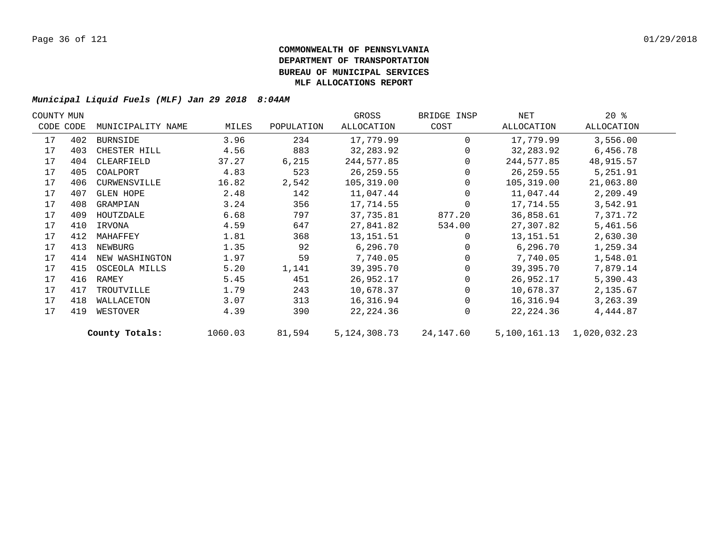| COUNTY MUN |           |                   |         |            | GROSS        | BRIDGE INSP | NET          | $20*$        |  |
|------------|-----------|-------------------|---------|------------|--------------|-------------|--------------|--------------|--|
|            | CODE CODE | MUNICIPALITY NAME | MILES   | POPULATION | ALLOCATION   | COST        | ALLOCATION   | ALLOCATION   |  |
| 17         | 402       | BURNSIDE          | 3.96    | 234        | 17,779.99    | $\Omega$    | 17,779.99    | 3,556.00     |  |
| 17         | 403       | CHESTER HILL      | 4.56    | 883        | 32, 283.92   | $\Omega$    | 32,283.92    | 6,456.78     |  |
| 17         | 404       | CLEARFIELD        | 37.27   | 6,215      | 244,577.85   | $\Omega$    | 244,577.85   | 48,915.57    |  |
| 17         | 405       | COALPORT          | 4.83    | 523        | 26,259.55    |             | 26,259.55    | 5,251.91     |  |
| 17         | 406       | CURWENSVILLE      | 16.82   | 2,542      | 105,319.00   | $\Omega$    | 105,319.00   | 21,063.80    |  |
| 17         | 407       | <b>GLEN HOPE</b>  | 2.48    | 142        | 11,047.44    | $\Omega$    | 11,047.44    | 2,209.49     |  |
| 17         | 408       | GRAMPIAN          | 3.24    | 356        | 17,714.55    | 0           | 17,714.55    | 3,542.91     |  |
| 17         | 409       | HOUTZDALE         | 6.68    | 797        | 37,735.81    | 877.20      | 36,858.61    | 7,371.72     |  |
| 17         | 410       | IRVONA            | 4.59    | 647        | 27,841.82    | 534.00      | 27,307.82    | 5,461.56     |  |
| 17         | 412       | MAHAFFEY          | 1.81    | 368        | 13, 151.51   | $\Omega$    | 13,151.51    | 2,630.30     |  |
| 17         | 413       | NEWBURG           | 1.35    | 92         | 6, 296.70    |             | 6, 296.70    | 1,259.34     |  |
| 17         | 414       | NEW WASHINGTON    | 1.97    | 59         | 7,740.05     |             | 7,740.05     | 1,548.01     |  |
| 17         | 415       | OSCEOLA MILLS     | 5.20    | 1,141      | 39,395.70    |             | 39,395.70    | 7,879.14     |  |
| 17         | 416       | RAMEY             | 5.45    | 451        | 26,952.17    |             | 26,952.17    | 5,390.43     |  |
| 17         | 417       | TROUTVILLE        | 1.79    | 243        | 10,678.37    |             | 10,678.37    | 2,135.67     |  |
| 17         | 418       | WALLACETON        | 3.07    | 313        | 16,316.94    | $\Omega$    | 16,316.94    | 3,263.39     |  |
| 17         | 419       | WESTOVER          | 4.39    | 390        | 22, 224.36   | $\Omega$    | 22, 224.36   | 4,444.87     |  |
|            |           | County Totals:    | 1060.03 | 81,594     | 5,124,308.73 | 24,147.60   | 5,100,161.13 | 1,020,032.23 |  |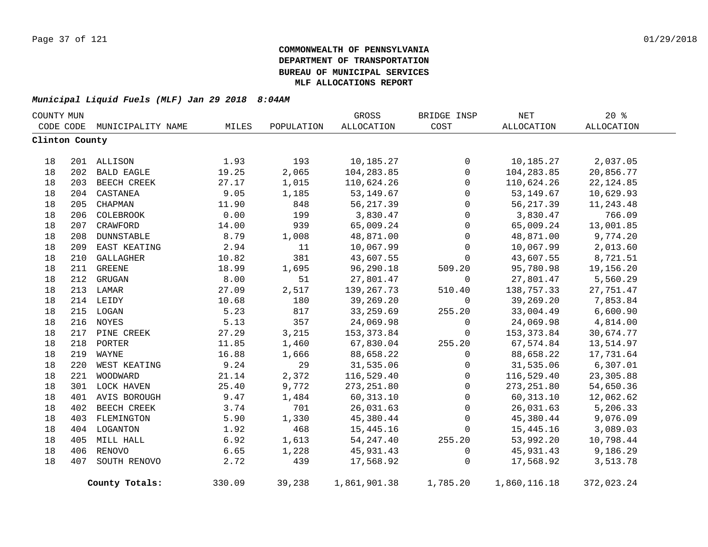| COUNTY MUN     |     |                   |        |            | GROSS        | BRIDGE INSP | $\operatorname{NET}$ | 20%        |
|----------------|-----|-------------------|--------|------------|--------------|-------------|----------------------|------------|
| CODE CODE      |     | MUNICIPALITY NAME | MILES  | POPULATION | ALLOCATION   | COST        | <b>ALLOCATION</b>    | ALLOCATION |
| Clinton County |     |                   |        |            |              |             |                      |            |
| 18             |     | 201 ALLISON       | 1.93   | 193        | 10,185.27    | 0           | 10,185.27            | 2,037.05   |
| 18             | 202 | <b>BALD EAGLE</b> | 19.25  | 2,065      | 104,283.85   | $\mathbf 0$ | 104,283.85           | 20,856.77  |
| 18             |     | 203 BEECH CREEK   | 27.17  | 1,015      | 110,624.26   | $\mathbf 0$ | 110,624.26           | 22, 124.85 |
| 18             | 204 | CASTANEA          | 9.05   | 1,185      | 53, 149.67   | $\mathbf 0$ | 53, 149.67           | 10,629.93  |
| 18             | 205 | CHAPMAN           | 11.90  | 848        | 56, 217.39   | 0           | 56, 217.39           | 11,243.48  |
| 18             |     | 206 COLEBROOK     | 0.00   | 199        | 3,830.47     | 0           | 3,830.47             | 766.09     |
| 18             |     | 207 CRAWFORD      | 14.00  | 939        | 65,009.24    | 0           | 65,009.24            | 13,001.85  |
| 18             |     | 208 DUNNSTABLE    | 8.79   | 1,008      | 48,871.00    | 0           | 48,871.00            | 9,774.20   |
| 18             |     | 209 EAST KEATING  | 2.94   | 11         | 10,067.99    | 0           | 10,067.99            | 2,013.60   |
| 18             |     | 210 GALLAGHER     | 10.82  | 381        | 43,607.55    | $\mathbf 0$ | 43,607.55            | 8,721.51   |
| 18             |     | 211 GREENE        | 18.99  | 1,695      | 96,290.18    | 509.20      | 95,780.98            | 19,156.20  |
| 18             |     | 212 GRUGAN        | 8.00   | 51         | 27,801.47    | $\mathbf 0$ | 27,801.47            | 5,560.29   |
| 18             |     | 213 LAMAR         | 27.09  | 2,517      | 139,267.73   | 510.40      | 138,757.33           | 27,751.47  |
| 18             |     | 214 LEIDY         | 10.68  | 180        | 39,269.20    | $\mathbf 0$ | 39,269.20            | 7,853.84   |
| 18             |     | 215 LOGAN         | 5.23   | 817        | 33,259.69    | 255.20      | 33,004.49            | 6,600.90   |
| 18             |     | 216 NOYES         | 5.13   | 357        | 24,069.98    | 0           | 24,069.98            | 4,814.00   |
| 18             |     | 217 PINE CREEK    | 27.29  | 3,215      | 153,373.84   | 0           | 153,373.84           | 30,674.77  |
| 18             | 218 | PORTER            | 11.85  | 1,460      | 67,830.04    | 255.20      | 67,574.84            | 13,514.97  |
| 18             | 219 | WAYNE             | 16.88  | 1,666      | 88,658.22    | 0           | 88,658.22            | 17,731.64  |
| 18             | 220 | WEST KEATING      | 9.24   | 29         | 31,535.06    | $\mathbf 0$ | 31,535.06            | 6,307.01   |
| 18             | 221 | WOODWARD          | 21.14  | 2,372      | 116,529.40   | 0           | 116,529.40           | 23,305.88  |
| 18             |     | 301 LOCK HAVEN    | 25.40  | 9,772      | 273, 251.80  | 0           | 273, 251.80          | 54,650.36  |
| 18             |     | 401 AVIS BOROUGH  | 9.47   | 1,484      | 60, 313.10   | 0           | 60, 313.10           | 12,062.62  |
| 18             |     | 402 BEECH CREEK   | 3.74   | 701        | 26,031.63    | 0           | 26,031.63            | 5,206.33   |
| 18             |     | 403 FLEMINGTON    | 5.90   | 1,330      | 45,380.44    | 0           | 45,380.44            | 9,076.09   |
| 18             |     | 404 LOGANTON      | 1.92   | 468        | 15,445.16    | 0           | 15,445.16            | 3,089.03   |
| 18             |     | 405 MILL HALL     | 6.92   | 1,613      | 54, 247.40   | 255.20      | 53,992.20            | 10,798.44  |
| 18             |     | 406 RENOVO        | 6.65   | 1,228      | 45,931.43    | 0           | 45,931.43            | 9,186.29   |
| 18             | 407 | SOUTH RENOVO      | 2.72   | 439        | 17,568.92    | 0           | 17,568.92            | 3,513.78   |
|                |     | County Totals:    | 330.09 | 39,238     | 1,861,901.38 | 1,785.20    | 1,860,116.18         | 372,023.24 |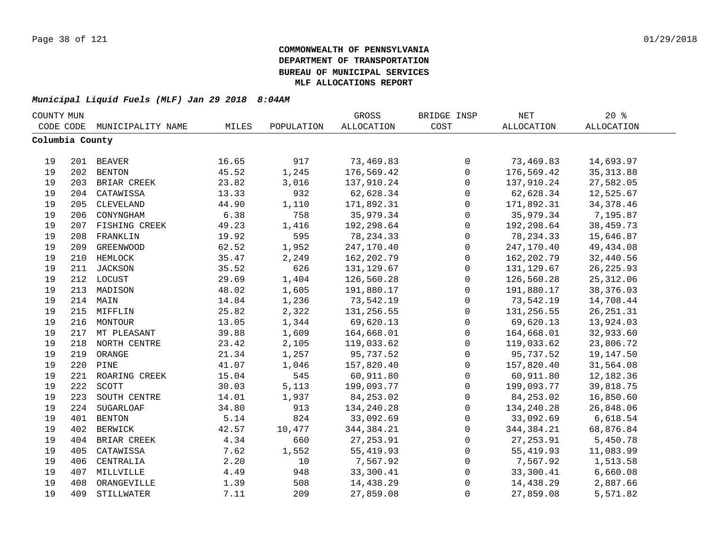| COUNTY MUN      |     |                   |       |            | GROSS             | BRIDGE INSP         | <b>NET</b> | $20*$             |  |
|-----------------|-----|-------------------|-------|------------|-------------------|---------------------|------------|-------------------|--|
| CODE CODE       |     | MUNICIPALITY NAME | MILES | POPULATION | <b>ALLOCATION</b> | COST                | ALLOCATION | <b>ALLOCATION</b> |  |
| Columbia County |     |                   |       |            |                   |                     |            |                   |  |
|                 |     |                   |       |            |                   |                     |            |                   |  |
| 19              |     | 201 BEAVER        | 16.65 | 917        | 73,469.83         | 0                   | 73,469.83  | 14,693.97         |  |
| 19              | 202 | <b>BENTON</b>     | 45.52 | 1,245      | 176,569.42        | $\mathsf{O}\xspace$ | 176,569.42 | 35, 313.88        |  |
| 19              |     | 203 BRIAR CREEK   | 23.82 | 3,016      | 137,910.24        | $\mathsf{O}\xspace$ | 137,910.24 | 27,582.05         |  |
| 19              | 204 | CATAWISSA         | 13.33 | 932        | 62,628.34         | 0                   | 62,628.34  | 12,525.67         |  |
| 19              | 205 | CLEVELAND         | 44.90 | 1,110      | 171,892.31        | $\mathsf{O}$        | 171,892.31 | 34, 378.46        |  |
| 19              | 206 | CONYNGHAM         | 6.38  | 758        | 35,979.34         | $\mathbf 0$         | 35,979.34  | 7,195.87          |  |
| 19              | 207 | FISHING CREEK     | 49.23 | 1,416      | 192,298.64        | $\mathbf 0$         | 192,298.64 | 38,459.73         |  |
| 19              | 208 | FRANKLIN          | 19.92 | 595        | 78, 234.33        | $\mathbf 0$         | 78, 234.33 | 15,646.87         |  |
| 19              | 209 | <b>GREENWOOD</b>  | 62.52 | 1,952      | 247,170.40        | $\mathsf{O}$        | 247,170.40 | 49,434.08         |  |
| 19              | 210 | HEMLOCK           | 35.47 | 2,249      | 162,202.79        | $\mathsf{O}$        | 162,202.79 | 32,440.56         |  |
| 19              | 211 | JACKSON           | 35.52 | 626        | 131, 129.67       | $\mathsf{O}$        | 131,129.67 | 26, 225.93        |  |
| 19              |     | 212 LOCUST        | 29.69 | 1,404      | 126,560.28        | $\mathbf 0$         | 126,560.28 | 25, 312.06        |  |
| 19              | 213 | MADISON           | 48.02 | 1,605      | 191,880.17        | $\mathsf 0$         | 191,880.17 | 38, 376.03        |  |
| 19              |     | 214 MAIN          | 14.84 | 1,236      | 73,542.19         | $\mathbf 0$         | 73,542.19  | 14,708.44         |  |
| 19              |     | 215 MIFFLIN       | 25.82 | 2,322      | 131,256.55        | $\mathbf 0$         | 131,256.55 | 26, 251.31        |  |
| 19              |     | 216 MONTOUR       | 13.05 | 1,344      | 69,620.13         | 0                   | 69,620.13  | 13,924.03         |  |
| 19              |     | 217 MT PLEASANT   | 39.88 | 1,609      | 164,668.01        | $\mathsf{O}\xspace$ | 164,668.01 | 32,933.60         |  |
| 19              |     | 218 NORTH CENTRE  | 23.42 | 2,105      | 119,033.62        | $\mathsf{O}\xspace$ | 119,033.62 | 23,806.72         |  |
| 19              | 219 | ORANGE            | 21.34 | 1,257      | 95,737.52         | $\mathsf{O}$        | 95,737.52  | 19,147.50         |  |
| 19              | 220 | PINE              | 41.07 | 1,046      | 157,820.40        | $\mathsf{O}$        | 157,820.40 | 31,564.08         |  |
| 19              | 221 | ROARING CREEK     | 15.04 | 545        | 60,911.80         | $\mathbf 0$         | 60,911.80  | 12,182.36         |  |
| 19              | 222 | SCOTT             | 30.03 | 5,113      | 199,093.77        | $\mathbf 0$         | 199,093.77 | 39,818.75         |  |
| 19              | 223 | SOUTH CENTRE      | 14.01 | 1,937      | 84, 253.02        | $\mathbf 0$         | 84, 253.02 | 16,850.60         |  |
| 19              | 224 | <b>SUGARLOAF</b>  | 34.80 | 913        | 134,240.28        | $\mathsf{O}$        | 134,240.28 | 26,848.06         |  |
| 19              | 401 | <b>BENTON</b>     | 5.14  | 824        | 33,092.69         | $\mathbf 0$         | 33,092.69  | 6,618.54          |  |
| 19              | 402 | <b>BERWICK</b>    | 42.57 | 10,477     | 344, 384. 21      | $\mathsf{O}$        | 344,384.21 | 68,876.84         |  |
| 19              | 404 | BRIAR CREEK       | 4.34  | 660        | 27, 253.91        | 0                   | 27, 253.91 | 5,450.78          |  |
| 19              | 405 | CATAWISSA         | 7.62  | 1,552      | 55, 419.93        | 0                   | 55,419.93  | 11,083.99         |  |
| 19              | 406 | CENTRALIA         | 2.20  | 10         | 7,567.92          | 0                   | 7,567.92   | 1,513.58          |  |
| 19              | 407 | MILLVILLE         | 4.49  | 948        | 33,300.41         | 0                   | 33,300.41  | 6,660.08          |  |
| 19              | 408 | ORANGEVILLE       | 1.39  | 508        | 14,438.29         | 0                   | 14,438.29  | 2,887.66          |  |
| 19              | 409 | STILLWATER        | 7.11  | 209        | 27,859.08         | $\mathbf 0$         | 27,859.08  | 5,571.82          |  |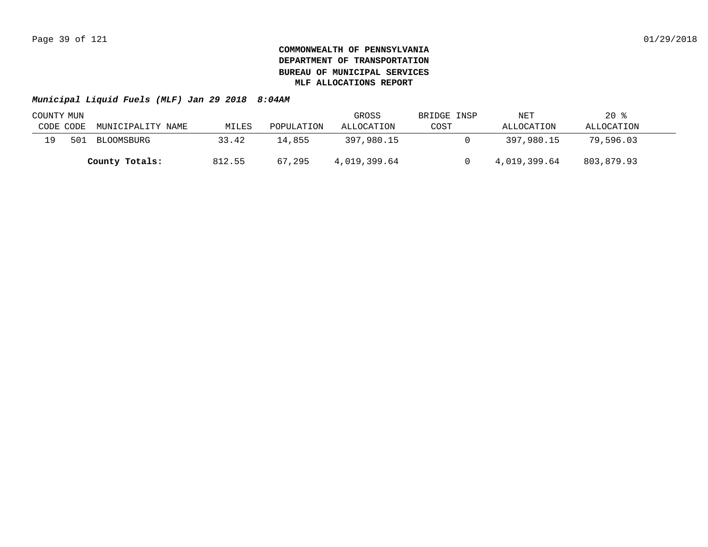| COUNTY MUN |     |                   |        |            | GROSS        | BRIDGE INSP | NET          | $20*$      |  |
|------------|-----|-------------------|--------|------------|--------------|-------------|--------------|------------|--|
| CODE CODE  |     | MUNICIPALITY NAME | MILES  | POPULATION | ALLOCATION   | COST        | ALLOCATION   | ALLOCATION |  |
| 19.        | 501 | BLOOMSBURG        | 33.42  | 14,855     | 397,980.15   |             | 397,980.15   | 79,596.03  |  |
|            |     | County Totals:    | 812.55 | 67,295     | 4,019,399.64 |             | 4,019,399.64 | 803,879.93 |  |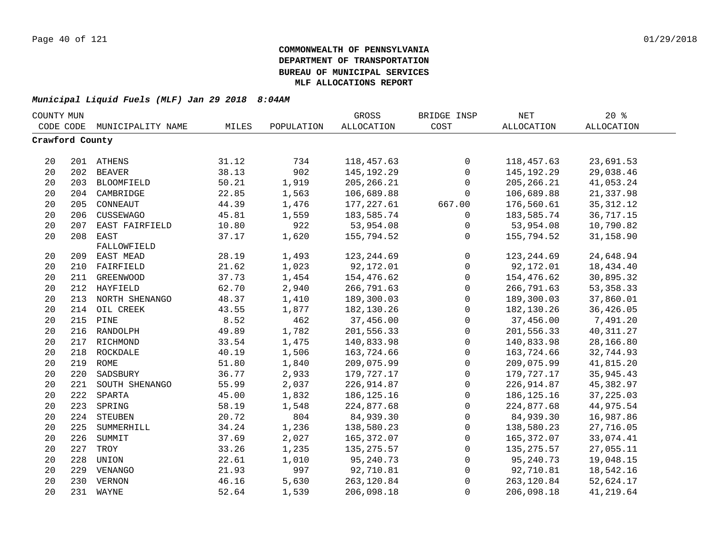| COUNTY MUN |                 |                    |       |            | GROSS             | BRIDGE INSP  | NET               | $20*$             |  |
|------------|-----------------|--------------------|-------|------------|-------------------|--------------|-------------------|-------------------|--|
|            | CODE CODE       | MUNICIPALITY NAME  | MILES | POPULATION | <b>ALLOCATION</b> | COST         | <b>ALLOCATION</b> | <b>ALLOCATION</b> |  |
|            | Crawford County |                    |       |            |                   |              |                   |                   |  |
|            |                 |                    |       |            |                   |              |                   |                   |  |
| 20         |                 | 201 ATHENS         | 31.12 | 734        | 118,457.63        | 0            | 118,457.63        | 23,691.53         |  |
| 20         | 202             | <b>BEAVER</b>      | 38.13 | 902        | 145, 192. 29      | $\mathsf{O}$ | 145, 192. 29      | 29,038.46         |  |
| 20         | 203             | BLOOMFIELD         | 50.21 | 1,919      | 205, 266.21       | 0            | 205, 266.21       | 41,053.24         |  |
| 20         | 204             | CAMBRIDGE          | 22.85 | 1,563      | 106,689.88        | 0            | 106,689.88        | 21,337.98         |  |
| 20         | 205             | CONNEAUT           | 44.39 | 1,476      | 177, 227.61       | 667.00       | 176,560.61        | 35, 312.12        |  |
| 20         | 206             | CUSSEWAGO          | 45.81 | 1,559      | 183,585.74        | $\mathbf 0$  | 183,585.74        | 36,717.15         |  |
| 20         | 207             | EAST FAIRFIELD     | 10.80 | 922        | 53,954.08         | $\mathbf 0$  | 53,954.08         | 10,790.82         |  |
| 20         | 208             | EAST               | 37.17 | 1,620      | 155,794.52        | $\Omega$     | 155,794.52        | 31,158.90         |  |
|            |                 | FALLOWFIELD        |       |            |                   |              |                   |                   |  |
| 20         |                 | 209 EAST MEAD      | 28.19 | 1,493      | 123, 244.69       | 0            | 123, 244.69       | 24,648.94         |  |
| 20         | 210             | FAIRFIELD          | 21.62 | 1,023      | 92,172.01         | $\mathbf 0$  | 92,172.01         | 18,434.40         |  |
| 20         | 211             | <b>GREENWOOD</b>   | 37.73 | 1,454      | 154,476.62        | $\mathsf{O}$ | 154,476.62        | 30,895.32         |  |
| 20         |                 | 212 HAYFIELD       | 62.70 | 2,940      | 266,791.63        | $\mathbf 0$  | 266,791.63        | 53, 358. 33       |  |
| 20         | 213             | NORTH SHENANGO     | 48.37 | 1,410      | 189,300.03        | $\mathbf 0$  | 189,300.03        | 37,860.01         |  |
| 20         | 214             | OIL CREEK          | 43.55 | 1,877      | 182,130.26        | $\mathbf 0$  | 182,130.26        | 36,426.05         |  |
| 20         | 215             | PINE               | 8.52  | 462        | 37,456.00         | 0            | 37,456.00         | 7,491.20          |  |
| 20         | 216             | RANDOLPH           | 49.89 | 1,782      | 201,556.33        | $\mathsf 0$  | 201,556.33        | 40, 311.27        |  |
| 20         |                 | 217 RICHMOND       | 33.54 | 1,475      | 140,833.98        | $\mathbf 0$  | 140,833.98        | 28,166.80         |  |
| 20         |                 | 218 ROCKDALE       | 40.19 | 1,506      | 163,724.66        | $\mathsf 0$  | 163,724.66        | 32,744.93         |  |
| 20         |                 | 219 ROME           | 51.80 | 1,840      | 209,075.99        | 0            | 209,075.99        | 41,815.20         |  |
| 20         | 220             | SADSBURY           | 36.77 | 2,933      | 179,727.17        | 0            | 179,727.17        | 35,945.43         |  |
| 20         |                 | 221 SOUTH SHENANGO | 55.99 | 2,037      | 226,914.87        | $\mathsf 0$  | 226, 914.87       | 45,382.97         |  |
| 20         | 222             | SPARTA             | 45.00 | 1,832      | 186, 125. 16      | 0            | 186, 125. 16      | 37, 225.03        |  |
| 20         | 223             | SPRING             | 58.19 | 1,548      | 224,877.68        | $\mathbf 0$  | 224,877.68        | 44,975.54         |  |
| 20         | 224             | STEUBEN            | 20.72 | 804        | 84,939.30         | $\mathbf 0$  | 84,939.30         | 16,987.86         |  |
| 20         | 225             | SUMMERHILL         | 34.24 | 1,236      | 138,580.23        | $\mathbf 0$  | 138,580.23        | 27,716.05         |  |
| 20         | 226             | SUMMIT             | 37.69 | 2,027      | 165,372.07        | $\mathbf 0$  | 165,372.07        | 33,074.41         |  |
| 20         | 227             | TROY               | 33.26 | 1,235      | 135, 275.57       | 0            | 135,275.57        | 27,055.11         |  |
| 20         | 228             | UNION              | 22.61 | 1,010      | 95, 240. 73       | $\mathbf 0$  | 95,240.73         | 19,048.15         |  |
| 20         | 229             | VENANGO            | 21.93 | 997        | 92,710.81         | 0            | 92,710.81         | 18,542.16         |  |
| 20         |                 | 230 VERNON         | 46.16 | 5,630      | 263,120.84        | $\mathbf 0$  | 263,120.84        | 52,624.17         |  |
| 20         |                 | 231 WAYNE          | 52.64 | 1,539      | 206,098.18        | $\mathbf 0$  | 206,098.18        | 41,219.64         |  |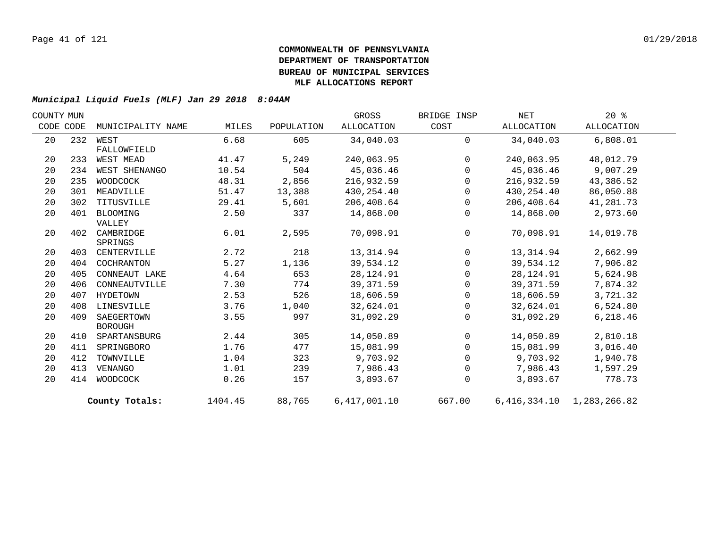| COUNTY MUN |     |                   |         |            | GROSS        | BRIDGE INSP  | NET        | $20*$                         |  |
|------------|-----|-------------------|---------|------------|--------------|--------------|------------|-------------------------------|--|
| CODE CODE  |     | MUNICIPALITY NAME | MILES   | POPULATION | ALLOCATION   | COST         | ALLOCATION | ALLOCATION                    |  |
| 20         | 232 | WEST              | 6.68    | 605        | 34,040.03    | $\Omega$     | 34,040.03  | 6,808.01                      |  |
|            |     | FALLOWFIELD       |         |            |              |              |            |                               |  |
| 20         | 233 | WEST MEAD         | 41.47   | 5,249      | 240,063.95   | $\Omega$     | 240,063.95 | 48,012.79                     |  |
| 20         | 234 | WEST SHENANGO     | 10.54   | 504        | 45,036.46    | $\mathbf{0}$ | 45,036.46  | 9,007.29                      |  |
| 20         | 235 | WOODCOCK          | 48.31   | 2,856      | 216,932.59   | $\Omega$     | 216,932.59 | 43,386.52                     |  |
| 20         | 301 | MEADVILLE         | 51.47   | 13,388     | 430,254.40   | $\Omega$     | 430,254.40 | 86,050.88                     |  |
| 20         | 302 | TITUSVILLE        | 29.41   | 5,601      | 206,408.64   | $\mathbf 0$  | 206,408.64 | 41,281.73                     |  |
| 20         | 401 | BLOOMING          | 2.50    | 337        | 14,868.00    | 0            | 14,868.00  | 2,973.60                      |  |
|            |     | VALLEY            |         |            |              |              |            |                               |  |
| 20         | 402 | CAMBRIDGE         | 6.01    | 2,595      | 70,098.91    | $\mathbf 0$  | 70,098.91  | 14,019.78                     |  |
|            |     | SPRINGS           |         |            |              |              |            |                               |  |
| 20         | 403 | CENTERVILLE       | 2.72    | 218        | 13, 314.94   | $\mathbf 0$  | 13,314.94  | 2,662.99                      |  |
| 20         | 404 | COCHRANTON        | 5.27    | 1,136      | 39,534.12    | $\Omega$     | 39,534.12  | 7,906.82                      |  |
| 20         | 405 | CONNEAUT LAKE     | 4.64    | 653        | 28, 124.91   | $\Omega$     | 28,124.91  | 5,624.98                      |  |
| 20         | 406 | CONNEAUTVILLE     | 7.30    | 774        | 39, 371.59   | $\mathbf 0$  | 39, 371.59 | 7,874.32                      |  |
| 20         | 407 | HYDETOWN          | 2.53    | 526        | 18,606.59    | $\Omega$     | 18,606.59  | 3,721.32                      |  |
| 20         | 408 | LINESVILLE        | 3.76    | 1,040      | 32,624.01    | $\Omega$     | 32,624.01  | 6,524.80                      |  |
| 20         | 409 | SAEGERTOWN        | 3.55    | 997        | 31,092.29    | $\mathbf 0$  | 31,092.29  | 6,218.46                      |  |
|            |     | <b>BOROUGH</b>    |         |            |              |              |            |                               |  |
| 20         | 410 | SPARTANSBURG      | 2.44    | 305        | 14,050.89    | $\mathbf 0$  | 14,050.89  | 2,810.18                      |  |
| 20         | 411 | SPRINGBORO        | 1.76    | 477        | 15,081.99    | $\Omega$     | 15,081.99  | 3,016.40                      |  |
| 20         | 412 | TOWNVILLE         | 1.04    | 323        | 9,703.92     | $\Omega$     | 9,703.92   | 1,940.78                      |  |
| 20         | 413 | VENANGO           | 1.01    | 239        | 7,986.43     | $\mathbf 0$  | 7,986.43   | 1,597.29                      |  |
| 20         | 414 | WOODCOCK          | 0.26    | 157        | 3,893.67     | 0            | 3,893.67   | 778.73                        |  |
|            |     | County Totals:    | 1404.45 | 88,765     | 6,417,001.10 | 667.00       |            | 6, 416, 334.10 1, 283, 266.82 |  |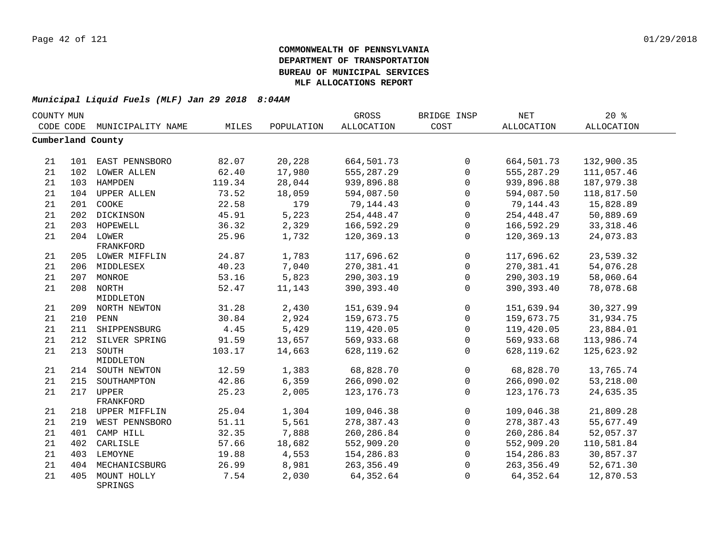| COUNTY MUN |     |                        |        |            | GROSS             | BRIDGE INSP  | NET          | 20%               |  |
|------------|-----|------------------------|--------|------------|-------------------|--------------|--------------|-------------------|--|
| CODE CODE  |     | MUNICIPALITY NAME      | MILES  | POPULATION | <b>ALLOCATION</b> | COST         | ALLOCATION   | <b>ALLOCATION</b> |  |
|            |     | Cumberland County      |        |            |                   |              |              |                   |  |
| 21         |     | 101 EAST PENNSBORO     | 82.07  | 20,228     | 664,501.73        | $\mathbf 0$  | 664,501.73   | 132,900.35        |  |
| 21         |     | 102 LOWER ALLEN        | 62.40  | 17,980     | 555,287.29        | $\Omega$     | 555,287.29   | 111,057.46        |  |
| 21         |     | 103 HAMPDEN            | 119.34 | 28,044     | 939,896.88        | $\Omega$     | 939,896.88   | 187,979.38        |  |
| 21         |     | 104 UPPER ALLEN        | 73.52  | 18,059     | 594,087.50        | $\Omega$     | 594,087.50   | 118,817.50        |  |
| 21         | 201 | COOKE                  | 22.58  | 179        | 79,144.43         | $\Omega$     | 79, 144. 43  | 15,828.89         |  |
| 21         |     | 202 DICKINSON          | 45.91  | 5,223      | 254, 448. 47      | $\Omega$     | 254,448.47   | 50,889.69         |  |
| 21         |     | 203 HOPEWELL           | 36.32  | 2,329      | 166,592.29        | $\mathbf 0$  | 166,592.29   | 33, 318.46        |  |
| 21         |     | 204 LOWER              | 25.96  | 1,732      | 120,369.13        | $\mathbf{0}$ | 120,369.13   | 24,073.83         |  |
|            |     | FRANKFORD              |        |            |                   |              |              |                   |  |
| 21         |     | 205 LOWER MIFFLIN      | 24.87  | 1,783      | 117,696.62        | $\mathbf 0$  | 117,696.62   | 23,539.32         |  |
| 21         |     | 206 MIDDLESEX          | 40.23  | 7,040      | 270,381.41        | $\mathbf 0$  | 270,381.41   | 54,076.28         |  |
| 21         |     | 207 MONROE             | 53.16  | 5,823      | 290,303.19        | $\mathbf 0$  | 290,303.19   | 58,060.64         |  |
| 21         |     | 208 NORTH              | 52.47  | 11,143     | 390,393.40        | $\mathbf{0}$ | 390,393.40   | 78,078.68         |  |
|            |     | MIDDLETON              |        |            |                   |              |              |                   |  |
| 21         |     | 209 NORTH NEWTON       | 31.28  | 2,430      | 151,639.94        | $\mathbf 0$  | 151,639.94   | 30, 327.99        |  |
| 21         |     | 210 PENN               | 30.84  | 2,924      | 159,673.75        | $\Omega$     | 159,673.75   | 31,934.75         |  |
| 21         |     | 211 SHIPPENSBURG       | 4.45   | 5,429      | 119,420.05        | $\Omega$     | 119,420.05   | 23,884.01         |  |
| 21         |     | 212 SILVER SPRING      | 91.59  | 13,657     | 569,933.68        | $\Omega$     | 569,933.68   | 113,986.74        |  |
| 21         |     | 213 SOUTH              | 103.17 | 14,663     | 628,119.62        | $\mathbf{0}$ | 628,119.62   | 125,623.92        |  |
|            |     | MIDDLETON              |        |            |                   |              |              |                   |  |
| 21         |     | 214 SOUTH NEWTON       | 12.59  | 1,383      | 68,828.70         | $\mathbf 0$  | 68,828.70    | 13,765.74         |  |
| 21         | 215 | SOUTHAMPTON            | 42.86  | 6,359      | 266,090.02        | 0            | 266,090.02   | 53,218.00         |  |
| 21         | 217 | UPPER                  | 25.23  | 2,005      | 123, 176. 73      | $\mathbf 0$  | 123, 176. 73 | 24,635.35         |  |
|            |     | FRANKFORD              |        |            |                   |              |              |                   |  |
| 21         |     | 218 UPPER MIFFLIN      | 25.04  | 1,304      | 109,046.38        | $\mathbf{0}$ | 109,046.38   | 21,809.28         |  |
| 21         |     | 219 WEST PENNSBORO     | 51.11  | 5,561      | 278,387.43        | $\mathbf{0}$ | 278,387.43   | 55,677.49         |  |
| 21         | 401 | CAMP HILL              | 32.35  | 7,888      | 260, 286.84       | $\mathbf 0$  | 260,286.84   | 52,057.37         |  |
| 21         | 402 | CARLISLE               | 57.66  | 18,682     | 552,909.20        | $\mathbf 0$  | 552,909.20   | 110,581.84        |  |
| 21         |     | 403 LEMOYNE            | 19.88  | 4,553      | 154,286.83        | $\mathbf 0$  | 154,286.83   | 30,857.37         |  |
| 21         |     | 404 MECHANICSBURG      | 26.99  | 8,981      | 263, 356.49       | $\mathbf{0}$ | 263, 356.49  | 52,671.30         |  |
| 21         | 405 | MOUNT HOLLY<br>SPRINGS | 7.54   | 2,030      | 64, 352.64        | $\Omega$     | 64, 352.64   | 12,870.53         |  |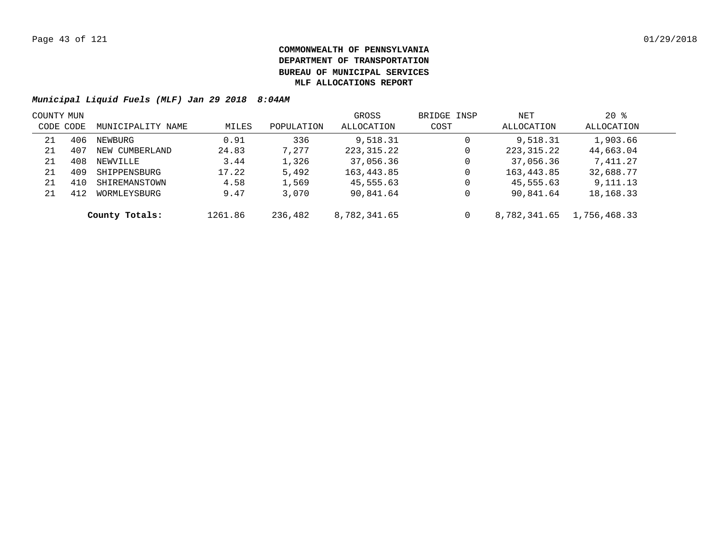| COUNTY MUN |     |                   |         |            | GROSS        | BRIDGE INSP  | NET          | $20*$        |  |
|------------|-----|-------------------|---------|------------|--------------|--------------|--------------|--------------|--|
| CODE CODE  |     | MUNICIPALITY NAME | MILES   | POPULATION | ALLOCATION   | COST         | ALLOCATION   | ALLOCATION   |  |
| 21         | 406 | NEWBURG           | 0.91    | 336        | 9,518.31     | 0            | 9,518.31     | 1,903.66     |  |
| 21         | 407 | NEW CUMBERLAND    | 24.83   | 7,277      | 223, 315. 22 | 0            | 223, 315.22  | 44,663.04    |  |
| 21         | 408 | NEWVILLE          | 3.44    | 1,326      | 37,056.36    | 0            | 37,056.36    | 7,411.27     |  |
| 21         | 409 | SHIPPENSBURG      | 17.22   | 5,492      | 163,443.85   | $\mathbf{0}$ | 163,443.85   | 32,688.77    |  |
| 21         | 410 | SHIREMANSTOWN     | 4.58    | 1,569      | 45,555.63    | 0            | 45,555.63    | 9,111.13     |  |
| 21         | 412 | WORMLEYSBURG      | 9.47    | 3,070      | 90,841.64    | 0            | 90,841.64    | 18,168.33    |  |
|            |     | County Totals:    | 1261.86 | 236,482    | 8,782,341.65 | 0            | 8,782,341.65 | 1,756,468.33 |  |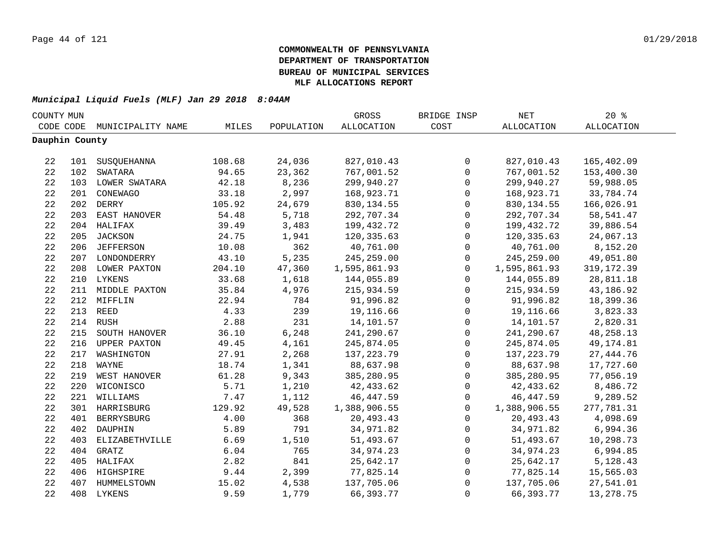| COUNTY MUN     |     |                   |        |            | GROSS             | BRIDGE INSP  | NET          | 20%               |  |
|----------------|-----|-------------------|--------|------------|-------------------|--------------|--------------|-------------------|--|
| CODE CODE      |     | MUNICIPALITY NAME | MILES  | POPULATION | <b>ALLOCATION</b> | COST         | ALLOCATION   | <b>ALLOCATION</b> |  |
| Dauphin County |     |                   |        |            |                   |              |              |                   |  |
|                |     |                   |        |            |                   |              |              |                   |  |
| 22             |     | 101 SUSQUEHANNA   | 108.68 | 24,036     | 827,010.43        | 0            | 827,010.43   | 165,402.09        |  |
| 22             |     | 102 SWATARA       | 94.65  | 23,362     | 767,001.52        | $\mathsf{O}$ | 767,001.52   | 153,400.30        |  |
| 22             |     | 103 LOWER SWATARA | 42.18  | 8,236      | 299,940.27        | $\mathsf 0$  | 299,940.27   | 59,988.05         |  |
| $2\sqrt{2}$    |     | 201 CONEWAGO      | 33.18  | 2,997      | 168,923.71        | $\mathsf 0$  | 168,923.71   | 33,784.74         |  |
| 22             |     | 202 DERRY         | 105.92 | 24,679     | 830,134.55        | 0            | 830, 134.55  | 166,026.91        |  |
| 22             | 203 | EAST HANOVER      | 54.48  | 5,718      | 292,707.34        | $\mathbf 0$  | 292,707.34   | 58, 541.47        |  |
| 22             |     | 204 HALIFAX       | 39.49  | 3,483      | 199,432.72        | $\mathbf 0$  | 199,432.72   | 39,886.54         |  |
| 22             | 205 | <b>JACKSON</b>    | 24.75  | 1,941      | 120,335.63        | $\mathbf 0$  | 120,335.63   | 24,067.13         |  |
| 22             | 206 | <b>JEFFERSON</b>  | 10.08  | 362        | 40,761.00         | $\mathbf 0$  | 40,761.00    | 8,152.20          |  |
| 22             |     | 207 LONDONDERRY   | 43.10  | 5,235      | 245,259.00        | 0            | 245,259.00   | 49,051.80         |  |
| 22             |     | 208 LOWER PAXTON  | 204.10 | 47,360     | 1,595,861.93      | 0            | 1,595,861.93 | 319, 172.39       |  |
| 22             |     | 210 LYKENS        | 33.68  | 1,618      | 144,055.89        | $\mathbf 0$  | 144,055.89   | 28,811.18         |  |
| 22             |     | 211 MIDDLE PAXTON | 35.84  | 4,976      | 215,934.59        | $\mathsf{O}$ | 215,934.59   | 43,186.92         |  |
| 22             |     | 212 MIFFLIN       | 22.94  | 784        | 91,996.82         | $\mathsf 0$  | 91,996.82    | 18,399.36         |  |
| 22             |     | 213 REED          | 4.33   | 239        | 19,116.66         | $\mathsf 0$  | 19,116.66    | 3,823.33          |  |
| 22             |     | 214 RUSH          | 2.88   | 231        | 14,101.57         | $\mathsf{O}$ | 14,101.57    | 2,820.31          |  |
| 22             |     | 215 SOUTH HANOVER | 36.10  | 6,248      | 241,290.67        | $\mathsf{O}$ | 241,290.67   | 48, 258. 13       |  |
| 22             |     | 216 UPPER PAXTON  | 49.45  | 4,161      | 245,874.05        | $\mathsf{O}$ | 245,874.05   | 49, 174.81        |  |
| 22             |     | 217 WASHINGTON    | 27.91  | 2,268      | 137, 223. 79      | 0            | 137, 223.79  | 27, 444.76        |  |
| 22             |     | 218 WAYNE         | 18.74  | 1,341      | 88,637.98         | 0            | 88,637.98    | 17,727.60         |  |
| 22             |     | 219 WEST HANOVER  | 61.28  | 9,343      | 385,280.95        | $\mathsf{O}$ | 385,280.95   | 77,056.19         |  |
| 22             |     | 220 WICONISCO     | 5.71   | 1,210      | 42,433.62         | $\mathsf{O}$ | 42,433.62    | 8,486.72          |  |
| 22             |     | 221 WILLIAMS      | 7.47   | 1,112      | 46, 447.59        | 0            | 46,447.59    | 9,289.52          |  |
| 22             |     | 301 HARRISBURG    | 129.92 | 49,528     | 1,388,906.55      | $\mathbf 0$  | 1,388,906.55 | 277,781.31        |  |
| 22             | 401 | <b>BERRYSBURG</b> | 4.00   | 368        | 20,493.43         | $\mathbf 0$  | 20,493.43    | 4,098.69          |  |
| 22             | 402 | DAUPHIN           | 5.89   | 791        | 34,971.82         | 0            | 34,971.82    | 6,994.36          |  |
| 22             | 403 | ELIZABETHVILLE    | 6.69   | 1,510      | 51,493.67         | 0            | 51,493.67    | 10,298.73         |  |
| 22             | 404 | GRATZ             | 6.04   | 765        | 34,974.23         | 0            | 34,974.23    | 6,994.85          |  |
| 22             |     | 405 HALIFAX       | 2.82   | 841        | 25,642.17         | 0            | 25,642.17    | 5,128.43          |  |
| 22             |     | 406 HIGHSPIRE     | 9.44   | 2,399      | 77,825.14         | 0            | 77,825.14    | 15,565.03         |  |
| 22             |     | 407 HUMMELSTOWN   | 15.02  | 4,538      | 137,705.06        | $\mathsf 0$  | 137,705.06   | 27,541.01         |  |
| 22             |     | 408 LYKENS        | 9.59   | 1,779      | 66,393.77         | $\mathbf 0$  | 66,393.77    | 13, 278. 75       |  |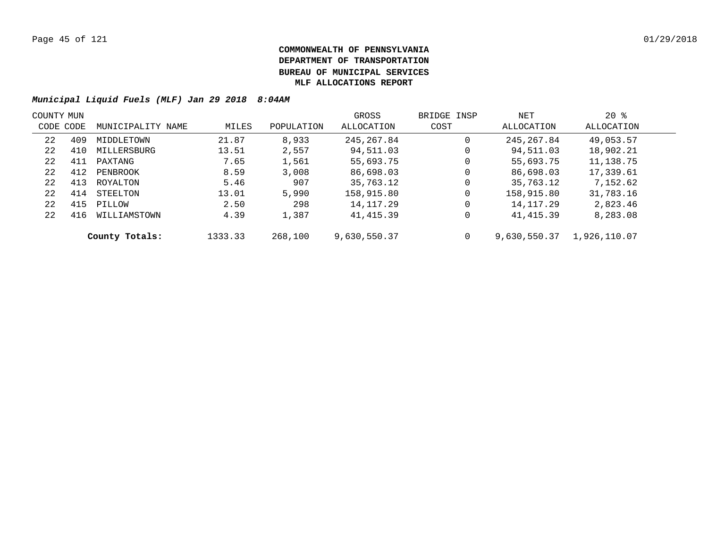| COUNTY MUN |     |                   |         |            | GROSS        | BRIDGE INSP | NET          | $20*$        |  |
|------------|-----|-------------------|---------|------------|--------------|-------------|--------------|--------------|--|
| CODE CODE  |     | MUNICIPALITY NAME | MILES   | POPULATION | ALLOCATION   | COST        | ALLOCATION   | ALLOCATION   |  |
| 22         | 409 | MIDDLETOWN        | 21.87   | 8,933      | 245, 267.84  | 0           | 245, 267.84  | 49,053.57    |  |
| 22         | 410 | MILLERSBURG       | 13.51   | 2,557      | 94,511.03    | 0           | 94,511.03    | 18,902.21    |  |
| 22         | 411 | PAXTANG           | 7.65    | 1,561      | 55,693.75    | 0           | 55,693.75    | 11,138.75    |  |
| 22         | 412 | PENBROOK          | 8.59    | 3,008      | 86,698.03    | 0           | 86,698.03    | 17,339.61    |  |
| 22         | 413 | ROYALTON          | 5.46    | 907        | 35,763.12    | 0           | 35,763.12    | 7,152.62     |  |
| 22         | 414 | STEELTON          | 13.01   | 5,990      | 158,915.80   | 0           | 158,915.80   | 31,783.16    |  |
| 22         | 415 | PILLOW            | 2.50    | 298        | 14, 117. 29  | 0           | 14, 117. 29  | 2,823.46     |  |
| 22         | 416 | WILLIAMSTOWN      | 4.39    | 1,387      | 41,415.39    | 0           | 41,415.39    | 8,283.08     |  |
|            |     | County Totals:    | 1333.33 | 268,100    | 9,630,550.37 | 0           | 9,630,550.37 | 1,926,110.07 |  |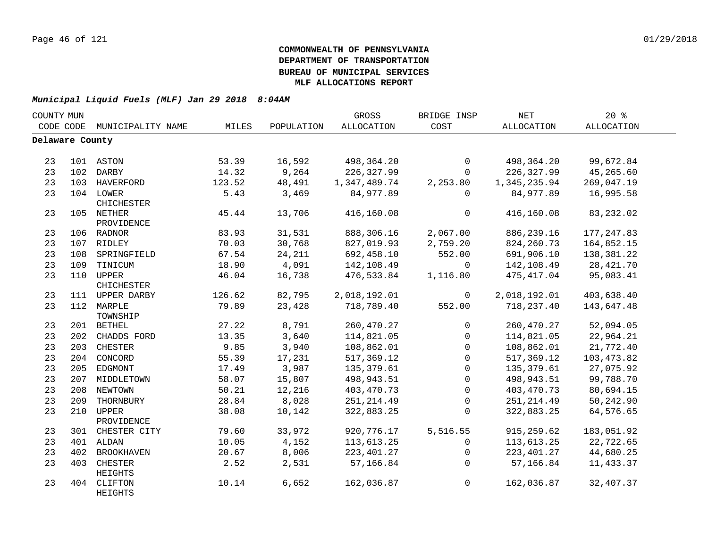| COUNTY MUN      |     |                             |        |            | GROSS        | BRIDGE INSP  | NET               | $20*$       |  |
|-----------------|-----|-----------------------------|--------|------------|--------------|--------------|-------------------|-------------|--|
|                 |     | CODE CODE MUNICIPALITY NAME | MILES  | POPULATION | ALLOCATION   | COST         | <b>ALLOCATION</b> | ALLOCATION  |  |
| Delaware County |     |                             |        |            |              |              |                   |             |  |
|                 |     |                             |        |            |              |              |                   |             |  |
| 23              |     | 101 ASTON                   | 53.39  | 16,592     | 498,364.20   | $\mathbf 0$  | 498,364.20        | 99,672.84   |  |
| 23              |     | 102 DARBY                   | 14.32  | 9,264      | 226,327.99   | $\mathbf 0$  | 226,327.99        | 45,265.60   |  |
| 23              |     | 103 HAVERFORD               | 123.52 | 48,491     | 1,347,489.74 | 2,253.80     | 1,345,235.94      | 269,047.19  |  |
| 23              |     | 104 LOWER                   | 5.43   | 3,469      | 84,977.89    | 0            | 84,977.89         | 16,995.58   |  |
|                 |     | CHICHESTER                  |        |            |              |              |                   |             |  |
| 23              |     | 105 NETHER                  | 45.44  | 13,706     | 416,160.08   | $\mathsf{O}$ | 416,160.08        | 83,232.02   |  |
|                 |     | PROVIDENCE                  |        |            |              |              |                   |             |  |
| 23              |     | 106 RADNOR                  | 83.93  | 31,531     | 888,306.16   | 2,067.00     | 886, 239. 16      | 177, 247.83 |  |
| 23              |     | 107 RIDLEY                  | 70.03  | 30,768     | 827,019.93   | 2,759.20     | 824,260.73        | 164,852.15  |  |
| 23              |     | 108 SPRINGFIELD             | 67.54  | 24,211     | 692,458.10   | 552.00       | 691,906.10        | 138,381.22  |  |
| 23              |     | 109 TINICUM                 | 18.90  | 4,091      | 142,108.49   | 0            | 142,108.49        | 28, 421.70  |  |
| 23              |     | 110 UPPER                   | 46.04  | 16,738     | 476,533.84   | 1,116.80     | 475,417.04        | 95,083.41   |  |
|                 |     | CHICHESTER                  |        |            |              |              |                   |             |  |
| 23              |     | 111 UPPER DARBY             | 126.62 | 82,795     | 2,018,192.01 | $\mathsf{O}$ | 2,018,192.01      | 403,638.40  |  |
| 23              |     | 112 MARPLE<br>TOWNSHIP      | 79.89  | 23,428     | 718,789.40   | 552.00       | 718,237.40        | 143,647.48  |  |
| 23              |     | 201 BETHEL                  | 27.22  | 8,791      | 260, 470. 27 | 0            | 260,470.27        | 52,094.05   |  |
| 23              |     | 202 CHADDS FORD             | 13.35  | 3,640      | 114,821.05   | $\mathbf 0$  | 114,821.05        | 22,964.21   |  |
| 23              |     | 203 CHESTER                 | 9.85   | 3,940      | 108,862.01   | $\mathbf 0$  | 108,862.01        | 21,772.40   |  |
| 23              |     | 204 CONCORD                 | 55.39  | 17,231     | 517,369.12   | $\mathbf 0$  | 517,369.12        | 103, 473.82 |  |
| 23              |     | 205 EDGMONT                 | 17.49  | 3,987      | 135,379.61   | 0            | 135, 379.61       | 27,075.92   |  |
| 23              |     | 207 MIDDLETOWN              | 58.07  | 15,807     | 498,943.51   | $\mathsf{O}$ | 498,943.51        | 99,788.70   |  |
| 23              |     | 208 NEWTOWN                 | 50.21  | 12,216     | 403,470.73   | $\mathbf{0}$ | 403,470.73        | 80,694.15   |  |
| 23              | 209 | THORNBURY                   | 28.84  | 8,028      | 251, 214.49  | 0            | 251, 214.49       | 50,242.90   |  |
| 23              | 210 | UPPER                       | 38.08  | 10,142     | 322,883.25   | $\mathbf 0$  | 322,883.25        | 64,576.65   |  |
|                 |     | PROVIDENCE                  |        |            |              |              |                   |             |  |
| 23              |     | 301 CHESTER CITY            | 79.60  | 33,972     | 920,776.17   | 5,516.55     | 915, 259.62       | 183,051.92  |  |
| 23              |     | 401 ALDAN                   | 10.05  | 4,152      | 113,613.25   | $\mathbf 0$  | 113,613.25        | 22,722.65   |  |
| 23              | 402 | <b>BROOKHAVEN</b>           | 20.67  | 8,006      | 223, 401.27  | $\mathbf 0$  | 223, 401.27       | 44,680.25   |  |
| 23              | 403 | CHESTER                     | 2.52   | 2,531      | 57,166.84    | $\Omega$     | 57,166.84         | 11,433.37   |  |
|                 |     | HEIGHTS                     |        |            |              |              |                   |             |  |
| 23              | 404 | CLIFTON<br>HEIGHTS          | 10.14  | 6,652      | 162,036.87   | 0            | 162,036.87        | 32,407.37   |  |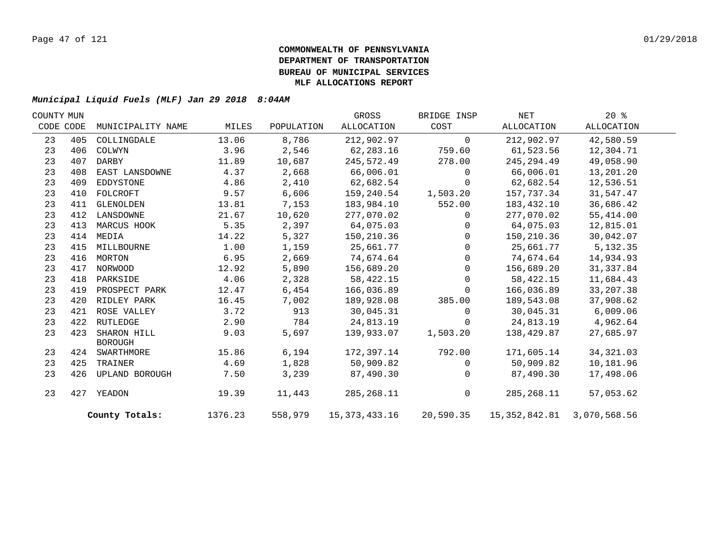| COUNTY MUN |     |                               |         |            | GROSS            | BRIDGE INSP  | NET                            | 20%        |  |
|------------|-----|-------------------------------|---------|------------|------------------|--------------|--------------------------------|------------|--|
| CODE CODE  |     | MUNICIPALITY NAME             | MILES   | POPULATION | ALLOCATION       | COST         | ALLOCATION                     | ALLOCATION |  |
| 23         | 405 | COLLINGDALE                   | 13.06   | 8,786      | 212,902.97       | $\Omega$     | 212,902.97                     | 42,580.59  |  |
| 23         | 406 | COLWYN                        | 3.96    | 2,546      | 62,283.16        | 759.60       | 61,523.56                      | 12,304.71  |  |
| 23         | 407 | DARBY                         | 11.89   | 10,687     | 245,572.49       | 278.00       | 245, 294.49                    | 49,058.90  |  |
| 23         | 408 | EAST LANSDOWNE                | 4.37    | 2,668      | 66,006.01        | $\Omega$     | 66,006.01                      | 13,201.20  |  |
| 23         | 409 | EDDYSTONE                     | 4.86    | 2,410      | 62,682.54        | $\Omega$     | 62,682.54                      | 12,536.51  |  |
| 23         | 410 | FOLCROFT                      | 9.57    | 6,606      | 159,240.54       | 1,503.20     | 157,737.34                     | 31,547.47  |  |
| 23         | 411 | GLENOLDEN                     | 13.81   | 7,153      | 183,984.10       | 552.00       | 183,432.10                     | 36,686.42  |  |
| 23         | 412 | LANSDOWNE                     | 21.67   | 10,620     | 277,070.02       | $\mathbf{0}$ | 277,070.02                     | 55,414.00  |  |
| 23         | 413 | MARCUS HOOK                   | 5.35    | 2,397      | 64,075.03        | $\Omega$     | 64,075.03                      | 12,815.01  |  |
| 23         | 414 | MEDIA                         | 14.22   | 5,327      | 150,210.36       | $\Omega$     | 150,210.36                     | 30,042.07  |  |
| 23         | 415 | MILLBOURNE                    | 1.00    | 1,159      | 25,661.77        | $\Omega$     | 25,661.77                      | 5,132.35   |  |
| 23         | 416 | MORTON                        | 6.95    | 2,669      | 74,674.64        | $\Omega$     | 74,674.64                      | 14,934.93  |  |
| 23         | 417 | NORWOOD                       | 12.92   | 5,890      | 156,689.20       | $\mathbf{0}$ | 156,689.20                     | 31, 337.84 |  |
| 23         | 418 | PARKSIDE                      | 4.06    | 2,328      | 58,422.15        | $\Omega$     | 58, 422. 15                    | 11,684.43  |  |
| 23         | 419 | PROSPECT PARK                 | 12.47   | 6,454      | 166,036.89       | $\Omega$     | 166,036.89                     | 33, 207.38 |  |
| 23         | 420 | RIDLEY PARK                   | 16.45   | 7,002      | 189,928.08       | 385.00       | 189,543.08                     | 37,908.62  |  |
| 23         | 421 | ROSE VALLEY                   | 3.72    | 913        | 30,045.31        | $\Omega$     | 30,045.31                      | 6,009.06   |  |
| 23         | 422 | RUTLEDGE                      | 2.90    | 784        | 24,813.19        | 0            | 24,813.19                      | 4,962.64   |  |
| 23         | 423 | SHARON HILL<br><b>BOROUGH</b> | 9.03    | 5,697      | 139,933.07       | 1,503.20     | 138,429.87                     | 27,685.97  |  |
| 23         |     | 424 SWARTHMORE                | 15.86   | 6,194      | 172,397.14       | 792.00       | 171,605.14                     | 34, 321.03 |  |
| 23         | 425 | TRAINER                       | 4.69    | 1,828      | 50,909.82        | $\Omega$     | 50,909.82                      | 10,181.96  |  |
| 23         | 426 | UPLAND BOROUGH                | 7.50    | 3,239      | 87,490.30        | $\mathbf{0}$ | 87,490.30                      | 17,498.06  |  |
| 23         | 427 | YEADON                        | 19.39   | 11,443     | 285, 268. 11     | $\mathsf{O}$ | 285, 268.11                    | 57,053.62  |  |
|            |     | County Totals:                | 1376.23 | 558,979    | 15, 373, 433. 16 | 20,590.35    | 15, 352, 842.81 3, 070, 568.56 |            |  |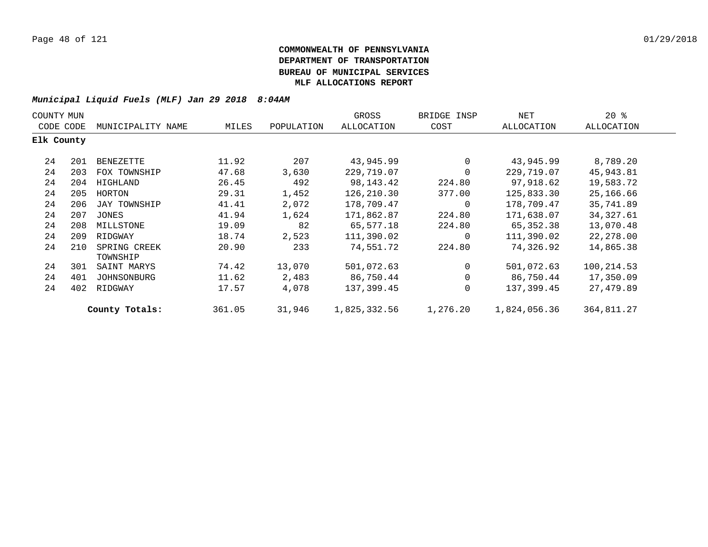| COUNTY MUN |     |                          |        |            | GROSS        | BRIDGE INSP | NET          | $20*$      |  |
|------------|-----|--------------------------|--------|------------|--------------|-------------|--------------|------------|--|
| CODE CODE  |     | MUNICIPALITY NAME        | MILES  | POPULATION | ALLOCATION   | COST        | ALLOCATION   | ALLOCATION |  |
| Elk County |     |                          |        |            |              |             |              |            |  |
| 24         | 201 | BENEZETTE                | 11.92  | 207        | 43,945.99    | $\mathbf 0$ | 43,945.99    | 8,789.20   |  |
| 24         | 203 | FOX TOWNSHIP             | 47.68  | 3,630      | 229,719.07   | $\mathbf 0$ | 229,719.07   | 45,943.81  |  |
| 24         | 204 | HIGHLAND                 | 26.45  | 492        | 98,143.42    | 224.80      | 97,918.62    | 19,583.72  |  |
| 24         | 205 | HORTON                   | 29.31  | 1,452      | 126,210.30   | 377.00      | 125,833.30   | 25,166.66  |  |
| 24         | 206 | JAY TOWNSHIP             | 41.41  | 2,072      | 178,709.47   | 0           | 178,709.47   | 35,741.89  |  |
| 24         | 207 | JONES                    | 41.94  | 1,624      | 171,862.87   | 224.80      | 171,638.07   | 34, 327.61 |  |
| 24         | 208 | MILLSTONE                | 19.09  | 82         | 65,577.18    | 224.80      | 65,352.38    | 13,070.48  |  |
| 24         | 209 | RIDGWAY                  | 18.74  | 2,523      | 111,390.02   | 0           | 111,390.02   | 22,278.00  |  |
| 24         | 210 | SPRING CREEK<br>TOWNSHIP | 20.90  | 233        | 74,551.72    | 224.80      | 74,326.92    | 14,865.38  |  |
| 24         | 301 | SAINT MARYS              | 74.42  | 13,070     | 501,072.63   | $\mathbf 0$ | 501,072.63   | 100,214.53 |  |
| 24         | 401 | JOHNSONBURG              | 11.62  | 2,483      | 86,750.44    | 0           | 86,750.44    | 17,350.09  |  |
| 24         | 402 | RIDGWAY                  | 17.57  | 4,078      | 137,399.45   | 0           | 137,399.45   | 27,479.89  |  |
|            |     | County Totals:           | 361.05 | 31,946     | 1,825,332.56 | 1,276.20    | 1,824,056.36 | 364,811.27 |  |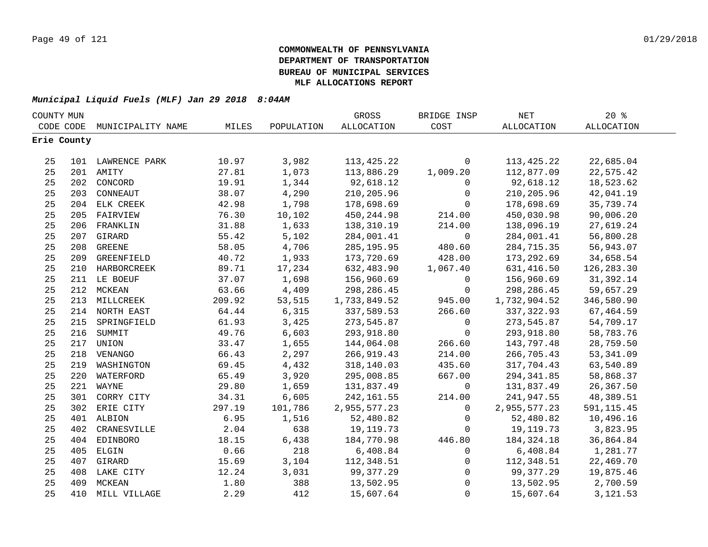| COUNTY MUN |             |                   |        |            | GROSS             | BRIDGE INSP  | $\operatorname{NET}$ | 20%               |  |
|------------|-------------|-------------------|--------|------------|-------------------|--------------|----------------------|-------------------|--|
|            | CODE CODE   | MUNICIPALITY NAME | MILES  | POPULATION | <b>ALLOCATION</b> | COST         | ALLOCATION           | <b>ALLOCATION</b> |  |
|            | Erie County |                   |        |            |                   |              |                      |                   |  |
|            |             |                   |        |            |                   |              |                      |                   |  |
| 25         |             | 101 LAWRENCE PARK | 10.97  | 3,982      | 113, 425. 22      | $\mathbf 0$  | 113,425.22           | 22,685.04         |  |
| 25         |             | 201 AMITY         | 27.81  | 1,073      | 113,886.29        | 1,009.20     | 112,877.09           | 22,575.42         |  |
| 25         |             | 202 CONCORD       | 19.91  | 1,344      | 92,618.12         | 0            | 92,618.12            | 18,523.62         |  |
| 25         | 203         | CONNEAUT          | 38.07  | 4,290      | 210,205.96        | $\mathbf 0$  | 210,205.96           | 42,041.19         |  |
| 25         |             | 204 ELK CREEK     | 42.98  | 1,798      | 178,698.69        | $\mathbf 0$  | 178,698.69           | 35,739.74         |  |
| 25         | 205         | FAIRVIEW          | 76.30  | 10,102     | 450,244.98        | 214.00       | 450,030.98           | 90,006.20         |  |
| 25         | 206         | FRANKLIN          | 31.88  | 1,633      | 138,310.19        | 214.00       | 138,096.19           | 27,619.24         |  |
| 25         | 207         | GIRARD            | 55.42  | 5,102      | 284,001.41        | $\mathsf{O}$ | 284,001.41           | 56,800.28         |  |
| 25         | 208         | <b>GREENE</b>     | 58.05  | 4,706      | 285, 195.95       | 480.60       | 284,715.35           | 56,943.07         |  |
| 25         | 209         | GREENFIELD        | 40.72  | 1,933      | 173,720.69        | 428.00       | 173,292.69           | 34,658.54         |  |
| 25         |             | 210 HARBORCREEK   | 89.71  | 17,234     | 632,483.90        | 1,067.40     | 631,416.50           | 126, 283.30       |  |
| 25         |             | 211 LE BOEUF      | 37.07  | 1,698      | 156,960.69        | $\mathbf 0$  | 156,960.69           | 31,392.14         |  |
| 25         |             | 212 MCKEAN        | 63.66  | 4,409      | 298,286.45        | $\mathbf 0$  | 298,286.45           | 59,657.29         |  |
| 25         |             | 213 MILLCREEK     | 209.92 | 53,515     | 1,733,849.52      | 945.00       | 1,732,904.52         | 346,580.90        |  |
| 25         |             | 214 NORTH EAST    | 64.44  | 6,315      | 337,589.53        | 266.60       | 337, 322.93          | 67,464.59         |  |
| 25         |             | 215 SPRINGFIELD   | 61.93  | 3,425      | 273,545.87        | $\mathsf{O}$ | 273,545.87           | 54,709.17         |  |
| 25         |             | 216 SUMMIT        | 49.76  | 6,603      | 293,918.80        | $\mathbf 0$  | 293,918.80           | 58,783.76         |  |
| 25         |             | 217 UNION         | 33.47  | 1,655      | 144,064.08        | 266.60       | 143,797.48           | 28,759.50         |  |
| 25         |             | 218 VENANGO       | 66.43  | 2,297      | 266, 919.43       | 214.00       | 266,705.43           | 53, 341.09        |  |
| 25         |             | 219 WASHINGTON    | 69.45  | 4,432      | 318,140.03        | 435.60       | 317,704.43           | 63,540.89         |  |
| 25         | 220         | WATERFORD         | 65.49  | 3,920      | 295,008.85        | 667.00       | 294,341.85           | 58,868.37         |  |
| 25         |             | 221 WAYNE         | 29.80  | 1,659      | 131,837.49        | $\mathbf 0$  | 131,837.49           | 26,367.50         |  |
| 25         |             | 301 CORRY CITY    | 34.31  | 6,605      | 242,161.55        | 214.00       | 241,947.55           | 48,389.51         |  |
| 25         |             | 302 ERIE CITY     | 297.19 | 101,786    | 2,955,577.23      | $\mathbf 0$  | 2,955,577.23         | 591, 115.45       |  |
| 25         |             | 401 ALBION        | 6.95   | 1,516      | 52,480.82         | $\mathbf 0$  | 52,480.82            | 10,496.16         |  |
| 25         | 402         | CRANESVILLE       | 2.04   | 638        | 19, 119. 73       | $\mathbf{0}$ | 19,119.73            | 3,823.95          |  |
| 25         | 404         | EDINBORO          | 18.15  | 6,438      | 184,770.98        | 446.80       | 184,324.18           | 36,864.84         |  |
| 25         | 405         | ELGIN             | 0.66   | 218        | 6,408.84          | $\mathbf 0$  | 6,408.84             | 1,281.77          |  |
| 25         |             | 407 GIRARD        | 15.69  | 3,104      | 112,348.51        | 0            | 112,348.51           | 22,469.70         |  |
| 25         |             | 408 LAKE CITY     | 12.24  | 3,031      | 99,377.29         | $\mathbf 0$  | 99,377.29            | 19,875.46         |  |
| 25         | 409         | MCKEAN            | 1.80   | 388        | 13,502.95         | $\mathbf 0$  | 13,502.95            | 2,700.59          |  |
| 25         | 410         | MILL VILLAGE      | 2.29   | 412        | 15,607.64         | $\mathbf 0$  | 15,607.64            | 3,121.53          |  |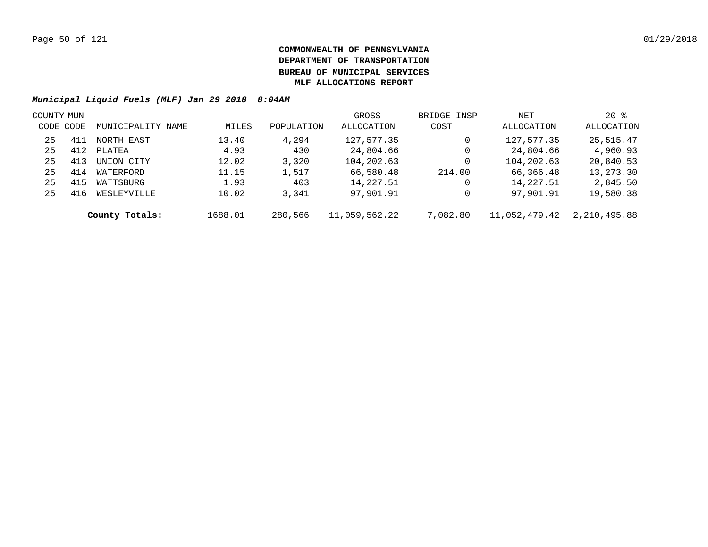| COUNTY MUN |     |                   |         |            | GROSS         | BRIDGE INSP | NET           | $20*$        |  |
|------------|-----|-------------------|---------|------------|---------------|-------------|---------------|--------------|--|
| CODE CODE  |     | MUNICIPALITY NAME | MILES   | POPULATION | ALLOCATION    | COST        | ALLOCATION    | ALLOCATION   |  |
| 25         | 411 | NORTH EAST        | 13.40   | 4,294      | 127,577.35    | 0           | 127,577.35    | 25,515.47    |  |
| 25         | 412 | PLATEA            | 4.93    | 430        | 24,804.66     | 0           | 24,804.66     | 4,960.93     |  |
| 25         | 413 | UNION CITY        | 12.02   | 3,320      | 104,202.63    | 0           | 104,202.63    | 20,840.53    |  |
| 25         | 414 | WATERFORD         | 11.15   | 1,517      | 66,580.48     | 214.00      | 66,366.48     | 13,273.30    |  |
| 25         | 415 | WATTSBURG         | 1.93    | 403        | 14, 227.51    | 0           | 14,227.51     | 2,845.50     |  |
| 25         | 416 | WESLEYVILLE       | 10.02   | 3,341      | 97,901.91     | 0           | 97,901.91     | 19,580.38    |  |
|            |     | County Totals:    | 1688.01 | 280,566    | 11,059,562.22 | 7,082.80    | 11,052,479.42 | 2,210,495.88 |  |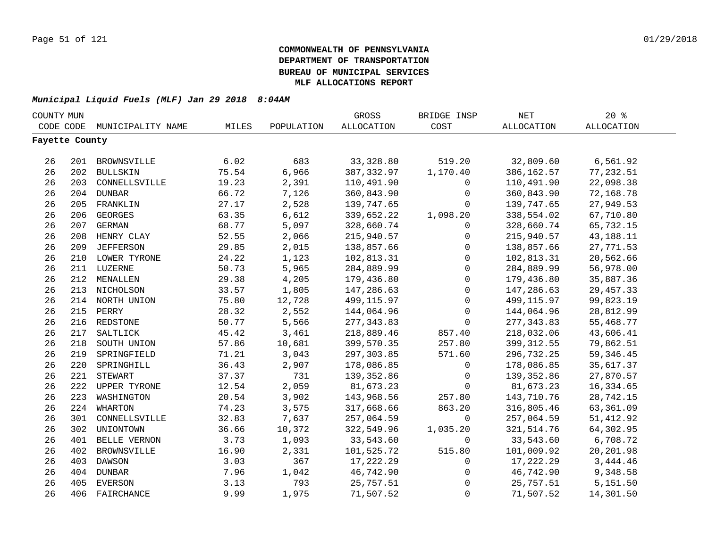| COUNTY MUN     |     |                     |       |            | GROSS             | BRIDGE INSP  | $\operatorname{NET}$ | 20%               |  |
|----------------|-----|---------------------|-------|------------|-------------------|--------------|----------------------|-------------------|--|
| CODE CODE      |     | MUNICIPALITY NAME   | MILES | POPULATION | <b>ALLOCATION</b> | COST         | ALLOCATION           | <b>ALLOCATION</b> |  |
| Fayette County |     |                     |       |            |                   |              |                      |                   |  |
|                |     |                     |       |            |                   |              |                      |                   |  |
| 26             |     | 201 BROWNSVILLE     | 6.02  | 683        | 33,328.80         | 519.20       | 32,809.60            | 6,561.92          |  |
| 26             |     | 202 BULLSKIN        | 75.54 | 6,966      | 387, 332.97       | 1,170.40     | 386, 162.57          | 77,232.51         |  |
| 26             |     | 203 CONNELLSVILLE   | 19.23 | 2,391      | 110,491.90        | 0            | 110,491.90           | 22,098.38         |  |
| 26             |     | 204 DUNBAR          | 66.72 | 7,126      | 360,843.90        | $\mathsf{O}$ | 360,843.90           | 72,168.78         |  |
| 26             | 205 | FRANKLIN            | 27.17 | 2,528      | 139,747.65        | $\mathbf 0$  | 139,747.65           | 27,949.53         |  |
| 26             | 206 | <b>GEORGES</b>      | 63.35 | 6,612      | 339,652.22        | 1,098.20     | 338,554.02           | 67,710.80         |  |
| 26             | 207 | <b>GERMAN</b>       | 68.77 | 5,097      | 328,660.74        | $\mathbf 0$  | 328,660.74           | 65,732.15         |  |
| 26             | 208 | HENRY CLAY          | 52.55 | 2,066      | 215,940.57        | $\mathbf 0$  | 215,940.57           | 43,188.11         |  |
| 26             | 209 | <b>JEFFERSON</b>    | 29.85 | 2,015      | 138,857.66        | $\mathbf 0$  | 138,857.66           | 27,771.53         |  |
| 26             |     | 210 LOWER TYRONE    | 24.22 | 1,123      | 102,813.31        | $\mathbf 0$  | 102,813.31           | 20,562.66         |  |
| 26             |     | 211 LUZERNE         | 50.73 | 5,965      | 284,889.99        | $\mathsf{O}$ | 284,889.99           | 56,978.00         |  |
| 26             | 212 | MENALLEN            | 29.38 | 4,205      | 179,436.80        | $\mathbf 0$  | 179,436.80           | 35,887.36         |  |
| 26             | 213 | NICHOLSON           | 33.57 | 1,805      | 147,286.63        | $\mathbf 0$  | 147,286.63           | 29, 457.33        |  |
| 26             |     | 214 NORTH UNION     | 75.80 | 12,728     | 499,115.97        | $\mathbf 0$  | 499,115.97           | 99,823.19         |  |
| 26             | 215 | PERRY               | 28.32 | 2,552      | 144,064.96        | 0            | 144,064.96           | 28,812.99         |  |
| 26             |     | 216 REDSTONE        | 50.77 | 5,566      | 277, 343.83       | $\mathbf 0$  | 277, 343.83          | 55,468.77         |  |
| 26             | 217 | SALTLICK            | 45.42 | 3,461      | 218,889.46        | 857.40       | 218,032.06           | 43,606.41         |  |
| 26             | 218 | SOUTH UNION         | 57.86 | 10,681     | 399,570.35        | 257.80       | 399, 312.55          | 79,862.51         |  |
| 26             | 219 | SPRINGFIELD         | 71.21 | 3,043      | 297,303.85        | 571.60       | 296,732.25           | 59, 346.45        |  |
| 26             | 220 | SPRINGHILL          | 36.43 | 2,907      | 178,086.85        | $\mathsf{O}$ | 178,086.85           | 35,617.37         |  |
| 26             | 221 | <b>STEWART</b>      | 37.37 | 731        | 139,352.86        | $\mathbf 0$  | 139,352.86           | 27,870.57         |  |
| 26             | 222 | <b>UPPER TYRONE</b> | 12.54 | 2,059      | 81,673.23         | $\Omega$     | 81,673.23            | 16,334.65         |  |
| 26             | 223 | WASHINGTON          | 20.54 | 3,902      | 143,968.56        | 257.80       | 143,710.76           | 28,742.15         |  |
| 26             | 224 | WHARTON             | 74.23 | 3,575      | 317,668.66        | 863.20       | 316,805.46           | 63,361.09         |  |
| 26             | 301 | CONNELLSVILLE       | 32.83 | 7,637      | 257,064.59        | $\mathbf 0$  | 257,064.59           | 51, 412.92        |  |
| 26             | 302 | UNIONTOWN           | 36.66 | 10,372     | 322,549.96        | 1,035.20     | 321,514.76           | 64,302.95         |  |
| 26             | 401 | BELLE VERNON        | 3.73  | 1,093      | 33,543.60         | 0            | 33,543.60            | 6,708.72          |  |
| 26             | 402 | BROWNSVILLE         | 16.90 | 2,331      | 101,525.72        | 515.80       | 101,009.92           | 20,201.98         |  |
| 26             | 403 | DAWSON              | 3.03  | 367        | 17,222.29         | $\mathsf{O}$ | 17,222.29            | 3,444.46          |  |
| 26             | 404 | <b>DUNBAR</b>       | 7.96  | 1,042      | 46,742.90         | 0            | 46,742.90            | 9,348.58          |  |
| 26             | 405 | <b>EVERSON</b>      | 3.13  | 793        | 25,757.51         | $\mathsf 0$  | 25,757.51            | 5,151.50          |  |
| 26             | 406 | FAIRCHANCE          | 9.99  | 1,975      | 71,507.52         | $\mathbf 0$  | 71,507.52            | 14,301.50         |  |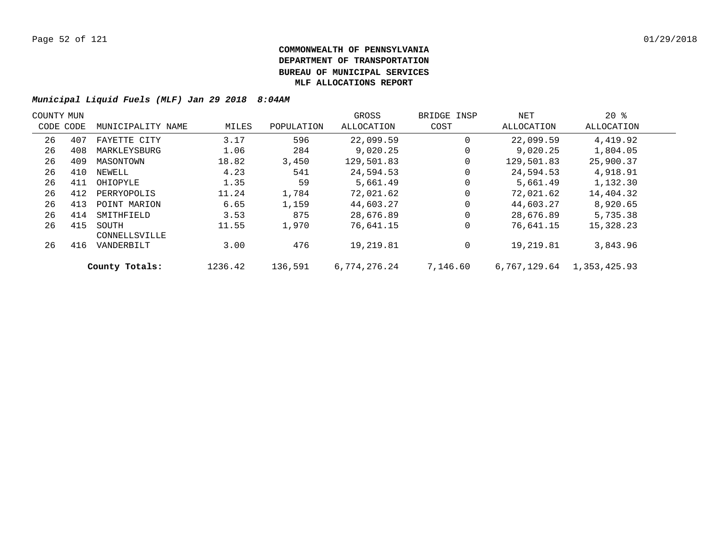| COUNTY MUN |           |                        |         |            | GROSS        | BRIDGE INSP | NET          | $20*$        |  |
|------------|-----------|------------------------|---------|------------|--------------|-------------|--------------|--------------|--|
|            | CODE CODE | MUNICIPALITY NAME      | MILES   | POPULATION | ALLOCATION   | COST        | ALLOCATION   | ALLOCATION   |  |
| 26         | 407       | FAYETTE CITY           | 3.17    | 596        | 22,099.59    | $\Omega$    | 22,099.59    | 4,419.92     |  |
| 26         | 408       | MARKLEYSBURG           | 1.06    | 284        | 9,020.25     | 0           | 9,020.25     | 1,804.05     |  |
| 26         | 409       | MASONTOWN              | 18.82   | 3,450      | 129,501.83   | 0           | 129,501.83   | 25,900.37    |  |
| 26         | 410       | NEWELL                 | 4.23    | 541        | 24,594.53    | 0           | 24,594.53    | 4,918.91     |  |
| 26         | 411       | OHIOPYLE               | 1.35    | 59         | 5,661.49     | 0           | 5,661.49     | 1,132.30     |  |
| 26         | 412       | PERRYOPOLIS            | 11.24   | 1,784      | 72,021.62    | 0           | 72,021.62    | 14,404.32    |  |
| 26         | 413       | POINT MARION           | 6.65    | 1,159      | 44,603.27    | 0           | 44,603.27    | 8,920.65     |  |
| 26         | 414       | SMITHFIELD             | 3.53    | 875        | 28,676.89    | $\Omega$    | 28,676.89    | 5,735.38     |  |
| 26         | 415       | SOUTH<br>CONNELLSVILLE | 11.55   | 1,970      | 76,641.15    | 0           | 76,641.15    | 15,328.23    |  |
| 26         | 416       | VANDERBILT             | 3.00    | 476        | 19,219.81    | 0           | 19,219.81    | 3,843.96     |  |
|            |           | County Totals:         | 1236.42 | 136,591    | 6,774,276.24 | 7,146.60    | 6,767,129.64 | 1,353,425.93 |  |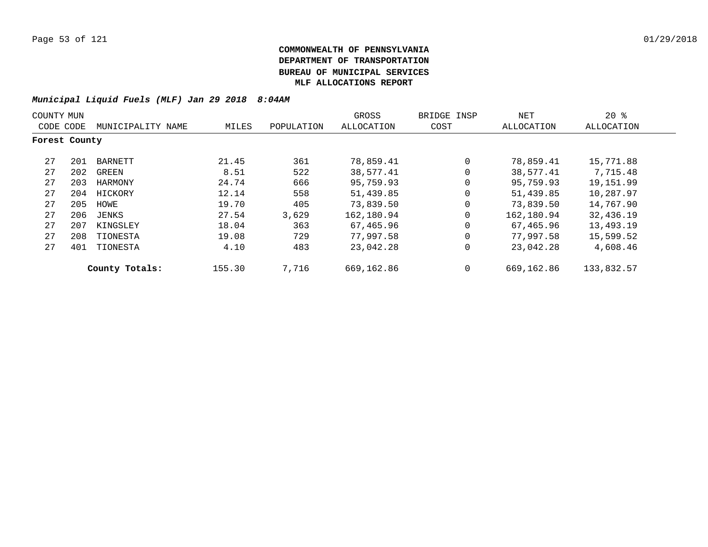|               | COUNTY MUN |                   |        |            | GROSS      | BRIDGE INSP | NET          | $20*$      |
|---------------|------------|-------------------|--------|------------|------------|-------------|--------------|------------|
| CODE CODE     |            | MUNICIPALITY NAME | MILES  | POPULATION | ALLOCATION | COST        | ALLOCATION   | ALLOCATION |
| Forest County |            |                   |        |            |            |             |              |            |
| 27            | 201        | BARNETT           | 21.45  | 361        | 78,859.41  | $\mathbf 0$ | 78,859.41    | 15,771.88  |
| 27            | 202        | GREEN             | 8.51   | 522        | 38,577.41  | $\Omega$    | 38,577.41    | 7,715.48   |
| 27            | 203        | HARMONY           | 24.74  | 666        | 95,759.93  | $\mathbf 0$ | 95,759.93    | 19,151.99  |
| 27            | 204        | HICKORY           | 12.14  | 558        | 51,439.85  | $\mathbf 0$ | 51,439.85    | 10,287.97  |
| 27            | 205        | HOWE              | 19.70  | 405        | 73,839.50  | $\mathbf 0$ | 73,839.50    | 14,767.90  |
| 27            | 206        | JENKS             | 27.54  | 3,629      | 162,180.94 | $\mathbf 0$ | 162,180.94   | 32,436.19  |
| 27            | 207        | KINGSLEY          | 18.04  | 363        | 67,465.96  | $\Omega$    | 67,465.96    | 13,493.19  |
| 27            | 208        | TIONESTA          | 19.08  | 729        | 77,997.58  | $\mathbf 0$ | 77,997.58    | 15,599.52  |
| 27            | 401        | TIONESTA          | 4.10   | 483        | 23,042.28  | $\mathbf 0$ | 23,042.28    | 4,608.46   |
|               |            | County Totals:    | 155.30 | 7,716      | 669,162.86 | 0           | 669, 162, 86 | 133,832.57 |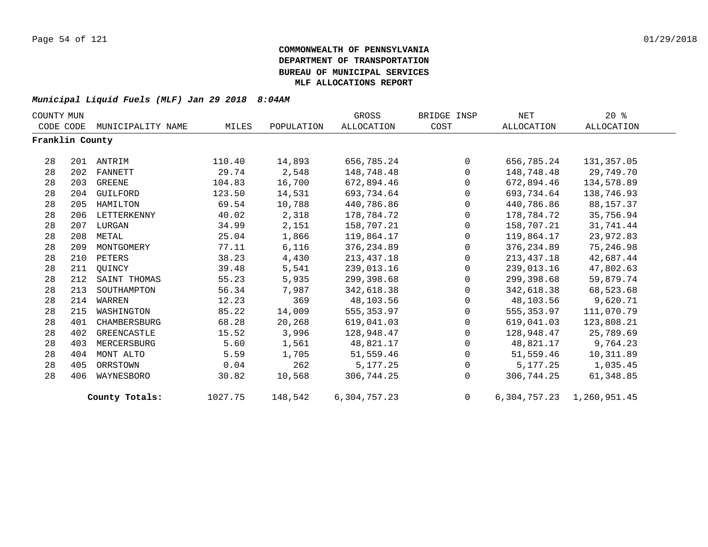| COUNTY MUN      |     |                   |         |            | GROSS        | BRIDGE INSP    | NET        | $20*$                           |  |
|-----------------|-----|-------------------|---------|------------|--------------|----------------|------------|---------------------------------|--|
| CODE CODE       |     | MUNICIPALITY NAME | MILES   | POPULATION | ALLOCATION   | COST           | ALLOCATION | ALLOCATION                      |  |
| Franklin County |     |                   |         |            |              |                |            |                                 |  |
| 28              | 201 | ANTRIM            | 110.40  | 14,893     | 656,785.24   | $\Omega$       | 656,785.24 | 131,357.05                      |  |
| 28              | 202 | FANNETT           | 29.74   | 2,548      | 148,748.48   | $\Omega$       | 148,748.48 | 29,749.70                       |  |
| 28              | 203 | GREENE            | 104.83  | 16,700     | 672,894.46   | $\mathbf 0$    | 672,894.46 | 134,578.89                      |  |
| 28              | 204 | GUILFORD          | 123.50  | 14,531     | 693,734.64   | $\Omega$       | 693,734.64 | 138,746.93                      |  |
| 28              | 205 | HAMILTON          | 69.54   | 10,788     | 440,786.86   | $\mathbf{0}$   | 440,786.86 | 88,157.37                       |  |
| 28              | 206 | LETTERKENNY       | 40.02   | 2,318      | 178,784.72   | $\mathbf 0$    | 178,784.72 | 35,756.94                       |  |
| 28              | 207 | LURGAN            | 34.99   | 2,151      | 158,707.21   | $\mathbf 0$    | 158,707.21 | 31,741.44                       |  |
| 28              | 208 | METAL             | 25.04   | 1,866      | 119,864.17   | $\mathbf 0$    | 119,864.17 | 23,972.83                       |  |
| 28              | 209 | MONTGOMERY        | 77.11   | 6,116      | 376,234.89   | $\mathbf{0}$   | 376,234.89 | 75,246.98                       |  |
| 28              | 210 | PETERS            | 38.23   | 4,430      | 213, 437. 18 | $\mathbf{0}$   | 213,437.18 | 42,687.44                       |  |
| 28              | 211 | OUINCY            | 39.48   | 5,541      | 239,013.16   | $\mathbf 0$    | 239,013.16 | 47,802.63                       |  |
| 28              | 212 | SAINT THOMAS      | 55.23   | 5,935      | 299,398.68   | $\mathbf{0}$   | 299,398.68 | 59,879.74                       |  |
| 28              | 213 | SOUTHAMPTON       | 56.34   | 7,987      | 342,618.38   | $\mathbf{0}$   | 342,618.38 | 68,523.68                       |  |
| 28              | 214 | WARREN            | 12.23   | 369        | 48,103.56    | $\mathbf{0}$   | 48,103.56  | 9,620.71                        |  |
| 28              | 215 | WASHINGTON        | 85.22   | 14,009     | 555,353.97   | $\mathbf{0}$   | 555,353.97 | 111,070.79                      |  |
| 28              | 401 | CHAMBERSBURG      | 68.28   | 20,268     | 619,041.03   | $\mathbf 0$    | 619,041.03 | 123,808.21                      |  |
| 28              | 402 | GREENCASTLE       | 15.52   | 3,996      | 128,948.47   | $\Omega$       | 128,948.47 | 25,789.69                       |  |
| 28              | 403 | MERCERSBURG       | 5.60    | 1,561      | 48,821.17    | $\mathbf{0}$   | 48,821.17  | 9,764.23                        |  |
| 28              | 404 | MONT ALTO         | 5.59    | 1,705      | 51,559.46    | $\mathbf 0$    | 51,559.46  | 10,311.89                       |  |
| 28              | 405 | ORRSTOWN          | 0.04    | 262        | 5,177.25     | $\mathbf 0$    | 5,177.25   | 1,035.45                        |  |
| 28              | 406 | WAYNESBORO        | 30.82   | 10,568     | 306,744.25   | $\Omega$       | 306,744.25 | 61,348.85                       |  |
|                 |     | County Totals:    | 1027.75 | 148,542    | 6,304,757.23 | $\overline{0}$ |            | 6, 304, 757. 23 1, 260, 951. 45 |  |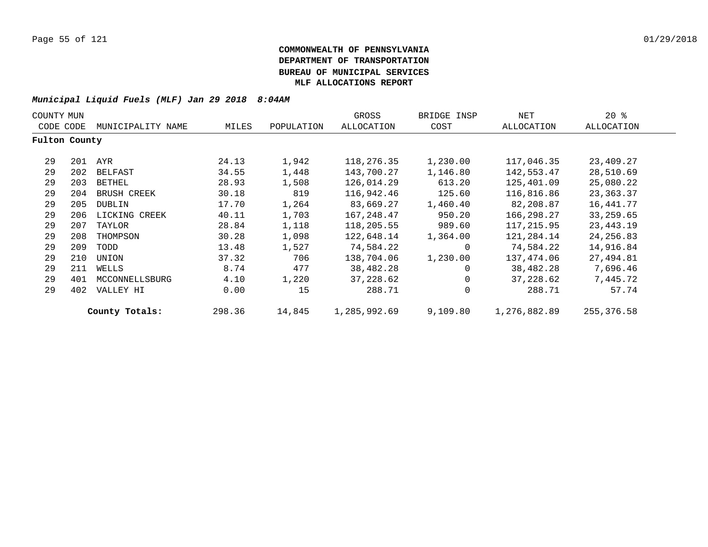| COUNTY MUN    |     |                    |        |            | GROSS        | BRIDGE INSP | NET          | $20*$       |  |
|---------------|-----|--------------------|--------|------------|--------------|-------------|--------------|-------------|--|
| CODE CODE     |     | MUNICIPALITY NAME  | MILES  | POPULATION | ALLOCATION   | COST        | ALLOCATION   | ALLOCATION  |  |
| Fulton County |     |                    |        |            |              |             |              |             |  |
| 29            |     | 201 AYR            | 24.13  | 1,942      | 118,276.35   | 1,230.00    | 117,046.35   | 23,409.27   |  |
| 29            | 202 | BELFAST            | 34.55  | 1,448      | 143,700.27   | 1,146.80    | 142,553.47   | 28,510.69   |  |
| 29            | 203 | BETHEL             | 28.93  | 1,508      | 126,014.29   | 613.20      | 125,401.09   | 25,080.22   |  |
| 29            | 204 | <b>BRUSH CREEK</b> | 30.18  | 819        | 116,942.46   | 125.60      | 116,816.86   | 23,363.37   |  |
| 29            | 205 | DUBLIN             | 17.70  | 1,264      | 83,669.27    | 1,460.40    | 82,208.87    | 16,441.77   |  |
| 29            | 206 | LICKING CREEK      | 40.11  | 1,703      | 167,248.47   | 950.20      | 166,298.27   | 33,259.65   |  |
| 29            | 207 | TAYLOR             | 28.84  | 1,118      | 118,205.55   | 989.60      | 117,215.95   | 23,443.19   |  |
| 29            | 208 | THOMPSON           | 30.28  | 1,098      | 122,648.14   | 1,364.00    | 121,284.14   | 24, 256.83  |  |
| 29            | 209 | TODD               | 13.48  | 1,527      | 74,584.22    | 0           | 74,584.22    | 14,916.84   |  |
| 29            | 210 | UNION              | 37.32  | 706        | 138,704.06   | 1,230.00    | 137,474.06   | 27,494.81   |  |
| 29            | 211 | WELLS              | 8.74   | 477        | 38,482.28    | $\Omega$    | 38,482.28    | 7,696.46    |  |
| 29            | 401 | MCCONNELLSBURG     | 4.10   | 1,220      | 37,228.62    | 0           | 37,228.62    | 7,445.72    |  |
| 29            | 402 | VALLEY HI          | 0.00   | 15         | 288.71       | $\mathbf 0$ | 288.71       | 57.74       |  |
|               |     | County Totals:     | 298.36 | 14,845     | 1,285,992.69 | 9,109.80    | 1,276,882.89 | 255, 376.58 |  |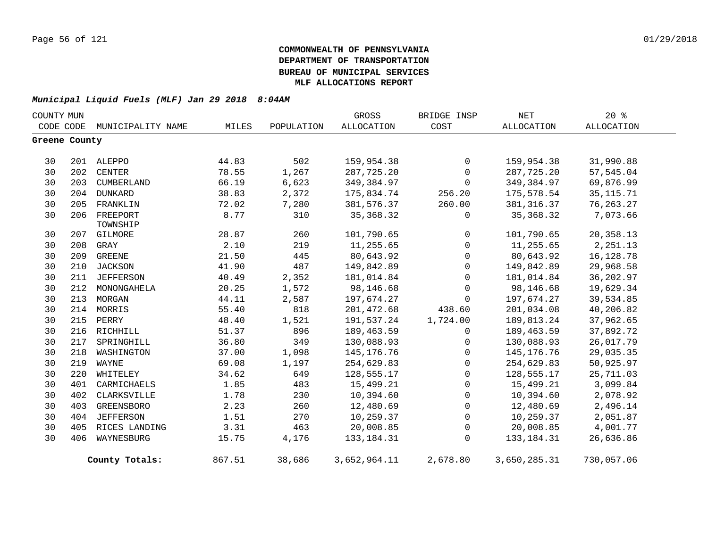| COUNTY MUN    |           |                      |        |            | GROSS        | BRIDGE INSP  | NET          | $20*$             |
|---------------|-----------|----------------------|--------|------------|--------------|--------------|--------------|-------------------|
|               | CODE CODE | MUNICIPALITY NAME    | MILES  | POPULATION | ALLOCATION   | COST         | ALLOCATION   | <b>ALLOCATION</b> |
| Greene County |           |                      |        |            |              |              |              |                   |
| 30            |           | 201 ALEPPO           | 44.83  | 502        | 159,954.38   | $\mathbf 0$  | 159,954.38   | 31,990.88         |
| 30            | 202       | CENTER               | 78.55  | 1,267      | 287,725.20   | $\mathbf 0$  | 287,725.20   | 57,545.04         |
| 30            | 203       | CUMBERLAND           | 66.19  | 6,623      | 349,384.97   | $\Omega$     | 349,384.97   | 69,876.99         |
| 30            | 204       | DUNKARD              | 38.83  | 2,372      | 175,834.74   | 256.20       | 175,578.54   | 35, 115.71        |
| 30            | 205       | FRANKLIN             | 72.02  | 7,280      | 381,576.37   | 260.00       | 381, 316.37  | 76, 263. 27       |
| 30            | 206       | FREEPORT<br>TOWNSHIP | 8.77   | 310        | 35, 368. 32  | 0            | 35,368.32    | 7,073.66          |
| 30            | 207       | GILMORE              | 28.87  | 260        | 101,790.65   | $\mathsf{O}$ | 101,790.65   | 20,358.13         |
| 30            | 208       | GRAY                 | 2.10   | 219        | 11,255.65    | $\mathbf 0$  | 11,255.65    | 2,251.13          |
| 30            | 209       | <b>GREENE</b>        | 21.50  | 445        | 80,643.92    | $\mathbf{0}$ | 80,643.92    | 16, 128.78        |
| 30            | 210       | JACKSON              | 41.90  | 487        | 149,842.89   | $\mathsf{O}$ | 149,842.89   | 29,968.58         |
| 30            | 211       | <b>JEFFERSON</b>     | 40.49  | 2,352      | 181,014.84   | $\mathbf 0$  | 181,014.84   | 36,202.97         |
| 30            | 212       | MONONGAHELA          | 20.25  | 1,572      | 98,146.68    | $\Omega$     | 98,146.68    | 19,629.34         |
| 30            | 213       | MORGAN               | 44.11  | 2,587      | 197,674.27   | $\Omega$     | 197,674.27   | 39,534.85         |
| 30            | 214       | MORRIS               | 55.40  | 818        | 201,472.68   | 438.60       | 201,034.08   | 40,206.82         |
| 30            | 215       | PERRY                | 48.40  | 1,521      | 191,537.24   | 1,724.00     | 189,813.24   | 37,962.65         |
| 30            | 216       | RICHHILL             | 51.37  | 896        | 189,463.59   | $\Omega$     | 189,463.59   | 37,892.72         |
| 30            | 217       | SPRINGHILL           | 36.80  | 349        | 130,088.93   | $\mathbf 0$  | 130,088.93   | 26,017.79         |
| 30            | 218       | WASHINGTON           | 37.00  | 1,098      | 145,176.76   | $\mathsf{O}$ | 145,176.76   | 29,035.35         |
| 30            | 219       | WAYNE                | 69.08  | 1,197      | 254,629.83   | $\mathbf 0$  | 254,629.83   | 50,925.97         |
| 30            | 220       | WHITELEY             | 34.62  | 649        | 128,555.17   | $\mathbf 0$  | 128,555.17   | 25,711.03         |
| 30            | 401       | CARMICHAELS          | 1.85   | 483        | 15,499.21    | $\mathbf{0}$ | 15,499.21    | 3,099.84          |
| 30            | 402       | CLARKSVILLE          | 1.78   | 230        | 10,394.60    | $\mathsf{O}$ | 10,394.60    | 2,078.92          |
| 30            | 403       | <b>GREENSBORO</b>    | 2.23   | 260        | 12,480.69    | $\mathsf{O}$ | 12,480.69    | 2,496.14          |
| 30            | 404       | <b>JEFFERSON</b>     | 1.51   | 270        | 10,259.37    | $\mathbf 0$  | 10,259.37    | 2,051.87          |
| 30            | 405       | RICES LANDING        | 3.31   | 463        | 20,008.85    | $\mathbf{0}$ | 20,008.85    | 4,001.77          |
| 30            | 406       | WAYNESBURG           | 15.75  | 4,176      | 133, 184. 31 | $\Omega$     | 133, 184. 31 | 26,636.86         |
|               |           | County Totals:       | 867.51 | 38,686     | 3,652,964.11 | 2,678.80     | 3,650,285.31 | 730,057.06        |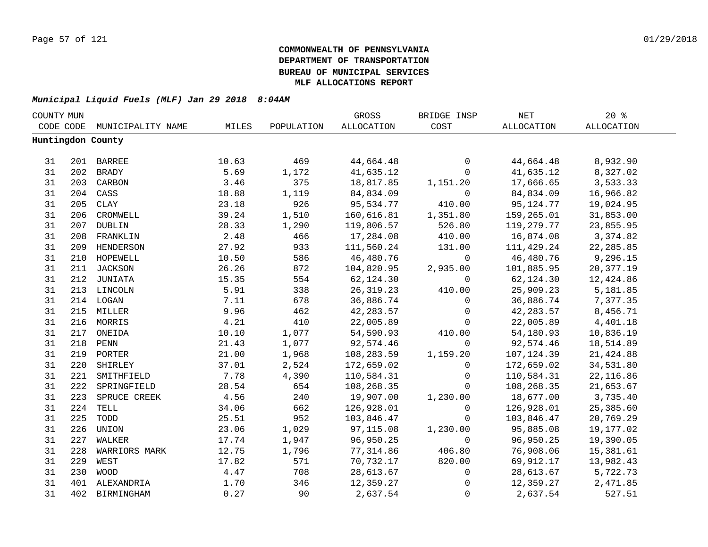| COUNTY MUN |     |                             |       |            | GROSS      | BRIDGE INSP    | NET        | 20%        |  |
|------------|-----|-----------------------------|-------|------------|------------|----------------|------------|------------|--|
|            |     | CODE CODE MUNICIPALITY NAME | MILES | POPULATION | ALLOCATION | COST           | ALLOCATION | ALLOCATION |  |
|            |     | Huntingdon County           |       |            |            |                |            |            |  |
|            |     |                             |       |            |            |                |            |            |  |
| 31         |     | 201 BARREE                  | 10.63 | 469        | 44,664.48  | 0              | 44,664.48  | 8,932.90   |  |
| 31         |     | 202 BRADY                   | 5.69  | 1,172      | 41,635.12  | $\overline{0}$ | 41,635.12  | 8,327.02   |  |
| 31         |     | 203 CARBON                  | 3.46  | 375        | 18,817.85  | 1,151.20       | 17,666.65  | 3,533.33   |  |
| 31         |     | 204 CASS                    | 18.88 | 1,119      | 84,834.09  | $\overline{0}$ | 84,834.09  | 16,966.82  |  |
| 31         | 205 | CLAY                        | 23.18 | 926        | 95,534.77  | 410.00         | 95,124.77  | 19,024.95  |  |
| 31         | 206 | CROMWELL                    | 39.24 | 1,510      | 160,616.81 | 1,351.80       | 159,265.01 | 31,853.00  |  |
| 31         | 207 | DUBLIN                      | 28.33 | 1,290      | 119,806.57 | 526.80         | 119,279.77 | 23,855.95  |  |
| 31         | 208 | FRANKLIN                    | 2.48  | 466        | 17,284.08  | 410.00         | 16,874.08  | 3,374.82   |  |
| 31         | 209 | HENDERSON                   | 27.92 | 933        | 111,560.24 | 131.00         | 111,429.24 | 22, 285.85 |  |
| 31         | 210 | HOPEWELL                    | 10.50 | 586        | 46,480.76  | $\overline{0}$ | 46,480.76  | 9,296.15   |  |
| 31         | 211 | JACKSON                     | 26.26 | 872        | 104,820.95 | 2,935.00       | 101,885.95 | 20,377.19  |  |
| 31         |     | 212 JUNIATA                 | 15.35 | 554        | 62,124.30  | 0              | 62,124.30  | 12,424.86  |  |
| 31         |     | 213 LINCOLN                 | 5.91  | 338        | 26, 319.23 | 410.00         | 25,909.23  | 5,181.85   |  |
| 31         |     | 214 LOGAN                   | 7.11  | 678        | 36,886.74  | $\mathsf{O}$   | 36,886.74  | 7,377.35   |  |
| 31         |     | 215 MILLER                  | 9.96  | 462        | 42, 283.57 | $\mathsf{O}$   | 42, 283.57 | 8,456.71   |  |
| 31         |     | 216 MORRIS                  | 4.21  | 410        | 22,005.89  | $\mathbf 0$    | 22,005.89  | 4,401.18   |  |
| 31         |     | 217 ONEIDA                  | 10.10 | 1,077      | 54,590.93  | 410.00         | 54,180.93  | 10,836.19  |  |
| 31         |     | 218 PENN                    | 21.43 | 1,077      | 92,574.46  | $\mathbf 0$    | 92,574.46  | 18,514.89  |  |
| 31         |     | 219 PORTER                  | 21.00 | 1,968      | 108,283.59 | 1,159.20       | 107,124.39 | 21,424.88  |  |
| 31         |     | 220 SHIRLEY                 | 37.01 | 2,524      | 172,659.02 | $\mathsf{O}$   | 172,659.02 | 34,531.80  |  |
| 31         |     | 221 SMITHFIELD              | 7.78  | 4,390      | 110,584.31 | $\mathsf{O}$   | 110,584.31 | 22, 116.86 |  |
| 31         | 222 | SPRINGFIELD                 | 28.54 | 654        | 108,268.35 | $\mathbf 0$    | 108,268.35 | 21,653.67  |  |
| 31         | 223 | SPRUCE CREEK                | 4.56  | 240        | 19,907.00  | 1,230.00       | 18,677.00  | 3,735.40   |  |
| 31         | 224 | TELL                        | 34.06 | 662        | 126,928.01 | 0              | 126,928.01 | 25,385.60  |  |
| 31         | 225 | TODD                        | 25.51 | 952        | 103,846.47 | $\Omega$       | 103,846.47 | 20,769.29  |  |
| 31         | 226 | UNION                       | 23.06 | 1,029      | 97,115.08  | 1,230.00       | 95,885.08  | 19,177.02  |  |
| 31         | 227 | WALKER                      | 17.74 | 1,947      | 96,950.25  | $\mathbf 0$    | 96,950.25  | 19,390.05  |  |
| 31         | 228 | WARRIORS MARK               | 12.75 | 1,796      | 77,314.86  | 406.80         | 76,908.06  | 15,381.61  |  |
| 31         | 229 | WEST                        | 17.82 | 571        | 70,732.17  | 820.00         | 69,912.17  | 13,982.43  |  |
| 31         | 230 | WOOD                        | 4.47  | 708        | 28,613.67  | $\overline{0}$ | 28,613.67  | 5,722.73   |  |
| 31         |     | 401 ALEXANDRIA              | 1.70  | 346        | 12,359.27  | $\mathsf{O}$   | 12,359.27  | 2,471.85   |  |
| 31         | 402 | BIRMINGHAM                  | 0.27  | 90         | 2,637.54   | $\mathsf{O}$   | 2,637.54   | 527.51     |  |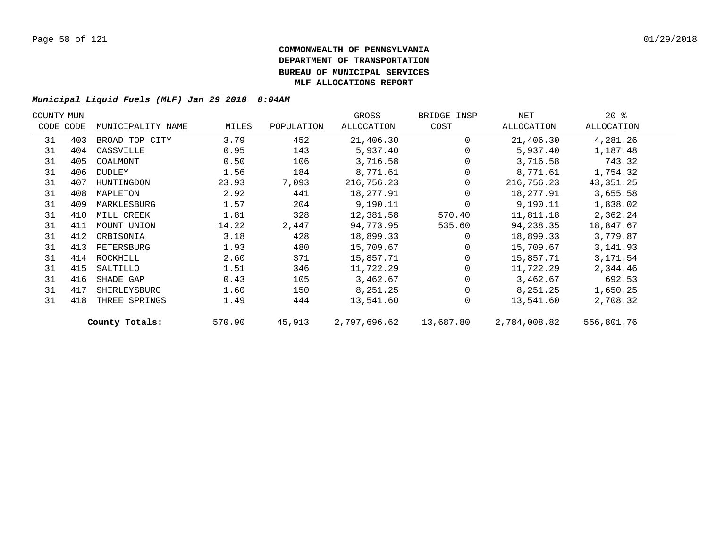| COUNTY MUN |           |                   |        |            | GROSS        | BRIDGE INSP | NET          | $20*$       |  |
|------------|-----------|-------------------|--------|------------|--------------|-------------|--------------|-------------|--|
|            | CODE CODE | MUNICIPALITY NAME | MILES  | POPULATION | ALLOCATION   | COST        | ALLOCATION   | ALLOCATION  |  |
| 31         | 403       | BROAD TOP CITY    | 3.79   | 452        | 21,406.30    | $\Omega$    | 21,406.30    | 4,281.26    |  |
| 31         | 404       | CASSVILLE         | 0.95   | 143        | 5,937.40     |             | 5,937.40     | 1,187.48    |  |
| 31         | 405       | COALMONT          | 0.50   | 106        | 3,716.58     |             | 3,716.58     | 743.32      |  |
| 31         | 406       | DUDLEY            | 1.56   | 184        | 8,771.61     |             | 8,771.61     | 1,754.32    |  |
| 31         | 407       | HUNTINGDON        | 23.93  | 7,093      | 216,756.23   |             | 216,756.23   | 43, 351. 25 |  |
| 31         | 408       | MAPLETON          | 2.92   | 441        | 18,277.91    |             | 18,277.91    | 3,655.58    |  |
| 31         | 409       | MARKLESBURG       | 1.57   | 204        | 9,190.11     |             | 9,190.11     | 1,838.02    |  |
| 31         | 410       | MILL CREEK        | 1.81   | 328        | 12,381.58    | 570.40      | 11,811.18    | 2,362.24    |  |
| 31         | 411       | MOUNT UNION       | 14.22  | 2,447      | 94,773.95    | 535.60      | 94,238.35    | 18,847.67   |  |
| 31         | 412       | ORBISONIA         | 3.18   | 428        | 18,899.33    | $\Omega$    | 18,899.33    | 3,779.87    |  |
| 31         | 413       | PETERSBURG        | 1.93   | 480        | 15,709.67    |             | 15,709.67    | 3, 141.93   |  |
| 31         | 414       | ROCKHILL          | 2.60   | 371        | 15,857.71    |             | 15,857.71    | 3,171.54    |  |
| 31         | 415       | SALTILLO          | 1.51   | 346        | 11,722.29    |             | 11,722.29    | 2,344.46    |  |
| 31         | 416       | SHADE GAP         | 0.43   | 105        | 3,462.67     |             | 3,462.67     | 692.53      |  |
| 31         | 417       | SHIRLEYSBURG      | 1.60   | 150        | 8,251.25     |             | 8,251.25     | 1,650.25    |  |
| 31         | 418       | THREE SPRINGS     | 1.49   | 444        | 13,541.60    | $\Omega$    | 13,541.60    | 2,708.32    |  |
|            |           | County Totals:    | 570.90 | 45,913     | 2,797,696.62 | 13,687.80   | 2,784,008.82 | 556,801.76  |  |
|            |           |                   |        |            |              |             |              |             |  |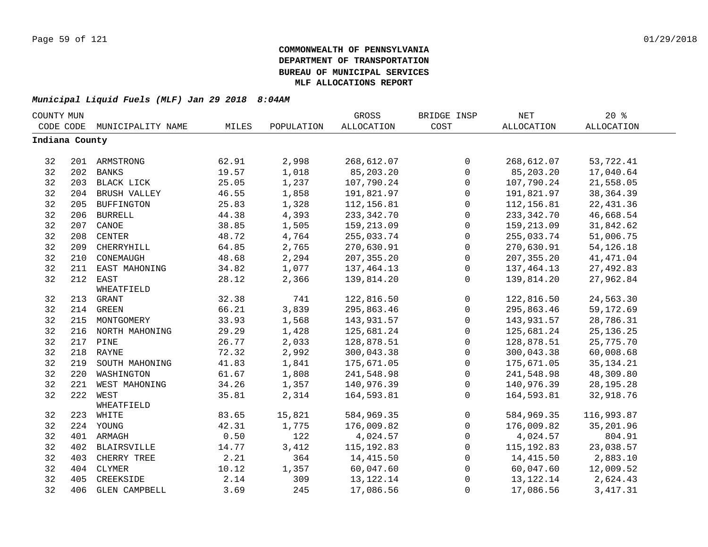| COUNTY MUN     |     |                      |       |            | GROSS             | BRIDGE INSP  | <b>NET</b>  | $20*$             |  |
|----------------|-----|----------------------|-------|------------|-------------------|--------------|-------------|-------------------|--|
| CODE CODE      |     | MUNICIPALITY NAME    | MILES | POPULATION | <b>ALLOCATION</b> | COST         | ALLOCATION  | <b>ALLOCATION</b> |  |
| Indiana County |     |                      |       |            |                   |              |             |                   |  |
|                |     |                      |       |            |                   |              |             |                   |  |
| 32             |     | 201 ARMSTRONG        | 62.91 | 2,998      | 268,612.07        | 0            | 268,612.07  | 53,722.41         |  |
| 32             | 202 | <b>BANKS</b>         | 19.57 | 1,018      | 85,203.20         | $\mathsf{O}$ | 85,203.20   | 17,040.64         |  |
| 32             | 203 | BLACK LICK           | 25.05 | 1,237      | 107,790.24        | $\mathbf 0$  | 107,790.24  | 21,558.05         |  |
| 32             | 204 | BRUSH VALLEY         | 46.55 | 1,858      | 191,821.97        | 0            | 191,821.97  | 38, 364.39        |  |
| 32             | 205 | <b>BUFFINGTON</b>    | 25.83 | 1,328      | 112,156.81        | 0            | 112,156.81  | 22, 431.36        |  |
| 32             | 206 | <b>BURRELL</b>       | 44.38 | 4,393      | 233,342.70        | $\mathbf 0$  | 233,342.70  | 46,668.54         |  |
| 32             | 207 | CANOE                | 38.85 | 1,505      | 159,213.09        | 0            | 159,213.09  | 31,842.62         |  |
| 32             | 208 | <b>CENTER</b>        | 48.72 | 4,764      | 255,033.74        | $\mathsf 0$  | 255,033.74  | 51,006.75         |  |
| 32             | 209 | CHERRYHILL           | 64.85 | 2,765      | 270,630.91        | $\mathbf 0$  | 270,630.91  | 54, 126. 18       |  |
| 32             | 210 | CONEMAUGH            | 48.68 | 2,294      | 207,355.20        | 0            | 207, 355.20 | 41, 471.04        |  |
| 32             | 211 | EAST MAHONING        | 34.82 | 1,077      | 137,464.13        | 0            | 137,464.13  | 27,492.83         |  |
| 32             |     | 212 EAST             | 28.12 | 2,366      | 139,814.20        | $\mathbf 0$  | 139,814.20  | 27,962.84         |  |
|                |     | WHEATFIELD           |       |            |                   |              |             |                   |  |
| 32             | 213 | GRANT                | 32.38 | 741        | 122,816.50        | 0            | 122,816.50  | 24,563.30         |  |
| 32             |     | 214 GREEN            | 66.21 | 3,839      | 295,863.46        | 0            | 295,863.46  | 59,172.69         |  |
| 32             |     | 215 MONTGOMERY       | 33.93 | 1,568      | 143,931.57        | $\mathbf 0$  | 143,931.57  | 28,786.31         |  |
| 32             |     | 216 NORTH MAHONING   | 29.29 | 1,428      | 125,681.24        | 0            | 125,681.24  | 25, 136. 25       |  |
| 32             |     | 217 PINE             | 26.77 | 2,033      | 128,878.51        | 0            | 128,878.51  | 25,775.70         |  |
| 32             |     | 218 RAYNE            | 72.32 | 2,992      | 300,043.38        | $\mathsf 0$  | 300,043.38  | 60,008.68         |  |
| 32             | 219 | SOUTH MAHONING       | 41.83 | 1,841      | 175,671.05        | 0            | 175,671.05  | 35, 134. 21       |  |
| 32             | 220 | WASHINGTON           | 61.67 | 1,808      | 241,548.98        | 0            | 241,548.98  | 48,309.80         |  |
| 32             | 221 | WEST MAHONING        | 34.26 | 1,357      | 140,976.39        | $\mathsf{O}$ | 140,976.39  | 28, 195. 28       |  |
| 32             | 222 | WEST                 | 35.81 | 2,314      | 164,593.81        | $\Omega$     | 164,593.81  | 32,918.76         |  |
|                |     | WHEATFIELD           |       |            |                   |              |             |                   |  |
| 32             | 223 | WHITE                | 83.65 | 15,821     | 584,969.35        | $\mathbf 0$  | 584,969.35  | 116,993.87        |  |
| 32             |     | 224 YOUNG            | 42.31 | 1,775      | 176,009.82        | $\mathsf{O}$ | 176,009.82  | 35,201.96         |  |
| 32             |     | 401 ARMAGH           | 0.50  | 122        | 4,024.57          | $\mathbf 0$  | 4,024.57    | 804.91            |  |
| 32             | 402 | <b>BLAIRSVILLE</b>   | 14.77 | 3,412      | 115,192.83        | $\mathbf 0$  | 115,192.83  | 23,038.57         |  |
| 32             | 403 | CHERRY TREE          | 2.21  | 364        | 14,415.50         | 0            | 14,415.50   | 2,883.10          |  |
| 32             | 404 | CLYMER               | 10.12 | 1,357      | 60,047.60         | $\mathbf 0$  | 60,047.60   | 12,009.52         |  |
| 32             | 405 | CREEKSIDE            | 2.14  | 309        | 13, 122. 14       | 0            | 13, 122. 14 | 2,624.43          |  |
| 32             | 406 | <b>GLEN CAMPBELL</b> | 3.69  | 245        | 17,086.56         | 0            | 17,086.56   | 3, 417.31         |  |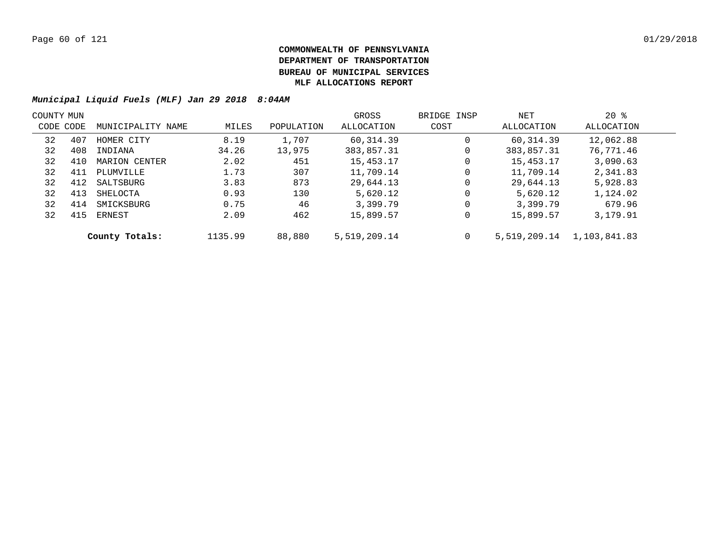|           | COUNTY MUN |                   |         |            | GROSS        | BRIDGE INSP | NET          | $20*$        |  |
|-----------|------------|-------------------|---------|------------|--------------|-------------|--------------|--------------|--|
| CODE CODE |            | MUNICIPALITY NAME | MILES   | POPULATION | ALLOCATION   | COST        | ALLOCATION   | ALLOCATION   |  |
| 32        | 407        | HOMER CITY        | 8.19    | 1,707      | 60,314.39    | $\mathbf 0$ | 60,314.39    | 12,062.88    |  |
| 32        | 408        | INDIANA           | 34.26   | 13,975     | 383,857.31   | 0           | 383,857.31   | 76,771.46    |  |
| 32        | 410        | MARION CENTER     | 2.02    | 451        | 15,453.17    | 0           | 15,453.17    | 3,090.63     |  |
| 32        | 411        | PLUMVILLE         | 1.73    | 307        | 11,709.14    | 0           | 11,709.14    | 2,341.83     |  |
| 32        | 412        | SALTSBURG         | 3.83    | 873        | 29,644.13    | 0           | 29,644.13    | 5,928.83     |  |
| 32        | 413        | SHELOCTA          | 0.93    | 130        | 5,620.12     | 0           | 5,620.12     | 1,124.02     |  |
| 32        | 414        | SMICKSBURG        | 0.75    | 46         | 3,399.79     | 0           | 3,399.79     | 679.96       |  |
| 32        | 415        | ERNEST            | 2.09    | 462        | 15,899.57    | $\Omega$    | 15,899.57    | 3,179.91     |  |
|           |            | County Totals:    | 1135.99 | 88,880     | 5,519,209.14 | 0           | 5,519,209.14 | 1,103,841.83 |  |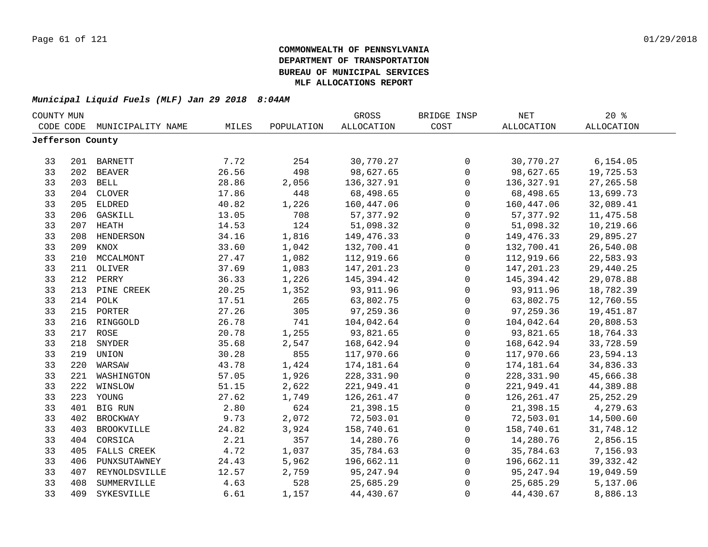|                  | COUNTY MUN |                   |       |            | GROSS             | BRIDGE INSP         | NET        | $20*$             |  |
|------------------|------------|-------------------|-------|------------|-------------------|---------------------|------------|-------------------|--|
| CODE CODE        |            | MUNICIPALITY NAME | MILES | POPULATION | <b>ALLOCATION</b> | COST                | ALLOCATION | <b>ALLOCATION</b> |  |
| Jefferson County |            |                   |       |            |                   |                     |            |                   |  |
|                  |            |                   |       |            |                   |                     |            |                   |  |
| 33               |            | 201 BARNETT       | 7.72  | 254        | 30,770.27         | 0                   | 30,770.27  | 6, 154.05         |  |
| 33               | 202        | BEAVER            | 26.56 | 498        | 98,627.65         | $\mathsf{O}$        | 98,627.65  | 19,725.53         |  |
| 33               |            | 203 BELL          | 28.86 | 2,056      | 136,327.91        | $\mathsf{O}$        | 136,327.91 | 27, 265.58        |  |
| 33               | 204        | <b>CLOVER</b>     | 17.86 | 448        | 68,498.65         | $\mathsf{O}\xspace$ | 68,498.65  | 13,699.73         |  |
| 33               | 205        | ELDRED            | 40.82 | 1,226      | 160,447.06        | 0                   | 160,447.06 | 32,089.41         |  |
| 33               | 206        | GASKILL           | 13.05 | 708        | 57, 377.92        | $\mathbf 0$         | 57, 377.92 | 11, 475.58        |  |
| 33               | 207        | HEATH             | 14.53 | 124        | 51,098.32         | $\mathbf 0$         | 51,098.32  | 10,219.66         |  |
| 33               | 208        | HENDERSON         | 34.16 | 1,816      | 149,476.33        | $\mathsf{O}$        | 149,476.33 | 29,895.27         |  |
| 33               | 209        | KNOX              | 33.60 | 1,042      | 132,700.41        | $\mathbf 0$         | 132,700.41 | 26,540.08         |  |
| 33               | 210        | MCCALMONT         | 27.47 | 1,082      | 112,919.66        | $\mathbf 0$         | 112,919.66 | 22,583.93         |  |
| 33               | 211        | OLIVER            | 37.69 | 1,083      | 147,201.23        | $\mathbf 0$         | 147,201.23 | 29,440.25         |  |
| 33               | 212        | PERRY             | 36.33 | 1,226      | 145,394.42        | $\mathbf 0$         | 145,394.42 | 29,078.88         |  |
| 33               | 213        | PINE CREEK        | 20.25 | 1,352      | 93,911.96         | $\mathbf 0$         | 93,911.96  | 18,782.39         |  |
| 33               | 214        | POLK              | 17.51 | 265        | 63,802.75         | 0                   | 63,802.75  | 12,760.55         |  |
| 33               | 215        | PORTER            | 27.26 | 305        | 97,259.36         | 0                   | 97,259.36  | 19,451.87         |  |
| 33               |            | 216 RINGGOLD      | 26.78 | 741        | 104,042.64        | 0                   | 104,042.64 | 20,808.53         |  |
| 33               |            | 217 ROSE          | 20.78 | 1,255      | 93,821.65         | $\mathsf{O}\xspace$ | 93,821.65  | 18,764.33         |  |
| 33               | 218        | SNYDER            | 35.68 | 2,547      | 168,642.94        | $\mathsf{O}\xspace$ | 168,642.94 | 33,728.59         |  |
| 33               |            | 219 UNION         | 30.28 | 855        | 117,970.66        | $\mathsf{O}\xspace$ | 117,970.66 | 23,594.13         |  |
| 33               | 220        | WARSAW            | 43.78 | 1,424      | 174,181.64        | $\mathsf{O}$        | 174,181.64 | 34,836.33         |  |
| 33               | 221        | WASHINGTON        | 57.05 | 1,926      | 228,331.90        | $\mathsf{O}$        | 228,331.90 | 45,666.38         |  |
| 33               | 222        | WINSLOW           | 51.15 | 2,622      | 221,949.41        | $\mathbf 0$         | 221,949.41 | 44,389.88         |  |
| 33               |            | 223 YOUNG         | 27.62 | 1,749      | 126, 261.47       | $\mathbf 0$         | 126,261.47 | 25, 252. 29       |  |
| 33               |            | 401 BIG RUN       | 2.80  | 624        | 21,398.15         | $\mathbf 0$         | 21,398.15  | 4,279.63          |  |
| 33               | 402        | <b>BROCKWAY</b>   | 9.73  | 2,072      | 72,503.01         | $\mathsf{O}$        | 72,503.01  | 14,500.60         |  |
| 33               | 403        | <b>BROOKVILLE</b> | 24.82 | 3,924      | 158,740.61        | $\mathsf{O}$        | 158,740.61 | 31,748.12         |  |
| 33               | 404        | CORSICA           | 2.21  | 357        | 14,280.76         | 0                   | 14,280.76  | 2,856.15          |  |
| 33               | 405        | FALLS CREEK       | 4.72  | 1,037      | 35,784.63         | $\mathsf{O}$        | 35,784.63  | 7,156.93          |  |
| 33               | 406        | PUNXSUTAWNEY      | 24.43 | 5,962      | 196,662.11        | $\mathsf{O}$        | 196,662.11 | 39, 332.42        |  |
| 33               | 407        | REYNOLDSVILLE     | 12.57 | 2,759      | 95,247.94         | $\mathbf 0$         | 95,247.94  | 19,049.59         |  |
| 33               | 408        | SUMMERVILLE       | 4.63  | 528        | 25,685.29         | 0                   | 25,685.29  | 5,137.06          |  |
| 33               | 409        | SYKESVILLE        | 6.61  | 1,157      | 44,430.67         | 0                   | 44,430.67  | 8,886.13          |  |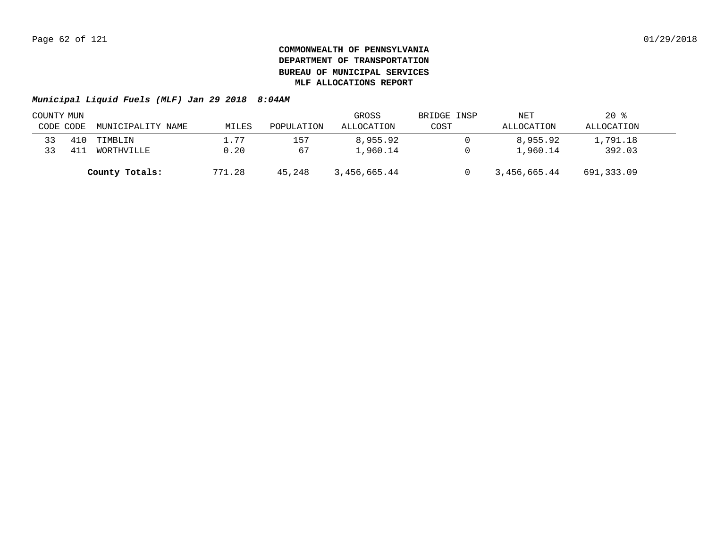| COUNTY MUN |     |                   |        |            | GROSS        | BRIDGE INSP | NET          | $20*$      |  |
|------------|-----|-------------------|--------|------------|--------------|-------------|--------------|------------|--|
| CODE CODE  |     | MUNICIPALITY NAME | MILES  | POPULATION | ALLOCATION   | COST        | ALLOCATION   | ALLOCATION |  |
| 33         | 410 | TIMBLIN           | 1.77   | 157        | 8,955.92     |             | 8,955.92     | 1,791.18   |  |
| 33         | 41  | WORTHVILLE        | 0.20   | 67         | 1,960.14     |             | 1,960.14     | 392.03     |  |
|            |     | County Totals:    | 771.28 | 45,248     | 3,456,665.44 |             | 3,456,665.44 | 691,333.09 |  |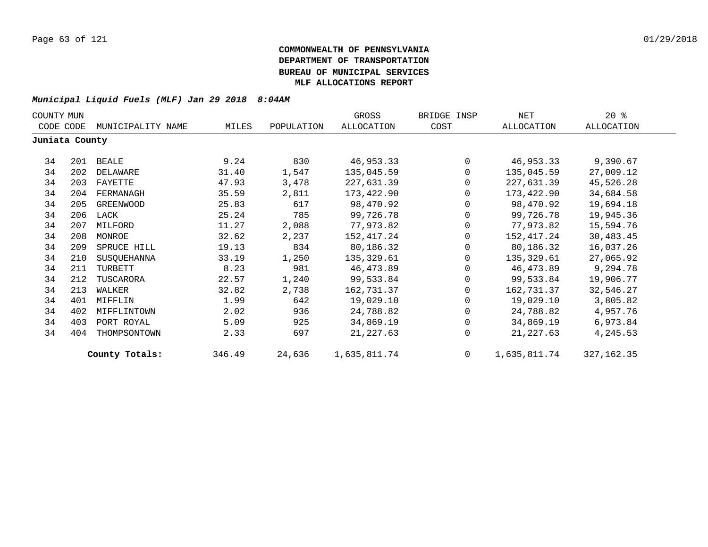| COUNTY MUN     |     |                   |        |            | GROSS        | BRIDGE INSP  | NET          | $20*$      |
|----------------|-----|-------------------|--------|------------|--------------|--------------|--------------|------------|
| CODE CODE      |     | MUNICIPALITY NAME | MILES  | POPULATION | ALLOCATION   | COST         | ALLOCATION   | ALLOCATION |
| Juniata County |     |                   |        |            |              |              |              |            |
| 34             | 201 | BEALE             | 9.24   | 830        | 46,953.33    | $\Omega$     | 46,953.33    | 9,390.67   |
| 34             | 202 | DELAWARE          | 31.40  | 1,547      | 135,045.59   | 0            | 135,045.59   | 27,009.12  |
| 34             | 203 | FAYETTE           | 47.93  | 3,478      | 227,631.39   | 0            | 227,631.39   | 45,526.28  |
| 34             | 204 | FERMANAGH         | 35.59  | 2,811      | 173,422.90   | $\mathbf{0}$ | 173,422.90   | 34,684.58  |
| 34             | 205 | GREENWOOD         | 25.83  | 617        | 98,470.92    | $\Omega$     | 98,470.92    | 19,694.18  |
| 34             |     | 206 LACK          | 25.24  | 785        | 99,726.78    | $\Omega$     | 99,726.78    | 19,945.36  |
| 34             | 207 | MILFORD           | 11.27  | 2,088      | 77,973.82    | 0            | 77,973.82    | 15,594.76  |
| 34             | 208 | MONROE            | 32.62  | 2,237      | 152,417.24   | 0            | 152,417.24   | 30,483.45  |
| 34             | 209 | SPRUCE HILL       | 19.13  | 834        | 80,186.32    | $\Omega$     | 80,186.32    | 16,037.26  |
| 34             | 210 | SUSQUEHANNA       | 33.19  | 1,250      | 135,329.61   | $\Omega$     | 135,329.61   | 27,065.92  |
| 34             | 211 | TURBETT           | 8.23   | 981        | 46, 473.89   | $\Omega$     | 46,473.89    | 9,294.78   |
| 34             | 212 | TUSCARORA         | 22.57  | 1,240      | 99,533.84    | $\Omega$     | 99,533.84    | 19,906.77  |
| 34             | 213 | WALKER            | 32.82  | 2,738      | 162,731.37   |              | 162,731.37   | 32,546.27  |
| 34             | 401 | MIFFLIN           | 1.99   | 642        | 19,029.10    | 0            | 19,029.10    | 3,805.82   |
| 34             | 402 | MIFFLINTOWN       | 2.02   | 936        | 24,788.82    | $\Omega$     | 24,788.82    | 4,957.76   |
| 34             | 403 | PORT ROYAL        | 5.09   | 925        | 34,869.19    | $\Omega$     | 34,869.19    | 6,973.84   |
| 34             | 404 | THOMPSONTOWN      | 2.33   | 697        | 21, 227.63   | $\Omega$     | 21,227.63    | 4,245.53   |
|                |     | County Totals:    | 346.49 | 24,636     | 1,635,811.74 | $\Omega$     | 1,635,811.74 | 327,162.35 |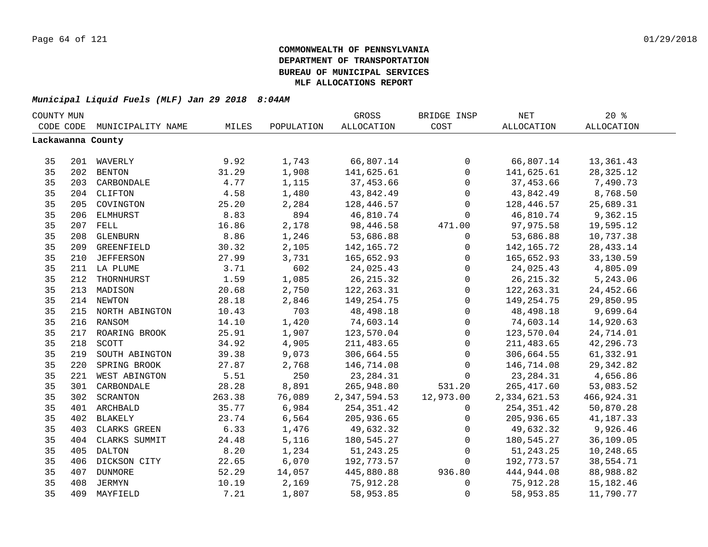| COUNTY MUN |     |                    |        |            | GROSS             | BRIDGE INSP         | NET          | 20%               |  |
|------------|-----|--------------------|--------|------------|-------------------|---------------------|--------------|-------------------|--|
| CODE CODE  |     | MUNICIPALITY NAME  | MILES  | POPULATION | <b>ALLOCATION</b> | COST                | ALLOCATION   | <b>ALLOCATION</b> |  |
|            |     | Lackawanna County  |        |            |                   |                     |              |                   |  |
|            |     |                    |        |            |                   |                     |              |                   |  |
| 35         |     | 201 WAVERLY        | 9.92   | 1,743      | 66,807.14         | $\mathsf{O}$        | 66,807.14    | 13,361.43         |  |
| 35         |     | 202 BENTON         | 31.29  | 1,908      | 141,625.61        | $\mathbf 0$         | 141,625.61   | 28, 325. 12       |  |
| 35         |     | 203 CARBONDALE     | 4.77   | 1,115      | 37,453.66         | $\mathbf 0$         | 37,453.66    | 7,490.73          |  |
| 35         |     | 204 CLIFTON        | 4.58   | 1,480      | 43,842.49         | $\mathsf{O}\xspace$ | 43,842.49    | 8,768.50          |  |
| 35         | 205 | COVINGTON          | 25.20  | 2,284      | 128,446.57        | $\mathbf 0$         | 128,446.57   | 25,689.31         |  |
| 35         | 206 | ELMHURST           | 8.83   | 894        | 46,810.74         | $\Omega$            | 46,810.74    | 9,362.15          |  |
| 35         | 207 | FELL               | 16.86  | 2,178      | 98,446.58         | 471.00              | 97,975.58    | 19,595.12         |  |
| 35         | 208 | GLENBURN           | 8.86   | 1,246      | 53,686.88         | $\mathbf 0$         | 53,686.88    | 10,737.38         |  |
| 35         | 209 | GREENFIELD         | 30.32  | 2,105      | 142,165.72        | $\mathsf{O}$        | 142,165.72   | 28, 433. 14       |  |
| 35         | 210 | <b>JEFFERSON</b>   | 27.99  | 3,731      | 165,652.93        | $\mathsf{O}$        | 165,652.93   | 33,130.59         |  |
| 35         |     | 211 LA PLUME       | 3.71   | 602        | 24,025.43         | $\mathbf 0$         | 24,025.43    | 4,805.09          |  |
| 35         | 212 | THORNHURST         | 1.59   | 1,085      | 26, 215.32        | $\mathsf{O}\xspace$ | 26, 215.32   | 5,243.06          |  |
| 35         | 213 | MADISON            | 20.68  | 2,750      | 122, 263.31       | $\mathsf{O}\xspace$ | 122, 263.31  | 24,452.66         |  |
| 35         | 214 | <b>NEWTON</b>      | 28.18  | 2,846      | 149,254.75        | $\mathsf{O}$        | 149, 254. 75 | 29,850.95         |  |
| 35         |     | 215 NORTH ABINGTON | 10.43  | 703        | 48,498.18         | $\mathbf 0$         | 48,498.18    | 9,699.64          |  |
| 35         |     | 216 RANSOM         | 14.10  | 1,420      | 74,603.14         | 0                   | 74,603.14    | 14,920.63         |  |
| 35         |     | 217 ROARING BROOK  | 25.91  | 1,907      | 123,570.04        | $\mathbf 0$         | 123,570.04   | 24,714.01         |  |
| 35         | 218 | SCOTT              | 34.92  | 4,905      | 211,483.65        | $\mathsf{O}$        | 211, 483.65  | 42,296.73         |  |
| 35         | 219 | SOUTH ABINGTON     | 39.38  | 9,073      | 306,664.55        | $\mathsf{O}$        | 306,664.55   | 61,332.91         |  |
| 35         | 220 | SPRING BROOK       | 27.87  | 2,768      | 146,714.08        | 0                   | 146,714.08   | 29, 342.82        |  |
| 35         | 221 | WEST ABINGTON      | 5.51   | 250        | 23, 284. 31       | $\mathbf 0$         | 23, 284. 31  | 4,656.86          |  |
| 35         | 301 | CARBONDALE         | 28.28  | 8,891      | 265,948.80        | 531.20              | 265, 417.60  | 53,083.52         |  |
| 35         | 302 | SCRANTON           | 263.38 | 76,089     | 2,347,594.53      | 12,973.00           | 2,334,621.53 | 466,924.31        |  |
| 35         |     | 401 ARCHBALD       | 35.77  | 6,984      | 254,351.42        | $\mathbf 0$         | 254,351.42   | 50,870.28         |  |
| 35         | 402 | BLAKELY            | 23.74  | 6,564      | 205,936.65        | $\mathbf 0$         | 205,936.65   | 41,187.33         |  |
| 35         | 403 | CLARKS GREEN       | 6.33   | 1,476      | 49,632.32         | $\mathbf 0$         | 49,632.32    | 9,926.46          |  |
| 35         | 404 | CLARKS SUMMIT      | 24.48  | 5,116      | 180,545.27        | 0                   | 180,545.27   | 36,109.05         |  |
| 35         | 405 | <b>DALTON</b>      | 8.20   | 1,234      | 51,243.25         | $\mathbf 0$         | 51, 243. 25  | 10,248.65         |  |
| 35         | 406 | DICKSON CITY       | 22.65  | 6,070      | 192,773.57        | $\mathbf 0$         | 192,773.57   | 38,554.71         |  |
| 35         | 407 | DUNMORE            | 52.29  | 14,057     | 445,880.88        | 936.80              | 444,944.08   | 88,988.82         |  |
| 35         | 408 | JERMYN             | 10.19  | 2,169      | 75,912.28         | $\mathsf{O}$        | 75,912.28    | 15,182.46         |  |
| 35         | 409 | MAYFIELD           | 7.21   | 1,807      | 58,953.85         | 0                   | 58,953.85    | 11,790.77         |  |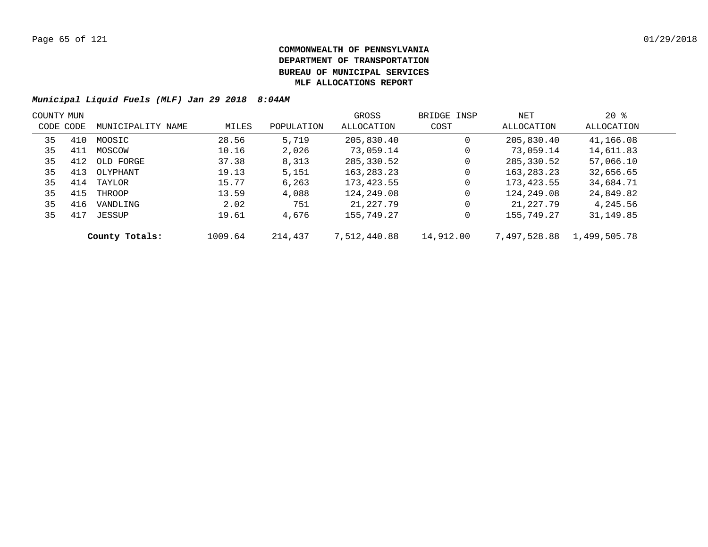| COUNTY MUN |     |                   |         |            | GROSS        | BRIDGE INSP | NET          | $20$ %       |  |
|------------|-----|-------------------|---------|------------|--------------|-------------|--------------|--------------|--|
| CODE CODE  |     | MUNICIPALITY NAME | MILES   | POPULATION | ALLOCATION   | COST        | ALLOCATION   | ALLOCATION   |  |
| 35         | 410 | MOOSIC            | 28.56   | 5,719      | 205,830.40   | $\mathbf 0$ | 205,830.40   | 41,166.08    |  |
| 35         | 411 | MOSCOW            | 10.16   | 2,026      | 73,059.14    | $\mathbf 0$ | 73,059.14    | 14,611.83    |  |
| 35         | 412 | OLD FORGE         | 37.38   | 8,313      | 285,330.52   | 0           | 285,330.52   | 57,066.10    |  |
| 35         | 413 | OLYPHANT          | 19.13   | 5,151      | 163, 283. 23 | 0           | 163, 283. 23 | 32,656.65    |  |
| 35         | 414 | TAYLOR            | 15.77   | 6,263      | 173,423.55   | $\mathbf 0$ | 173,423.55   | 34,684.71    |  |
| 35         | 415 | THROOP            | 13.59   | 4,088      | 124,249.08   | $\mathbf 0$ | 124,249.08   | 24,849.82    |  |
| 35         | 416 | VANDLING          | 2.02    | 751        | 21,227.79    | $\mathbf 0$ | 21,227.79    | 4,245.56     |  |
| 35         | 417 | JESSUP            | 19.61   | 4,676      | 155,749.27   | $\mathbf 0$ | 155,749.27   | 31,149.85    |  |
|            |     | County Totals:    | 1009.64 | 214,437    | 7,512,440.88 | 14,912.00   | 7,497,528.88 | 1,499,505.78 |  |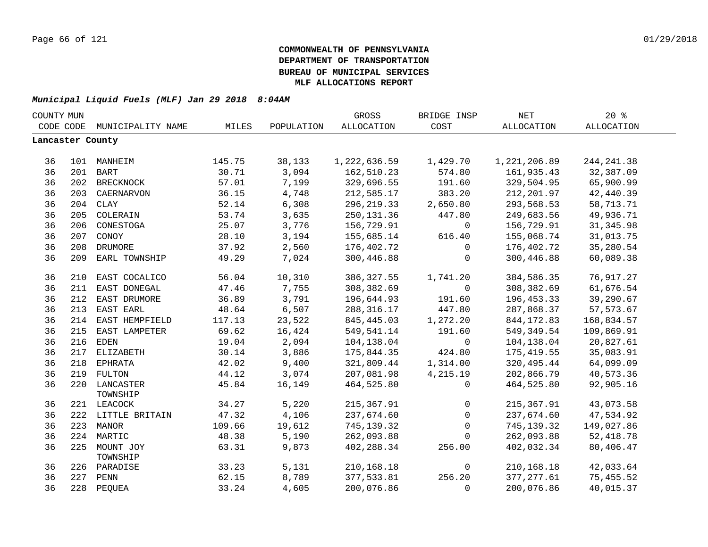|                  | COUNTY MUN |                           |        |            | GROSS        | BRIDGE INSP | <b>NET</b>   | 20%         |  |
|------------------|------------|---------------------------|--------|------------|--------------|-------------|--------------|-------------|--|
| CODE CODE        |            | MUNICIPALITY NAME         | MILES  | POPULATION | ALLOCATION   | COST        | ALLOCATION   | ALLOCATION  |  |
| Lancaster County |            |                           |        |            |              |             |              |             |  |
| 36               |            | 101 MANHEIM               | 145.75 | 38,133     | 1,222,636.59 | 1,429.70    | 1,221,206.89 | 244, 241.38 |  |
| 36               |            | 201 BART                  | 30.71  | 3,094      | 162,510.23   | 574.80      | 161,935.43   | 32,387.09   |  |
| 36               |            | 202 BRECKNOCK             | 57.01  | 7,199      | 329,696.55   | 191.60      | 329,504.95   | 65,900.99   |  |
| 36               |            | 203 CAERNARVON            | 36.15  | 4,748      | 212,585.17   | 383.20      | 212,201.97   | 42,440.39   |  |
| 36               |            | 204 CLAY                  | 52.14  | 6,308      | 296,219.33   | 2,650.80    | 293,568.53   | 58,713.71   |  |
| 36               | 205        | COLERAIN                  | 53.74  | 3,635      | 250, 131.36  | 447.80      | 249,683.56   | 49,936.71   |  |
| 36               | 206        | CONESTOGA                 | 25.07  | 3,776      | 156,729.91   | $\mathbf 0$ | 156,729.91   | 31, 345.98  |  |
| 36               | 207        | CONOY                     | 28.10  | 3,194      | 155,685.14   | 616.40      | 155,068.74   | 31,013.75   |  |
| 36               |            | 208 DRUMORE               | 37.92  | 2,560      | 176,402.72   | 0           | 176,402.72   | 35,280.54   |  |
| 36               |            | 209 EARL TOWNSHIP         | 49.29  | 7,024      | 300,446.88   | $\mathbf 0$ | 300,446.88   | 60,089.38   |  |
| 36               | 210        | EAST COCALICO             | 56.04  | 10,310     | 386, 327.55  | 1,741.20    | 384,586.35   | 76,917.27   |  |
| 36               | 211        | EAST DONEGAL              | 47.46  | 7,755      | 308,382.69   | $\mathbf 0$ | 308, 382.69  | 61,676.54   |  |
| 36               |            | 212 EAST DRUMORE          | 36.89  | 3,791      | 196,644.93   | 191.60      | 196,453.33   | 39,290.67   |  |
| 36               |            | 213 EAST EARL             | 48.64  | 6,507      | 288, 316.17  | 447.80      | 287,868.37   | 57, 573.67  |  |
| 36               |            | 214 EAST HEMPFIELD        | 117.13 | 23,522     | 845, 445.03  | 1,272.20    | 844, 172.83  | 168,834.57  |  |
| 36               | 215        | EAST LAMPETER             | 69.62  | 16,424     | 549,541.14   | 191.60      | 549,349.54   | 109,869.91  |  |
| 36               | 216        | <b>EDEN</b>               | 19.04  | 2,094      | 104,138.04   | $\mathbf 0$ | 104,138.04   | 20,827.61   |  |
| 36               |            | 217 ELIZABETH             | 30.14  | 3,886      | 175,844.35   | 424.80      | 175,419.55   | 35,083.91   |  |
| 36               |            | 218 EPHRATA               | 42.02  | 9,400      | 321,809.44   | 1,314.00    | 320,495.44   | 64,099.09   |  |
| 36               |            | 219 FULTON                | 44.12  | 3,074      | 207,081.98   | 4,215.19    | 202,866.79   | 40,573.36   |  |
| 36               |            | 220 LANCASTER<br>TOWNSHIP | 45.84  | 16,149     | 464,525.80   | 0           | 464,525.80   | 92,905.16   |  |
| 36               |            | 221 LEACOCK               | 34.27  | 5,220      | 215, 367.91  | 0           | 215, 367.91  | 43,073.58   |  |
| 36               |            | 222 LITTLE BRITAIN        | 47.32  | 4,106      | 237,674.60   | $\mathbf 0$ | 237,674.60   | 47,534.92   |  |
| 36               |            | 223 MANOR                 | 109.66 | 19,612     | 745,139.32   | $\mathbf 0$ | 745,139.32   | 149,027.86  |  |
| 36               |            | 224 MARTIC                | 48.38  | 5,190      | 262,093.88   | $\Omega$    | 262,093.88   | 52,418.78   |  |
| 36               |            | 225 MOUNT JOY<br>TOWNSHIP | 63.31  | 9,873      | 402,288.34   | 256.00      | 402,032.34   | 80,406.47   |  |
| 36               |            | 226 PARADISE              | 33.23  | 5,131      | 210,168.18   | 0           | 210,168.18   | 42,033.64   |  |
| 36               |            | 227 PENN                  | 62.15  | 8,789      | 377,533.81   | 256.20      | 377, 277.61  | 75,455.52   |  |
| 36               |            | 228 PEQUEA                | 33.24  | 4,605      | 200,076.86   | $\mathbf 0$ | 200,076.86   | 40,015.37   |  |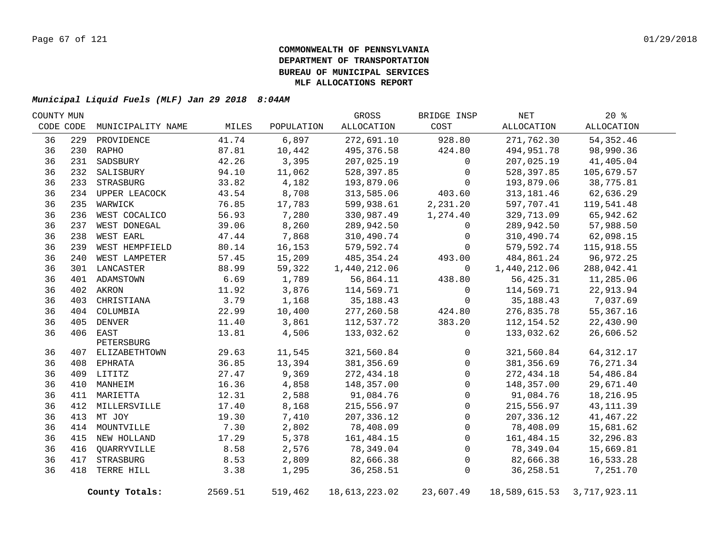| COUNTY MUN |     |                   |         |            | GROSS         | BRIDGE INSP  | NET           | $20*$        |  |
|------------|-----|-------------------|---------|------------|---------------|--------------|---------------|--------------|--|
| CODE CODE  |     | MUNICIPALITY NAME | MILES   | POPULATION | ALLOCATION    | COST         | ALLOCATION    | ALLOCATION   |  |
| 36         | 229 | PROVIDENCE        | 41.74   | 6,897      | 272,691.10    | 928.80       | 271,762.30    | 54, 352.46   |  |
| 36         |     | 230 RAPHO         | 87.81   | 10,442     | 495,376.58    | 424.80       | 494,951.78    | 98,990.36    |  |
| 36         | 231 | SADSBURY          | 42.26   | 3,395      | 207,025.19    | $\mathbf 0$  | 207,025.19    | 41,405.04    |  |
| 36         |     | 232 SALISBURY     | 94.10   | 11,062     | 528,397.85    | $\Omega$     | 528,397.85    | 105,679.57   |  |
| 36         |     | 233 STRASBURG     | 33.82   | 4,182      | 193,879.06    | $\Omega$     | 193,879.06    | 38,775.81    |  |
| 36         |     | 234 UPPER LEACOCK | 43.54   | 8,708      | 313,585.06    | 403.60       | 313, 181.46   | 62,636.29    |  |
| 36         |     | 235 WARWICK       | 76.85   | 17,783     | 599,938.61    | 2,231.20     | 597,707.41    | 119,541.48   |  |
| 36         | 236 | WEST COCALICO     | 56.93   | 7,280      | 330,987.49    | 1,274.40     | 329,713.09    | 65,942.62    |  |
| 36         | 237 | WEST DONEGAL      | 39.06   | 8,260      | 289,942.50    | $\mathbf 0$  | 289,942.50    | 57,988.50    |  |
| 36         | 238 | WEST EARL         | 47.44   | 7,868      | 310,490.74    | 0            | 310,490.74    | 62,098.15    |  |
| 36         | 239 | WEST HEMPFIELD    | 80.14   | 16,153     | 579,592.74    | $\mathbf 0$  | 579,592.74    | 115,918.55   |  |
| 36         | 240 | WEST LAMPETER     | 57.45   | 15,209     | 485, 354. 24  | 493.00       | 484,861.24    | 96, 972. 25  |  |
| 36         |     | 301 LANCASTER     | 88.99   | 59,322     | 1,440,212.06  | $\mathbf 0$  | 1,440,212.06  | 288,042.41   |  |
| 36         |     | 401 ADAMSTOWN     | 6.69    | 1,789      | 56,864.11     | 438.80       | 56,425.31     | 11,285.06    |  |
| 36         |     | 402 AKRON         | 11.92   | 3,876      | 114,569.71    | $\mathbf 0$  | 114,569.71    | 22,913.94    |  |
| 36         |     | 403 CHRISTIANA    | 3.79    | 1,168      | 35, 188. 43   | $\mathbf 0$  | 35, 188. 43   | 7,037.69     |  |
| 36         |     | 404 COLUMBIA      | 22.99   | 10,400     | 277,260.58    | 424.80       | 276,835.78    | 55, 367. 16  |  |
| 36         |     | 405 DENVER        | 11.40   | 3,861      | 112,537.72    | 383.20       | 112,154.52    | 22,430.90    |  |
| 36         |     | 406 EAST          | 13.81   | 4,506      | 133,032.62    | $\mathbf 0$  | 133,032.62    | 26,606.52    |  |
|            |     | PETERSBURG        |         |            |               |              |               |              |  |
| 36         |     | 407 ELIZABETHTOWN | 29.63   | 11,545     | 321,560.84    | 0            | 321,560.84    | 64, 312. 17  |  |
| 36         |     | 408 EPHRATA       | 36.85   | 13,394     | 381,356.69    | $\mathbf 0$  | 381, 356.69   | 76, 271.34   |  |
| 36         |     | 409 LITITZ        | 27.47   | 9,369      | 272, 434.18   | $\mathbf 0$  | 272, 434.18   | 54,486.84    |  |
| 36         |     | 410 MANHEIM       | 16.36   | 4,858      | 148,357.00    | $\mathbf 0$  | 148,357.00    | 29,671.40    |  |
| 36         |     | 411 MARIETTA      | 12.31   | 2,588      | 91,084.76     | $\mathbf 0$  | 91,084.76     | 18,216.95    |  |
| 36         |     | 412 MILLERSVILLE  | 17.40   | 8,168      | 215,556.97    | $\mathbf{0}$ | 215,556.97    | 43, 111.39   |  |
| 36         |     | 413 MT JOY        | 19.30   | 7,410      | 207,336.12    | $\mathbf 0$  | 207,336.12    | 41,467.22    |  |
| 36         |     | 414 MOUNTVILLE    | 7.30    | 2,802      | 78,408.09     | $\Omega$     | 78,408.09     | 15,681.62    |  |
| 36         |     | 415 NEW HOLLAND   | 17.29   | 5,378      | 161,484.15    | $\mathbf 0$  | 161,484.15    | 32,296.83    |  |
| 36         | 416 | QUARRYVILLE       | 8.58    | 2,576      | 78,349.04     | $\Omega$     | 78,349.04     | 15,669.81    |  |
| 36         | 417 | STRASBURG         | 8.53    | 2,809      | 82,666.38     | 0            | 82,666.38     | 16,533.28    |  |
| 36         | 418 | TERRE HILL        | 3.38    | 1,295      | 36,258.51     | $\mathbf 0$  | 36, 258.51    | 7,251.70     |  |
|            |     | County Totals:    | 2569.51 | 519,462    | 18,613,223.02 | 23,607.49    | 18,589,615.53 | 3,717,923.11 |  |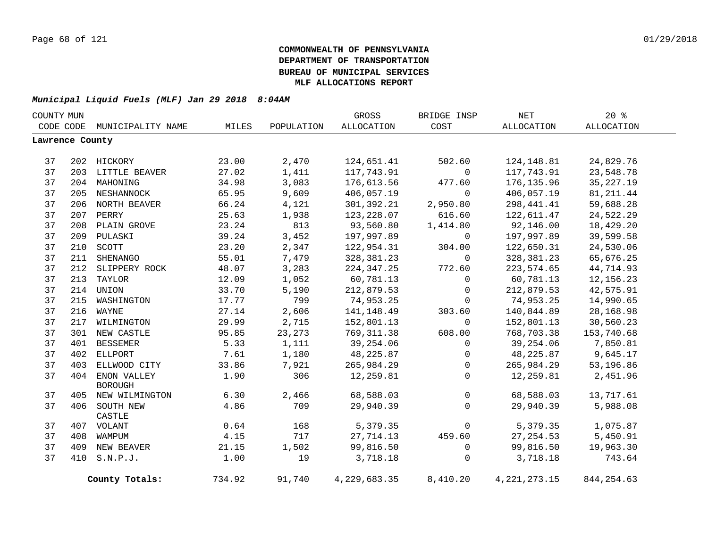| COUNTY MUN      |     |                             |        |            | GROSS        | BRIDGE INSP  | $\operatorname{NET}$ | 20%         |  |
|-----------------|-----|-----------------------------|--------|------------|--------------|--------------|----------------------|-------------|--|
|                 |     | CODE CODE MUNICIPALITY NAME | MILES  | POPULATION | ALLOCATION   | COST         | ALLOCATION           | ALLOCATION  |  |
| Lawrence County |     |                             |        |            |              |              |                      |             |  |
|                 |     |                             |        |            |              |              |                      |             |  |
| 37              |     | 202 HICKORY                 | 23.00  | 2,470      | 124,651.41   | 502.60       | 124,148.81           | 24,829.76   |  |
| 37              |     | 203 LITTLE BEAVER           | 27.02  | 1,411      | 117,743.91   | $\mathbf 0$  | 117,743.91           | 23,548.78   |  |
| 37              |     | 204 MAHONING                | 34.98  | 3,083      | 176,613.56   | 477.60       | 176, 135.96          | 35, 227. 19 |  |
| 37              |     | 205 NESHANNOCK              | 65.95  | 9,609      | 406,057.19   | $\mathbf 0$  | 406,057.19           | 81, 211.44  |  |
| 37              |     | 206 NORTH BEAVER            | 66.24  | 4,121      | 301,392.21   | 2,950.80     | 298, 441.41          | 59,688.28   |  |
| 37              |     | 207 PERRY                   | 25.63  | 1,938      | 123,228.07   | 616.60       | 122,611.47           | 24,522.29   |  |
| 37              |     | 208 PLAIN GROVE             | 23.24  | 813        | 93,560.80    | 1,414.80     | 92,146.00            | 18,429.20   |  |
| 37              |     | 209 PULASKI                 | 39.24  | 3,452      | 197,997.89   | $\Omega$     | 197,997.89           | 39,599.58   |  |
| 37              | 210 | SCOTT                       | 23.20  | 2,347      | 122,954.31   | 304.00       | 122,650.31           | 24,530.06   |  |
| 37              | 211 | SHENANGO                    | 55.01  | 7,479      | 328,381.23   | $\mathbf 0$  | 328,381.23           | 65,676.25   |  |
| 37              | 212 | SLIPPERY ROCK               | 48.07  | 3,283      | 224,347.25   | 772.60       | 223,574.65           | 44,714.93   |  |
| 37              | 213 | TAYLOR                      | 12.09  | 1,052      | 60,781.13    | 0            | 60,781.13            | 12,156.23   |  |
| 37              |     | 214 UNION                   | 33.70  | 5,190      | 212,879.53   | $\mathsf{O}$ | 212,879.53           | 42,575.91   |  |
| 37              |     | 215 WASHINGTON              | 17.77  | 799        | 74,953.25    | $\mathbf 0$  | 74,953.25            | 14,990.65   |  |
| 37              |     | 216 WAYNE                   | 27.14  | 2,606      | 141, 148.49  | 303.60       | 140,844.89           | 28,168.98   |  |
| 37              | 217 | WILMINGTON                  | 29.99  | 2,715      | 152,801.13   | $\mathbf 0$  | 152,801.13           | 30,560.23   |  |
| 37              |     | 301 NEW CASTLE              | 95.85  | 23,273     | 769, 311.38  | 608.00       | 768,703.38           | 153,740.68  |  |
| 37              | 401 | <b>BESSEMER</b>             | 5.33   | 1,111      | 39,254.06    | $\mathbf 0$  | 39,254.06            | 7,850.81    |  |
| 37              | 402 | ELLPORT                     | 7.61   | 1,180      | 48,225.87    | 0            | 48,225.87            | 9,645.17    |  |
| 37              | 403 | ELLWOOD CITY                | 33.86  | 7,921      | 265,984.29   | 0            | 265,984.29           | 53,196.86   |  |
| 37              |     | 404 ENON VALLEY             | 1.90   | 306        | 12,259.81    | $\mathbf{0}$ | 12,259.81            | 2,451.96    |  |
|                 |     | <b>BOROUGH</b>              |        |            |              |              |                      |             |  |
| 37              |     | 405 NEW WILMINGTON          | 6.30   | 2,466      | 68,588.03    | $\mathsf{O}$ | 68,588.03            | 13,717.61   |  |
| 37              |     | 406 SOUTH NEW               | 4.86   | 709        | 29,940.39    | $\mathbf{0}$ | 29,940.39            | 5,988.08    |  |
|                 |     | CASTLE                      |        |            |              |              |                      |             |  |
| 37              |     | 407 VOLANT                  | 0.64   | 168        | 5,379.35     | $\mathsf{O}$ | 5,379.35             | 1,075.87    |  |
| 37              |     | 408 WAMPUM                  | 4.15   | 717        | 27,714.13    | 459.60       | 27, 254.53           | 5,450.91    |  |
| 37              |     | 409 NEW BEAVER              | 21.15  | 1,502      | 99,816.50    | 0            | 99,816.50            | 19,963.30   |  |
| 37              |     | 410 S.N.P.J.                | 1.00   | 19         | 3,718.18     | $\mathbf 0$  | 3,718.18             | 743.64      |  |
|                 |     | County Totals:              | 734.92 | 91,740     | 4,229,683.35 | 8,410.20     | 4, 221, 273. 15      | 844, 254.63 |  |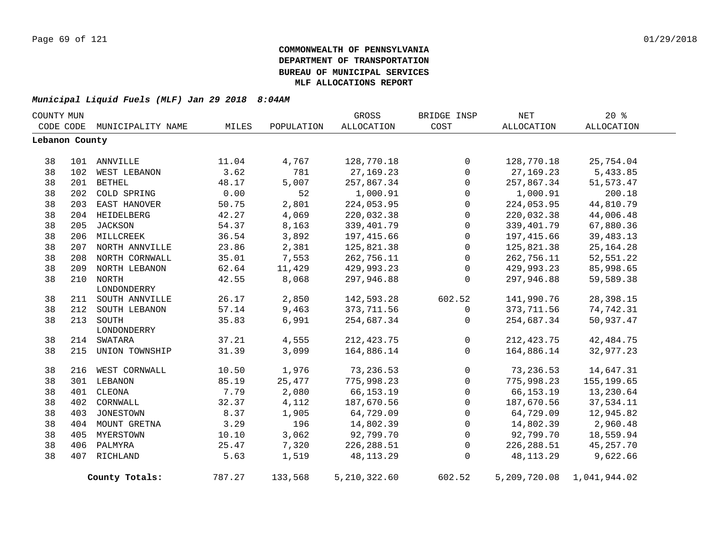| COUNTY MUN     |     |                    |        |            | GROSS          | BRIDGE INSP  | <b>NET</b>   | 20%          |  |
|----------------|-----|--------------------|--------|------------|----------------|--------------|--------------|--------------|--|
| CODE CODE      |     | MUNICIPALITY NAME  | MILES  | POPULATION | ALLOCATION     | COST         | ALLOCATION   | ALLOCATION   |  |
| Lebanon County |     |                    |        |            |                |              |              |              |  |
|                |     |                    |        |            |                |              |              |              |  |
| 38             |     | 101 ANNVILLE       | 11.04  | 4,767      | 128,770.18     | $\Omega$     | 128,770.18   | 25,754.04    |  |
| 38             | 102 | WEST LEBANON       | 3.62   | 781        | 27, 169. 23    | $\mathbf{0}$ | 27, 169. 23  | 5,433.85     |  |
| 38             | 201 | <b>BETHEL</b>      | 48.17  | 5,007      | 257,867.34     | 0            | 257,867.34   | 51, 573. 47  |  |
| 38             | 202 | COLD SPRING        | 0.00   | 52         | 1,000.91       | 0            | 1,000.91     | 200.18       |  |
| 38             |     | 203 EAST HANOVER   | 50.75  | 2,801      | 224,053.95     | 0            | 224,053.95   | 44,810.79    |  |
| 38             |     | 204 HEIDELBERG     | 42.27  | 4,069      | 220,032.38     | $\mathbf 0$  | 220,032.38   | 44,006.48    |  |
| 38             |     | 205 JACKSON        | 54.37  | 8,163      | 339, 401.79    | $\mathbf 0$  | 339,401.79   | 67,880.36    |  |
| 38             |     | 206 MILLCREEK      | 36.54  | 3,892      | 197,415.66     | $\mathbf 0$  | 197,415.66   | 39,483.13    |  |
| 38             |     | 207 NORTH ANNVILLE | 23.86  | 2,381      | 125,821.38     | $\Omega$     | 125,821.38   | 25, 164. 28  |  |
| 38             |     | 208 NORTH CORNWALL | 35.01  | 7,553      | 262,756.11     | $\mathbf 0$  | 262,756.11   | 52,551.22    |  |
| 38             |     | 209 NORTH LEBANON  | 62.64  | 11,429     | 429,993.23     | 0            | 429,993.23   | 85,998.65    |  |
| 38             |     | 210 NORTH          | 42.55  | 8,068      | 297,946.88     | 0            | 297,946.88   | 59,589.38    |  |
|                |     | LONDONDERRY        |        |            |                |              |              |              |  |
| 38             |     | 211 SOUTH ANNVILLE | 26.17  | 2,850      | 142,593.28     | 602.52       | 141,990.76   | 28,398.15    |  |
| 38             |     | 212 SOUTH LEBANON  | 57.14  | 9,463      | 373, 711.56    | 0            | 373,711.56   | 74,742.31    |  |
| 38             |     | 213 SOUTH          | 35.83  | 6,991      | 254,687.34     | $\mathbf 0$  | 254,687.34   | 50,937.47    |  |
|                |     | LONDONDERRY        |        |            |                |              |              |              |  |
| 38             |     | 214 SWATARA        | 37.21  | 4,555      | 212, 423.75    | 0            | 212, 423.75  | 42, 484. 75  |  |
| 38             |     | 215 UNION TOWNSHIP | 31.39  | 3,099      | 164,886.14     | $\Omega$     | 164,886.14   | 32,977.23    |  |
| 38             |     | 216 WEST CORNWALL  | 10.50  | 1,976      | 73,236.53      | 0            | 73,236.53    | 14,647.31    |  |
| 38             |     | 301 LEBANON        | 85.19  | 25,477     | 775,998.23     | $\Omega$     | 775,998.23   | 155, 199.65  |  |
| 38             | 401 | CLEONA             | 7.79   | 2,080      | 66, 153. 19    | 0            | 66, 153. 19  | 13,230.64    |  |
| 38             | 402 | CORNWALL           | 32.37  | 4,112      | 187,670.56     | $\mathbf 0$  | 187,670.56   | 37,534.11    |  |
| 38             | 403 | JONESTOWN          | 8.37   | 1,905      | 64,729.09      | $\mathbf 0$  | 64,729.09    | 12,945.82    |  |
| 38             |     | 404 MOUNT GRETNA   | 3.29   | 196        | 14,802.39      | $\mathbf 0$  | 14,802.39    | 2,960.48     |  |
| 38             |     | 405 MYERSTOWN      | 10.10  | 3,062      | 92,799.70      | 0            | 92,799.70    | 18,559.94    |  |
| 38             |     | 406 PALMYRA        | 25.47  | 7,320      | 226, 288.51    | $\mathbf 0$  | 226, 288.51  | 45, 257. 70  |  |
| 38             |     | 407 RICHLAND       | 5.63   | 1,519      | 48, 113. 29    | $\mathbf 0$  | 48, 113. 29  | 9,622.66     |  |
|                |     |                    |        |            |                |              |              |              |  |
|                |     | County Totals:     | 787.27 | 133,568    | 5, 210, 322.60 | 602.52       | 5,209,720.08 | 1,041,944.02 |  |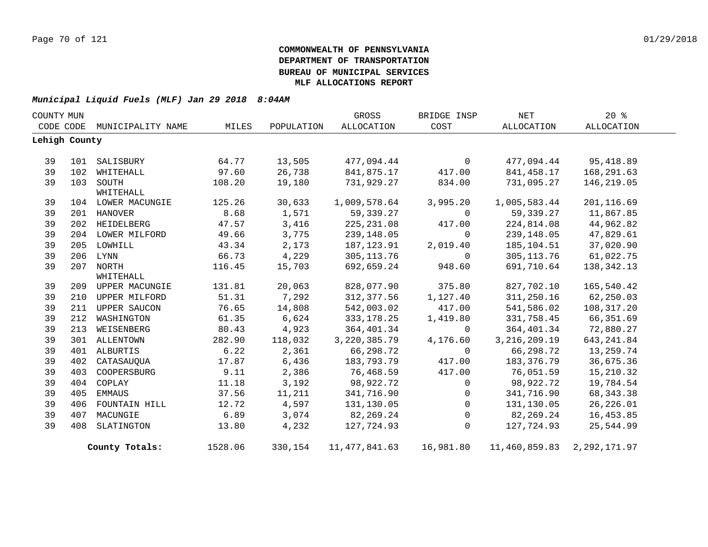| COUNTY MUN |               |                    |         |            | GROSS           | BRIDGE INSP  | <b>NET</b>     | 20%          |  |
|------------|---------------|--------------------|---------|------------|-----------------|--------------|----------------|--------------|--|
|            | CODE CODE     | MUNICIPALITY NAME  | MILES   | POPULATION | ALLOCATION      | COST         | ALLOCATION     | ALLOCATION   |  |
|            | Lehigh County |                    |         |            |                 |              |                |              |  |
|            |               |                    |         |            |                 |              |                |              |  |
| 39         | 101           | SALISBURY          | 64.77   | 13,505     | 477,094.44      | $\mathbf 0$  | 477,094.44     | 95,418.89    |  |
| 39         | 102           | WHITEHALL          | 97.60   | 26,738     | 841,875.17      | 417.00       | 841,458.17     | 168,291.63   |  |
| 39         |               | 103 SOUTH          | 108.20  | 19,180     | 731,929.27      | 834.00       | 731,095.27     | 146,219.05   |  |
|            |               | WHITEHALL          |         |            |                 |              |                |              |  |
| 39         |               | 104 LOWER MACUNGIE | 125.26  | 30,633     | 1,009,578.64    | 3,995.20     | 1,005,583.44   | 201,116.69   |  |
| 39         |               | 201 HANOVER        | 8.68    | 1,571      | 59,339.27       | $\mathbf 0$  | 59,339.27      | 11,867.85    |  |
| 39         |               | 202 HEIDELBERG     | 47.57   | 3,416      | 225, 231.08     | 417.00       | 224,814.08     | 44,962.82    |  |
| 39         |               | 204 LOWER MILFORD  | 49.66   | 3,775      | 239,148.05      | $\mathbf 0$  | 239,148.05     | 47,829.61    |  |
| 39         |               | 205 LOWHILL        | 43.34   | 2,173      | 187,123.91      | 2,019.40     | 185,104.51     | 37,020.90    |  |
| 39         |               | 206 LYNN           | 66.73   | 4,229      | 305, 113.76     | $\mathbf 0$  | 305, 113.76    | 61,022.75    |  |
| 39         |               | 207 NORTH          | 116.45  | 15,703     | 692,659.24      | 948.60       | 691,710.64     | 138, 342. 13 |  |
|            |               | WHITEHALL          |         |            |                 |              |                |              |  |
| 39         |               | 209 UPPER MACUNGIE | 131.81  | 20,063     | 828,077.90      | 375.80       | 827,702.10     | 165,540.42   |  |
| 39         |               | 210 UPPER MILFORD  | 51.31   | 7,292      | 312,377.56      | 1,127.40     | 311,250.16     | 62,250.03    |  |
| 39         |               | 211 UPPER SAUCON   | 76.65   | 14,808     | 542,003.02      | 417.00       | 541,586.02     | 108, 317.20  |  |
| 39         | 212           | WASHINGTON         | 61.35   | 6,624      | 333, 178. 25    | 1,419.80     | 331,758.45     | 66, 351.69   |  |
| 39         | 213           | WEISENBERG         | 80.43   | 4,923      | 364,401.34      | 0            | 364,401.34     | 72,880.27    |  |
| 39         |               | 301 ALLENTOWN      | 282.90  | 118,032    | 3, 220, 385. 79 | 4,176.60     | 3, 216, 209.19 | 643, 241.84  |  |
| 39         |               | 401 ALBURTIS       | 6.22    | 2,361      | 66,298.72       | $\Omega$     | 66,298.72      | 13,259.74    |  |
| 39         | 402           | CATASAUOUA         | 17.87   | 6,436      | 183,793.79      | 417.00       | 183,376.79     | 36,675.36    |  |
| 39         | 403           | COOPERSBURG        | 9.11    | 2,386      | 76,468.59       | 417.00       | 76,051.59      | 15,210.32    |  |
| 39         | 404           | COPLAY             | 11.18   | 3,192      | 98,922.72       | $\mathbf 0$  | 98,922.72      | 19,784.54    |  |
| 39         | 405           | EMMAUS             | 37.56   | 11,211     | 341,716.90      | 0            | 341,716.90     | 68, 343. 38  |  |
| 39         | 406           | FOUNTAIN HILL      | 12.72   | 4,597      | 131,130.05      | $\mathbf{0}$ | 131,130.05     | 26, 226.01   |  |
| 39         | 407           | MACUNGIE           | 6.89    | 3,074      | 82,269.24       | $\mathbf 0$  | 82,269.24      | 16,453.85    |  |
| 39         | 408           | SLATINGTON         | 13.80   | 4,232      | 127,724.93      | $\mathbf 0$  | 127,724.93     | 25,544.99    |  |
|            |               | County Totals:     | 1528.06 | 330,154    | 11,477,841.63   | 16,981.80    | 11,460,859.83  | 2,292,171.97 |  |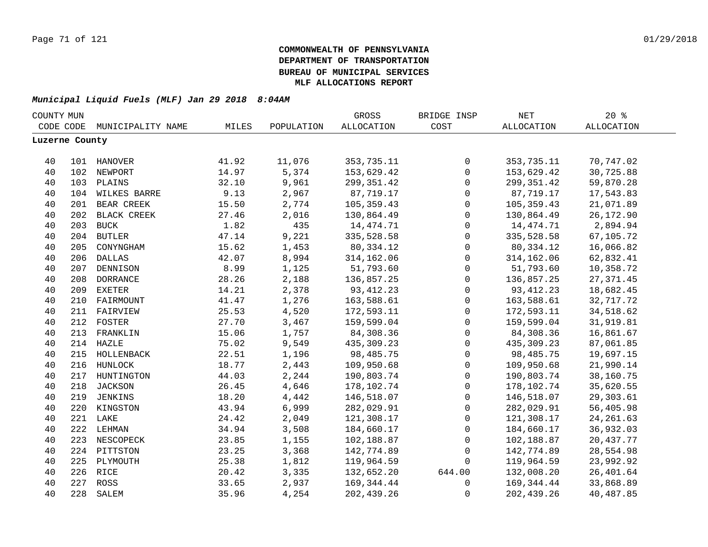|                | COUNTY MUN |                   |       |            | GROSS             | BRIDGE INSP         | $\operatorname{NET}$ | 20%               |
|----------------|------------|-------------------|-------|------------|-------------------|---------------------|----------------------|-------------------|
| CODE CODE      |            | MUNICIPALITY NAME | MILES | POPULATION | <b>ALLOCATION</b> | COST                | ALLOCATION           | <b>ALLOCATION</b> |
| Luzerne County |            |                   |       |            |                   |                     |                      |                   |
|                |            |                   |       |            |                   |                     |                      |                   |
| 40             |            | 101 HANOVER       | 41.92 | 11,076     | 353,735.11        | 0                   | 353,735.11           | 70,747.02         |
| 40             |            | 102 NEWPORT       | 14.97 | 5,374      | 153,629.42        | $\mathbf 0$         | 153,629.42           | 30,725.88         |
| 40             |            | 103 PLAINS        | 32.10 | 9,961      | 299, 351.42       | $\mathbf 0$         | 299, 351.42          | 59,870.28         |
| 40             |            | 104 WILKES BARRE  | 9.13  | 2,967      | 87,719.17         | 0                   | 87,719.17            | 17,543.83         |
| 40             | 201        | BEAR CREEK        | 15.50 | 2,774      | 105,359.43        | $\mathbf 0$         | 105,359.43           | 21,071.89         |
| 40             | 202        | BLACK CREEK       | 27.46 | 2,016      | 130,864.49        | $\mathbf 0$         | 130,864.49           | 26,172.90         |
| 40             | 203        | <b>BUCK</b>       | 1.82  | 435        | 14, 474. 71       | $\mathbf 0$         | 14, 474. 71          | 2,894.94          |
| 40             | 204        | <b>BUTLER</b>     | 47.14 | 9,221      | 335,528.58        | $\mathbf 0$         | 335,528.58           | 67,105.72         |
| 40             | 205        | CONYNGHAM         | 15.62 | 1,453      | 80,334.12         | $\mathbf 0$         | 80,334.12            | 16,066.82         |
| 40             | 206        | <b>DALLAS</b>     | 42.07 | 8,994      | 314, 162.06       | $\mathbf 0$         | 314,162.06           | 62,832.41         |
| 40             | 207        | DENNISON          | 8.99  | 1,125      | 51,793.60         | $\mathbf 0$         | 51,793.60            | 10,358.72         |
| 40             | 208        | <b>DORRANCE</b>   | 28.26 | 2,188      | 136,857.25        | $\mathbf 0$         | 136,857.25           | 27, 371.45        |
| 40             | 209        | <b>EXETER</b>     | 14.21 | 2,378      | 93, 412.23        | $\mathbf 0$         | 93, 412.23           | 18,682.45         |
| 40             |            | 210 FAIRMOUNT     | 41.47 | 1,276      | 163,588.61        | 0                   | 163,588.61           | 32,717.72         |
| 40             |            | 211 FAIRVIEW      | 25.53 | 4,520      | 172,593.11        | 0                   | 172,593.11           | 34,518.62         |
| 40             |            | 212 FOSTER        | 27.70 | 3,467      | 159,599.04        | 0                   | 159,599.04           | 31,919.81         |
| 40             |            | 213 FRANKLIN      | 15.06 | 1,757      | 84,308.36         | $\mathsf{O}$        | 84,308.36            | 16,861.67         |
| 40             |            | 214 HAZLE         | 75.02 | 9,549      | 435,309.23        | $\mathsf{O}\xspace$ | 435,309.23           | 87,061.85         |
| 40             |            | 215 HOLLENBACK    | 22.51 | 1,196      | 98,485.75         | $\mathbf 0$         | 98,485.75            | 19,697.15         |
| 40             |            | 216 HUNLOCK       | 18.77 | 2,443      | 109,950.68        | $\mathbf 0$         | 109,950.68           | 21,990.14         |
| 40             | 217        | HUNTINGTON        | 44.03 | 2,244      | 190,803.74        | $\mathbf 0$         | 190,803.74           | 38,160.75         |
| 40             | 218        | <b>JACKSON</b>    | 26.45 | 4,646      | 178,102.74        | $\Omega$            | 178,102.74           | 35,620.55         |
| 40             | 219        | JENKINS           | 18.20 | 4,442      | 146,518.07        | $\Omega$            | 146,518.07           | 29,303.61         |
| 40             | 220        | KINGSTON          | 43.94 | 6,999      | 282,029.91        | $\mathbf 0$         | 282,029.91           | 56,405.98         |
| 40             |            | 221 LAKE          | 24.42 | 2,049      | 121,308.17        | $\mathbf 0$         | 121,308.17           | 24, 261.63        |
| 40             |            | 222 LEHMAN        | 34.94 | 3,508      | 184,660.17        | $\mathbf 0$         | 184,660.17           | 36,932.03         |
| 40             | 223        | NESCOPECK         | 23.85 | 1,155      | 102,188.87        | $\mathbf 0$         | 102,188.87           | 20,437.77         |
| 40             |            | 224 PITTSTON      | 23.25 | 3,368      | 142,774.89        | $\mathbf 0$         | 142,774.89           | 28,554.98         |
| 40             |            | 225 PLYMOUTH      | 25.38 | 1,812      | 119,964.59        | $\mathbf 0$         | 119,964.59           | 23,992.92         |
| 40             | 226        | RICE              | 20.42 | 3,335      | 132,652.20        | 644.00              | 132,008.20           | 26,401.64         |
| 40             |            | 227 ROSS          | 33.65 | 2,937      | 169, 344.44       | 0                   | 169, 344.44          | 33,868.89         |
| 40             | 228        | SALEM             | 35.96 | 4,254      | 202,439.26        | 0                   | 202,439.26           | 40,487.85         |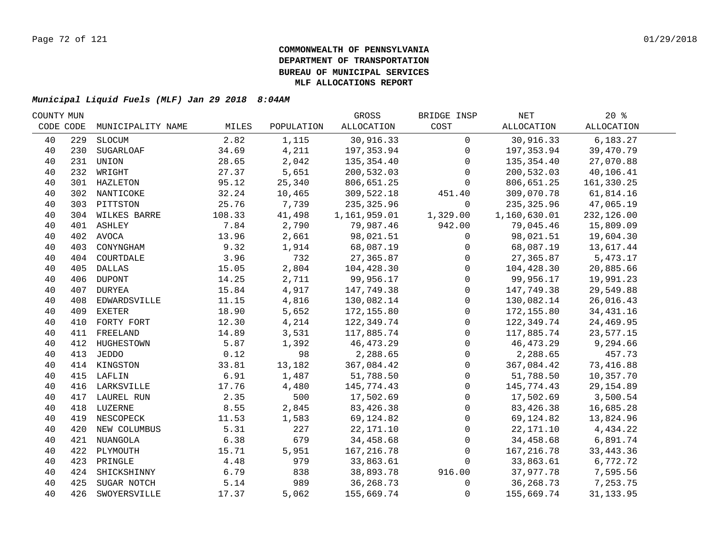| COUNTY MUN |     |                   |        |            | GROSS        | BRIDGE INSP    | NET          | $20*$       |  |
|------------|-----|-------------------|--------|------------|--------------|----------------|--------------|-------------|--|
| CODE CODE  |     | MUNICIPALITY NAME | MILES  | POPULATION | ALLOCATION   | COST           | ALLOCATION   | ALLOCATION  |  |
| 40         | 229 | SLOCUM            | 2.82   | 1,115      | 30,916.33    | $\overline{0}$ | 30,916.33    | 6,183.27    |  |
| 40         | 230 | <b>SUGARLOAF</b>  | 34.69  | 4,211      | 197,353.94   | $\mathbf 0$    | 197,353.94   | 39,470.79   |  |
| 40         | 231 | UNION             | 28.65  | 2,042      | 135,354.40   | $\Omega$       | 135,354.40   | 27,070.88   |  |
| 40         |     | 232 WRIGHT        | 27.37  | 5,651      | 200,532.03   | $\Omega$       | 200,532.03   | 40,106.41   |  |
| 40         |     | 301 HAZLETON      | 95.12  | 25,340     | 806,651.25   | $\Omega$       | 806,651.25   | 161,330.25  |  |
| 40         |     | 302 NANTICOKE     | 32.24  | 10,465     | 309,522.18   | 451.40         | 309,070.78   | 61,814.16   |  |
| 40         |     | 303 PITTSTON      | 25.76  | 7,739      | 235, 325.96  | $\mathbf 0$    | 235, 325.96  | 47,065.19   |  |
| 40         |     | 304 WILKES BARRE  | 108.33 | 41,498     | 1,161,959.01 | 1,329.00       | 1,160,630.01 | 232,126.00  |  |
| 40         |     | 401 ASHLEY        | 7.84   | 2,790      | 79,987.46    | 942.00         | 79,045.46    | 15,809.09   |  |
| 40         |     | 402 AVOCA         | 13.96  | 2,661      | 98,021.51    | $\mathsf{O}$   | 98,021.51    | 19,604.30   |  |
| 40         | 403 | CONYNGHAM         | 9.32   | 1,914      | 68,087.19    | 0              | 68,087.19    | 13,617.44   |  |
| 40         | 404 | COURTDALE         | 3.96   | 732        | 27,365.87    | $\mathsf{O}$   | 27,365.87    | 5,473.17    |  |
| 40         | 405 | DALLAS            | 15.05  | 2,804      | 104,428.30   | $\mathsf{O}$   | 104,428.30   | 20,885.66   |  |
| 40         | 406 | <b>DUPONT</b>     | 14.25  | 2,711      | 99,956.17    | $\mathsf{O}$   | 99,956.17    | 19,991.23   |  |
| 40         | 407 | DURYEA            | 15.84  | 4,917      | 147,749.38   | $\mathbf 0$    | 147,749.38   | 29,549.88   |  |
| 40         | 408 | EDWARDSVILLE      | 11.15  | 4,816      | 130,082.14   | $\Omega$       | 130,082.14   | 26,016.43   |  |
| 40         | 409 | <b>EXETER</b>     | 18.90  | 5,652      | 172,155.80   | $\mathbf 0$    | 172,155.80   | 34, 431. 16 |  |
| 40         |     | 410 FORTY FORT    | 12.30  | 4,214      | 122,349.74   | $\mathbf 0$    | 122,349.74   | 24,469.95   |  |
| 40         |     | 411 FREELAND      | 14.89  | 3,531      | 117,885.74   | $\mathbf 0$    | 117,885.74   | 23,577.15   |  |
| 40         |     | 412 HUGHESTOWN    | 5.87   | 1,392      | 46,473.29    | $\mathsf{O}$   | 46,473.29    | 9,294.66    |  |
| 40         |     | 413 JEDDO         | 0.12   | 98         | 2,288.65     | $\mathsf{O}$   | 2,288.65     | 457.73      |  |
| 40         |     | 414 KINGSTON      | 33.81  | 13,182     | 367,084.42   | $\mathsf{O}$   | 367,084.42   | 73,416.88   |  |
| 40         |     | 415 LAFLIN        | 6.91   | 1,487      | 51,788.50    | $\mathbf 0$    | 51,788.50    | 10,357.70   |  |
| 40         |     | 416 LARKSVILLE    | 17.76  | 4,480      | 145,774.43   | $\mathbf 0$    | 145,774.43   | 29, 154.89  |  |
| 40         |     | 417 LAUREL RUN    | 2.35   | 500        | 17,502.69    | $\Omega$       | 17,502.69    | 3,500.54    |  |
| 40         |     | 418 LUZERNE       | 8.55   | 2,845      | 83,426.38    | $\mathbf 0$    | 83,426.38    | 16,685.28   |  |
| 40         |     | 419 NESCOPECK     | 11.53  | 1,583      | 69,124.82    | $\mathbf 0$    | 69,124.82    | 13,824.96   |  |
| 40         |     | 420 NEW COLUMBUS  | 5.31   | 227        | 22, 171.10   | $\mathbf{0}$   | 22,171.10    | 4,434.22    |  |
| 40         |     | 421 NUANGOLA      | 6.38   | 679        | 34,458.68    | $\mathbf 0$    | 34,458.68    | 6,891.74    |  |
| 40         | 422 | PLYMOUTH          | 15.71  | 5,951      | 167, 216.78  | $\mathbf 0$    | 167,216.78   | 33, 443. 36 |  |
| 40         | 423 | PRINGLE           | 4.48   | 979        | 33,863.61    | $\Omega$       | 33,863.61    | 6,772.72    |  |
| 40         | 424 | SHICKSHINNY       | 6.79   | 838        | 38,893.78    | 916.00         | 37,977.78    | 7,595.56    |  |
| 40         | 425 | SUGAR NOTCH       | 5.14   | 989        | 36, 268. 73  | 0              | 36,268.73    | 7,253.75    |  |
| 40         | 426 | SWOYERSVILLE      | 17.37  | 5,062      | 155,669.74   | $\mathbf 0$    | 155,669.74   | 31, 133.95  |  |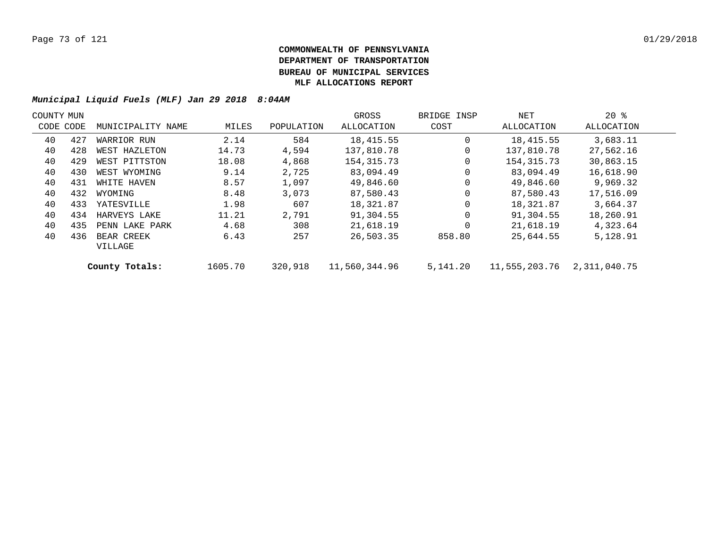| COUNTY MUN |           |                       |         |            | GROSS         | BRIDGE INSP | NET           | $20*$        |  |
|------------|-----------|-----------------------|---------|------------|---------------|-------------|---------------|--------------|--|
|            | CODE CODE | MUNICIPALITY NAME     | MILES   | POPULATION | ALLOCATION    | COST        | ALLOCATION    | ALLOCATION   |  |
| 40         | 427       | WARRIOR RUN           | 2.14    | 584        | 18,415.55     | $\Omega$    | 18,415.55     | 3,683.11     |  |
| 40         | 428       | WEST HAZLETON         | 14.73   | 4,594      | 137,810.78    | 0           | 137,810.78    | 27,562.16    |  |
| 40         | 429       | WEST PITTSTON         | 18.08   | 4,868      | 154, 315. 73  | 0           | 154,315.73    | 30,863.15    |  |
| 40         | 430       | WEST WYOMING          | 9.14    | 2,725      | 83,094.49     | 0           | 83,094.49     | 16,618.90    |  |
| 40         | 431       | WHITE HAVEN           | 8.57    | 1,097      | 49,846.60     | $\mathbf 0$ | 49,846.60     | 9,969.32     |  |
| 40         | 432       | WYOMING               | 8.48    | 3,073      | 87,580.43     | $\Omega$    | 87,580.43     | 17,516.09    |  |
| 40         | 433       | YATESVILLE            | 1.98    | 607        | 18,321.87     | $\mathbf 0$ | 18,321.87     | 3,664.37     |  |
| 40         | 434       | HARVEYS LAKE          | 11.21   | 2,791      | 91,304.55     | 0           | 91,304.55     | 18,260.91    |  |
| 40         | 435       | PENN LAKE PARK        | 4.68    | 308        | 21,618.19     | $\Omega$    | 21,618.19     | 4,323.64     |  |
| 40         | 436       | BEAR CREEK<br>VILLAGE | 6.43    | 257        | 26,503.35     | 858.80      | 25,644.55     | 5,128.91     |  |
|            |           | County Totals:        | 1605.70 | 320,918    | 11,560,344.96 | 5,141.20    | 11,555,203.76 | 2,311,040.75 |  |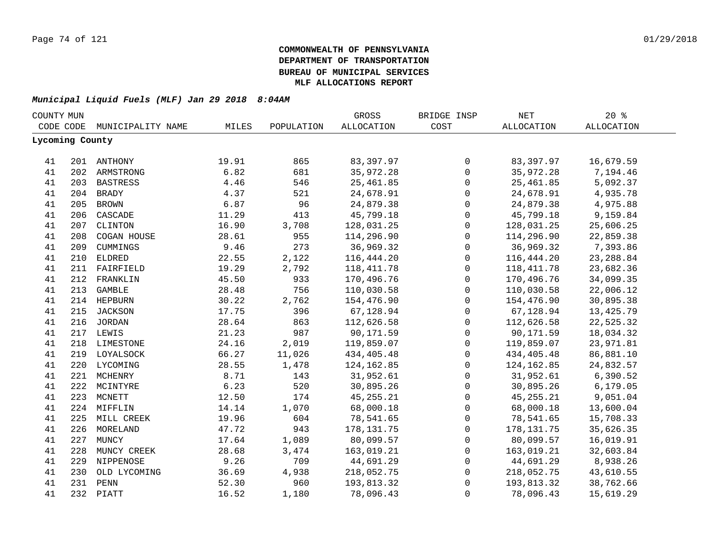| COUNTY MUN      |     |                   |       |              | GROSS             | BRIDGE INSP  | $\operatorname{NET}$ | 20%                    |  |
|-----------------|-----|-------------------|-------|--------------|-------------------|--------------|----------------------|------------------------|--|
| CODE CODE       |     | MUNICIPALITY NAME | MILES | POPULATION   | <b>ALLOCATION</b> | COST         | ALLOCATION           | ALLOCATION             |  |
| Lycoming County |     |                   |       |              |                   |              |                      |                        |  |
| 41              |     | 201 ANTHONY       | 19.91 | 865          | 83,397.97         | 0            | 83,397.97            | 16,679.59              |  |
| 41              |     | 202 ARMSTRONG     | 6.82  | 681          | 35,972.28         | $\mathsf{O}$ | 35,972.28            | 7,194.46               |  |
| 41              |     | 203 BASTRESS      | 4.46  | 546          | 25, 461.85        | 0            | 25,461.85            | 5,092.37               |  |
| 41              |     | 204 BRADY         | 4.37  | 521          | 24,678.91         | 0            | 24,678.91            | 4,935.78               |  |
| 41              | 205 | <b>BROWN</b>      | 6.87  | 96           | 24,879.38         | 0            | 24,879.38            | 4,975.88               |  |
| 41              | 206 | CASCADE           | 11.29 | 413          | 45,799.18         | 0            | 45,799.18            | 9,159.84               |  |
| 41              | 207 | CLINTON           | 16.90 | 3,708        | 128,031.25        | 0            | 128,031.25           | 25,606.25              |  |
| 41              | 208 | COGAN HOUSE       | 28.61 | 955          | 114,296.90        | $\mathsf{O}$ | 114,296.90           | 22,859.38              |  |
| 41              | 209 | CUMMINGS          | 9.46  | 273          | 36,969.32         | $\mathsf{O}$ | 36,969.32            | 7,393.86               |  |
| 41              | 210 | <b>ELDRED</b>     | 22.55 | 2,122        | 116,444.20        | $\mathsf{O}$ | 116,444.20           | 23, 288.84             |  |
| 41              | 211 | FAIRFIELD         | 19.29 | 2,792        | 118, 411.78       | $\mathbf 0$  | 118, 411.78          | 23,682.36              |  |
| 41              | 212 | FRANKLIN          | 45.50 | 933          | 170,496.76        | $\mathsf 0$  | 170,496.76           | 34,099.35              |  |
| 41              | 213 | <b>GAMBLE</b>     | 28.48 | 756          | 110,030.58        | $\mathbf 0$  | 110,030.58           | 22,006.12              |  |
| 41              |     | 214 HEPBURN       | 30.22 | 2,762        | 154,476.90        | $\mathsf 0$  | 154,476.90           | 30,895.38              |  |
| 41              |     | 215 JACKSON       | 17.75 | 396          | 67,128.94         | $\mathsf 0$  | 67,128.94            | 13,425.79              |  |
| 41              |     | 216 JORDAN        | 28.64 | 863          | 112,626.58        | $\mathsf 0$  | 112,626.58           | 22,525.32              |  |
| 41              |     | 217 LEWIS         | 21.23 | 987          | 90,171.59         | $\mathsf 0$  | 90,171.59            | 18,034.32              |  |
| 41              |     | 218 LIMESTONE     | 24.16 | 2,019        | 119,859.07        | $\mathsf{O}$ | 119,859.07           | 23,971.81              |  |
| 41              |     | 219 LOYALSOCK     | 66.27 | 11,026       | 434,405.48        | $\mathsf{O}$ | 434,405.48           | 86,881.10              |  |
| 41              |     | 220 LYCOMING      | 28.55 | 1,478        | 124,162.85        | 0            | 124, 162.85          | 24,832.57              |  |
| 41              |     | 221 MCHENRY       | 8.71  | 143          | 31,952.61         | $\mathbf 0$  | 31,952.61            | 6,390.52               |  |
| 41              |     | 222 MCINTYRE      | 6.23  | 520          | 30,895.26         | $\mathbf 0$  | 30,895.26            | 6, 179.05              |  |
| 41              | 223 | MCNETT            | 12.50 | 174          | 45, 255. 21       | $\mathbf 0$  | 45, 255. 21          | 9,051.04               |  |
| 41              | 224 | MIFFLIN           | 14.14 | 1,070        | 68,000.18         | $\mathbf 0$  | 68,000.18            | 13,600.04              |  |
| 41              | 225 | MILL CREEK        | 19.96 | 604          | 78,541.65         | $\mathbf 0$  | 78,541.65            | 15,708.33              |  |
| 41              | 226 | MORELAND          | 47.72 | 943          | 178,131.75        | $\mathbf 0$  | 178,131.75           | 35,626.35              |  |
| 41              | 227 | MUNCY             | 17.64 | 1,089        | 80,099.57         | $\mathbf 0$  | 80,099.57            |                        |  |
| 41              | 228 | MUNCY CREEK       | 28.68 | 3,474        | 163,019.21        | $\mathbf 0$  | 163,019.21           | 16,019.91<br>32,603.84 |  |
|                 |     |                   | 9.26  |              |                   | $\mathbf 0$  |                      |                        |  |
| 41              | 229 | NIPPENOSE         |       | 709          | 44,691.29         |              | 44,691.29            | 8,938.26               |  |
| 41              | 230 | OLD LYCOMING      | 36.69 | 4,938<br>960 | 218,052.75        | $\mathsf 0$  | 218,052.75           | 43,610.55              |  |
| 41              | 231 | PENN              | 52.30 |              | 193,813.32        | $\mathsf 0$  | 193,813.32           | 38,762.66              |  |
| 41              |     | 232 PIATT         | 16.52 | 1,180        | 78,096.43         | $\mathbf 0$  | 78,096.43            | 15,619.29              |  |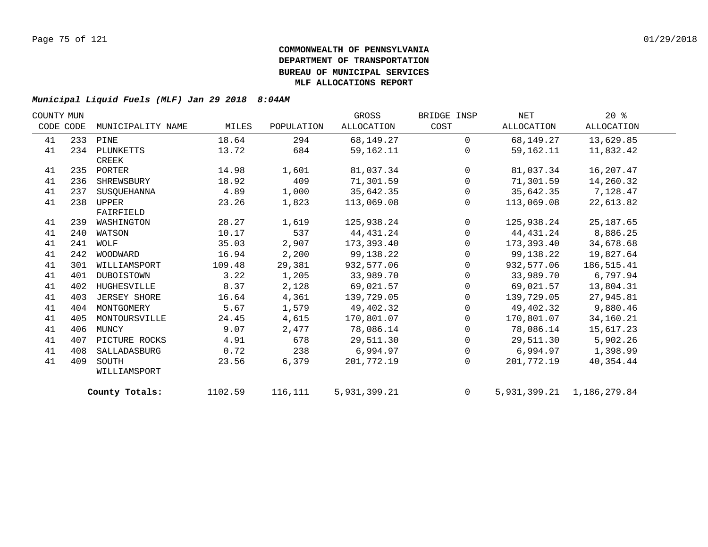| COUNTY MUN |           |                   |         |            | GROSS        | BRIDGE INSP    | NET        | $20*$                           |  |
|------------|-----------|-------------------|---------|------------|--------------|----------------|------------|---------------------------------|--|
|            | CODE CODE | MUNICIPALITY NAME | MILES   | POPULATION | ALLOCATION   | COST           | ALLOCATION | ALLOCATION                      |  |
| 41         |           | 233 PINE          | 18.64   | 294        | 68,149.27    | $\Omega$       | 68,149.27  | 13,629.85                       |  |
| 41         |           | 234 PLUNKETTS     | 13.72   | 684        | 59,162.11    | $\Omega$       | 59,162.11  | 11,832.42                       |  |
|            |           | CREEK             |         |            |              |                |            |                                 |  |
| 41         |           | 235 PORTER        | 14.98   | 1,601      | 81,037.34    | $\Omega$       | 81,037.34  | 16,207.47                       |  |
| 41         | 236       | SHREWSBURY        | 18.92   | 409        | 71,301.59    | $\mathbf 0$    | 71,301.59  | 14,260.32                       |  |
| 41         | 237       | SUSOUEHANNA       | 4.89    | 1,000      | 35,642.35    | 0              | 35,642.35  | 7,128.47                        |  |
| 41         | 238       | UPPER             | 23.26   | 1,823      | 113,069.08   | $\Omega$       | 113,069.08 | 22,613.82                       |  |
|            |           | FAIRFIELD         |         |            |              |                |            |                                 |  |
| 41         | 239       | WASHINGTON        | 28.27   | 1,619      | 125,938.24   | $\mathbf 0$    | 125,938.24 | 25, 187.65                      |  |
| 41         | 240       | WATSON            | 10.17   | 537        | 44,431.24    | $\mathbf 0$    | 44,431.24  | 8,886.25                        |  |
| 41         | 241       | WOLF              | 35.03   | 2,907      | 173,393.40   | 0              | 173,393.40 | 34,678.68                       |  |
| 41         |           | 242 WOODWARD      | 16.94   | 2,200      | 99,138.22    | $\mathbf 0$    | 99,138.22  | 19,827.64                       |  |
| 41         | 301       | WILLIAMSPORT      | 109.48  | 29,381     | 932,577.06   | $\mathbf{0}$   | 932,577.06 | 186, 515.41                     |  |
| 41         | 401       | DUBOISTOWN        | 3.22    | 1,205      | 33,989.70    | $\mathbf 0$    | 33,989.70  | 6,797.94                        |  |
| 41         | 402       | HUGHESVILLE       | 8.37    | 2,128      | 69,021.57    | 0              | 69,021.57  | 13,804.31                       |  |
| 41         | 403       | JERSEY SHORE      | 16.64   | 4,361      | 139,729.05   | $\mathbf 0$    | 139,729.05 | 27,945.81                       |  |
| 41         | 404       | MONTGOMERY        | 5.67    | 1,579      | 49,402.32    | $\mathbf 0$    | 49,402.32  | 9,880.46                        |  |
| 41         | 405       | MONTOURSVILLE     | 24.45   | 4,615      | 170,801.07   | $\Omega$       | 170,801.07 | 34,160.21                       |  |
| 41         | 406       | MUNCY             | 9.07    | 2,477      | 78,086.14    | 0              | 78,086.14  | 15,617.23                       |  |
| 41         | 407       | PICTURE ROCKS     | 4.91    | 678        | 29,511.30    | 0              | 29,511.30  | 5,902.26                        |  |
| 41         | 408       | SALLADASBURG      | 0.72    | 238        | 6,994.97     | 0              | 6,994.97   | 1,398.99                        |  |
| 41         | 409       | SOUTH             | 23.56   | 6,379      | 201,772.19   | $\Omega$       | 201,772.19 | 40, 354.44                      |  |
|            |           | WILLIAMSPORT      |         |            |              |                |            |                                 |  |
|            |           | County Totals:    | 1102.59 | 116,111    | 5,931,399.21 | $\overline{0}$ |            | 5, 931, 399. 21 1, 186, 279. 84 |  |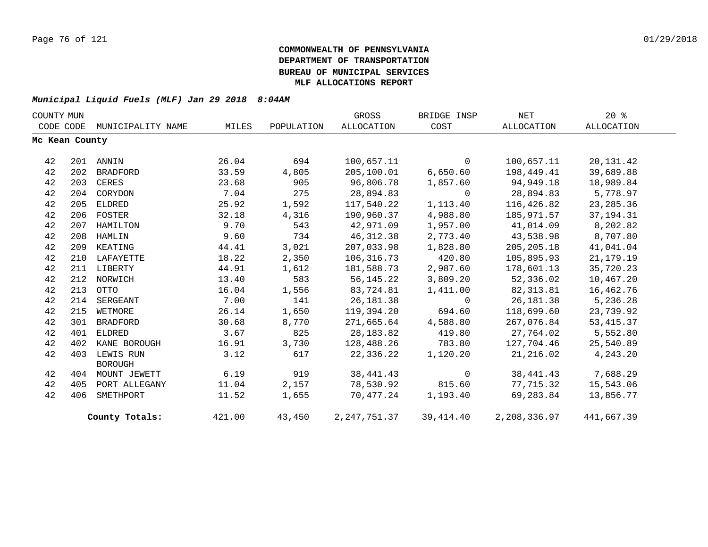| COUNTY MUN |                |                   |        |            | GROSS             | BRIDGE INSP    | <b>NET</b>   | 20%         |  |
|------------|----------------|-------------------|--------|------------|-------------------|----------------|--------------|-------------|--|
| CODE CODE  |                | MUNICIPALITY NAME | MILES  | POPULATION | <b>ALLOCATION</b> | COST           | ALLOCATION   | ALLOCATION  |  |
|            | Mc Kean County |                   |        |            |                   |                |              |             |  |
|            |                |                   |        | 694        |                   |                |              |             |  |
| 42         |                | 201 ANNIN         | 26.04  |            | 100,657.11        | $\mathbf{0}$   | 100,657.11   | 20, 131. 42 |  |
| 42         | 202            | BRADFORD          | 33.59  | 4,805      | 205,100.01        | 6,650.60       | 198,449.41   | 39,689.88   |  |
| 42         |                | 203 CERES         | 23.68  | 905        | 96,806.78         | 1,857.60       | 94,949.18    | 18,989.84   |  |
| 42         | 204            | CORYDON           | 7.04   | 275        | 28,894.83         | $\overline{0}$ | 28,894.83    | 5,778.97    |  |
| 42         | 205            | ELDRED            | 25.92  | 1,592      | 117,540.22        | 1,113.40       | 116,426.82   | 23, 285.36  |  |
| 42         |                | 206 FOSTER        | 32.18  | 4,316      | 190,960.37        | 4,988.80       | 185,971.57   | 37, 194. 31 |  |
| 42         | 207            | HAMILTON          | 9.70   | 543        | 42,971.09         | 1,957.00       | 41,014.09    | 8,202.82    |  |
| 42         |                | 208 HAMLIN        | 9.60   | 734        | 46,312.38         | 2,773.40       | 43,538.98    | 8,707.80    |  |
| 42         |                | 209 KEATING       | 44.41  | 3,021      | 207,033.98        | 1,828.80       | 205,205.18   | 41,041.04   |  |
| 42         |                | 210 LAFAYETTE     | 18.22  | 2,350      | 106,316.73        | 420.80         | 105,895.93   | 21, 179. 19 |  |
| 42         |                | 211 LIBERTY       | 44.91  | 1,612      | 181,588.73        | 2,987.60       | 178,601.13   | 35,720.23   |  |
| 42         |                | 212 NORWICH       | 13.40  | 583        | 56,145.22         | 3,809.20       | 52,336.02    | 10,467.20   |  |
| 42         | 213            | OTTO              | 16.04  | 1,556      | 83,724.81         | 1,411.00       | 82,313.81    | 16,462.76   |  |
| 42         | 214            | SERGEANT          | 7.00   | 141        | 26,181.38         | $\Omega$       | 26,181.38    | 5,236.28    |  |
| 42         | 215            | WETMORE           | 26.14  | 1,650      | 119,394.20        | 694.60         | 118,699.60   | 23,739.92   |  |
| 42         | 301            | BRADFORD          | 30.68  | 8,770      | 271,665.64        | 4,588.80       | 267,076.84   | 53, 415.37  |  |
| 42         | 401            | ELDRED            | 3.67   | 825        | 28,183.82         | 419.80         | 27,764.02    | 5,552.80    |  |
| 42         | 402            | KANE BOROUGH      | 16.91  | 3,730      | 128,488.26        | 783.80         | 127,704.46   | 25,540.89   |  |
| 42         | 403            | LEWIS RUN         | 3.12   | 617        | 22,336.22         | 1,120.20       | 21,216.02    | 4,243.20    |  |
|            |                | <b>BOROUGH</b>    |        |            |                   |                |              |             |  |
| 42         |                | 404 MOUNT JEWETT  | 6.19   | 919        | 38,441.43         | $\overline{0}$ | 38,441.43    | 7,688.29    |  |
| 42         | 405            | PORT ALLEGANY     | 11.04  | 2,157      | 78,530.92         | 815.60         | 77,715.32    | 15,543.06   |  |
| 42         | 406            | SMETHPORT         | 11.52  | 1,655      | 70,477.24         | 1,193.40       | 69,283.84    | 13,856.77   |  |
|            |                | County Totals:    | 421.00 | 43,450     | 2,247,751.37      | 39,414.40      | 2,208,336.97 | 441,667.39  |  |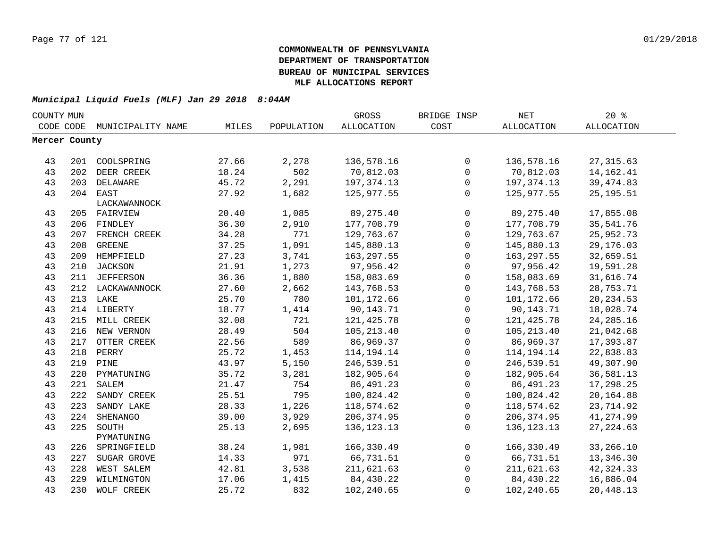| COUNTY MUN    |     |                             |       |            | GROSS        | BRIDGE INSP  | <b>NET</b>   | $20*$             |
|---------------|-----|-----------------------------|-------|------------|--------------|--------------|--------------|-------------------|
|               |     | CODE CODE MUNICIPALITY NAME | MILES | POPULATION | ALLOCATION   | COST         | ALLOCATION   | <b>ALLOCATION</b> |
| Mercer County |     |                             |       |            |              |              |              |                   |
|               |     |                             |       |            |              |              |              |                   |
| 43            |     | 201 COOLSPRING              | 27.66 | 2,278      | 136,578.16   | 0            | 136,578.16   | 27, 315.63        |
| 43            | 202 | DEER CREEK                  | 18.24 | 502        | 70,812.03    | $\mathbf 0$  | 70,812.03    | 14, 162. 41       |
| 43            | 203 | DELAWARE                    | 45.72 | 2,291      | 197, 374. 13 | $\mathsf{O}$ | 197, 374. 13 | 39, 474.83        |
| 43            |     | 204 EAST                    | 27.92 | 1,682      | 125,977.55   | $\mathsf{O}$ | 125,977.55   | 25, 195.51        |
|               |     | LACKAWANNOCK                |       |            |              |              |              |                   |
| 43            |     | 205 FAIRVIEW                | 20.40 | 1,085      | 89, 275. 40  | $\mathbf 0$  | 89, 275.40   | 17,855.08         |
| 43            |     | 206 FINDLEY                 | 36.30 | 2,910      | 177,708.79   | $\mathsf{O}$ | 177,708.79   | 35,541.76         |
| 43            |     | 207 FRENCH CREEK            | 34.28 | 771        | 129,763.67   | 0            | 129,763.67   | 25,952.73         |
| 43            | 208 | <b>GREENE</b>               | 37.25 | 1,091      | 145,880.13   | $\mathsf{O}$ | 145,880.13   | 29,176.03         |
| 43            | 209 | HEMPFIELD                   | 27.23 | 3,741      | 163,297.55   | $\mathbf 0$  | 163,297.55   | 32,659.51         |
| 43            | 210 | <b>JACKSON</b>              | 21.91 | 1,273      | 97,956.42    | $\mathbf 0$  | 97,956.42    | 19,591.28         |
| 43            | 211 | JEFFERSON                   | 36.36 | 1,880      | 158,083.69   | $\mathbf 0$  | 158,083.69   | 31,616.74         |
| 43            | 212 | LACKAWANNOCK                | 27.60 | 2,662      | 143,768.53   | $\mathbf 0$  | 143,768.53   | 28,753.71         |
| 43            |     | 213 LAKE                    | 25.70 | 780        | 101,172.66   | $\mathbf 0$  | 101,172.66   | 20, 234.53        |
| 43            |     | 214 LIBERTY                 | 18.77 | 1,414      | 90,143.71    | $\mathbf 0$  | 90,143.71    | 18,028.74         |
| 43            |     | 215 MILL CREEK              | 32.08 | 721        | 121, 425.78  | $\mathbf 0$  | 121,425.78   | 24, 285. 16       |
| 43            |     | 216 NEW VERNON              | 28.49 | 504        | 105,213.40   | $\mathbf 0$  | 105,213.40   | 21,042.68         |
| 43            |     | 217 OTTER CREEK             | 22.56 | 589        | 86,969.37    | $\mathbf 0$  | 86,969.37    | 17,393.87         |
| 43            |     | 218 PERRY                   | 25.72 | 1,453      | 114,194.14   | 0            | 114, 194. 14 | 22,838.83         |
| 43            |     | 219 PINE                    | 43.97 | 5,150      | 246,539.51   | 0            | 246,539.51   | 49,307.90         |
| 43            |     | 220 PYMATUNING              | 35.72 | 3,281      | 182,905.64   | $\mathsf{O}$ | 182,905.64   | 36,581.13         |
| 43            | 221 | SALEM                       | 21.47 | 754        | 86, 491.23   | $\mathbf 0$  | 86, 491.23   | 17,298.25         |
| 43            | 222 | SANDY CREEK                 | 25.51 | 795        | 100,824.42   | $\mathbf 0$  | 100,824.42   | 20,164.88         |
| 43            | 223 | SANDY LAKE                  | 28.33 | 1,226      | 118,574.62   | $\Omega$     | 118,574.62   | 23,714.92         |
| 43            | 224 | SHENANGO                    | 39.00 | 3,929      | 206,374.95   | $\mathbf 0$  | 206, 374.95  | 41,274.99         |
| 43            | 225 | SOUTH                       | 25.13 | 2,695      | 136, 123. 13 | $\mathbf 0$  | 136, 123. 13 | 27, 224.63        |
|               |     | PYMATUNING                  |       |            |              |              |              |                   |
| 43            | 226 | SPRINGFIELD                 | 38.24 | 1,981      | 166,330.49   | $\mathbf 0$  | 166,330.49   | 33,266.10         |
| 43            | 227 | SUGAR GROVE                 | 14.33 | 971        | 66,731.51    | $\mathbf 0$  | 66,731.51    | 13,346.30         |
| 43            | 228 | WEST SALEM                  | 42.81 | 3,538      | 211,621.63   | 0            | 211,621.63   | 42, 324. 33       |
| 43            | 229 | WILMINGTON                  | 17.06 | 1,415      | 84,430.22    | $\Omega$     | 84,430.22    | 16,886.04         |
| 43            | 230 | WOLF CREEK                  | 25.72 | 832        | 102,240.65   | $\Omega$     | 102,240.65   | 20,448.13         |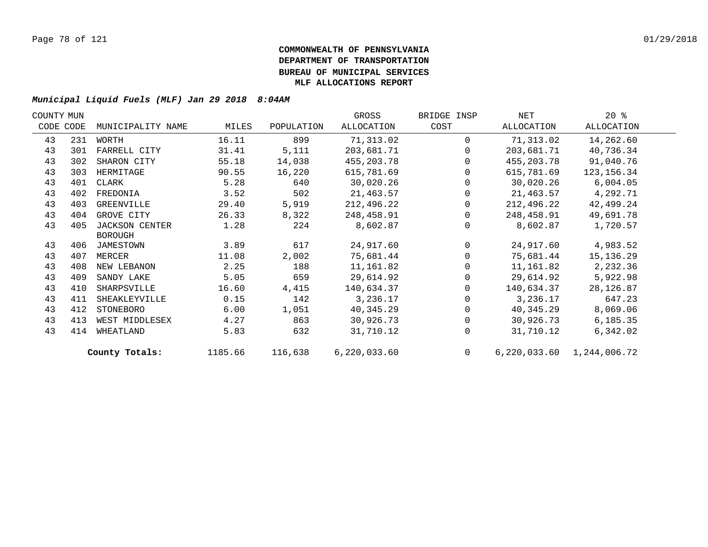| COUNTY MUN |     |                       |         |            | GROSS        | BRIDGE INSP | NET        | $20*$                         |  |
|------------|-----|-----------------------|---------|------------|--------------|-------------|------------|-------------------------------|--|
| CODE CODE  |     | MUNICIPALITY NAME     | MILES   | POPULATION | ALLOCATION   | COST        | ALLOCATION | ALLOCATION                    |  |
| 43         | 231 | WORTH                 | 16.11   | 899        | 71,313.02    | $\Omega$    | 71,313.02  | 14,262.60                     |  |
| 43         | 301 | FARRELL CITY          | 31.41   | 5,111      | 203,681.71   | $\Omega$    | 203,681.71 | 40,736.34                     |  |
| 43         | 302 | SHARON CITY           | 55.18   | 14,038     | 455,203.78   | $\Omega$    | 455,203.78 | 91,040.76                     |  |
| 43         | 303 | HERMITAGE             | 90.55   | 16,220     | 615,781.69   | $\Omega$    | 615,781.69 | 123, 156. 34                  |  |
| 43         | 401 | CLARK                 | 5.28    | 640        | 30,020.26    | $\Omega$    | 30,020.26  | 6,004.05                      |  |
| 43         | 402 | FREDONIA              | 3.52    | 502        | 21,463.57    | 0           | 21,463.57  | 4,292.71                      |  |
| 43         | 403 | GREENVILLE            | 29.40   | 5,919      | 212,496.22   | 0           | 212,496.22 | 42,499.24                     |  |
| 43         | 404 | GROVE CITY            | 26.33   | 8,322      | 248,458.91   | $\Omega$    | 248,458.91 | 49,691.78                     |  |
| 43         | 405 | <b>JACKSON CENTER</b> | 1.28    | 224        | 8,602.87     | $\Omega$    | 8,602.87   | 1,720.57                      |  |
|            |     | <b>BOROUGH</b>        |         |            |              |             |            |                               |  |
| 43         | 406 | JAMESTOWN             | 3.89    | 617        | 24,917.60    | $\Omega$    | 24,917.60  | 4,983.52                      |  |
| 43         | 407 | MERCER                | 11.08   | 2,002      | 75,681.44    | $\Omega$    | 75,681.44  | 15,136.29                     |  |
| 43         | 408 | NEW LEBANON           | 2.25    | 188        | 11,161.82    | 0           | 11,161.82  | 2,232.36                      |  |
| 43         | 409 | SANDY LAKE            | 5.05    | 659        | 29,614.92    | $\Omega$    | 29,614.92  | 5,922.98                      |  |
| 43         | 410 | SHARPSVILLE           | 16.60   | 4,415      | 140,634.37   | $\Omega$    | 140,634.37 | 28, 126.87                    |  |
| 43         | 411 | SHEAKLEYVILLE         | 0.15    | 142        | 3,236.17     | $\Omega$    | 3,236.17   | 647.23                        |  |
| 43         | 412 | STONEBORO             | 6.00    | 1,051      | 40, 345.29   | $\Omega$    | 40,345.29  | 8,069.06                      |  |
| 43         | 413 | WEST MIDDLESEX        | 4.27    | 863        | 30,926.73    | $\Omega$    | 30,926.73  | 6,185.35                      |  |
| 43         | 414 | WHEATLAND             | 5.83    | 632        | 31,710.12    | $\Omega$    | 31,710.12  | 6,342.02                      |  |
|            |     | County Totals:        | 1185.66 | 116,638    | 6,220,033.60 | $\Omega$    |            | 6, 220, 033.60 1, 244, 006.72 |  |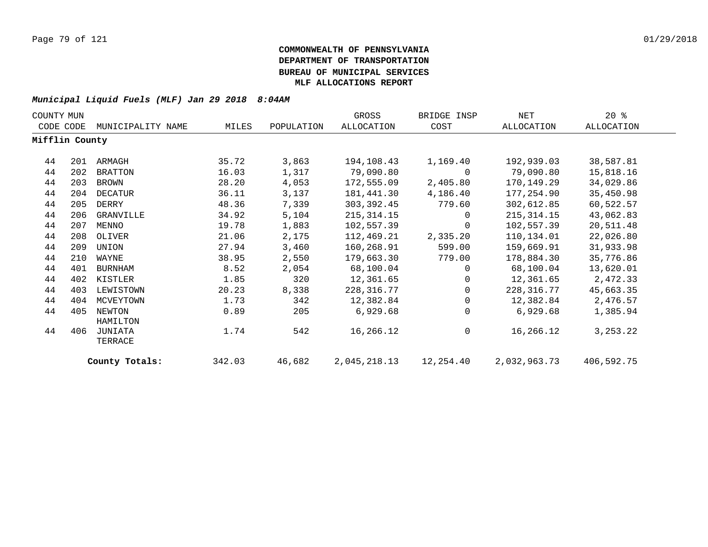| COUNTY MUN     |     |                    |        |            | GROSS        | BRIDGE INSP | NET          | $20*$      |
|----------------|-----|--------------------|--------|------------|--------------|-------------|--------------|------------|
| CODE CODE      |     | MUNICIPALITY NAME  | MILES  | POPULATION | ALLOCATION   | COST        | ALLOCATION   | ALLOCATION |
| Mifflin County |     |                    |        |            |              |             |              |            |
| 44             | 201 | ARMAGH             | 35.72  | 3,863      | 194,108.43   | 1,169.40    | 192,939.03   | 38,587.81  |
| 44             | 202 | BRATTON            | 16.03  | 1,317      | 79,090.80    | 0           | 79,090.80    | 15,818.16  |
| 44             | 203 | BROWN              | 28.20  | 4,053      | 172,555.09   | 2,405.80    | 170,149.29   | 34,029.86  |
| 44             | 204 | DECATUR            | 36.11  | 3,137      | 181,441.30   | 4,186.40    | 177,254.90   | 35,450.98  |
| 44             | 205 | DERRY              | 48.36  | 7,339      | 303, 392.45  | 779.60      | 302,612.85   | 60,522.57  |
| 44             | 206 | GRANVILLE          | 34.92  | 5,104      | 215, 314. 15 | 0           | 215, 314. 15 | 43,062.83  |
| 44             | 207 | MENNO              | 19.78  | 1,883      | 102,557.39   | 0           | 102,557.39   | 20,511.48  |
| 44             | 208 | OLIVER             | 21.06  | 2,175      | 112,469.21   | 2,335.20    | 110,134.01   | 22,026.80  |
| 44             | 209 | UNION              | 27.94  | 3,460      | 160,268.91   | 599.00      | 159,669.91   | 31,933.98  |
| 44             | 210 | WAYNE              | 38.95  | 2,550      | 179,663.30   | 779.00      | 178,884.30   | 35,776.86  |
| 44             | 401 | BURNHAM            | 8.52   | 2,054      | 68,100.04    | $\Omega$    | 68,100.04    | 13,620.01  |
| 44             | 402 | KISTLER            | 1.85   | 320        | 12,361.65    | $\Omega$    | 12,361.65    | 2,472.33   |
| 44             | 403 | LEWISTOWN          | 20.23  | 8,338      | 228, 316.77  | $\Omega$    | 228,316.77   | 45,663.35  |
| 44             | 404 | MCVEYTOWN          | 1.73   | 342        | 12,382.84    | $\Omega$    | 12,382.84    | 2,476.57   |
| 44             | 405 | NEWTON<br>HAMILTON | 0.89   | 205        | 6,929.68     | $\Omega$    | 6,929.68     | 1,385.94   |
| 44             | 406 | JUNIATA<br>TERRACE | 1.74   | 542        | 16,266.12    | $\mathbf 0$ | 16,266.12    | 3, 253. 22 |
|                |     | County Totals:     | 342.03 | 46,682     | 2,045,218.13 | 12,254.40   | 2,032,963.73 | 406,592.75 |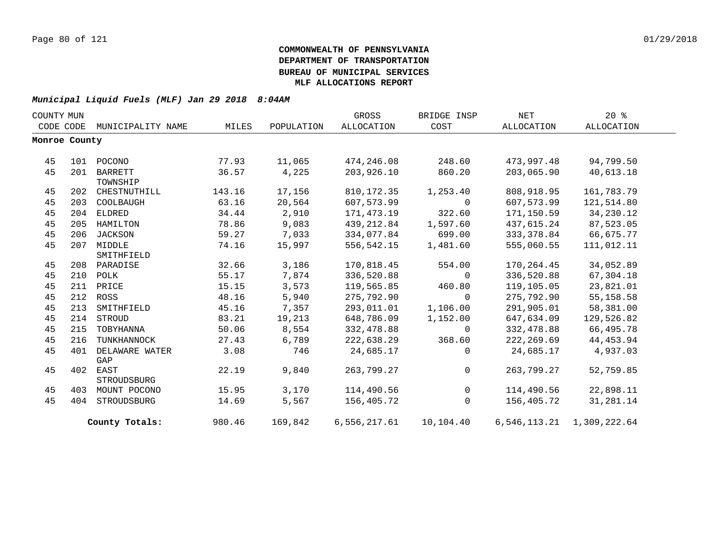| COUNTY MUN |               |                   |        |            | GROSS        | BRIDGE INSP | NET        | $20*$                     |  |
|------------|---------------|-------------------|--------|------------|--------------|-------------|------------|---------------------------|--|
|            | CODE CODE     | MUNICIPALITY NAME | MILES  | POPULATION | ALLOCATION   | COST        | ALLOCATION | ALLOCATION                |  |
|            | Monroe County |                   |        |            |              |             |            |                           |  |
|            |               |                   |        |            |              |             |            |                           |  |
| 45         |               | 101 POCONO        | 77.93  | 11,065     | 474,246.08   | 248.60      | 473,997.48 | 94,799.50                 |  |
| 45         | 201           | <b>BARRETT</b>    | 36.57  | 4,225      | 203,926.10   | 860.20      | 203,065.90 | 40,613.18                 |  |
|            |               | TOWNSHIP          |        |            |              |             |            |                           |  |
| 45         |               | 202 CHESTNUTHILL  | 143.16 | 17,156     | 810,172.35   | 1,253.40    | 808,918.95 | 161,783.79                |  |
| 45         | 203           | COOLBAUGH         | 63.16  | 20,564     | 607,573.99   | $\mathbf 0$ | 607,573.99 | 121,514.80                |  |
| 45         |               | 204 ELDRED        | 34.44  | 2,910      | 171,473.19   | 322.60      | 171,150.59 | 34,230.12                 |  |
| 45         | 205           | HAMILTON          | 78.86  | 9,083      | 439,212.84   | 1,597.60    | 437,615.24 | 87,523.05                 |  |
| 45         | 206           | JACKSON           | 59.27  | 7,033      | 334,077.84   | 699.00      | 333,378.84 | 66,675.77                 |  |
| 45         |               | 207 MIDDLE        | 74.16  | 15,997     | 556,542.15   | 1,481.60    | 555,060.55 | 111,012.11                |  |
|            |               | SMITHFIELD        |        |            |              |             |            |                           |  |
| 45         |               | 208 PARADISE      | 32.66  | 3,186      | 170,818.45   | 554.00      | 170,264.45 | 34,052.89                 |  |
| 45         |               | 210 POLK          | 55.17  | 7,874      | 336,520.88   | $\Omega$    | 336,520.88 | 67,304.18                 |  |
| 45         |               | 211 PRICE         | 15.15  | 3,573      | 119,565.85   | 460.80      | 119,105.05 | 23,821.01                 |  |
| 45         |               | 212 ROSS          | 48.16  | 5,940      | 275,792.90   | $\mathbf 0$ | 275,792.90 | 55, 158.58                |  |
| 45         | 213           | SMITHFIELD        | 45.16  | 7,357      | 293,011.01   | 1,106.00    | 291,905.01 | 58,381.00                 |  |
| 45         | 214           | STROUD            | 83.21  | 19,213     | 648,786.09   | 1,152.00    | 647,634.09 | 129,526.82                |  |
| 45         | 215           | TOBYHANNA         | 50.06  | 8,554      | 332,478.88   | $\Omega$    | 332,478.88 | 66,495.78                 |  |
| 45         | 216           | TUNKHANNOCK       | 27.43  | 6,789      | 222,638.29   | 368.60      | 222,269.69 | 44,453.94                 |  |
| 45         | 401           | DELAWARE WATER    | 3.08   | 746        | 24,685.17    | $\Omega$    | 24,685.17  | 4,937.03                  |  |
|            |               | GAP               |        |            |              |             |            |                           |  |
| 45         |               | 402 EAST          | 22.19  | 9,840      | 263,799.27   | $\Omega$    | 263,799.27 | 52,759.85                 |  |
|            |               | STROUDSBURG       |        |            |              |             |            |                           |  |
| 45         |               | 403 MOUNT POCONO  | 15.95  | 3,170      | 114,490.56   | 0           | 114,490.56 | 22,898.11                 |  |
| 45         |               | 404 STROUDSBURG   | 14.69  | 5,567      | 156,405.72   | $\Omega$    | 156,405.72 | 31,281.14                 |  |
|            |               | County Totals:    | 980.46 | 169,842    | 6,556,217.61 | 10,104.40   |            | 6,546,113.21 1,309,222.64 |  |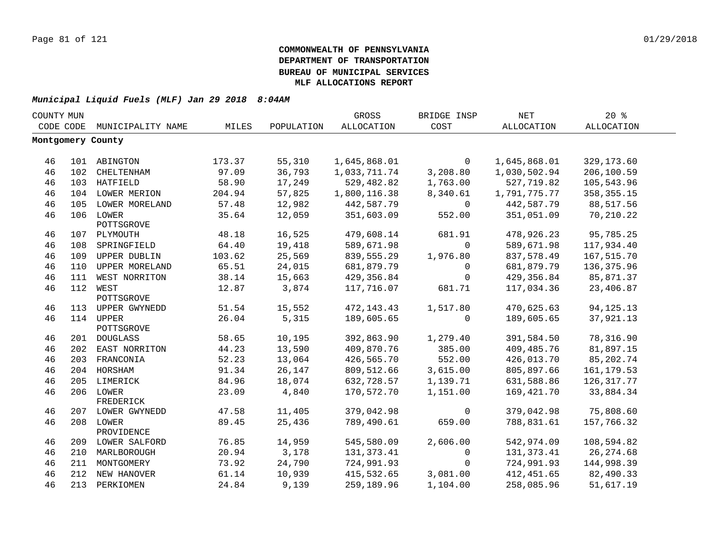| COUNTY MUN |           |                         |        |            | GROSS        | BRIDGE INSP  | <b>NET</b>        | 20%          |  |
|------------|-----------|-------------------------|--------|------------|--------------|--------------|-------------------|--------------|--|
|            | CODE CODE | MUNICIPALITY NAME       | MILES  | POPULATION | ALLOCATION   | COST         | <b>ALLOCATION</b> | ALLOCATION   |  |
|            |           | Montgomery County       |        |            |              |              |                   |              |  |
|            |           |                         |        |            |              |              |                   |              |  |
| 46         |           | 101 ABINGTON            | 173.37 | 55,310     | 1,645,868.01 | $\mathbf 0$  | 1,645,868.01      | 329,173.60   |  |
| 46         |           | 102 CHELTENHAM          | 97.09  | 36,793     | 1,033,711.74 | 3,208.80     | 1,030,502.94      | 206,100.59   |  |
| 46         |           | 103 HATFIELD            | 58.90  | 17,249     | 529,482.82   | 1,763.00     | 527,719.82        | 105,543.96   |  |
| 46         |           | 104 LOWER MERION        | 204.94 | 57,825     | 1,800,116.38 | 8,340.61     | 1,791,775.77      | 358, 355. 15 |  |
| 46         |           | 105 LOWER MORELAND      | 57.48  | 12,982     | 442,587.79   | 0            | 442,587.79        | 88,517.56    |  |
| 46         |           | 106 LOWER               | 35.64  | 12,059     | 351,603.09   | 552.00       | 351,051.09        | 70,210.22    |  |
|            |           | POTTSGROVE              |        |            |              |              |                   |              |  |
| 46         |           | 107 PLYMOUTH            | 48.18  | 16,525     | 479,608.14   | 681.91       | 478,926.23        | 95,785.25    |  |
| 46         | 108       | SPRINGFIELD             | 64.40  | 19,418     | 589,671.98   | $\Omega$     | 589,671.98        | 117,934.40   |  |
| 46         | 109       | UPPER DUBLIN            | 103.62 | 25,569     | 839,555.29   | 1,976.80     | 837,578.49        | 167,515.70   |  |
| 46         | 110       | UPPER MORELAND          | 65.51  | 24,015     | 681,879.79   | 0            | 681,879.79        | 136, 375.96  |  |
| 46         |           | 111 WEST NORRITON       | 38.14  | 15,663     | 429,356.84   | $\mathbf{0}$ | 429,356.84        | 85,871.37    |  |
| 46         |           | 112 WEST                | 12.87  | 3,874      | 117,716.07   | 681.71       | 117,034.36        | 23,406.87    |  |
|            |           | POTTSGROVE              |        |            |              |              |                   |              |  |
| 46         |           | 113 UPPER GWYNEDD       | 51.54  | 15,552     | 472, 143. 43 | 1,517.80     | 470,625.63        | 94, 125. 13  |  |
| 46         |           | 114 UPPER<br>POTTSGROVE | 26.04  | 5,315      | 189,605.65   | $\mathbf 0$  | 189,605.65        | 37,921.13    |  |
| 46         |           | 201 DOUGLASS            | 58.65  | 10,195     | 392,863.90   | 1,279.40     | 391,584.50        | 78,316.90    |  |
| 46         |           | 202 EAST NORRITON       | 44.23  | 13,590     | 409,870.76   | 385.00       | 409, 485. 76      | 81,897.15    |  |
| 46         |           | 203 FRANCONIA           | 52.23  | 13,064     | 426,565.70   | 552.00       | 426,013.70        | 85,202.74    |  |
| 46         |           | 204 HORSHAM             | 91.34  | 26,147     | 809,512.66   | 3,615.00     | 805,897.66        | 161, 179.53  |  |
| 46         |           | 205 LIMERICK            | 84.96  | 18,074     | 632,728.57   | 1,139.71     | 631,588.86        | 126, 317.77  |  |
| 46         |           | 206 LOWER               | 23.09  | 4,840      | 170,572.70   | 1,151.00     | 169,421.70        | 33,884.34    |  |
|            |           | FREDERICK               |        |            |              |              |                   |              |  |
| 46         |           | 207 LOWER GWYNEDD       | 47.58  | 11,405     | 379,042.98   | 0            | 379,042.98        | 75,808.60    |  |
| 46         |           | 208 LOWER               | 89.45  | 25,436     | 789,490.61   | 659.00       | 788,831.61        | 157,766.32   |  |
|            |           | PROVIDENCE              |        |            |              |              |                   |              |  |
| 46         |           | 209 LOWER SALFORD       | 76.85  | 14,959     | 545,580.09   | 2,606.00     | 542,974.09        | 108,594.82   |  |
| 46         |           | 210 MARLBOROUGH         | 20.94  | 3,178      | 131, 373.41  | $\mathbf 0$  | 131, 373.41       | 26, 274.68   |  |
| 46         | 211       | MONTGOMERY              | 73.92  | 24,790     | 724,991.93   | $\mathbf 0$  | 724,991.93        | 144,998.39   |  |
| 46         |           | 212 NEW HANOVER         | 61.14  | 10,939     | 415,532.65   | 3,081.00     | 412,451.65        | 82,490.33    |  |
| 46         |           | 213 PERKIOMEN           | 24.84  | 9,139      | 259,189.96   | 1,104.00     | 258,085.96        | 51,617.19    |  |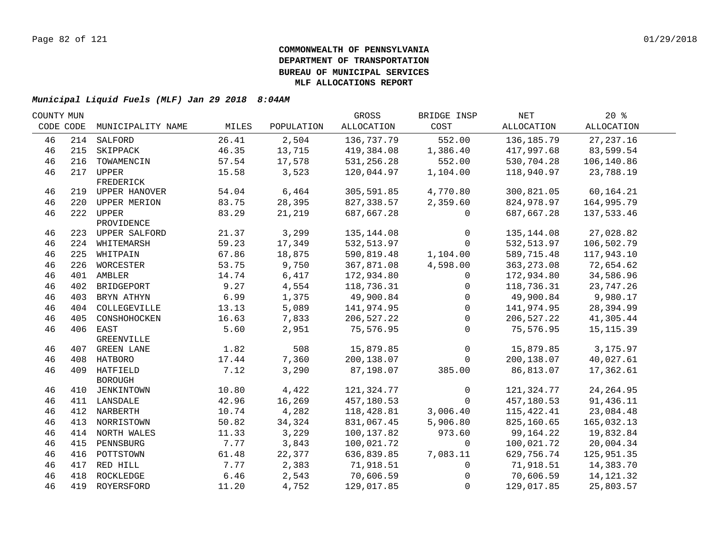| COUNTY MUN |                   |                                                                                                                                                                                                                                                                                                                                                     |                                                                                                 | GROSS                                                                                                 | BRIDGE INSP                                                                                                                                               | NET                                                                                             | $20*$                                                                                                                                                    |                                                                                                                                      |
|------------|-------------------|-----------------------------------------------------------------------------------------------------------------------------------------------------------------------------------------------------------------------------------------------------------------------------------------------------------------------------------------------------|-------------------------------------------------------------------------------------------------|-------------------------------------------------------------------------------------------------------|-----------------------------------------------------------------------------------------------------------------------------------------------------------|-------------------------------------------------------------------------------------------------|----------------------------------------------------------------------------------------------------------------------------------------------------------|--------------------------------------------------------------------------------------------------------------------------------------|
| CODE CODE  | MUNICIPALITY NAME | MILES                                                                                                                                                                                                                                                                                                                                               | POPULATION                                                                                      | ALLOCATION                                                                                            | COST                                                                                                                                                      | ALLOCATION                                                                                      | ALLOCATION                                                                                                                                               |                                                                                                                                      |
|            |                   | 26.41                                                                                                                                                                                                                                                                                                                                               | 2,504                                                                                           | 136,737.79                                                                                            | 552.00                                                                                                                                                    | 136,185.79                                                                                      | 27, 237.16                                                                                                                                               |                                                                                                                                      |
|            | SKIPPACK          | 46.35                                                                                                                                                                                                                                                                                                                                               | 13,715                                                                                          | 419,384.08                                                                                            | 1,386.40                                                                                                                                                  | 417,997.68                                                                                      | 83,599.54                                                                                                                                                |                                                                                                                                      |
| 216        | TOWAMENCIN        | 57.54                                                                                                                                                                                                                                                                                                                                               | 17,578                                                                                          | 531,256.28                                                                                            | 552.00                                                                                                                                                    | 530,704.28                                                                                      | 106,140.86                                                                                                                                               |                                                                                                                                      |
|            |                   | 15.58                                                                                                                                                                                                                                                                                                                                               | 3,523                                                                                           | 120,044.97                                                                                            | 1,104.00                                                                                                                                                  | 118,940.97                                                                                      | 23,788.19                                                                                                                                                |                                                                                                                                      |
|            | FREDERICK         |                                                                                                                                                                                                                                                                                                                                                     |                                                                                                 |                                                                                                       |                                                                                                                                                           |                                                                                                 |                                                                                                                                                          |                                                                                                                                      |
|            |                   | 54.04                                                                                                                                                                                                                                                                                                                                               |                                                                                                 |                                                                                                       |                                                                                                                                                           |                                                                                                 | 60,164.21                                                                                                                                                |                                                                                                                                      |
|            |                   |                                                                                                                                                                                                                                                                                                                                                     |                                                                                                 |                                                                                                       |                                                                                                                                                           |                                                                                                 |                                                                                                                                                          |                                                                                                                                      |
|            |                   |                                                                                                                                                                                                                                                                                                                                                     |                                                                                                 |                                                                                                       | 0                                                                                                                                                         |                                                                                                 |                                                                                                                                                          |                                                                                                                                      |
|            |                   |                                                                                                                                                                                                                                                                                                                                                     |                                                                                                 |                                                                                                       |                                                                                                                                                           |                                                                                                 |                                                                                                                                                          |                                                                                                                                      |
|            |                   |                                                                                                                                                                                                                                                                                                                                                     |                                                                                                 |                                                                                                       | 0                                                                                                                                                         |                                                                                                 |                                                                                                                                                          |                                                                                                                                      |
|            |                   |                                                                                                                                                                                                                                                                                                                                                     |                                                                                                 |                                                                                                       | $\Omega$                                                                                                                                                  |                                                                                                 |                                                                                                                                                          |                                                                                                                                      |
|            |                   |                                                                                                                                                                                                                                                                                                                                                     |                                                                                                 |                                                                                                       |                                                                                                                                                           |                                                                                                 |                                                                                                                                                          |                                                                                                                                      |
| 226        |                   |                                                                                                                                                                                                                                                                                                                                                     |                                                                                                 |                                                                                                       |                                                                                                                                                           |                                                                                                 |                                                                                                                                                          |                                                                                                                                      |
| 401        |                   | 14.74                                                                                                                                                                                                                                                                                                                                               | 6,417                                                                                           | 172,934.80                                                                                            | $\mathbf{0}$                                                                                                                                              | 172,934.80                                                                                      | 34,586.96                                                                                                                                                |                                                                                                                                      |
| 402        | BRIDGEPORT        | 9.27                                                                                                                                                                                                                                                                                                                                                | 4,554                                                                                           | 118,736.31                                                                                            | 0                                                                                                                                                         | 118,736.31                                                                                      | 23,747.26                                                                                                                                                |                                                                                                                                      |
| 403        | BRYN ATHYN        | 6.99                                                                                                                                                                                                                                                                                                                                                | 1,375                                                                                           | 49,900.84                                                                                             | $\mathbf{0}$                                                                                                                                              | 49,900.84                                                                                       | 9,980.17                                                                                                                                                 |                                                                                                                                      |
| 404        | COLLEGEVILLE      | 13.13                                                                                                                                                                                                                                                                                                                                               | 5,089                                                                                           | 141,974.95                                                                                            | $\mathbf 0$                                                                                                                                               | 141,974.95                                                                                      | 28,394.99                                                                                                                                                |                                                                                                                                      |
| 405        | CONSHOHOCKEN      | 16.63                                                                                                                                                                                                                                                                                                                                               | 7,833                                                                                           | 206,527.22                                                                                            | $\Omega$                                                                                                                                                  | 206,527.22                                                                                      | 41,305.44                                                                                                                                                |                                                                                                                                      |
|            |                   | 5.60                                                                                                                                                                                                                                                                                                                                                | 2,951                                                                                           | 75,576.95                                                                                             | $\Omega$                                                                                                                                                  | 75,576.95                                                                                       | 15, 115.39                                                                                                                                               |                                                                                                                                      |
|            | GREENVILLE        |                                                                                                                                                                                                                                                                                                                                                     |                                                                                                 |                                                                                                       |                                                                                                                                                           |                                                                                                 |                                                                                                                                                          |                                                                                                                                      |
|            |                   | 1.82                                                                                                                                                                                                                                                                                                                                                | 508                                                                                             | 15,879.85                                                                                             | $\mathbf 0$                                                                                                                                               | 15,879.85                                                                                       | 3,175.97                                                                                                                                                 |                                                                                                                                      |
|            |                   | 17.44                                                                                                                                                                                                                                                                                                                                               | 7,360                                                                                           | 200,138.07                                                                                            | $\Omega$                                                                                                                                                  | 200,138.07                                                                                      | 40,027.61                                                                                                                                                |                                                                                                                                      |
|            |                   | 7.12                                                                                                                                                                                                                                                                                                                                                | 3,290                                                                                           | 87,198.07                                                                                             | 385.00                                                                                                                                                    | 86,813.07                                                                                       | 17,362.61                                                                                                                                                |                                                                                                                                      |
|            | <b>BOROUGH</b>    |                                                                                                                                                                                                                                                                                                                                                     |                                                                                                 |                                                                                                       |                                                                                                                                                           |                                                                                                 |                                                                                                                                                          |                                                                                                                                      |
|            |                   |                                                                                                                                                                                                                                                                                                                                                     |                                                                                                 |                                                                                                       |                                                                                                                                                           |                                                                                                 |                                                                                                                                                          |                                                                                                                                      |
|            |                   |                                                                                                                                                                                                                                                                                                                                                     |                                                                                                 |                                                                                                       |                                                                                                                                                           |                                                                                                 |                                                                                                                                                          |                                                                                                                                      |
|            |                   |                                                                                                                                                                                                                                                                                                                                                     |                                                                                                 |                                                                                                       |                                                                                                                                                           |                                                                                                 |                                                                                                                                                          |                                                                                                                                      |
| 413        |                   |                                                                                                                                                                                                                                                                                                                                                     |                                                                                                 |                                                                                                       |                                                                                                                                                           |                                                                                                 |                                                                                                                                                          |                                                                                                                                      |
|            |                   |                                                                                                                                                                                                                                                                                                                                                     | 3,229                                                                                           | 100,137.82                                                                                            | 973.60                                                                                                                                                    | 99,164.22                                                                                       | 19,832.84                                                                                                                                                |                                                                                                                                      |
| 415        | PENNSBURG         | 7.77                                                                                                                                                                                                                                                                                                                                                | 3,843                                                                                           | 100,021.72                                                                                            | $\Omega$                                                                                                                                                  | 100,021.72                                                                                      | 20,004.34                                                                                                                                                |                                                                                                                                      |
| 416        | POTTSTOWN         | 61.48                                                                                                                                                                                                                                                                                                                                               | 22,377                                                                                          | 636,839.85                                                                                            | 7,083.11                                                                                                                                                  | 629,756.74                                                                                      | 125,951.35                                                                                                                                               |                                                                                                                                      |
| 417        | RED HILL          | 7.77                                                                                                                                                                                                                                                                                                                                                | 2,383                                                                                           | 71,918.51                                                                                             | 0                                                                                                                                                         | 71,918.51                                                                                       | 14,383.70                                                                                                                                                |                                                                                                                                      |
| 418        | ROCKLEDGE         | 6.46                                                                                                                                                                                                                                                                                                                                                | 2,543                                                                                           | 70,606.59                                                                                             | $\Omega$                                                                                                                                                  | 70,606.59                                                                                       | 14, 121.32                                                                                                                                               |                                                                                                                                      |
|            |                   | 11.20                                                                                                                                                                                                                                                                                                                                               | 4,752                                                                                           | 129,017.85                                                                                            | $\Omega$                                                                                                                                                  | 129,017.85                                                                                      | 25,803.57                                                                                                                                                |                                                                                                                                      |
|            |                   | 214 SALFORD<br>215<br>217 UPPER<br>219 UPPER HANOVER<br>220 UPPER MERION<br>222 UPPER<br>PROVIDENCE<br>223 UPPER SALFORD<br>224 WHITEMARSH<br>225 WHITPAIN<br>WORCESTER<br>AMBLER<br>406 EAST<br>407 GREEN LANE<br>408 HATBORO<br>409 HATFIELD<br>410 JENKINTOWN<br>411 LANSDALE<br>412 NARBERTH<br>NORRISTOWN<br>414 NORTH WALES<br>419 ROYERSFORD | 83.75<br>83.29<br>21.37<br>59.23<br>67.86<br>53.75<br>10.80<br>42.96<br>10.74<br>50.82<br>11.33 | 6,464<br>28,395<br>21,219<br>3,299<br>17,349<br>18,875<br>9,750<br>4,422<br>16,269<br>4,282<br>34,324 | 305,591.85<br>827,338.57<br>687,667.28<br>135,144.08<br>532, 513.97<br>590,819.48<br>367,871.08<br>121, 324. 77<br>457,180.53<br>118,428.81<br>831,067.45 | 4,770.80<br>2,359.60<br>1,104.00<br>4,598.00<br>$\mathbf 0$<br>$\Omega$<br>3,006.40<br>5,906.80 | 300,821.05<br>824,978.97<br>687,667.28<br>135,144.08<br>532,513.97<br>589,715.48<br>363, 273.08<br>121,324.77<br>457,180.53<br>115, 422.41<br>825,160.65 | 164,995.79<br>137,533.46<br>27,028.82<br>106,502.79<br>117,943.10<br>72,654.62<br>24, 264.95<br>91,436.11<br>23,084.48<br>165,032.13 |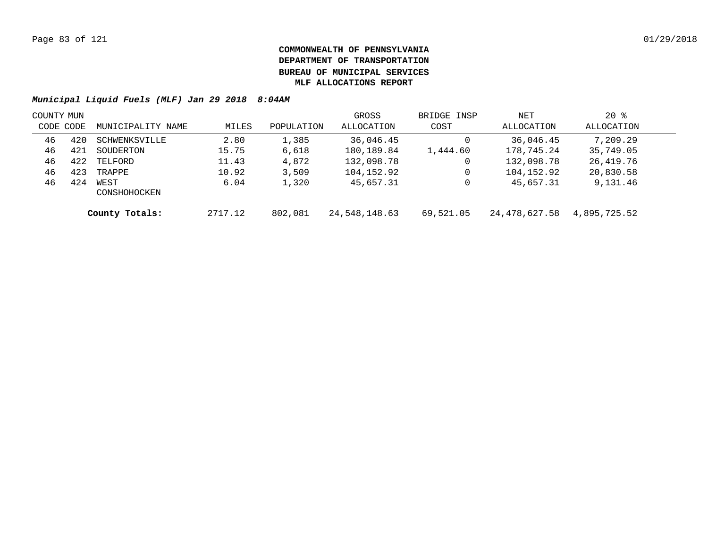| COUNTY MUN |     |                      |         |            | GROSS         | BRIDGE INSP | NET           | $20*$        |  |
|------------|-----|----------------------|---------|------------|---------------|-------------|---------------|--------------|--|
| CODE CODE  |     | MUNICIPALITY NAME    | MILES   | POPULATION | ALLOCATION    | COST        | ALLOCATION    | ALLOCATION   |  |
| 46         | 420 | SCHWENKSVILLE        | 2.80    | 1,385      | 36,046.45     |             | 36,046.45     | 7,209.29     |  |
| 46         | 421 | SOUDERTON            | 15.75   | 6,618      | 180,189.84    | 1,444.60    | 178,745.24    | 35,749.05    |  |
| 46         | 422 | TELFORD              | 11.43   | 4,872      | 132,098.78    |             | 132,098.78    | 26,419.76    |  |
| 46         | 423 | TRAPPE               | 10.92   | 3,509      | 104,152.92    |             | 104,152.92    | 20,830.58    |  |
| 46         | 424 | WEST<br>CONSHOHOCKEN | 6.04    | 1,320      | 45,657.31     |             | 45,657.31     | 9,131.46     |  |
|            |     | County Totals:       | 2717.12 | 802,081    | 24,548,148.63 | 69,521.05   | 24,478,627.58 | 4,895,725.52 |  |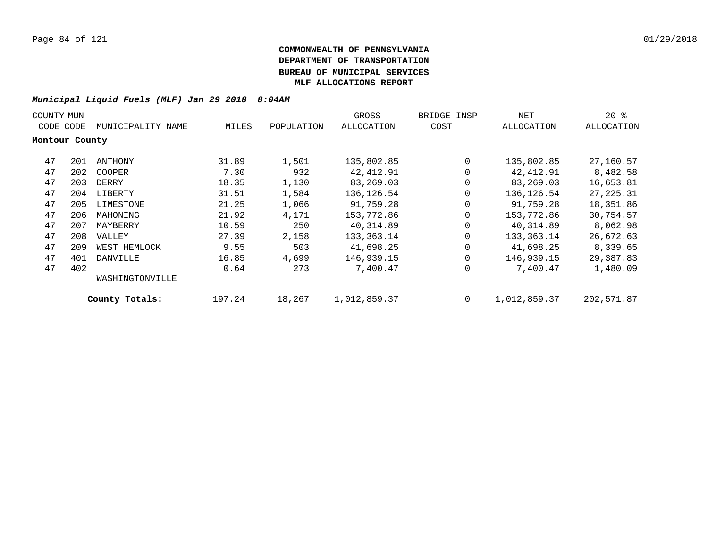| COUNTY MUN     |     |                   |        |            | GROSS             | BRIDGE INSP | NET          | $20*$      |
|----------------|-----|-------------------|--------|------------|-------------------|-------------|--------------|------------|
| CODE CODE      |     | MUNICIPALITY NAME | MILES  | POPULATION | <b>ALLOCATION</b> | COST        | ALLOCATION   | ALLOCATION |
| Montour County |     |                   |        |            |                   |             |              |            |
| 47             | 201 | ANTHONY           | 31.89  | 1,501      | 135,802.85        | 0           | 135,802.85   | 27,160.57  |
| 47             | 202 | COOPER            | 7.30   | 932        | 42,412.91         | 0           | 42,412.91    | 8,482.58   |
| 47             | 203 | DERRY             | 18.35  | 1,130      | 83,269.03         | 0           | 83,269.03    | 16,653.81  |
| 47             | 204 | LIBERTY           | 31.51  | 1,584      | 136, 126.54       | 0           | 136,126.54   | 27, 225.31 |
| 47             | 205 | LIMESTONE         | 21.25  | 1,066      | 91,759.28         | 0           | 91,759.28    | 18,351.86  |
| 47             | 206 | MAHONING          | 21.92  | 4,171      | 153,772.86        | 0           | 153,772.86   | 30,754.57  |
| 47             | 207 | MAYBERRY          | 10.59  | 250        | 40,314.89         | $\mathbf 0$ | 40,314.89    | 8,062.98   |
| 47             | 208 | VALLEY            | 27.39  | 2,158      | 133,363.14        | 0           | 133,363.14   | 26,672.63  |
| 47             | 209 | WEST HEMLOCK      | 9.55   | 503        | 41,698.25         | 0           | 41,698.25    | 8,339.65   |
| 47             | 401 | DANVILLE          | 16.85  | 4,699      | 146,939.15        | $\Omega$    | 146,939.15   | 29,387.83  |
| 47             | 402 |                   | 0.64   | 273        | 7,400.47          | 0           | 7,400.47     | 1,480.09   |
|                |     | WASHINGTONVILLE   |        |            |                   |             |              |            |
|                |     | County Totals:    | 197.24 | 18,267     | 1,012,859.37      | $\mathbf 0$ | 1,012,859.37 | 202,571.87 |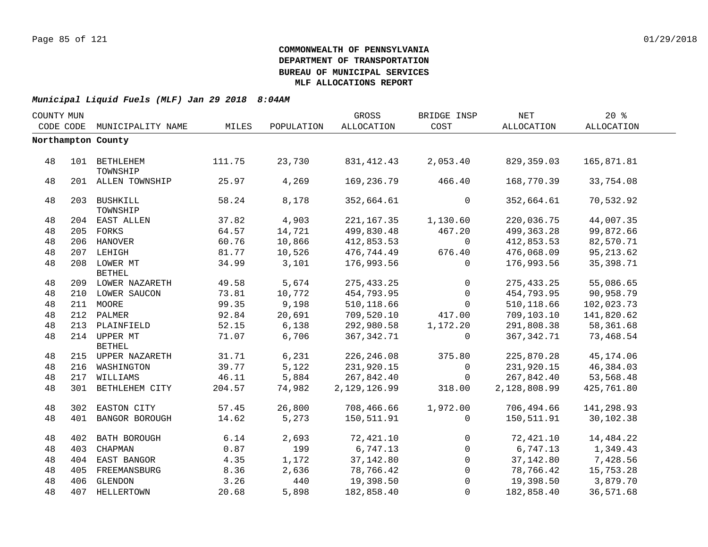| COUNTY MUN |     |                               |        |            | GROSS             | BRIDGE INSP | NET          | 20%        |  |
|------------|-----|-------------------------------|--------|------------|-------------------|-------------|--------------|------------|--|
| CODE CODE  |     | MUNICIPALITY NAME             | MILES  | POPULATION | <b>ALLOCATION</b> | COST        | ALLOCATION   | ALLOCATION |  |
|            |     | Northampton County            |        |            |                   |             |              |            |  |
|            |     |                               |        |            |                   |             |              |            |  |
| 48         |     | 101 BETHLEHEM<br>TOWNSHIP     | 111.75 | 23,730     | 831, 412. 43      | 2,053.40    | 829,359.03   | 165,871.81 |  |
| 48         |     | 201 ALLEN TOWNSHIP            | 25.97  | 4,269      | 169,236.79        | 466.40      | 168,770.39   | 33,754.08  |  |
| 48         |     | 203 BUSHKILL<br>TOWNSHIP      | 58.24  | 8,178      | 352,664.61        | $\mathbf 0$ | 352,664.61   | 70,532.92  |  |
| 48         |     | 204 EAST ALLEN                | 37.82  | 4,903      | 221, 167. 35      | 1,130.60    | 220,036.75   | 44,007.35  |  |
| 48         |     | 205 FORKS                     | 64.57  | 14,721     | 499,830.48        | 467.20      | 499,363.28   | 99,872.66  |  |
| 48         |     | 206 HANOVER                   | 60.76  | 10,866     | 412,853.53        | $\Omega$    | 412,853.53   | 82,570.71  |  |
| 48         |     | 207 LEHIGH                    | 81.77  | 10,526     | 476,744.49        | 676.40      | 476,068.09   | 95, 213.62 |  |
| 48         |     | 208 LOWER MT<br><b>BETHEL</b> | 34.99  | 3,101      | 176,993.56        | $\Omega$    | 176,993.56   | 35,398.71  |  |
| 48         |     | 209 LOWER NAZARETH            | 49.58  | 5,674      | 275, 433.25       | $\mathbf 0$ | 275, 433.25  | 55,086.65  |  |
| 48         |     | 210 LOWER SAUCON              | 73.81  | 10,772     | 454,793.95        | $\mathbf 0$ | 454,793.95   | 90,958.79  |  |
| 48         |     | 211 MOORE                     | 99.35  | 9,198      | 510, 118.66       | $\mathbf 0$ | 510,118.66   | 102,023.73 |  |
| 48         |     | 212 PALMER                    | 92.84  | 20,691     | 709,520.10        | 417.00      | 709,103.10   | 141,820.62 |  |
| 48         |     | 213 PLAINFIELD                | 52.15  | 6,138      | 292,980.58        | 1,172.20    | 291,808.38   | 58,361.68  |  |
| 48         |     | 214 UPPER MT<br><b>BETHEL</b> | 71.07  | 6,706      | 367,342.71        | $\mathbf 0$ | 367, 342. 71 | 73,468.54  |  |
| 48         |     | 215 UPPER NAZARETH            | 31.71  | 6,231      | 226,246.08        | 375.80      | 225,870.28   | 45,174.06  |  |
| 48         |     | 216 WASHINGTON                | 39.77  | 5,122      | 231,920.15        | $\mathbf 0$ | 231,920.15   | 46,384.03  |  |
| 48         |     | 217 WILLIAMS                  | 46.11  | 5,884      | 267,842.40        | $\mathbf 0$ | 267,842.40   | 53,568.48  |  |
| 48         |     | 301 BETHLEHEM CITY            | 204.57 | 74,982     | 2,129,126.99      | 318.00      | 2,128,808.99 | 425,761.80 |  |
| 48         |     | 302 EASTON CITY               | 57.45  | 26,800     | 708,466.66        | 1,972.00    | 706,494.66   | 141,298.93 |  |
| 48         | 401 | BANGOR BOROUGH                | 14.62  | 5,273      | 150,511.91        | $\mathbf 0$ | 150,511.91   | 30,102.38  |  |
| 48         |     | 402 BATH BOROUGH              | 6.14   | 2,693      | 72,421.10         | $\mathbf 0$ | 72,421.10    | 14,484.22  |  |
| 48         | 403 | CHAPMAN                       | 0.87   | 199        | 6,747.13          | $\Omega$    | 6,747.13     | 1,349.43   |  |
| 48         |     | 404 EAST BANGOR               | 4.35   | 1,172      | 37,142.80         | $\mathbf 0$ | 37,142.80    | 7,428.56   |  |
| 48         |     | 405 FREEMANSBURG              | 8.36   | 2,636      | 78,766.42         | 0           | 78,766.42    | 15,753.28  |  |
| 48         |     | 406 GLENDON                   | 3.26   | 440        | 19,398.50         | $\mathbf 0$ | 19,398.50    | 3,879.70   |  |
| 48         |     | 407 HELLERTOWN                | 20.68  | 5,898      | 182,858.40        | 0           | 182,858.40   | 36,571.68  |  |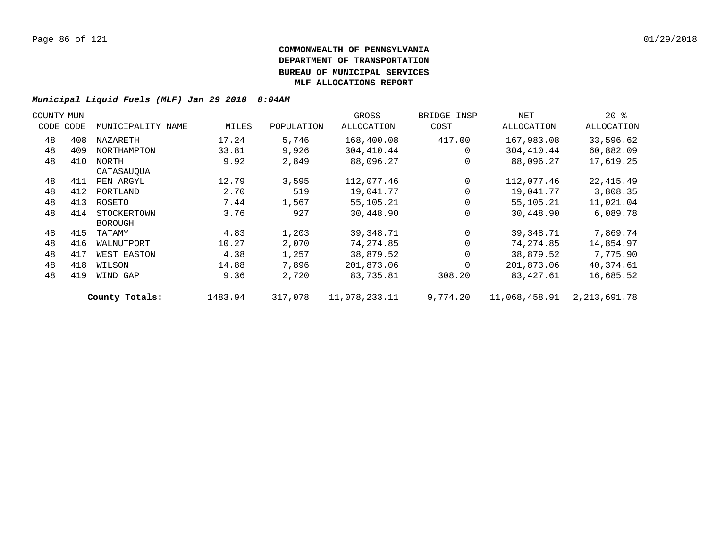| COUNTY MUN |     |                   |         |            | GROSS             | BRIDGE INSP | NET           | $20*$             |  |
|------------|-----|-------------------|---------|------------|-------------------|-------------|---------------|-------------------|--|
| CODE CODE  |     | MUNICIPALITY NAME | MILES   | POPULATION | <b>ALLOCATION</b> | COST        | ALLOCATION    | <b>ALLOCATION</b> |  |
| 48         | 408 | NAZARETH          | 17.24   | 5,746      | 168,400.08        | 417.00      | 167,983.08    | 33,596.62         |  |
| 48         | 409 | NORTHAMPTON       | 33.81   | 9,926      | 304,410.44        | $\Omega$    | 304,410.44    | 60,882.09         |  |
| 48         | 410 | NORTH             | 9.92    | 2,849      | 88,096.27         | $\Omega$    | 88,096.27     | 17,619.25         |  |
|            |     | CATASAUOUA        |         |            |                   |             |               |                   |  |
| 48         | 411 | PEN ARGYL         | 12.79   | 3,595      | 112,077.46        | $\Omega$    | 112,077.46    | 22,415.49         |  |
| 48         | 412 | PORTLAND          | 2.70    | 519        | 19,041.77         | $\Omega$    | 19,041.77     | 3,808.35          |  |
| 48         | 413 | ROSETO            | 7.44    | 1,567      | 55,105.21         |             | 55,105.21     | 11,021.04         |  |
| 48         | 414 | STOCKERTOWN       | 3.76    | 927        | 30,448.90         | $\Omega$    | 30,448.90     | 6,089.78          |  |
|            |     | <b>BOROUGH</b>    |         |            |                   |             |               |                   |  |
| 48         | 415 | TATAMY            | 4.83    | 1,203      | 39,348.71         | $\Omega$    | 39,348.71     | 7,869.74          |  |
| 48         | 416 | WALNUTPORT        | 10.27   | 2,070      | 74,274.85         |             | 74,274.85     | 14,854.97         |  |
| 48         | 417 | WEST EASTON       | 4.38    | 1,257      | 38,879.52         |             | 38,879.52     | 7,775.90          |  |
| 48         | 418 | WILSON            | 14.88   | 7,896      | 201,873.06        | $\Omega$    | 201,873.06    | 40,374.61         |  |
| 48         | 419 | WIND GAP          | 9.36    | 2,720      | 83,735.81         | 308.20      | 83,427.61     | 16,685.52         |  |
|            |     | County Totals:    | 1483.94 | 317,078    | 11,078,233.11     | 9,774.20    | 11,068,458.91 | 2,213,691.78      |  |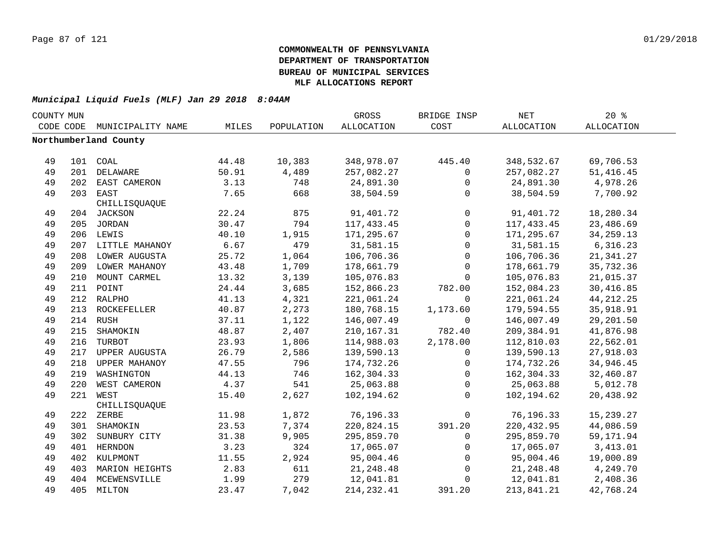| COUNTY MUN |     |                       |       |            | GROSS             | BRIDGE INSP         | <b>NET</b> | $20*$             |  |
|------------|-----|-----------------------|-------|------------|-------------------|---------------------|------------|-------------------|--|
| CODE CODE  |     | MUNICIPALITY NAME     | MILES | POPULATION | <b>ALLOCATION</b> | COST                | ALLOCATION | <b>ALLOCATION</b> |  |
|            |     | Northumberland County |       |            |                   |                     |            |                   |  |
|            |     |                       |       |            |                   |                     |            |                   |  |
| 49         |     | 101 COAL              | 44.48 | 10,383     | 348,978.07        | 445.40              | 348,532.67 | 69,706.53         |  |
| 49         |     | 201 DELAWARE          | 50.91 | 4,489      | 257,082.27        | $\mathbf 0$         | 257,082.27 | 51, 416.45        |  |
| 49         |     | 202 EAST CAMERON      | 3.13  | 748        | 24,891.30         | $\mathsf{O}$        | 24,891.30  | 4,978.26          |  |
| 49         |     | 203 EAST              | 7.65  | 668        | 38,504.59         | $\Omega$            | 38,504.59  | 7,700.92          |  |
|            |     | CHILLISQUAQUE         |       |            |                   |                     |            |                   |  |
| 49         |     | 204 JACKSON           | 22.24 | 875        | 91,401.72         | $\mathsf{O}\xspace$ | 91,401.72  | 18,280.34         |  |
| 49         |     | 205 JORDAN            | 30.47 | 794        | 117,433.45        | $\mathbf 0$         | 117,433.45 | 23,486.69         |  |
| 49         |     | 206 LEWIS             | 40.10 | 1,915      | 171,295.67        | $\mathsf{O}$        | 171,295.67 | 34, 259. 13       |  |
| 49         |     | 207 LITTLE MAHANOY    | 6.67  | 479        | 31,581.15         | $\mathbf 0$         | 31,581.15  | 6,316.23          |  |
| 49         | 208 | LOWER AUGUSTA         | 25.72 | 1,064      | 106,706.36        | $\mathbf 0$         | 106,706.36 | 21,341.27         |  |
| 49         | 209 | LOWER MAHANOY         | 43.48 | 1,709      | 178,661.79        | $\mathbf 0$         | 178,661.79 | 35,732.36         |  |
| 49         | 210 | MOUNT CARMEL          | 13.32 | 3,139      | 105,076.83        | $\mathbf 0$         | 105,076.83 | 21,015.37         |  |
| 49         |     | 211 POINT             | 24.44 | 3,685      | 152,866.23        | 782.00              | 152,084.23 | 30,416.85         |  |
| 49         |     | 212 RALPHO            | 41.13 | 4,321      | 221,061.24        | $\mathbf 0$         | 221,061.24 | 44, 212. 25       |  |
| 49         |     | 213 ROCKEFELLER       | 40.87 | 2,273      | 180,768.15        | 1,173.60            | 179,594.55 | 35,918.91         |  |
| 49         |     | 214 RUSH              | 37.11 | 1,122      | 146,007.49        | $\mathbf 0$         | 146,007.49 | 29,201.50         |  |
| 49         |     | 215 SHAMOKIN          | 48.87 | 2,407      | 210, 167.31       | 782.40              | 209,384.91 | 41,876.98         |  |
| 49         |     | 216 TURBOT            | 23.93 | 1,806      | 114,988.03        | 2,178.00            | 112,810.03 | 22,562.01         |  |
| 49         |     | 217 UPPER AUGUSTA     | 26.79 | 2,586      | 139,590.13        | $\mathbf 0$         | 139,590.13 | 27,918.03         |  |
| 49         |     | 218 UPPER MAHANOY     | 47.55 | 796        | 174,732.26        | 0                   | 174,732.26 | 34,946.45         |  |
| 49         | 219 | WASHINGTON            | 44.13 | 746        | 162,304.33        | $\mathbf 0$         | 162,304.33 | 32,460.87         |  |
| 49         | 220 | WEST CAMERON          | 4.37  | 541        | 25,063.88         | $\Omega$            | 25,063.88  | 5,012.78          |  |
| 49         |     | 221 WEST              | 15.40 | 2,627      | 102,194.62        | $\Omega$            | 102,194.62 | 20,438.92         |  |
|            |     | CHILLISQUAQUE         |       |            |                   |                     |            |                   |  |
| 49         | 222 | ZERBE                 | 11.98 | 1,872      | 76,196.33         | $\mathbf 0$         | 76,196.33  | 15,239.27         |  |
| 49         | 301 | SHAMOKIN              | 23.53 | 7,374      | 220,824.15        | 391.20              | 220,432.95 | 44,086.59         |  |
| 49         | 302 | SUNBURY CITY          | 31.38 | 9,905      | 295,859.70        | $\Omega$            | 295,859.70 | 59, 171.94        |  |
| 49         |     | 401 HERNDON           | 3.23  | 324        | 17,065.07         | $\mathbf{0}$        | 17,065.07  | 3,413.01          |  |
| 49         |     | 402 KULPMONT          | 11.55 | 2,924      | 95,004.46         | $\mathbf 0$         | 95,004.46  | 19,000.89         |  |
| 49         |     | 403 MARION HEIGHTS    | 2.83  | 611        | 21, 248.48        | $\mathbf 0$         | 21,248.48  | 4,249.70          |  |
| 49         |     | 404 MCEWENSVILLE      | 1.99  | 279        | 12,041.81         | $\Omega$            | 12,041.81  | 2,408.36          |  |
| 49         |     | 405 MILTON            | 23.47 | 7,042      | 214, 232.41       | 391.20              | 213,841.21 | 42,768.24         |  |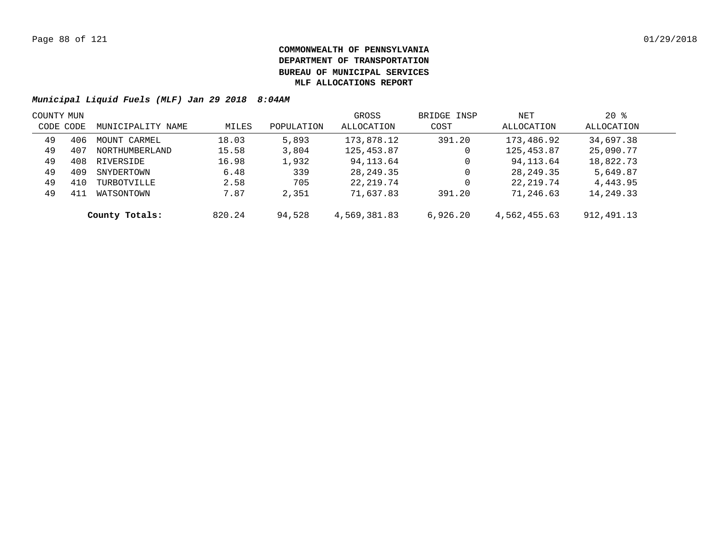| COUNTY MUN |     |                   |        |            | GROSS        | BRIDGE INSP | NET          | $20*$      |  |
|------------|-----|-------------------|--------|------------|--------------|-------------|--------------|------------|--|
| CODE CODE  |     | MUNICIPALITY NAME | MILES  | POPULATION | ALLOCATION   | COST        | ALLOCATION   | ALLOCATION |  |
| 49         | 406 | MOUNT CARMEL      | 18.03  | 5,893      | 173,878.12   | 391.20      | 173,486.92   | 34,697.38  |  |
| 49         | 407 | NORTHUMBERLAND    | 15.58  | 3,804      | 125,453.87   | 0           | 125,453.87   | 25,090.77  |  |
| 49         | 408 | RIVERSIDE         | 16.98  | 1,932      | 94,113.64    | 0           | 94,113.64    | 18,822.73  |  |
| 49         | 409 | SNYDERTOWN        | 6.48   | 339        | 28,249.35    | 0           | 28, 249. 35  | 5,649.87   |  |
| 49         | 410 | TURBOTVILLE       | 2.58   | 705        | 22,219.74    | 0           | 22,219.74    | 4,443.95   |  |
| 49         | 411 | WATSONTOWN        | 7.87   | 2,351      | 71,637.83    | 391.20      | 71,246.63    | 14,249.33  |  |
|            |     | County Totals:    | 820.24 | 94,528     | 4,569,381.83 | 6,926.20    | 4,562,455.63 | 912,491.13 |  |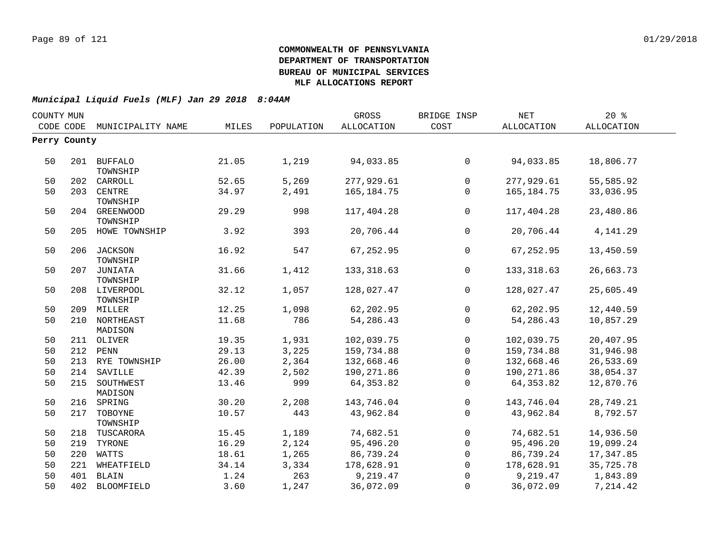| COUNTY MUN |              |                   |       |            | <b>GROSS</b> | BRIDGE INSP    | <b>NET</b>   | $20*$      |  |
|------------|--------------|-------------------|-------|------------|--------------|----------------|--------------|------------|--|
|            | CODE CODE    | MUNICIPALITY NAME | MILES | POPULATION | ALLOCATION   | COST           | ALLOCATION   | ALLOCATION |  |
|            | Perry County |                   |       |            |              |                |              |            |  |
|            |              |                   |       |            |              |                |              |            |  |
| 50         |              | 201 BUFFALO       | 21.05 | 1,219      | 94,033.85    | $\overline{0}$ | 94,033.85    | 18,806.77  |  |
|            |              | TOWNSHIP          |       |            |              |                |              |            |  |
| 50         |              | 202 CARROLL       | 52.65 | 5,269      | 277,929.61   | $\overline{0}$ | 277,929.61   | 55,585.92  |  |
| 50         | 203          | CENTRE            | 34.97 | 2,491      | 165, 184. 75 | $\overline{0}$ | 165, 184. 75 | 33,036.95  |  |
|            |              | TOWNSHIP          |       |            |              |                |              |            |  |
| 50         |              | 204 GREENWOOD     | 29.29 | 998        | 117,404.28   | $\mathbf 0$    | 117,404.28   | 23,480.86  |  |
|            |              | TOWNSHIP          |       |            |              |                |              |            |  |
| 50         |              | 205 HOWE TOWNSHIP | 3.92  | 393        | 20,706.44    | $\mathsf{O}$   | 20,706.44    | 4, 141.29  |  |
| 50         |              | 206 JACKSON       | 16.92 | 547        | 67,252.95    | $\mathbf{0}$   | 67,252.95    | 13,450.59  |  |
|            |              | TOWNSHIP          |       |            |              |                |              |            |  |
| 50         |              | 207 JUNIATA       | 31.66 | 1,412      | 133, 318.63  | $\mathbf 0$    | 133, 318.63  | 26,663.73  |  |
|            |              | TOWNSHIP          |       |            |              |                |              |            |  |
| 50         |              | 208 LIVERPOOL     | 32.12 | 1,057      | 128,027.47   | $\overline{0}$ | 128,027.47   | 25,605.49  |  |
|            |              | TOWNSHIP          |       |            |              |                |              |            |  |
| 50         |              | 209 MILLER        | 12.25 | 1,098      | 62,202.95    | $\mathsf{O}$   | 62,202.95    | 12,440.59  |  |
| 50         |              | 210 NORTHEAST     | 11.68 | 786        | 54,286.43    | $\mathbf{0}$   | 54,286.43    | 10,857.29  |  |
|            |              | MADISON           |       |            |              |                |              |            |  |
| 50         |              | 211 OLIVER        | 19.35 | 1,931      | 102,039.75   | $\overline{0}$ | 102,039.75   | 20,407.95  |  |
| 50         |              | 212 PENN          | 29.13 | 3,225      | 159,734.88   | $\mathsf{O}$   | 159,734.88   | 31,946.98  |  |
| 50         |              | 213 RYE TOWNSHIP  | 26.00 | 2,364      | 132,668.46   | $\mathsf{O}$   | 132,668.46   | 26,533.69  |  |
| 50         | 214          | SAVILLE           | 42.39 | 2,502      | 190,271.86   | 0              | 190,271.86   | 38,054.37  |  |
| 50         |              | 215 SOUTHWEST     | 13.46 | 999        | 64, 353.82   | $\Omega$       | 64, 353.82   | 12,870.76  |  |
|            |              | MADISON           |       |            |              |                |              |            |  |
| 50         |              | 216 SPRING        | 30.20 | 2,208      | 143,746.04   | $\mathsf{O}$   | 143,746.04   | 28,749.21  |  |
| 50         |              | 217 TOBOYNE       | 10.57 | 443        | 43,962.84    | $\overline{0}$ | 43,962.84    | 8,792.57   |  |
|            |              | TOWNSHIP          |       |            |              |                |              |            |  |
| 50         |              | 218 TUSCARORA     | 15.45 | 1,189      | 74,682.51    | $\overline{0}$ | 74,682.51    | 14,936.50  |  |
| 50         | 219          | TYRONE            | 16.29 | 2,124      | 95,496.20    | $\overline{0}$ | 95,496.20    | 19,099.24  |  |
| 50         | 220          | WATTS             | 18.61 | 1,265      | 86,739.24    | $\overline{0}$ | 86,739.24    | 17,347.85  |  |
| 50         | 221          | WHEATFIELD        | 34.14 | 3,334      | 178,628.91   | $\overline{0}$ | 178,628.91   | 35,725.78  |  |
| 50         |              | 401 BLAIN         | 1.24  | 263        | 9,219.47     | $\mathbf 0$    | 9,219.47     | 1,843.89   |  |
| 50         |              | 402 BLOOMFIELD    | 3.60  | 1,247      | 36,072.09    | $\mathbf 0$    | 36,072.09    | 7,214.42   |  |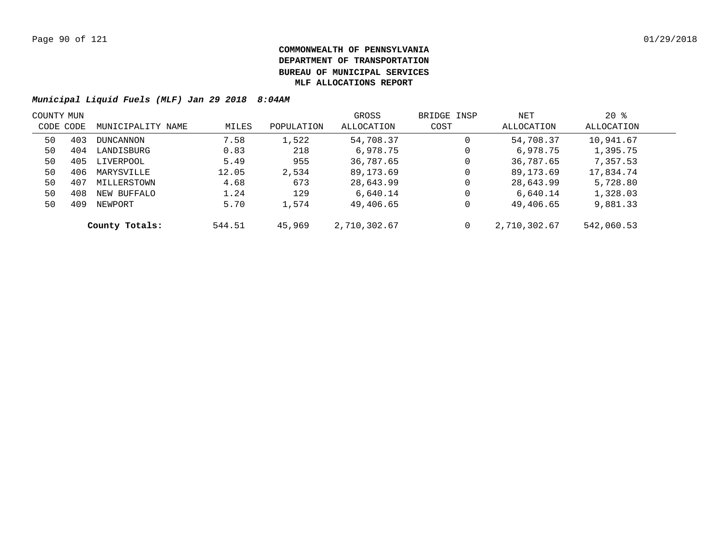| COUNTY MUN |     |                   |        |            | GROSS        | BRIDGE INSP | NET          | $20*$      |  |
|------------|-----|-------------------|--------|------------|--------------|-------------|--------------|------------|--|
| CODE CODE  |     | MUNICIPALITY NAME | MILES  | POPULATION | ALLOCATION   | COST        | ALLOCATION   | ALLOCATION |  |
| 50         | 403 | DUNCANNON         | 7.58   | 1,522      | 54,708.37    | $\mathbf 0$ | 54,708.37    | 10,941.67  |  |
| 50         | 404 | LANDISBURG        | 0.83   | 218        | 6,978.75     | 0           | 6,978.75     | 1,395.75   |  |
| 50         | 405 | LIVERPOOL         | 5.49   | 955        | 36,787.65    | $\mathbf 0$ | 36,787.65    | 7,357.53   |  |
| 50         | 406 | MARYSVILLE        | 12.05  | 2,534      | 89,173.69    | $\mathbf 0$ | 89,173.69    | 17,834.74  |  |
| 50         | 407 | MILLERSTOWN       | 4.68   | 673        | 28,643.99    | $\mathbf 0$ | 28,643.99    | 5,728.80   |  |
| 50         | 408 | NEW BUFFALO       | 1.24   | 129        | 6,640.14     | 0           | 6,640.14     | 1,328.03   |  |
| 50         | 409 | NEWPORT           | 5.70   | 1,574      | 49,406.65    | 0           | 49,406.65    | 9,881.33   |  |
|            |     | County Totals:    | 544.51 | 45,969     | 2,710,302.67 | 0           | 2,710,302.67 | 542,060.53 |  |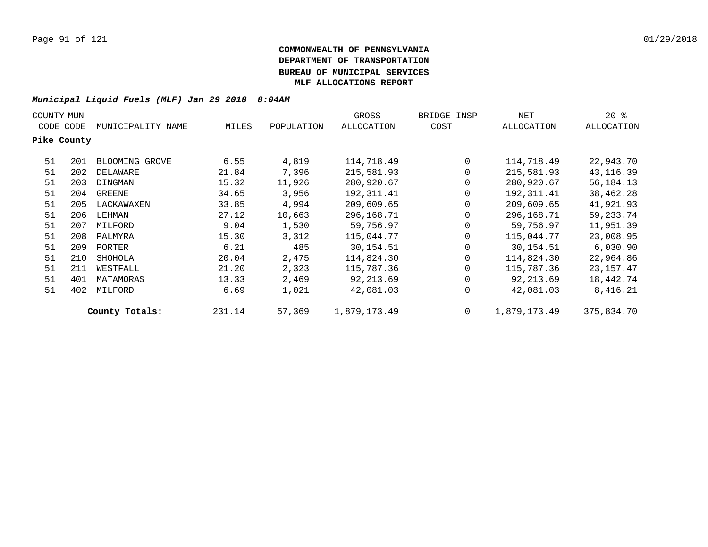| COUNTY MUN  |     |                   |        |            | GROSS        | BRIDGE INSP | NET          | 20%         |
|-------------|-----|-------------------|--------|------------|--------------|-------------|--------------|-------------|
| CODE CODE   |     | MUNICIPALITY NAME | MILES  | POPULATION | ALLOCATION   | COST        | ALLOCATION   | ALLOCATION  |
| Pike County |     |                   |        |            |              |             |              |             |
| 51          | 201 | BLOOMING GROVE    | 6.55   | 4,819      | 114,718.49   | $\mathbf 0$ | 114,718.49   | 22,943.70   |
| 51          | 202 | DELAWARE          | 21.84  | 7,396      | 215,581.93   | 0           | 215,581.93   | 43, 116.39  |
| 51          | 203 | DINGMAN           | 15.32  | 11,926     | 280,920.67   | 0           | 280,920.67   | 56,184.13   |
| 51          | 204 | GREENE            | 34.65  | 3,956      | 192, 311.41  | 0           | 192,311.41   | 38,462.28   |
| 51          | 205 | LACKAWAXEN        | 33.85  | 4,994      | 209,609.65   | 0           | 209,609.65   | 41,921.93   |
| 51          | 206 | LEHMAN            | 27.12  | 10,663     | 296,168.71   | 0           | 296,168.71   | 59, 233. 74 |
| 51          | 207 | MILFORD           | 9.04   | 1,530      | 59,756.97    | 0           | 59,756.97    | 11,951.39   |
| 51          | 208 | PALMYRA           | 15.30  | 3,312      | 115,044.77   | $\Omega$    | 115,044.77   | 23,008.95   |
| 51          | 209 | PORTER            | 6.21   | 485        | 30,154.51    | 0           | 30,154.51    | 6,030.90    |
| 51          | 210 | SHOHOLA           | 20.04  | 2,475      | 114,824.30   | $\Omega$    | 114,824.30   | 22,964.86   |
| 51          | 211 | WESTFALL          | 21.20  | 2,323      | 115,787.36   | $\Omega$    | 115,787.36   | 23,157.47   |
| 51          | 401 | MATAMORAS         | 13.33  | 2,469      | 92,213.69    | 0           | 92,213.69    | 18,442.74   |
| 51          | 402 | MILFORD           | 6.69   | 1,021      | 42,081.03    | 0           | 42,081.03    | 8,416.21    |
|             |     | County Totals:    | 231.14 | 57,369     | 1,879,173.49 | $\mathbf 0$ | 1,879,173.49 | 375,834.70  |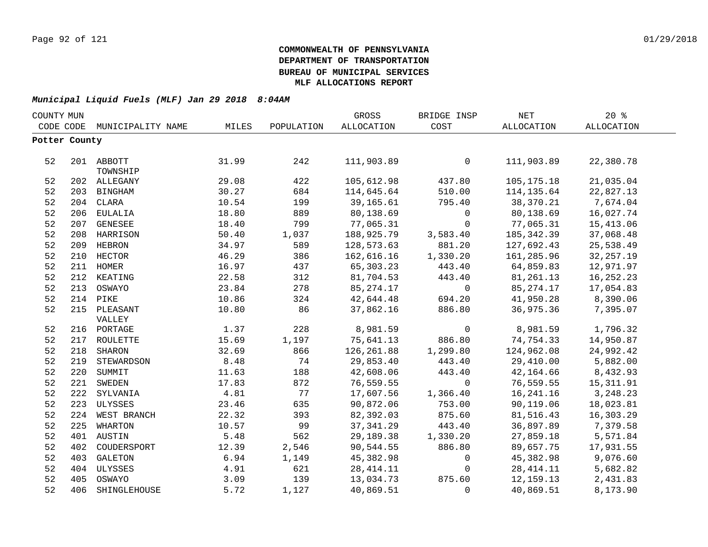| COUNTY MUN    |     |                        |       |            | GROSS       | BRIDGE INSP    | <b>NET</b>  | 20%         |  |
|---------------|-----|------------------------|-------|------------|-------------|----------------|-------------|-------------|--|
| CODE CODE     |     | MUNICIPALITY NAME      | MILES | POPULATION | ALLOCATION  | COST           | ALLOCATION  | ALLOCATION  |  |
| Potter County |     |                        |       |            |             |                |             |             |  |
|               |     |                        |       |            |             |                |             |             |  |
| 52            |     | 201 ABBOTT<br>TOWNSHIP | 31.99 | 242        | 111,903.89  | $\mathbf 0$    | 111,903.89  | 22,380.78   |  |
| 52            |     | 202 ALLEGANY           | 29.08 | 422        | 105,612.98  | 437.80         | 105,175.18  | 21,035.04   |  |
| 52            |     | 203 BINGHAM            | 30.27 | 684        | 114,645.64  | 510.00         | 114,135.64  | 22,827.13   |  |
| 52            |     | 204 CLARA              | 10.54 | 199        | 39,165.61   | 795.40         | 38,370.21   | 7,674.04    |  |
| 52            |     | 206 EULALIA            | 18.80 | 889        | 80,138.69   | $\mathsf{O}$   | 80,138.69   | 16,027.74   |  |
| 52            |     | 207 GENESEE            | 18.40 | 799        | 77,065.31   | $\mathbf 0$    | 77,065.31   | 15,413.06   |  |
| 52            |     | 208 HARRISON           | 50.40 | 1,037      | 188,925.79  | 3,583.40       | 185, 342.39 | 37,068.48   |  |
| 52            | 209 | HEBRON                 | 34.97 | 589        | 128,573.63  | 881.20         | 127,692.43  | 25,538.49   |  |
| 52            | 210 | <b>HECTOR</b>          | 46.29 | 386        | 162,616.16  | 1,330.20       | 161,285.96  | 32, 257.19  |  |
| 52            | 211 | HOMER                  | 16.97 | 437        | 65,303.23   | 443.40         | 64,859.83   | 12,971.97   |  |
| 52            | 212 | KEATING                | 22.58 | 312        | 81,704.53   | 443.40         | 81,261.13   | 16, 252. 23 |  |
| 52            | 213 | OSWAYO                 | 23.84 | 278        | 85, 274. 17 | $\overline{0}$ | 85, 274. 17 | 17,054.83   |  |
| 52            | 214 | PIKE                   | 10.86 | 324        | 42,644.48   | 694.20         | 41,950.28   | 8,390.06    |  |
| 52            |     | 215 PLEASANT           | 10.80 | 86         | 37,862.16   | 886.80         | 36,975.36   | 7,395.07    |  |
|               |     | VALLEY                 |       |            |             |                |             |             |  |
| 52            |     | 216 PORTAGE            | 1.37  | 228        | 8,981.59    | $\mathsf{O}$   | 8,981.59    | 1,796.32    |  |
| 52            | 217 | ROULETTE               | 15.69 | 1,197      | 75,641.13   | 886.80         | 74,754.33   | 14,950.87   |  |
| 52            | 218 | <b>SHARON</b>          | 32.69 | 866        | 126,261.88  | 1,299.80       | 124,962.08  | 24,992.42   |  |
| 52            | 219 | STEWARDSON             | 8.48  | 74         | 29,853.40   | 443.40         | 29,410.00   | 5,882.00    |  |
| 52            |     | 220 SUMMIT             | 11.63 | 188        | 42,608.06   | 443.40         | 42,164.66   | 8,432.93    |  |
| 52            |     | 221 SWEDEN             | 17.83 | 872        | 76,559.55   | $\overline{0}$ | 76,559.55   | 15, 311.91  |  |
| 52            |     | 222 SYLVANIA           | 4.81  | 77         | 17,607.56   | 1,366.40       | 16,241.16   | 3, 248.23   |  |
| 52            |     | 223 ULYSSES            | 23.46 | 635        | 90,872.06   | 753.00         | 90,119.06   | 18,023.81   |  |
| 52            |     | 224 WEST BRANCH        | 22.32 | 393        | 82,392.03   | 875.60         | 81,516.43   | 16,303.29   |  |
| 52            | 225 | WHARTON                | 10.57 | 99         | 37,341.29   | 443.40         | 36,897.89   | 7,379.58    |  |
| 52            |     | 401 AUSTIN             | 5.48  | 562        | 29,189.38   | 1,330.20       | 27,859.18   | 5,571.84    |  |
| 52            | 402 | COUDERSPORT            | 12.39 | 2,546      | 90,544.55   | 886.80         | 89,657.75   | 17,931.55   |  |
| 52            | 403 | GALETON                | 6.94  | 1,149      | 45,382.98   | $\overline{0}$ | 45,382.98   | 9,076.60    |  |
| 52            | 404 | ULYSSES                | 4.91  | 621        | 28, 414.11  | $\mathbf 0$    | 28, 414. 11 | 5,682.82    |  |
| 52            | 405 | OSWAYO                 | 3.09  | 139        | 13,034.73   | 875.60         | 12, 159. 13 | 2,431.83    |  |
| 52            | 406 | SHINGLEHOUSE           | 5.72  | 1,127      | 40,869.51   | $\Omega$       | 40,869.51   | 8,173.90    |  |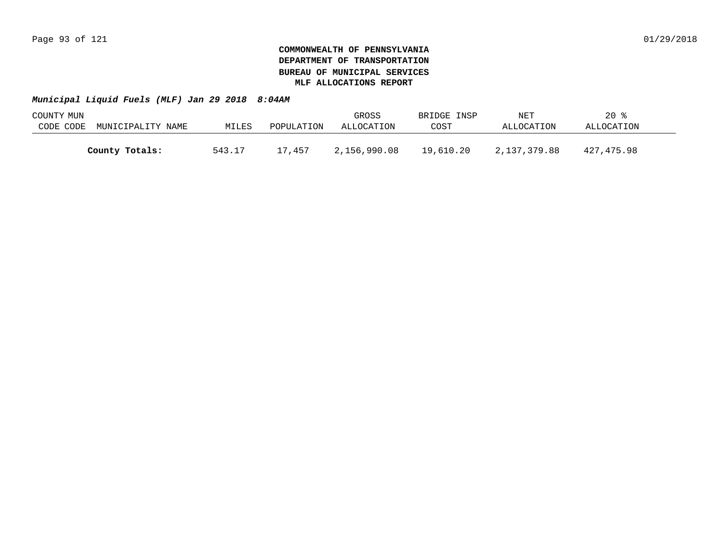| COUNTY MUN |                   |        |            | GROSS        | BRIDGE INSP | NET          | $20*$      |  |
|------------|-------------------|--------|------------|--------------|-------------|--------------|------------|--|
| CODE CODE  | MUNICIPALITY NAME | MILES  | POPULATION | ALLOCATION   | COST        | ALLOCATION   | ALLOCATION |  |
|            |                   |        |            |              |             |              |            |  |
|            | County Totals:    | 543.17 | 17,457     | 2,156,990.08 | 19,610.20   | 2,137,379.88 | 427,475.98 |  |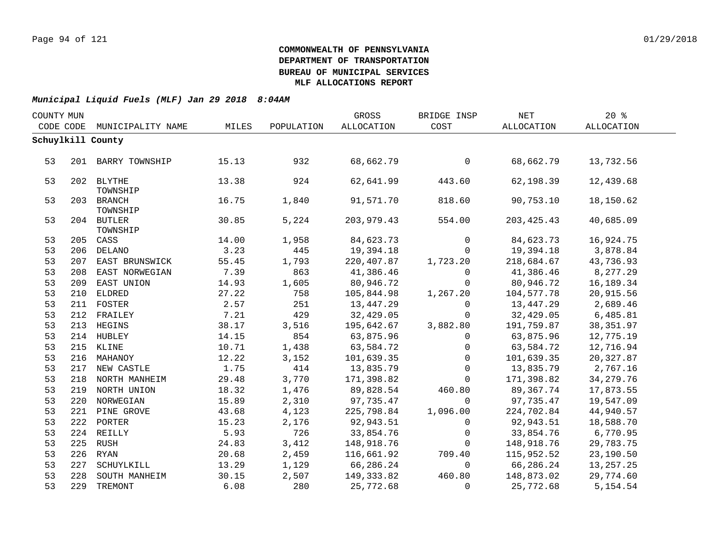| COUNTY MUN |     |                        |       |            | GROSS             | BRIDGE INSP    | NET          | 20%         |  |
|------------|-----|------------------------|-------|------------|-------------------|----------------|--------------|-------------|--|
| CODE CODE  |     | MUNICIPALITY NAME      | MILES | POPULATION | <b>ALLOCATION</b> | COST           | ALLOCATION   | ALLOCATION  |  |
|            |     | Schuylkill County      |       |            |                   |                |              |             |  |
|            |     |                        |       |            |                   |                |              |             |  |
| 53         |     | 201 BARRY TOWNSHIP     | 15.13 | 932        | 68,662.79         | $\mathsf{O}$   | 68,662.79    | 13,732.56   |  |
| 53         |     | 202 BLYTHE<br>TOWNSHIP | 13.38 | 924        | 62,641.99         | 443.60         | 62,198.39    | 12,439.68   |  |
| 53         |     | 203 BRANCH<br>TOWNSHIP | 16.75 | 1,840      | 91,571.70         | 818.60         | 90,753.10    | 18,150.62   |  |
| 53         |     | 204 BUTLER<br>TOWNSHIP | 30.85 | 5,224      | 203,979.43        | 554.00         | 203, 425. 43 | 40,685.09   |  |
| 53         |     | 205 CASS               | 14.00 | 1,958      | 84,623.73         | $\mathbf 0$    | 84,623.73    | 16,924.75   |  |
| 53         |     | 206 DELANO             | 3.23  | 445        | 19,394.18         | $\Omega$       | 19,394.18    | 3,878.84    |  |
| 53         |     | 207 EAST BRUNSWICK     | 55.45 | 1,793      | 220,407.87        | 1,723.20       | 218,684.67   | 43,736.93   |  |
| 53         | 208 | EAST NORWEGIAN         | 7.39  | 863        | 41,386.46         | $\Omega$       | 41,386.46    | 8,277.29    |  |
| 53         | 209 | EAST UNION             | 14.93 | 1,605      | 80,946.72         | $\mathbf{0}$   | 80,946.72    | 16,189.34   |  |
| 53         |     | 210 ELDRED             | 27.22 | 758        | 105,844.98        | 1,267.20       | 104,577.78   | 20,915.56   |  |
| 53         |     | 211 FOSTER             | 2.57  | 251        | 13,447.29         | $\mathbf 0$    | 13,447.29    | 2,689.46    |  |
| 53         |     | 212 FRAILEY            | 7.21  | 429        | 32,429.05         | $\mathsf{O}$   | 32,429.05    | 6,485.81    |  |
| 53         |     | 213 HEGINS             | 38.17 | 3,516      | 195,642.67        | 3,882.80       | 191,759.87   | 38, 351.97  |  |
| 53         |     | 214 HUBLEY             | 14.15 | 854        | 63,875.96         | $\Omega$       | 63,875.96    | 12,775.19   |  |
| 53         |     | 215 KLINE              | 10.71 | 1,438      | 63,584.72         | $\mathsf{O}$   | 63,584.72    | 12,716.94   |  |
| 53         |     | 216 MAHANOY            | 12.22 | 3,152      | 101,639.35        | $\mathbf 0$    | 101,639.35   | 20,327.87   |  |
| 53         |     | 217 NEW CASTLE         | 1.75  | 414        | 13,835.79         | $\Omega$       | 13,835.79    | 2,767.16    |  |
| 53         |     | 218 NORTH MANHEIM      | 29.48 | 3,770      | 171,398.82        | $\Omega$       | 171,398.82   | 34, 279. 76 |  |
| 53         |     | 219 NORTH UNION        | 18.32 | 1,476      | 89,828.54         | 460.80         | 89,367.74    | 17,873.55   |  |
| 53         |     | 220 NORWEGIAN          | 15.89 | 2,310      | 97,735.47         | $\mathbf 0$    | 97,735.47    | 19,547.09   |  |
| 53         |     | 221 PINE GROVE         | 43.68 | 4,123      | 225,798.84        | 1,096.00       | 224,702.84   | 44,940.57   |  |
| 53         |     | 222 PORTER             | 15.23 | 2,176      | 92,943.51         | $\mathbf 0$    | 92,943.51    | 18,588.70   |  |
| 53         |     | 224 REILLY             | 5.93  | 726        | 33,854.76         | $\overline{0}$ | 33,854.76    | 6,770.95    |  |
| 53         |     | 225 RUSH               | 24.83 | 3,412      | 148,918.76        | $\Omega$       | 148,918.76   | 29,783.75   |  |
| 53         |     | 226 RYAN               | 20.68 | 2,459      | 116,661.92        | 709.40         | 115,952.52   | 23,190.50   |  |
| 53         | 227 | SCHUYLKILL             | 13.29 | 1,129      | 66,286.24         | $\mathbf 0$    | 66,286.24    | 13,257.25   |  |
| 53         | 228 | SOUTH MANHEIM          | 30.15 | 2,507      | 149,333.82        | 460.80         | 148,873.02   | 29,774.60   |  |
| 53         |     | 229 TREMONT            | 6.08  | 280        | 25,772.68         | $\Omega$       | 25,772.68    | 5, 154.54   |  |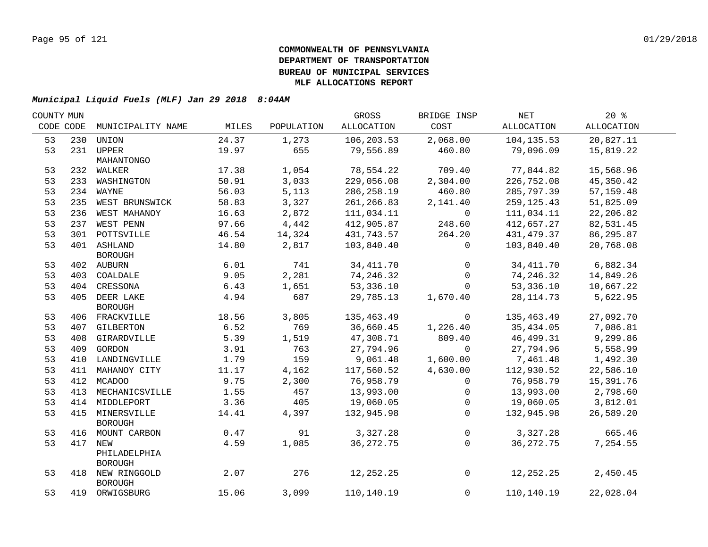| COUNTY MUN |                    |       |            | GROSS       | BRIDGE INSP         | NET         | $20*$       |  |
|------------|--------------------|-------|------------|-------------|---------------------|-------------|-------------|--|
| CODE CODE  | MUNICIPALITY NAME  | MILES | POPULATION | ALLOCATION  | COST                | ALLOCATION  | ALLOCATION  |  |
| 53         | 230 UNION          | 24.37 | 1,273      | 106,203.53  | 2,068.00            | 104,135.53  | 20,827.11   |  |
| 53         | 231 UPPER          | 19.97 | 655        | 79,556.89   | 460.80              | 79,096.09   | 15,819.22   |  |
|            | MAHANTONGO         |       |            |             |                     |             |             |  |
| 53         | 232 WALKER         | 17.38 | 1,054      | 78,554.22   | 709.40              | 77,844.82   | 15,568.96   |  |
| 53         | 233 WASHINGTON     | 50.91 | 3,033      | 229,056.08  | 2,304.00            | 226,752.08  | 45,350.42   |  |
| 53         | 234 WAYNE          | 56.03 | 5,113      | 286,258.19  | 460.80              | 285,797.39  | 57, 159. 48 |  |
| 53         | 235 WEST BRUNSWICK | 58.83 | 3,327      | 261,266.83  | 2,141.40            | 259,125.43  | 51,825.09   |  |
| 53         | 236 WEST MAHANOY   | 16.63 | 2,872      | 111,034.11  | $\mathbf 0$         | 111,034.11  | 22,206.82   |  |
| 53         | 237 WEST PENN      | 97.66 | 4,442      | 412,905.87  | 248.60              | 412,657.27  | 82,531.45   |  |
| 53         | 301 POTTSVILLE     | 46.54 | 14,324     | 431,743.57  | 264.20              | 431,479.37  | 86,295.87   |  |
| 53         | 401 ASHLAND        | 14.80 | 2,817      | 103,840.40  | 0                   | 103,840.40  | 20,768.08   |  |
|            | <b>BOROUGH</b>     |       |            |             |                     |             |             |  |
| 53         | 402 AUBURN         | 6.01  | 741        | 34, 411.70  | $\mathbf 0$         | 34,411.70   | 6,882.34    |  |
| 53         | 403 COALDALE       | 9.05  | 2,281      | 74,246.32   | $\mathsf{O}$        | 74,246.32   | 14,849.26   |  |
| 53         | 404 CRESSONA       | 6.43  | 1,651      | 53,336.10   | $\Omega$            | 53,336.10   | 10,667.22   |  |
| 53         | 405 DEER LAKE      | 4.94  | 687        | 29,785.13   | 1,670.40            | 28, 114.73  | 5,622.95    |  |
|            | <b>BOROUGH</b>     |       |            |             |                     |             |             |  |
| 53         | 406 FRACKVILLE     | 18.56 | 3,805      | 135,463.49  | 0                   | 135,463.49  | 27,092.70   |  |
| 53         | 407 GILBERTON      | 6.52  | 769        | 36,660.45   | 1,226.40            | 35,434.05   | 7,086.81    |  |
| 53         | 408 GIRARDVILLE    | 5.39  | 1,519      | 47,308.71   | 809.40              | 46,499.31   | 9,299.86    |  |
| 53         | 409 GORDON         | 3.91  | 763        | 27,794.96   | $\mathbf 0$         | 27,794.96   | 5,558.99    |  |
| 53         | 410 LANDINGVILLE   | 1.79  | 159        | 9,061.48    | 1,600.00            | 7,461.48    | 1,492.30    |  |
| 53         | 411 MAHANOY CITY   | 11.17 | 4,162      | 117,560.52  | 4,630.00            | 112,930.52  | 22,586.10   |  |
| 53         | 412 MCADOO         | 9.75  | 2,300      | 76,958.79   | 0                   | 76,958.79   | 15,391.76   |  |
| 53         | 413 MECHANICSVILLE | 1.55  | 457        | 13,993.00   | 0                   | 13,993.00   | 2,798.60    |  |
| 53         | 414 MIDDLEPORT     | 3.36  | 405        | 19,060.05   | 0                   | 19,060.05   | 3,812.01    |  |
| 53         | 415 MINERSVILLE    | 14.41 | 4,397      | 132,945.98  | $\mathbf 0$         | 132,945.98  | 26,589.20   |  |
|            | <b>BOROUGH</b>     |       |            |             |                     |             |             |  |
| 53         | 416 MOUNT CARBON   | 0.47  | 91         | 3,327.28    | $\mathsf{O}\xspace$ | 3,327.28    | 665.46      |  |
| 53         | 417 NEW            | 4.59  | 1,085      | 36, 272. 75 | $\Omega$            | 36, 272. 75 | 7,254.55    |  |
|            | PHILADELPHIA       |       |            |             |                     |             |             |  |
|            | <b>BOROUGH</b>     |       |            |             |                     |             |             |  |
| 53         | 418 NEW RINGGOLD   | 2.07  | 276        | 12,252.25   | $\mathsf{O}$        | 12,252.25   | 2,450.45    |  |
|            | <b>BOROUGH</b>     |       |            |             |                     |             |             |  |
| 53         | 419 ORWIGSBURG     | 15.06 | 3,099      | 110,140.19  | $\mathbf 0$         | 110,140.19  | 22,028.04   |  |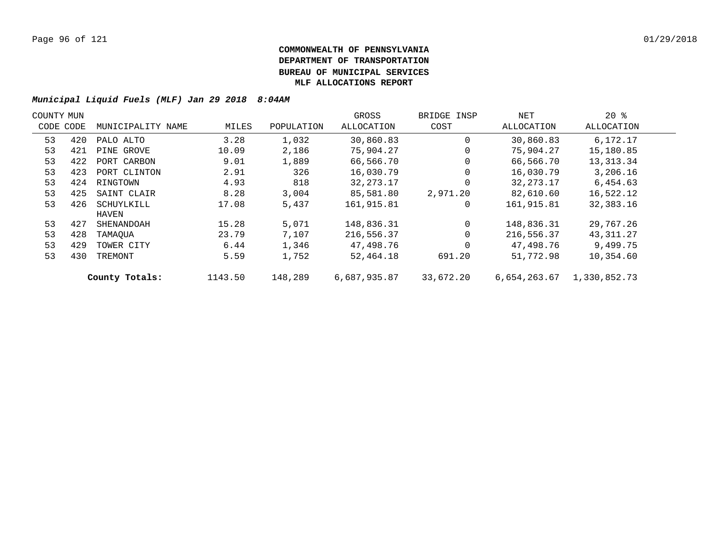| COUNTY MUN |     |                   |         |            | GROSS        | BRIDGE INSP | NET          | $20*$        |  |
|------------|-----|-------------------|---------|------------|--------------|-------------|--------------|--------------|--|
| CODE CODE  |     | MUNICIPALITY NAME | MILES   | POPULATION | ALLOCATION   | COST        | ALLOCATION   | ALLOCATION   |  |
| 53         | 420 | PALO ALTO         | 3.28    | 1,032      | 30,860.83    | 0           | 30,860.83    | 6,172.17     |  |
| 53         | 421 | PINE GROVE        | 10.09   | 2,186      | 75,904.27    | $\Omega$    | 75,904.27    | 15,180.85    |  |
| 53         | 422 | PORT CARBON       | 9.01    | 1,889      | 66,566.70    | $\mathbf 0$ | 66,566.70    | 13, 313. 34  |  |
| 53         | 423 | PORT CLINTON      | 2.91    | 326        | 16,030.79    | 0           | 16,030.79    | 3,206.16     |  |
| 53         | 424 | RINGTOWN          | 4.93    | 818        | 32, 273. 17  | $\Omega$    | 32, 273. 17  | 6,454.63     |  |
| 53         | 425 | SAINT CLAIR       | 8.28    | 3,004      | 85,581.80    | 2,971.20    | 82,610.60    | 16,522.12    |  |
| 53         | 426 | SCHUYLKILL        | 17.08   | 5,437      | 161,915.81   | 0           | 161,915.81   | 32,383.16    |  |
|            |     | HAVEN             |         |            |              |             |              |              |  |
| 53         | 427 | SHENANDOAH        | 15.28   | 5,071      | 148,836.31   | $\Omega$    | 148,836.31   | 29,767.26    |  |
| 53         | 428 | TAMAOUA           | 23.79   | 7,107      | 216,556.37   | $\Omega$    | 216,556.37   | 43,311.27    |  |
| 53         | 429 | TOWER CITY        | 6.44    | 1,346      | 47,498.76    | $\Omega$    | 47,498.76    | 9,499.75     |  |
| 53         | 430 | TREMONT           | 5.59    | 1,752      | 52,464.18    | 691.20      | 51,772.98    | 10,354.60    |  |
|            |     | County Totals:    | 1143.50 | 148,289    | 6,687,935.87 | 33,672.20   | 6,654,263.67 | 1,330,852.73 |  |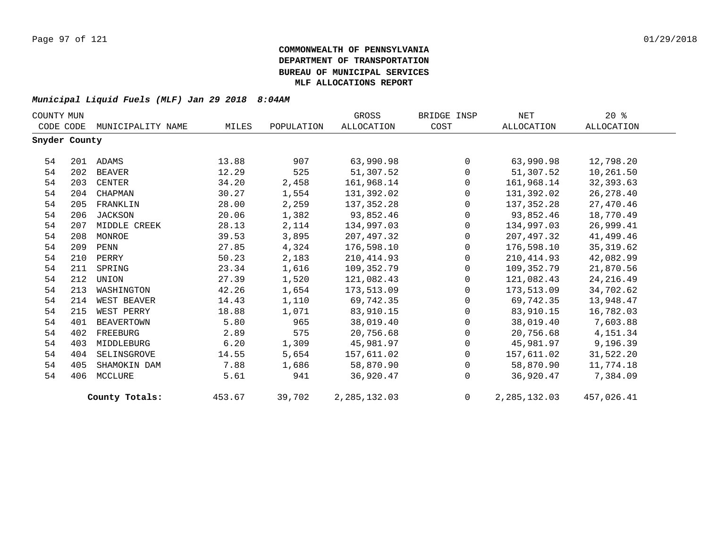| COUNTY MUN    |     |                   |        |            | GROSS           | BRIDGE INSP  | NET            | $20*$             |
|---------------|-----|-------------------|--------|------------|-----------------|--------------|----------------|-------------------|
| CODE CODE     |     | MUNICIPALITY NAME | MILES  | POPULATION | ALLOCATION      | COST         | ALLOCATION     | <b>ALLOCATION</b> |
| Snyder County |     |                   |        |            |                 |              |                |                   |
| 54            |     | 201 ADAMS         | 13.88  | 907        | 63,990.98       | $\Omega$     | 63,990.98      | 12,798.20         |
| 54            | 202 | BEAVER            | 12.29  | 525        | 51,307.52       | $\Omega$     | 51,307.52      | 10,261.50         |
| 54            | 203 | CENTER            | 34.20  | 2,458      | 161,968.14      | $\Omega$     | 161,968.14     | 32,393.63         |
| 54            | 204 | CHAPMAN           | 30.27  | 1,554      | 131,392.02      | $\Omega$     | 131,392.02     | 26, 278.40        |
| 54            | 205 | FRANKLIN          | 28.00  | 2,259      | 137,352.28      | $\Omega$     | 137,352.28     | 27,470.46         |
| 54            | 206 | <b>JACKSON</b>    | 20.06  | 1,382      | 93,852.46       | 0            | 93,852.46      | 18,770.49         |
| 54            | 207 | MIDDLE CREEK      | 28.13  | 2,114      | 134,997.03      | 0            | 134,997.03     | 26,999.41         |
| 54            | 208 | MONROE            | 39.53  | 3,895      | 207,497.32      | $\Omega$     | 207,497.32     | 41,499.46         |
| 54            | 209 | PENN              | 27.85  | 4,324      | 176,598.10      | $\Omega$     | 176,598.10     | 35, 319.62        |
| 54            | 210 | PERRY             | 50.23  | 2,183      | 210,414.93      | 0            | 210, 414.93    | 42,082.99         |
| 54            | 211 | SPRING            | 23.34  | 1,616      | 109,352.79      | 0            | 109,352.79     | 21,870.56         |
| 54            | 212 | UNION             | 27.39  | 1,520      | 121,082.43      | $\Omega$     | 121,082.43     | 24, 216.49        |
| 54            | 213 | WASHINGTON        | 42.26  | 1,654      | 173,513.09      | $\Omega$     | 173,513.09     | 34,702.62         |
| 54            | 214 | WEST BEAVER       | 14.43  | 1,110      | 69,742.35       | 0            | 69,742.35      | 13,948.47         |
| 54            | 215 | WEST PERRY        | 18.88  | 1,071      | 83,910.15       | $\mathbf{0}$ | 83,910.15      | 16,782.03         |
| 54            | 401 | BEAVERTOWN        | 5.80   | 965        | 38,019.40       | $\Omega$     | 38,019.40      | 7,603.88          |
| 54            | 402 | FREEBURG          | 2.89   | 575        | 20,756.68       | $\Omega$     | 20,756.68      | 4, 151.34         |
| 54            | 403 | MIDDLEBURG        | 6.20   | 1,309      | 45,981.97       | $\mathbf 0$  | 45,981.97      | 9,196.39          |
| 54            | 404 | SELINSGROVE       | 14.55  | 5,654      | 157,611.02      | $\mathbf{0}$ | 157,611.02     | 31,522.20         |
| 54            | 405 | SHAMOKIN DAM      | 7.88   | 1,686      | 58,870.90       | $\Omega$     | 58,870.90      | 11,774.18         |
| 54            | 406 | MCCLURE           | 5.61   | 941        | 36,920.47       | $\Omega$     | 36,920.47      | 7,384.09          |
|               |     | County Totals:    | 453.67 | 39,702     | 2, 285, 132, 03 | $\Omega$     | 2, 285, 132.03 | 457,026.41        |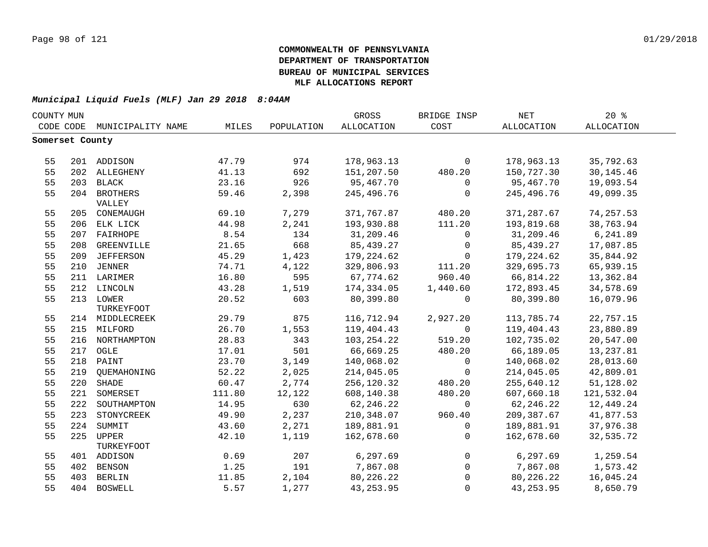| COUNTY MUN      |     |                   |        |            | GROSS      | BRIDGE INSP    | <b>NET</b> | 20%               |  |
|-----------------|-----|-------------------|--------|------------|------------|----------------|------------|-------------------|--|
| CODE CODE       |     | MUNICIPALITY NAME | MILES  | POPULATION | ALLOCATION | COST           | ALLOCATION | <b>ALLOCATION</b> |  |
| Somerset County |     |                   |        |            |            |                |            |                   |  |
|                 |     |                   |        |            |            |                |            |                   |  |
| 55              |     | 201 ADDISON       | 47.79  | 974        | 178,963.13 | $\mathbf 0$    | 178,963.13 | 35,792.63         |  |
| 55              |     | 202 ALLEGHENY     | 41.13  | 692        | 151,207.50 | 480.20         | 150,727.30 | 30, 145.46        |  |
| 55              |     | 203 BLACK         | 23.16  | 926        | 95,467.70  | $\mathbf 0$    | 95,467.70  | 19,093.54         |  |
| 55              |     | 204 BROTHERS      | 59.46  | 2,398      | 245,496.76 | $\mathbf 0$    | 245,496.76 | 49,099.35         |  |
|                 |     | VALLEY            |        |            |            |                |            |                   |  |
| 55              |     | 205 CONEMAUGH     | 69.10  | 7,279      | 371,767.87 | 480.20         | 371,287.67 | 74, 257.53        |  |
| 55              |     | 206 ELK LICK      | 44.98  | 2,241      | 193,930.88 | 111.20         | 193,819.68 | 38,763.94         |  |
| 55              |     | 207 FAIRHOPE      | 8.54   | 134        | 31,209.46  | 0              | 31,209.46  | 6,241.89          |  |
| 55              | 208 | GREENVILLE        | 21.65  | 668        | 85, 439.27 | $\overline{0}$ | 85,439.27  | 17,087.85         |  |
| 55              | 209 | <b>JEFFERSON</b>  | 45.29  | 1,423      | 179,224.62 | $\mathbf 0$    | 179,224.62 | 35,844.92         |  |
| 55              | 210 | <b>JENNER</b>     | 74.71  | 4,122      | 329,806.93 | 111.20         | 329,695.73 | 65,939.15         |  |
| 55              |     | 211 LARIMER       | 16.80  | 595        | 67,774.62  | 960.40         | 66,814.22  | 13,362.84         |  |
| 55              |     | 212 LINCOLN       | 43.28  | 1,519      | 174,334.05 | 1,440.60       | 172,893.45 | 34,578.69         |  |
| 55              |     | 213 LOWER         | 20.52  | 603        | 80,399.80  | $\mathbf 0$    | 80,399.80  | 16,079.96         |  |
|                 |     | TURKEYFOOT        |        |            |            |                |            |                   |  |
| 55              |     | 214 MIDDLECREEK   | 29.79  | 875        | 116,712.94 | 2,927.20       | 113,785.74 | 22,757.15         |  |
| 55              |     | 215 MILFORD       | 26.70  | 1,553      | 119,404.43 | $\Omega$       | 119,404.43 | 23,880.89         |  |
| 55              |     | 216 NORTHAMPTON   | 28.83  | 343        | 103,254.22 | 519.20         | 102,735.02 | 20,547.00         |  |
| 55              |     | 217 OGLE          | 17.01  | 501        | 66,669.25  | 480.20         | 66,189.05  | 13, 237.81        |  |
| 55              |     | 218 PAINT         | 23.70  | 3,149      | 140,068.02 | $\mathbf 0$    | 140,068.02 | 28,013.60         |  |
| 55              | 219 | QUEMAHONING       | 52.22  | 2,025      | 214,045.05 | $\mathbf 0$    | 214,045.05 | 42,809.01         |  |
| 55              | 220 | SHADE             | 60.47  | 2,774      | 256,120.32 | 480.20         | 255,640.12 | 51,128.02         |  |
| 55              | 221 | SOMERSET          | 111.80 | 12,122     | 608,140.38 | 480.20         | 607,660.18 | 121,532.04        |  |
| 55              | 222 | SOUTHAMPTON       | 14.95  | 630        | 62, 246.22 | $\mathbf 0$    | 62, 246.22 | 12,449.24         |  |
| 55              | 223 | STONYCREEK        | 49.90  | 2,237      | 210,348.07 | 960.40         | 209,387.67 | 41,877.53         |  |
| 55              | 224 | SUMMIT            | 43.60  | 2,271      | 189,881.91 | $\mathbf 0$    | 189,881.91 | 37,976.38         |  |
| 55              | 225 | <b>UPPER</b>      | 42.10  | 1,119      | 162,678.60 | $\mathbf 0$    | 162,678.60 | 32,535.72         |  |
|                 |     | TURKEYFOOT        |        |            |            |                |            |                   |  |
| 55              |     | 401 ADDISON       | 0.69   | 207        | 6,297.69   | $\mathsf{O}$   | 6, 297.69  | 1,259.54          |  |
| 55              | 402 | BENSON            | 1.25   | 191        | 7,867.08   | $\overline{0}$ | 7,867.08   | 1,573.42          |  |
| 55              | 403 | <b>BERLIN</b>     | 11.85  | 2,104      | 80,226.22  | $\Omega$       | 80,226.22  | 16,045.24         |  |
| 55              |     | 404 BOSWELL       | 5.57   | 1,277      | 43, 253.95 | $\Omega$       | 43, 253.95 | 8,650.79          |  |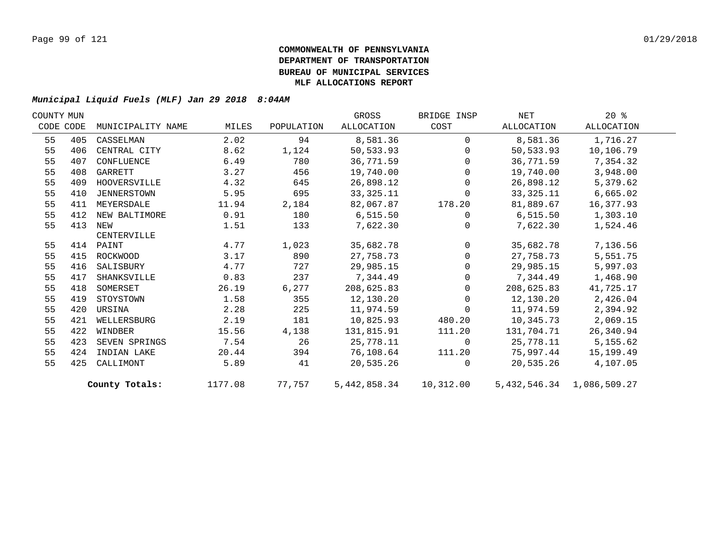| COUNTY MUN |           |                   |         |            | GROSS       | BRIDGE INSP    | NET        | $20*$                     |  |
|------------|-----------|-------------------|---------|------------|-------------|----------------|------------|---------------------------|--|
|            | CODE CODE | MUNICIPALITY NAME | MILES   | POPULATION | ALLOCATION  | COST           | ALLOCATION | ALLOCATION                |  |
| 55         | 405       | CASSELMAN         | 2.02    | 94         | 8,581.36    | $\mathbf{0}$   | 8,581.36   | 1,716.27                  |  |
| 55         | 406       | CENTRAL CITY      | 8.62    | 1,124      | 50,533.93   | $\Omega$       | 50,533.93  | 10,106.79                 |  |
| 55         | 407       | CONFLUENCE        | 6.49    | 780        | 36,771.59   | $\Omega$       | 36,771.59  | 7,354.32                  |  |
| 55         | 408       | GARRETT           | 3.27    | 456        | 19,740.00   | $\Omega$       | 19,740.00  | 3,948.00                  |  |
| 55         | 409       | HOOVERSVILLE      | 4.32    | 645        | 26,898.12   | $\overline{0}$ | 26,898.12  | 5,379.62                  |  |
| 55         | 410       | JENNERSTOWN       | 5.95    | 695        | 33, 325. 11 | $\mathbf{0}$   | 33,325.11  | 6,665.02                  |  |
| 55         | 411       | MEYERSDALE        | 11.94   | 2,184      | 82,067.87   | 178.20         | 81,889.67  | 16,377.93                 |  |
| 55         | 412       | NEW BALTIMORE     | 0.91    | 180        | 6,515.50    | $\overline{0}$ | 6,515.50   | 1,303.10                  |  |
| 55         | 413       | NEW               | 1.51    | 133        | 7,622.30    | $\Omega$       | 7,622.30   | 1,524.46                  |  |
|            |           | CENTERVILLE       |         |            |             |                |            |                           |  |
| 55         |           | 414 PAINT         | 4.77    | 1,023      | 35,682.78   | $\overline{0}$ | 35,682.78  | 7,136.56                  |  |
| 55         |           | 415 ROCKWOOD      | 3.17    | 890        | 27,758.73   | $\mathbf 0$    | 27,758.73  | 5,551.75                  |  |
| 55         | 416       | SALISBURY         | 4.77    | 727        | 29,985.15   | $\mathbf 0$    | 29,985.15  | 5,997.03                  |  |
| 55         | 417       | SHANKSVILLE       | 0.83    | 237        | 7,344.49    | $\Omega$       | 7,344.49   | 1,468.90                  |  |
| 55         | 418       | SOMERSET          | 26.19   | 6,277      | 208,625.83  | $\Omega$       | 208,625.83 | 41,725.17                 |  |
| 55         | 419       | STOYSTOWN         | 1.58    | 355        | 12,130.20   | $\mathbf{0}$   | 12,130.20  | 2,426.04                  |  |
| 55         | 420       | URSINA            | 2.28    | 225        | 11,974.59   | $\mathbf 0$    | 11,974.59  | 2,394.92                  |  |
| 55         | 421       | WELLERSBURG       | 2.19    | 181        | 10,825.93   | 480.20         | 10,345.73  | 2,069.15                  |  |
| 55         | 422       | WINDBER           | 15.56   | 4,138      | 131,815.91  | 111.20         | 131,704.71 | 26,340.94                 |  |
| 55         | 423       | SEVEN SPRINGS     | 7.54    | 26         | 25,778.11   | $\overline{0}$ | 25,778.11  | 5,155.62                  |  |
| 55         | 424       | INDIAN LAKE       | 20.44   | 394        | 76,108.64   | 111.20         | 75,997.44  | 15,199.49                 |  |
| 55         | 425       | CALLIMONT         | 5.89    | 41         | 20,535.26   | $\Omega$       | 20,535.26  | 4,107.05                  |  |
|            |           | County Totals:    | 1177.08 | 77,757     |             |                |            | 5,432,546.34 1,086,509.27 |  |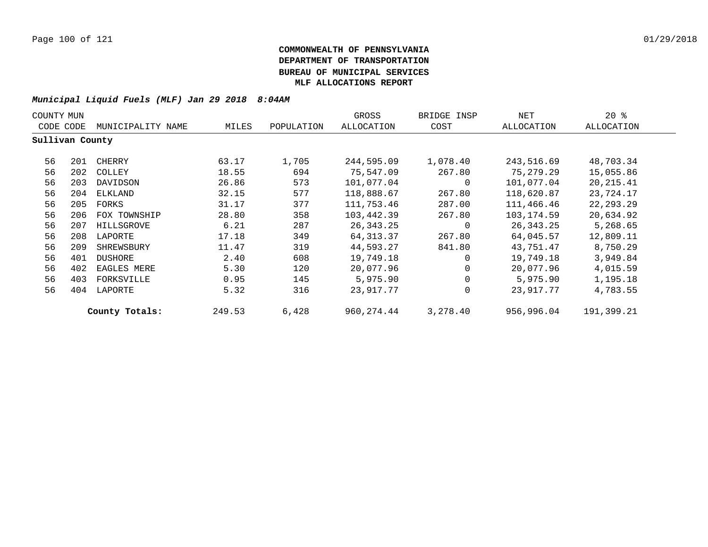| COUNTY MUN      |     |                   |        |            | GROSS       | BRIDGE INSP  | NET        | $20*$      |
|-----------------|-----|-------------------|--------|------------|-------------|--------------|------------|------------|
| CODE CODE       |     | MUNICIPALITY NAME | MILES  | POPULATION | ALLOCATION  | COST         | ALLOCATION | ALLOCATION |
| Sullivan County |     |                   |        |            |             |              |            |            |
| 56              | 201 | CHERRY            | 63.17  | 1,705      | 244,595.09  | 1,078.40     | 243,516.69 | 48,703.34  |
| 56              | 202 | COLLEY            | 18.55  | 694        | 75,547.09   | 267.80       | 75,279.29  | 15,055.86  |
| 56              | 203 | DAVIDSON          | 26.86  | 573        | 101,077.04  | 0            | 101,077.04 | 20,215.41  |
| 56              | 204 | ELKLAND           | 32.15  | 577        | 118,888.67  | 267.80       | 118,620.87 | 23,724.17  |
| 56              | 205 | FORKS             | 31.17  | 377        | 111,753.46  | 287.00       | 111,466.46 | 22,293.29  |
| 56              | 206 | FOX TOWNSHIP      | 28.80  | 358        | 103,442.39  | 267.80       | 103,174.59 | 20,634.92  |
| 56              | 207 | HILLSGROVE        | 6.21   | 287        | 26,343.25   | 0            | 26,343.25  | 5,268.65   |
| 56              | 208 | LAPORTE           | 17.18  | 349        | 64,313.37   | 267.80       | 64,045.57  | 12,809.11  |
| 56              | 209 | SHREWSBURY        | 11.47  | 319        | 44,593.27   | 841.80       | 43,751.47  | 8,750.29   |
| 56              | 401 | DUSHORE           | 2.40   | 608        | 19,749.18   | $\Omega$     | 19,749.18  | 3,949.84   |
| 56              | 402 | EAGLES MERE       | 5.30   | 120        | 20,077.96   | 0            | 20,077.96  | 4,015.59   |
| 56              | 403 | FORKSVILLE        | 0.95   | 145        | 5,975.90    | $\mathbf{0}$ | 5,975.90   | 1,195.18   |
| 56              | 404 | LAPORTE           | 5.32   | 316        | 23,917.77   | $\mathbf{0}$ | 23,917.77  | 4,783.55   |
|                 |     | County Totals:    | 249.53 | 6,428      | 960, 274.44 | 3,278.40     | 956,996.04 | 191,399.21 |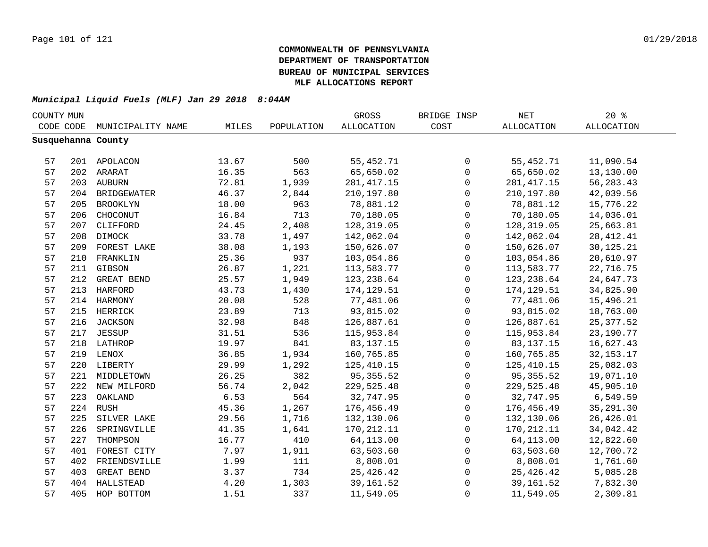| COUNTY MUN |     |                    |       |            | GROSS             | BRIDGE INSP  | $\operatorname{NET}$ | 20%         |
|------------|-----|--------------------|-------|------------|-------------------|--------------|----------------------|-------------|
| CODE CODE  |     | MUNICIPALITY NAME  | MILES | POPULATION | <b>ALLOCATION</b> | COST         | <b>ALLOCATION</b>    | ALLOCATION  |
|            |     | Susquehanna County |       |            |                   |              |                      |             |
|            |     |                    |       |            |                   |              |                      |             |
| 57         |     | 201 APOLACON       | 13.67 | 500        | 55, 452. 71       | 0            | 55,452.71            | 11,090.54   |
| 57         |     | 202 ARARAT         | 16.35 | 563        | 65,650.02         | $\mathsf{O}$ | 65,650.02            | 13,130.00   |
| 57         |     | 203 AUBURN         | 72.81 | 1,939      | 281, 417.15       | 0            | 281, 417.15          | 56, 283. 43 |
| 57         |     | 204 BRIDGEWATER    | 46.37 | 2,844      | 210,197.80        | $\mathbf 0$  | 210,197.80           | 42,039.56   |
| 57         | 205 | BROOKLYN           | 18.00 | 963        | 78,881.12         | $\mathbf 0$  | 78,881.12            | 15,776.22   |
| 57         | 206 | CHOCONUT           | 16.84 | 713        | 70,180.05         | $\mathbf 0$  | 70,180.05            | 14,036.01   |
| 57         | 207 | CLIFFORD           | 24.45 | 2,408      | 128,319.05        | $\mathbf 0$  | 128,319.05           | 25,663.81   |
| 57         | 208 | DIMOCK             | 33.78 | 1,497      | 142,062.04        | $\mathbf 0$  | 142,062.04           | 28, 412. 41 |
| 57         | 209 | FOREST LAKE        | 38.08 | 1,193      | 150,626.07        | $\mathbf 0$  | 150,626.07           | 30, 125. 21 |
| 57         | 210 | FRANKLIN           | 25.36 | 937        | 103,054.86        | $\mathbf 0$  | 103,054.86           | 20,610.97   |
| 57         | 211 | GIBSON             | 26.87 | 1,221      | 113,583.77        | $\mathbf 0$  | 113,583.77           | 22,716.75   |
| 57         | 212 | GREAT BEND         | 25.57 | 1,949      | 123,238.64        | 0            | 123,238.64           | 24,647.73   |
| 57         | 213 | <b>HARFORD</b>     | 43.73 | 1,430      | 174,129.51        | 0            | 174, 129.51          | 34,825.90   |
| 57         |     | 214 HARMONY        | 20.08 | 528        | 77,481.06         | 0            | 77,481.06            | 15,496.21   |
| 57         |     | 215 HERRICK        | 23.89 | 713        | 93,815.02         | $\mathbf 0$  | 93,815.02            | 18,763.00   |
| 57         |     | 216 JACKSON        | 32.98 | 848        | 126,887.61        | $\mathsf 0$  | 126,887.61           | 25, 377.52  |
| 57         |     | 217 JESSUP         | 31.51 | 536        | 115,953.84        | $\mathsf 0$  | 115,953.84           | 23,190.77   |
| 57         |     | 218 LATHROP        | 19.97 | 841        | 83, 137. 15       | 0            | 83, 137. 15          | 16,627.43   |
| 57         |     | 219 LENOX          | 36.85 | 1,934      | 160,765.85        | $\mathbf 0$  | 160,765.85           | 32, 153. 17 |
| 57         |     | 220 LIBERTY        | 29.99 | 1,292      | 125, 410.15       | $\mathbf 0$  | 125, 410.15          | 25,082.03   |
| 57         |     | 221 MIDDLETOWN     | 26.25 | 382        | 95, 355.52        | $\mathbf 0$  | 95, 355.52           | 19,071.10   |
| 57         |     | 222 NEW MILFORD    | 56.74 | 2,042      | 229,525.48        | $\Omega$     | 229,525.48           | 45,905.10   |
| 57         | 223 | OAKLAND            | 6.53  | 564        | 32,747.95         | $\Omega$     | 32,747.95            | 6,549.59    |
| 57         |     | 224 RUSH           | 45.36 | 1,267      | 176,456.49        | $\mathbf 0$  | 176,456.49           | 35, 291.30  |
| 57         | 225 | SILVER LAKE        | 29.56 | 1,716      | 132,130.06        | 0            | 132,130.06           | 26,426.01   |
| 57         | 226 | SPRINGVILLE        | 41.35 | 1,641      | 170, 212. 11      | 0            | 170,212.11           | 34,042.42   |
| 57         | 227 | THOMPSON           | 16.77 | 410        | 64,113.00         | 0            | 64,113.00            | 12,822.60   |
| 57         | 401 | FOREST CITY        | 7.97  | 1,911      | 63,503.60         | 0            | 63,503.60            | 12,700.72   |
| 57         | 402 | FRIENDSVILLE       | 1.99  | 111        | 8,808.01          | 0            | 8,808.01             | 1,761.60    |
| 57         | 403 | GREAT BEND         | 3.37  | 734        | 25,426.42         | $\mathsf 0$  | 25,426.42            | 5,085.28    |
| 57         | 404 | HALLSTEAD          | 4.20  | 1,303      | 39, 161.52        | 0            | 39,161.52            | 7,832.30    |
| 57         | 405 | HOP BOTTOM         | 1.51  | 337        | 11,549.05         | $\mathsf 0$  | 11,549.05            | 2,309.81    |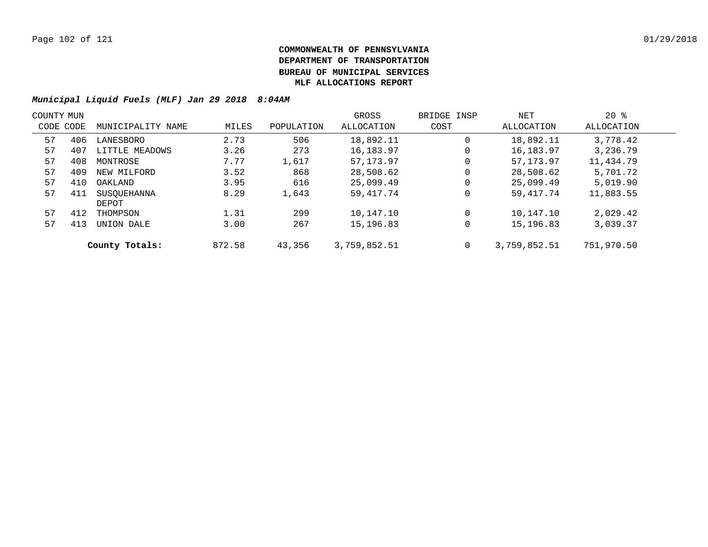| COUNTY MUN |     |                   |        |            | GROSS        | BRIDGE INSP | NET          | $20*$      |  |
|------------|-----|-------------------|--------|------------|--------------|-------------|--------------|------------|--|
| CODE CODE  |     | MUNICIPALITY NAME | MILES  | POPULATION | ALLOCATION   | COST        | ALLOCATION   | ALLOCATION |  |
| 57         | 406 | LANESBORO         | 2.73   | 506        | 18,892.11    | $\mathbf 0$ | 18,892.11    | 3,778.42   |  |
| 57         | 407 | LITTLE MEADOWS    | 3.26   | 273        | 16,183.97    | 0           | 16, 183. 97  | 3,236.79   |  |
| 57         | 408 | MONTROSE          | 7.77   | 1,617      | 57,173.97    | 0           | 57, 173, 97  | 11,434.79  |  |
| 57         | 409 | NEW MILFORD       | 3.52   | 868        | 28,508.62    | 0           | 28,508.62    | 5,701.72   |  |
| 57         | 410 | OAKLAND           | 3.95   | 616        | 25,099.49    | 0           | 25,099.49    | 5.019.90   |  |
| 57         | 411 | SUSOUEHANNA       | 8.29   | 1,643      | 59,417.74    | 0           | 59, 417. 74  | 11,883.55  |  |
|            |     | DEPOT             |        |            |              |             |              |            |  |
| 57         | 412 | THOMPSON          | 1.31   | 299        | 10,147.10    | $\mathbf 0$ | 10,147.10    | 2,029.42   |  |
| 57         | 413 | UNION DALE        | 3.00   | 267        | 15,196.83    | 0           | 15,196.83    | 3,039.37   |  |
|            |     | County Totals:    | 872.58 | 43,356     | 3,759,852.51 | 0           | 3,759,852.51 | 751,970.50 |  |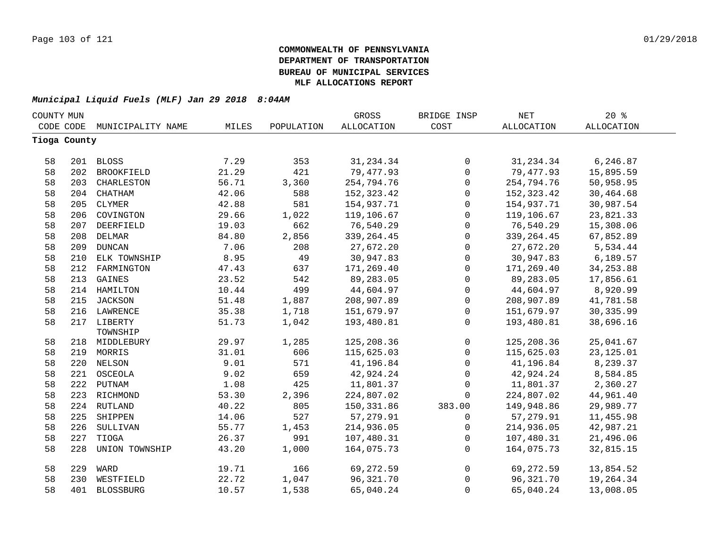| COUNTY MUN |              |                   |       |            | GROSS             | BRIDGE INSP  | <b>NET</b>  | 20%               |  |
|------------|--------------|-------------------|-------|------------|-------------------|--------------|-------------|-------------------|--|
|            | CODE CODE    | MUNICIPALITY NAME | MILES | POPULATION | <b>ALLOCATION</b> | COST         | ALLOCATION  | <b>ALLOCATION</b> |  |
|            | Tioga County |                   |       |            |                   |              |             |                   |  |
|            |              |                   |       |            |                   |              |             |                   |  |
| 58         |              | 201 BLOSS         | 7.29  | 353        | 31, 234.34        | $\mathsf{O}$ | 31,234.34   | 6,246.87          |  |
| 58         | 202          | BROOKFIELD        | 21.29 | 421        | 79,477.93         | $\mathsf{O}$ | 79,477.93   | 15,895.59         |  |
| 58         | 203          | CHARLESTON        | 56.71 | 3,360      | 254,794.76        | $\mathsf{O}$ | 254,794.76  | 50,958.95         |  |
| 58         | 204          | CHATHAM           | 42.06 | 588        | 152, 323.42       | $\mathbf 0$  | 152,323.42  | 30,464.68         |  |
| 58         | 205          | CLYMER            | 42.88 | 581        | 154,937.71        | 0            | 154,937.71  | 30,987.54         |  |
| 58         | 206          | COVINGTON         | 29.66 | 1,022      | 119,106.67        | 0            | 119,106.67  | 23,821.33         |  |
| 58         | 207          | DEERFIELD         | 19.03 | 662        | 76,540.29         | $\mathsf{O}$ | 76,540.29   | 15,308.06         |  |
| 58         | 208          | DELMAR            | 84.80 | 2,856      | 339, 264.45       | $\mathsf{O}$ | 339, 264.45 | 67,852.89         |  |
| 58         | 209          | <b>DUNCAN</b>     | 7.06  | 208        | 27,672.20         | 0            | 27,672.20   | 5,534.44          |  |
| 58         | 210          | ELK TOWNSHIP      | 8.95  | 49         | 30,947.83         | 0            | 30,947.83   | 6, 189.57         |  |
| 58         | 212          | FARMINGTON        | 47.43 | 637        | 171,269.40        | $\mathsf 0$  | 171,269.40  | 34, 253.88        |  |
| 58         | 213          | GAINES            | 23.52 | 542        | 89,283.05         | $\mathsf{O}$ | 89,283.05   | 17,856.61         |  |
| 58         |              | 214 HAMILTON      | 10.44 | 499        | 44,604.97         | 0            | 44,604.97   | 8,920.99          |  |
| 58         |              | 215 JACKSON       | 51.48 | 1,887      | 208,907.89        | 0            | 208,907.89  | 41,781.58         |  |
| 58         |              | 216 LAWRENCE      | 35.38 | 1,718      | 151,679.97        | $\mathsf{O}$ | 151,679.97  | 30, 335.99        |  |
| 58         |              | 217 LIBERTY       | 51.73 | 1,042      | 193,480.81        | $\mathbf{0}$ | 193,480.81  | 38,696.16         |  |
|            |              | TOWNSHIP          |       |            |                   |              |             |                   |  |
| 58         |              | 218 MIDDLEBURY    | 29.97 | 1,285      | 125,208.36        | $\mathsf{O}$ | 125,208.36  | 25,041.67         |  |
| 58         |              | 219 MORRIS        | 31.01 | 606        | 115,625.03        | $\mathsf{O}$ | 115,625.03  | 23, 125.01        |  |
| 58         |              | 220 NELSON        | 9.01  | 571        | 41,196.84         | $\mathsf{O}$ | 41,196.84   | 8,239.37          |  |
| 58         |              | 221 OSCEOLA       | 9.02  | 659        | 42,924.24         | 0            | 42,924.24   | 8,584.85          |  |
| 58         |              | 222 PUTNAM        | 1.08  | 425        | 11,801.37         | $\mathbf 0$  | 11,801.37   | 2,360.27          |  |
| 58         |              | 223 RICHMOND      | 53.30 | 2,396      | 224,807.02        | $\mathbf 0$  | 224,807.02  | 44,961.40         |  |
| 58         |              | 224 RUTLAND       | 40.22 | 805        | 150,331.86        | 383.00       | 149,948.86  | 29,989.77         |  |
| 58         | 225          | SHIPPEN           | 14.06 | 527        | 57,279.91         | $\mathbf 0$  | 57,279.91   | 11,455.98         |  |
| 58         | 226          | SULLIVAN          | 55.77 | 1,453      | 214,936.05        | 0            | 214,936.05  | 42,987.21         |  |
| 58         | 227          | TIOGA             | 26.37 | 991        | 107,480.31        | $\mathbf 0$  | 107,480.31  | 21,496.06         |  |
| 58         | 228          | UNION TOWNSHIP    | 43.20 | 1,000      | 164,075.73        | 0            | 164,075.73  | 32,815.15         |  |
| 58         | 229          | WARD              | 19.71 | 166        | 69,272.59         | $\mathsf{O}$ | 69,272.59   | 13,854.52         |  |
| 58         | 230          | WESTFIELD         | 22.72 | 1,047      | 96,321.70         | 0            | 96,321.70   | 19,264.34         |  |
| 58         | 401          | <b>BLOSSBURG</b>  | 10.57 | 1,538      | 65,040.24         | 0            | 65,040.24   | 13,008.05         |  |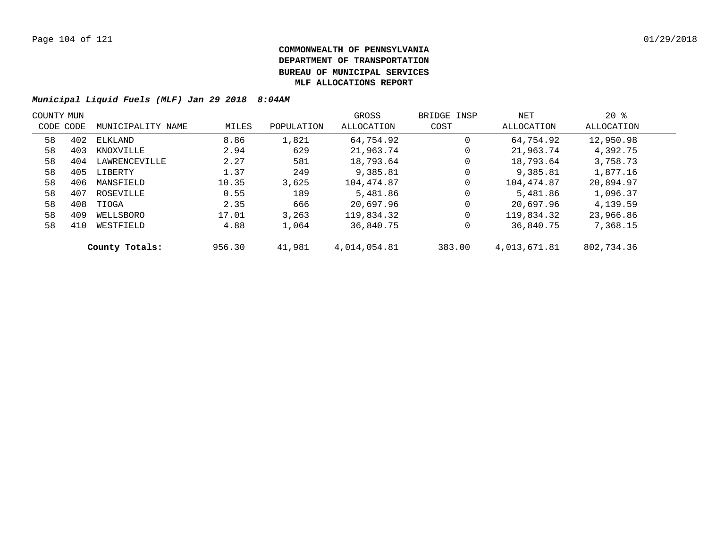| COUNTY MUN |           |                   |        |            | GROSS        | BRIDGE INSP | NET          | $20*$      |  |
|------------|-----------|-------------------|--------|------------|--------------|-------------|--------------|------------|--|
|            | CODE CODE | MUNICIPALITY NAME | MILES  | POPULATION | ALLOCATION   | COST        | ALLOCATION   | ALLOCATION |  |
| 58         | 402       | ELKLAND           | 8.86   | 1,821      | 64,754.92    | $\mathbf 0$ | 64,754.92    | 12,950.98  |  |
| 58         | 403       | KNOXVILLE         | 2.94   | 629        | 21,963.74    | 0           | 21,963.74    | 4,392.75   |  |
| 58         | 404       | LAWRENCEVILLE     | 2.27   | 581        | 18,793.64    | 0           | 18,793.64    | 3,758.73   |  |
| 58         | 405       | LIBERTY           | 1.37   | 249        | 9,385.81     | 0           | 9,385.81     | 1,877.16   |  |
| 58         | 406       | MANSFIELD         | 10.35  | 3.625      | 104,474.87   | 0           | 104,474.87   | 20,894.97  |  |
| 58         | 407       | ROSEVILLE         | 0.55   | 189        | 5,481.86     | 0           | 5,481.86     | 1,096.37   |  |
| 58         | 408       | TIOGA             | 2.35   | 666        | 20,697.96    | $\mathbf 0$ | 20,697.96    | 4,139.59   |  |
| 58         | 409       | WELLSBORO         | 17.01  | 3,263      | 119,834.32   | $\mathbf 0$ | 119,834.32   | 23,966.86  |  |
| 58         | 410       | WESTFIELD         | 4.88   | 1,064      | 36,840.75    | 0           | 36,840.75    | 7,368.15   |  |
|            |           | County Totals:    | 956.30 | 41,981     | 4,014,054.81 | 383.00      | 4,013,671.81 | 802,734.36 |  |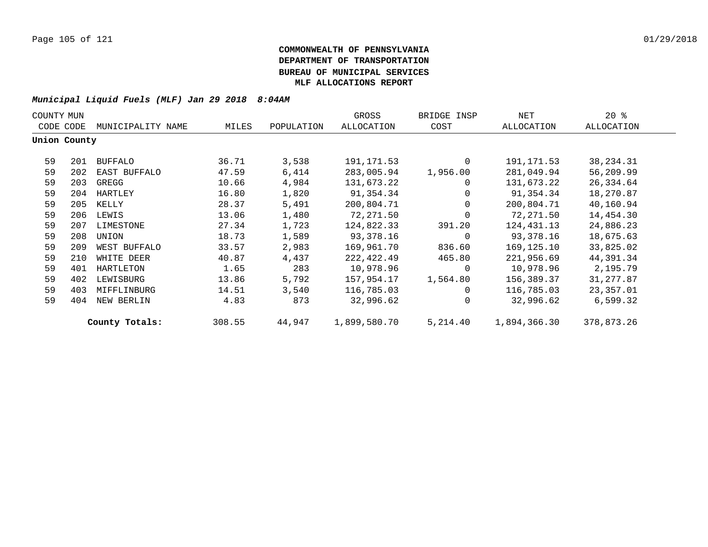| COUNTY MUN |              |                   |        |            | GROSS        | BRIDGE INSP    | NET          | $20*$       |  |
|------------|--------------|-------------------|--------|------------|--------------|----------------|--------------|-------------|--|
|            | CODE CODE    | MUNICIPALITY NAME | MILES  | POPULATION | ALLOCATION   | COST           | ALLOCATION   | ALLOCATION  |  |
|            | Union County |                   |        |            |              |                |              |             |  |
| 59         | 201          | <b>BUFFALO</b>    | 36.71  | 3,538      | 191,171.53   | $\Omega$       | 191,171.53   | 38, 234. 31 |  |
| 59         | 202          | EAST BUFFALO      | 47.59  | 6,414      | 283,005.94   | 1,956.00       | 281,049.94   | 56,209.99   |  |
| 59         | 203          | GREGG             | 10.66  | 4,984      | 131,673.22   | $\overline{0}$ | 131,673.22   | 26,334.64   |  |
| 59         | 204          | HARTLEY           | 16.80  | 1,820      | 91,354.34    | $\overline{0}$ | 91,354.34    | 18,270.87   |  |
| 59         | 205          | KELLY             | 28.37  | 5,491      | 200,804.71   | $\Omega$       | 200,804.71   | 40,160.94   |  |
| 59         | 206          | LEWIS             | 13.06  | 1,480      | 72,271.50    | $\Omega$       | 72,271.50    | 14,454.30   |  |
| 59         | 207          | LIMESTONE         | 27.34  | 1,723      | 124,822.33   | 391.20         | 124,431.13   | 24,886.23   |  |
| 59         | 208          | UNION             | 18.73  | 1,589      | 93,378.16    | $\Omega$       | 93,378.16    | 18,675.63   |  |
| 59         | 209          | WEST BUFFALO      | 33.57  | 2,983      | 169,961.70   | 836.60         | 169,125.10   | 33,825.02   |  |
| 59         | 210          | WHITE DEER        | 40.87  | 4,437      | 222,422.49   | 465.80         | 221,956.69   | 44,391.34   |  |
| 59         | 401          | HARTLETON         | 1.65   | 283        | 10,978.96    | $\Omega$       | 10,978.96    | 2,195.79    |  |
| 59         | 402          | LEWISBURG         | 13.86  | 5,792      | 157,954.17   | 1,564.80       | 156,389.37   | 31, 277.87  |  |
| 59         | 403          | MIFFLINBURG       | 14.51  | 3,540      | 116,785.03   | $\Omega$       | 116,785.03   | 23,357.01   |  |
| 59         | 404          | NEW BERLIN        | 4.83   | 873        | 32,996.62    | $\Omega$       | 32,996.62    | 6,599.32    |  |
|            |              | County Totals:    | 308.55 | 44,947     | 1,899,580.70 | 5,214.40       | 1,894,366.30 | 378,873.26  |  |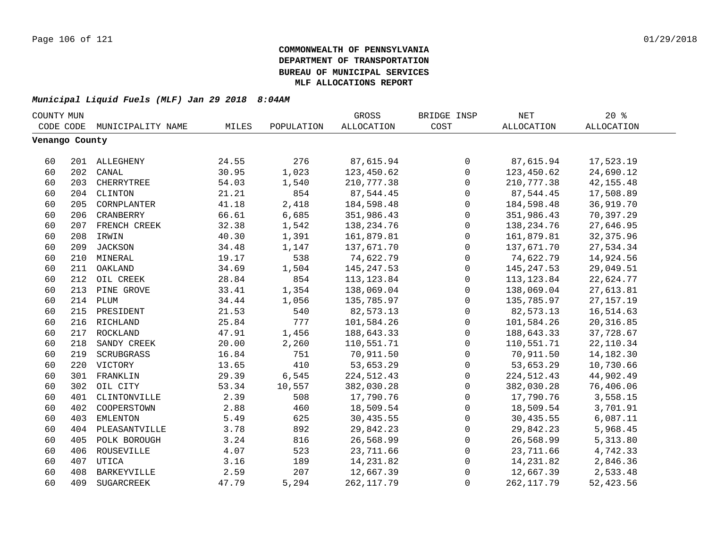| COUNTY MUN     |     |                   |       |            | GROSS        | BRIDGE INSP         | $\operatorname{NET}$ | 20%               |  |
|----------------|-----|-------------------|-------|------------|--------------|---------------------|----------------------|-------------------|--|
| CODE CODE      |     | MUNICIPALITY NAME | MILES | POPULATION | ALLOCATION   | COST                | ALLOCATION           | <b>ALLOCATION</b> |  |
| Venango County |     |                   |       |            |              |                     |                      |                   |  |
|                |     |                   |       |            |              |                     |                      |                   |  |
| 60             |     | 201 ALLEGHENY     | 24.55 | 276        | 87,615.94    | 0                   | 87,615.94            | 17,523.19         |  |
| 60             | 202 | CANAL             | 30.95 | 1,023      | 123,450.62   | $\mathbf 0$         | 123,450.62           | 24,690.12         |  |
| 60             | 203 | CHERRYTREE        | 54.03 | 1,540      | 210, 777.38  | $\mathbf 0$         | 210,777.38           | 42, 155.48        |  |
| 60             | 204 | CLINTON           | 21.21 | 854        | 87,544.45    | $\mathsf{O}$        | 87,544.45            | 17,508.89         |  |
| 60             | 205 | CORNPLANTER       | 41.18 | 2,418      | 184,598.48   | $\mathsf{O}$        | 184,598.48           | 36,919.70         |  |
| 60             | 206 | CRANBERRY         | 66.61 | 6,685      | 351,986.43   | $\mathbf 0$         | 351,986.43           | 70,397.29         |  |
| 60             |     | 207 FRENCH CREEK  | 32.38 | 1,542      | 138,234.76   | $\mathbf 0$         | 138, 234. 76         | 27,646.95         |  |
| 60             | 208 | IRWIN             | 40.30 | 1,391      | 161,879.81   | $\mathbf 0$         | 161,879.81           | 32, 375.96        |  |
| 60             | 209 | <b>JACKSON</b>    | 34.48 | 1,147      | 137,671.70   | $\mathsf{O}$        | 137,671.70           | 27,534.34         |  |
| 60             |     | 210 MINERAL       | 19.17 | 538        | 74,622.79    | $\mathbf 0$         | 74,622.79            | 14,924.56         |  |
| 60             | 211 | OAKLAND           | 34.69 | 1,504      | 145, 247.53  | $\mathbf 0$         | 145,247.53           | 29,049.51         |  |
| 60             | 212 | OIL CREEK         | 28.84 | 854        | 113, 123.84  | $\mathsf{O}$        | 113,123.84           | 22,624.77         |  |
| 60             | 213 | PINE GROVE        | 33.41 | 1,354      | 138,069.04   | $\mathsf{O}$        | 138,069.04           | 27,613.81         |  |
| 60             | 214 | PLUM              | 34.44 | 1,056      | 135,785.97   | 0                   | 135,785.97           | 27, 157. 19       |  |
| 60             | 215 | PRESIDENT         | 21.53 | 540        | 82,573.13    | 0                   | 82,573.13            | 16,514.63         |  |
| 60             |     | 216 RICHLAND      | 25.84 | 777        | 101,584.26   | $\mathsf{O}\xspace$ | 101,584.26           | 20, 316.85        |  |
| 60             | 217 | ROCKLAND          | 47.91 | 1,456      | 188,643.33   | $\mathsf{O}\xspace$ | 188,643.33           | 37,728.67         |  |
| 60             | 218 | SANDY CREEK       | 20.00 | 2,260      | 110,551.71   | $\mathbf 0$         | 110,551.71           | 22, 110.34        |  |
| 60             | 219 | SCRUBGRASS        | 16.84 | 751        | 70,911.50    | $\mathbf 0$         | 70,911.50            | 14,182.30         |  |
| 60             | 220 | VICTORY           | 13.65 | 410        | 53,653.29    | $\mathbf 0$         | 53,653.29            | 10,730.66         |  |
| 60             | 301 | FRANKLIN          | 29.39 | 6,545      | 224, 512. 43 | 0                   | 224, 512.43          | 44,902.49         |  |
| 60             | 302 | OIL CITY          | 53.34 | 10,557     | 382,030.28   | $\mathbf 0$         | 382,030.28           | 76,406.06         |  |
| 60             | 401 | CLINTONVILLE      | 2.39  | 508        | 17,790.76    | 0                   | 17,790.76            | 3,558.15          |  |
| 60             | 402 | COOPERSTOWN       | 2.88  | 460        | 18,509.54    | 0                   | 18,509.54            | 3,701.91          |  |
| 60             | 403 | EMLENTON          | 5.49  | 625        | 30,435.55    | 0                   | 30,435.55            | 6,087.11          |  |
| 60             | 404 | PLEASANTVILLE     | 3.78  | 892        | 29,842.23    | 0                   | 29,842.23            | 5,968.45          |  |
| 60             | 405 | POLK BOROUGH      | 3.24  | 816        | 26,568.99    | $\mathsf{O}$        | 26,568.99            | 5,313.80          |  |
| 60             | 406 | ROUSEVILLE        | 4.07  | 523        | 23,711.66    | $\mathsf{O}$        | 23,711.66            | 4,742.33          |  |
| 60             | 407 | UTICA             | 3.16  | 189        | 14,231.82    | $\mathsf{O}$        | 14,231.82            | 2,846.36          |  |
| 60             | 408 | BARKEYVILLE       | 2.59  | 207        | 12,667.39    | $\mathbf 0$         | 12,667.39            | 2,533.48          |  |
| 60             | 409 | SUGARCREEK        | 47.79 | 5,294      | 262, 117.79  | $\mathbf 0$         | 262, 117.79          | 52, 423.56        |  |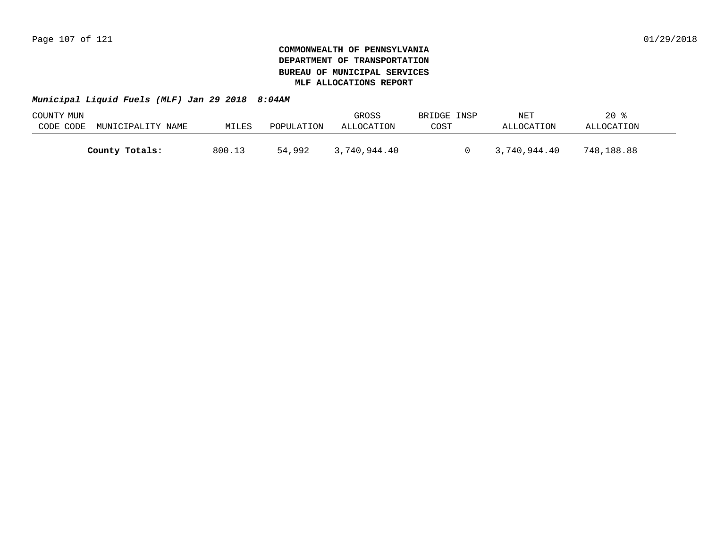| COUNTY MUN |                   |        |            | GROSS        | BRIDGE INSP | NET          | $20*$      |  |
|------------|-------------------|--------|------------|--------------|-------------|--------------|------------|--|
| CODE CODE  | MUNICIPALITY NAME | MILES  | POPULATION | ALLOCATION   | COST        | ALLOCATION   | ALLOCATION |  |
|            |                   |        |            |              |             |              |            |  |
|            | County Totals:    | 800.13 | 54,992     | 3,740,944.40 |             | 3,740,944.40 | 748,188.88 |  |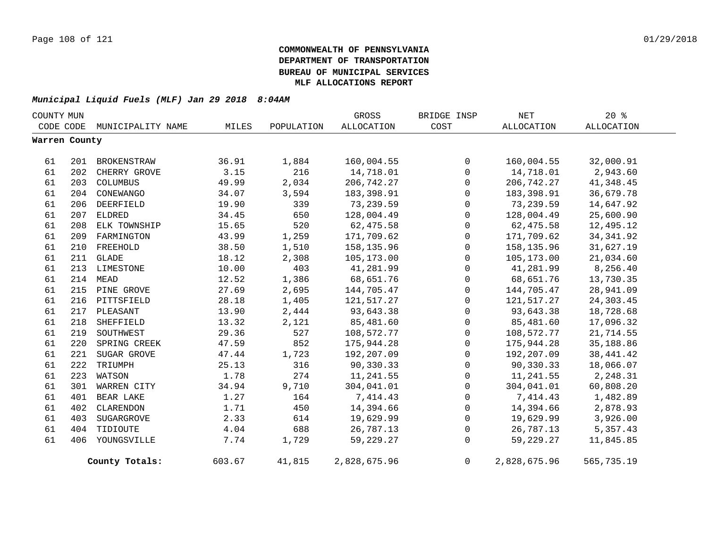| COUNTY MUN    |           |                   |        |            | GROSS        | BRIDGE INSP         | <b>NET</b>   | $20*$      |
|---------------|-----------|-------------------|--------|------------|--------------|---------------------|--------------|------------|
|               | CODE CODE | MUNICIPALITY NAME | MILES  | POPULATION | ALLOCATION   | COST                | ALLOCATION   | ALLOCATION |
| Warren County |           |                   |        |            |              |                     |              |            |
| 61            | 201       | BROKENSTRAW       | 36.91  | 1,884      | 160,004.55   | 0                   | 160,004.55   | 32,000.91  |
| 61            | 202       | CHERRY GROVE      | 3.15   | 216        | 14,718.01    | $\mathbf 0$         | 14,718.01    | 2,943.60   |
| 61            | 203       | COLUMBUS          | 49.99  | 2,034      | 206,742.27   | $\mathbf 0$         | 206,742.27   | 41, 348.45 |
| 61            | 204       | CONEWANGO         | 34.07  | 3,594      | 183,398.91   | $\mathbf 0$         | 183,398.91   | 36,679.78  |
| 61            |           | 206 DEERFIELD     | 19.90  | 339        | 73,239.59    | $\mathsf{O}$        | 73,239.59    | 14,647.92  |
| 61            | 207       | ELDRED            | 34.45  | 650        | 128,004.49   | $\mathsf{O}$        | 128,004.49   | 25,600.90  |
| 61            | 208       | ELK TOWNSHIP      | 15.65  | 520        | 62,475.58    | $\mathbf 0$         | 62,475.58    | 12,495.12  |
| 61            | 209       | FARMINGTON        | 43.99  | 1,259      | 171,709.62   | 0                   | 171,709.62   | 34, 341.92 |
| 61            | 210       | FREEHOLD          | 38.50  | 1,510      | 158, 135.96  | $\mathbf 0$         | 158,135.96   | 31,627.19  |
| 61            |           | 211 GLADE         | 18.12  | 2,308      | 105,173.00   | $\mathsf{O}$        | 105,173.00   | 21,034.60  |
| 61            | 213       | LIMESTONE         | 10.00  | 403        | 41,281.99    | $\mathsf{O}$        | 41,281.99    | 8,256.40   |
| 61            | 214       | MEAD              | 12.52  | 1,386      | 68,651.76    | $\mathsf{O}$        | 68,651.76    | 13,730.35  |
| 61            | 215       | PINE GROVE        | 27.69  | 2,695      | 144,705.47   | 0                   | 144,705.47   | 28,941.09  |
| 61            |           | 216 PITTSFIELD    | 28.18  | 1,405      | 121,517.27   | $\mathsf{O}\xspace$ | 121,517.27   | 24,303.45  |
| 61            | 217       | PLEASANT          | 13.90  | 2,444      | 93,643.38    | $\mathbf 0$         | 93,643.38    | 18,728.68  |
| 61            | 218       | SHEFFIELD         | 13.32  | 2,121      | 85,481.60    | $\mathbf 0$         | 85,481.60    | 17,096.32  |
| 61            | 219       | SOUTHWEST         | 29.36  | 527        | 108,572.77   | 0                   | 108,572.77   | 21,714.55  |
| 61            | 220       | SPRING CREEK      | 47.59  | 852        | 175,944.28   | $\mathsf{O}$        | 175,944.28   | 35,188.86  |
| 61            | 221       | SUGAR GROVE       | 47.44  | 1,723      | 192,207.09   | $\mathsf{O}$        | 192,207.09   | 38, 441.42 |
| 61            | 222       | TRIUMPH           | 25.13  | 316        | 90,330.33    | $\mathbf{0}$        | 90,330.33    | 18,066.07  |
| 61            | 223       | WATSON            | 1.78   | 274        | 11,241.55    | 0                   | 11,241.55    | 2,248.31   |
| 61            | 301       | WARREN CITY       | 34.94  | 9,710      | 304,041.01   | $\mathsf{O}$        | 304,041.01   | 60,808.20  |
| 61            | 401       | BEAR LAKE         | 1.27   | 164        | 7,414.43     | $\mathbf{0}$        | 7,414.43     | 1,482.89   |
| 61            | 402       | CLARENDON         | 1.71   | 450        | 14,394.66    | $\mathbf{0}$        | 14,394.66    | 2,878.93   |
| 61            | 403       | SUGARGROVE        | 2.33   | 614        | 19,629.99    | $\mathsf{O}$        | 19,629.99    | 3,926.00   |
| 61            | 404       | TIDIOUTE          | 4.04   | 688        | 26,787.13    | $\mathsf{O}$        | 26,787.13    | 5,357.43   |
| 61            | 406       | YOUNGSVILLE       | 7.74   | 1,729      | 59,229.27    | $\mathbf 0$         | 59,229.27    | 11,845.85  |
|               |           | County Totals:    | 603.67 | 41,815     | 2,828,675.96 | $\overline{0}$      | 2,828,675.96 | 565,735.19 |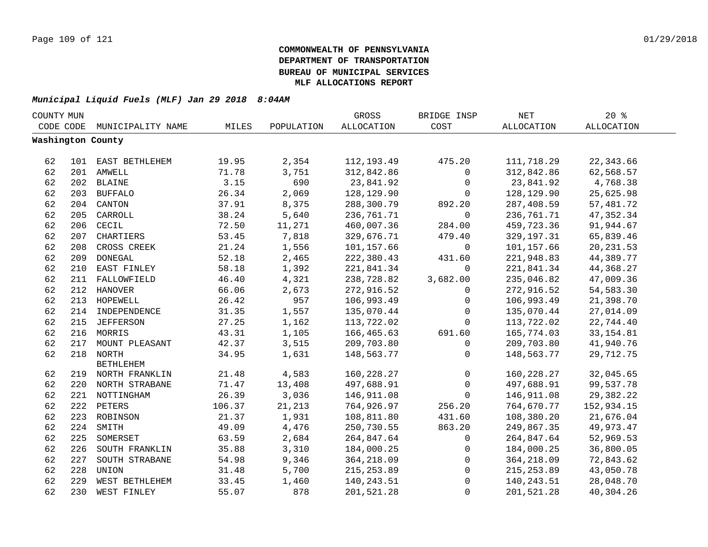| COUNTY MUN |     |                    |        |            | <b>GROSS</b>      | BRIDGE INSP  | <b>NET</b>        | 20%        |  |
|------------|-----|--------------------|--------|------------|-------------------|--------------|-------------------|------------|--|
| CODE CODE  |     | MUNICIPALITY NAME  | MILES  | POPULATION | <b>ALLOCATION</b> | COST         | <b>ALLOCATION</b> | ALLOCATION |  |
|            |     | Washington County  |        |            |                   |              |                   |            |  |
|            |     |                    |        |            |                   |              |                   |            |  |
| 62         |     | 101 EAST BETHLEHEM | 19.95  | 2,354      | 112,193.49        | 475.20       | 111,718.29        | 22,343.66  |  |
| 62         |     | 201 AMWELL         | 71.78  | 3,751      | 312,842.86        | 0            | 312,842.86        | 62,568.57  |  |
| 62         | 202 | <b>BLAINE</b>      | 3.15   | 690        | 23,841.92         | 0            | 23,841.92         | 4,768.38   |  |
| 62         | 203 | <b>BUFFALO</b>     | 26.34  | 2,069      | 128,129.90        | 0            | 128,129.90        | 25,625.98  |  |
| 62         | 204 | CANTON             | 37.91  | 8,375      | 288,300.79        | 892.20       | 287,408.59        | 57,481.72  |  |
| 62         | 205 | CARROLL            | 38.24  | 5,640      | 236,761.71        | 0            | 236,761.71        | 47, 352.34 |  |
| 62         | 206 | CECIL              | 72.50  | 11,271     | 460,007.36        | 284.00       | 459,723.36        | 91,944.67  |  |
| 62         | 207 | CHARTIERS          | 53.45  | 7,818      | 329,676.71        | 479.40       | 329, 197. 31      | 65,839.46  |  |
| 62         | 208 | CROSS CREEK        | 21.24  | 1,556      | 101,157.66        | 0            | 101,157.66        | 20, 231.53 |  |
| 62         | 209 | <b>DONEGAL</b>     | 52.18  | 2,465      | 222,380.43        | 431.60       | 221,948.83        | 44,389.77  |  |
| 62         | 210 | EAST FINLEY        | 58.18  | 1,392      | 221,841.34        | $\mathbf 0$  | 221,841.34        | 44,368.27  |  |
| 62         |     | 211 FALLOWFIELD    | 46.40  | 4,321      | 238,728.82        | 3,682.00     | 235,046.82        | 47,009.36  |  |
| 62         |     | 212 HANOVER        | 66.06  | 2,673      | 272,916.52        | 0            | 272,916.52        | 54,583.30  |  |
| 62         |     | 213 HOPEWELL       | 26.42  | 957        | 106,993.49        | 0            | 106,993.49        | 21,398.70  |  |
| 62         |     | 214 INDEPENDENCE   | 31.35  | 1,557      | 135,070.44        | $\mathbf 0$  | 135,070.44        | 27,014.09  |  |
| 62         |     | 215 JEFFERSON      | 27.25  | 1,162      | 113,722.02        | 0            | 113,722.02        | 22,744.40  |  |
| 62         |     | 216 MORRIS         | 43.31  | 1,105      | 166,465.63        | 691.60       | 165,774.03        | 33, 154.81 |  |
| 62         | 217 | MOUNT PLEASANT     | 42.37  | 3,515      | 209,703.80        | 0            | 209,703.80        | 41,940.76  |  |
| 62         |     | 218 NORTH          | 34.95  | 1,631      | 148,563.77        | $\Omega$     | 148,563.77        | 29,712.75  |  |
|            |     | <b>BETHLEHEM</b>   |        |            |                   |              |                   |            |  |
| 62         |     | 219 NORTH FRANKLIN | 21.48  | 4,583      | 160, 228. 27      | $\mathsf{O}$ | 160,228.27        | 32,045.65  |  |
| 62         |     | 220 NORTH STRABANE | 71.47  | 13,408     | 497,688.91        | $\mathsf{O}$ | 497,688.91        | 99,537.78  |  |
| 62         |     | 221 NOTTINGHAM     | 26.39  | 3,036      | 146,911.08        | $\mathbf 0$  | 146,911.08        | 29,382.22  |  |
| 62         |     | 222 PETERS         | 106.37 | 21,213     | 764,926.97        | 256.20       | 764,670.77        | 152,934.15 |  |
| 62         |     | 223 ROBINSON       | 21.37  | 1,931      | 108,811.80        | 431.60       | 108,380.20        | 21,676.04  |  |
| 62         | 224 | SMITH              | 49.09  | 4,476      | 250,730.55        | 863.20       | 249,867.35        | 49,973.47  |  |
| 62         | 225 | SOMERSET           | 63.59  | 2,684      | 264,847.64        | 0            | 264,847.64        | 52,969.53  |  |
| 62         | 226 | SOUTH FRANKLIN     | 35.88  | 3,310      | 184,000.25        | 0            | 184,000.25        | 36,800.05  |  |
| 62         | 227 | SOUTH STRABANE     | 54.98  | 9,346      | 364,218.09        | $\mathbf 0$  | 364,218.09        | 72,843.62  |  |
| 62         | 228 | UNION              | 31.48  | 5,700      | 215, 253.89       | $\mathbf 0$  | 215, 253.89       | 43,050.78  |  |
| 62         | 229 | WEST BETHLEHEM     | 33.45  | 1,460      | 140, 243.51       | 0            | 140,243.51        | 28,048.70  |  |
| 62         | 230 | WEST FINLEY        | 55.07  | 878        | 201,521.28        | $\Omega$     | 201,521.28        | 40,304.26  |  |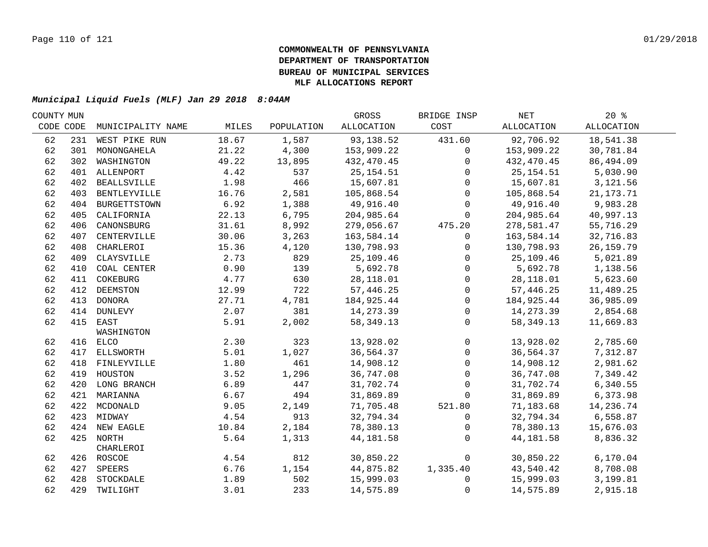| COUNTY MUN |     |                   |       |            | GROSS       | BRIDGE INSP  | NET         | $20*$       |  |
|------------|-----|-------------------|-------|------------|-------------|--------------|-------------|-------------|--|
| CODE CODE  |     | MUNICIPALITY NAME | MILES | POPULATION | ALLOCATION  | COST         | ALLOCATION  | ALLOCATION  |  |
| 62         |     | 231 WEST PIKE RUN | 18.67 | 1,587      | 93,138.52   | 431.60       | 92,706.92   | 18,541.38   |  |
| 62         |     | 301 MONONGAHELA   | 21.22 | 4,300      | 153,909.22  | $\mathbf 0$  | 153,909.22  | 30,781.84   |  |
| 62         |     | 302 WASHINGTON    | 49.22 | 13,895     | 432,470.45  | $\mathbf 0$  | 432,470.45  | 86,494.09   |  |
| 62         |     | 401 ALLENPORT     | 4.42  | 537        | 25,154.51   | $\Omega$     | 25, 154.51  | 5,030.90    |  |
| 62         |     | 402 BEALLSVILLE   | 1.98  | 466        | 15,607.81   | $\mathbf 0$  | 15,607.81   | 3,121.56    |  |
| 62         |     | 403 BENTLEYVILLE  | 16.76 | 2,581      | 105,868.54  | $\mathbf 0$  | 105,868.54  | 21, 173. 71 |  |
| 62         |     | 404 BURGETTSTOWN  | 6.92  | 1,388      | 49,916.40   | $\mathbf{0}$ | 49,916.40   | 9,983.28    |  |
| 62         | 405 | CALIFORNIA        | 22.13 | 6,795      | 204,985.64  | $\mathbf 0$  | 204,985.64  | 40,997.13   |  |
| 62         | 406 | CANONSBURG        | 31.61 | 8,992      | 279,056.67  | 475.20       | 278,581.47  | 55,716.29   |  |
| 62         | 407 | CENTERVILLE       | 30.06 | 3,263      | 163,584.14  | $\mathbf 0$  | 163,584.14  | 32,716.83   |  |
| 62         | 408 | CHARLEROI         | 15.36 | 4,120      | 130,798.93  | $\mathbf{0}$ | 130,798.93  | 26, 159. 79 |  |
| 62         | 409 | CLAYSVILLE        | 2.73  | 829        | 25,109.46   | $\Omega$     | 25,109.46   | 5,021.89    |  |
| 62         | 410 | COAL CENTER       | 0.90  | 139        | 5,692.78    | $\mathbf 0$  | 5,692.78    | 1,138.56    |  |
| 62         | 411 | COKEBURG          | 4.77  | 630        | 28,118.01   | $\mathbf 0$  | 28,118.01   | 5,623.60    |  |
| 62         | 412 | DEEMSTON          | 12.99 | 722        | 57,446.25   | $\mathbf 0$  | 57,446.25   | 11,489.25   |  |
| 62         |     | 413 DONORA        | 27.71 | 4,781      | 184,925.44  | $\mathbf 0$  | 184,925.44  | 36,985.09   |  |
| 62         |     | 414 DUNLEVY       | 2.07  | 381        | 14,273.39   | $\mathbf 0$  | 14,273.39   | 2,854.68    |  |
| 62         |     | 415 EAST          | 5.91  | 2,002      | 58, 349. 13 | $\mathbf 0$  | 58, 349. 13 | 11,669.83   |  |
|            |     | WASHINGTON        |       |            |             |              |             |             |  |
| 62         |     | 416 ELCO          | 2.30  | 323        | 13,928.02   | $\mathbf 0$  | 13,928.02   | 2,785.60    |  |
| 62         |     | 417 ELLSWORTH     | 5.01  | 1,027      | 36,564.37   | $\mathbf 0$  | 36,564.37   | 7,312.87    |  |
| 62         |     | 418 FINLEYVILLE   | 1.80  | 461        | 14,908.12   | $\mathbf 0$  | 14,908.12   | 2,981.62    |  |
| 62         |     | 419 HOUSTON       | 3.52  | 1,296      | 36,747.08   | $\mathbf 0$  | 36,747.08   | 7,349.42    |  |
| 62         |     | 420 LONG BRANCH   | 6.89  | 447        | 31,702.74   | $\mathbf 0$  | 31,702.74   | 6,340.55    |  |
| 62         |     | 421 MARIANNA      | 6.67  | 494        | 31,869.89   | $\Omega$     | 31,869.89   | 6,373.98    |  |
| 62         |     | 422 MCDONALD      | 9.05  | 2,149      | 71,705.48   | 521.80       | 71,183.68   | 14,236.74   |  |
| 62         |     | 423 MIDWAY        | 4.54  | 913        | 32,794.34   | $\mathbf 0$  | 32,794.34   | 6,558.87    |  |
| 62         |     | 424 NEW EAGLE     | 10.84 | 2,184      | 78,380.13   | $\Omega$     | 78,380.13   | 15,676.03   |  |
| 62         |     | 425 NORTH         | 5.64  | 1,313      | 44, 181.58  | $\mathbf{0}$ | 44,181.58   | 8,836.32    |  |
|            |     | CHARLEROI         |       |            |             |              |             |             |  |
| 62         |     | 426 ROSCOE        | 4.54  | 812        | 30,850.22   | $\mathbf 0$  | 30,850.22   | 6,170.04    |  |
| 62         |     | 427 SPEERS        | 6.76  | 1,154      | 44,875.82   | 1,335.40     | 43,540.42   | 8,708.08    |  |
| 62         |     | 428 STOCKDALE     | 1.89  | 502        | 15,999.03   | $\Omega$     | 15,999.03   | 3,199.81    |  |
| 62         |     | 429 TWILIGHT      | 3.01  | 233        | 14,575.89   | $\mathbf{0}$ | 14,575.89   | 2,915.18    |  |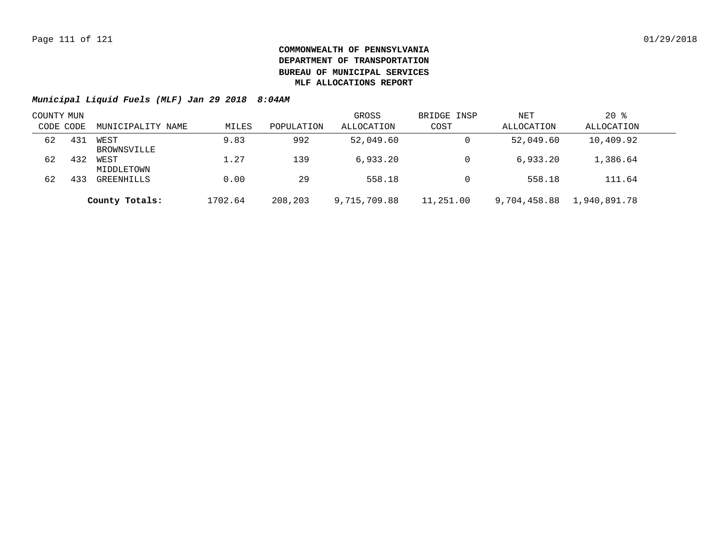| COUNTY MUN |     |                     |         |            | GROSS        | BRIDGE INSP | NET          | $20*$        |  |
|------------|-----|---------------------|---------|------------|--------------|-------------|--------------|--------------|--|
| CODE CODE  |     | MUNICIPALITY NAME   | MILES   | POPULATION | ALLOCATION   | COST        | ALLOCATION   | ALLOCATION   |  |
| 62         | 431 | WEST<br>BROWNSVILLE | 9.83    | 992        | 52,049.60    | 0           | 52,049.60    | 10,409.92    |  |
| 62         | 432 | WEST<br>MIDDLETOWN  | 1.27    | 139        | 6,933.20     |             | 6.933.20     | 1,386.64     |  |
| 62         | 433 | GREENHILLS          | 0.00    | 29         | 558.18       |             | 558.18       | 111.64       |  |
|            |     | County Totals:      | 1702.64 | 208,203    | 9,715,709.88 | 11,251.00   | 9,704,458.88 | 1,940,891.78 |  |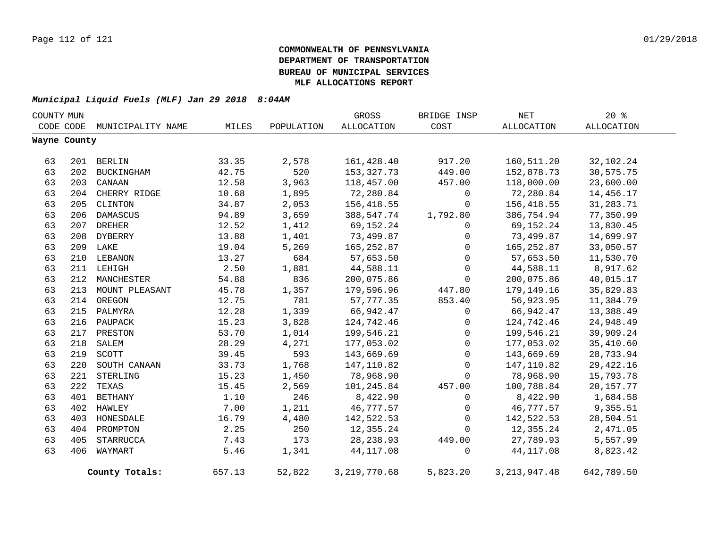| COUNTY MUN |              |                   |        |            | GROSS             | BRIDGE INSP  | NET             | $20*$       |  |
|------------|--------------|-------------------|--------|------------|-------------------|--------------|-----------------|-------------|--|
|            | CODE CODE    | MUNICIPALITY NAME | MILES  | POPULATION | <b>ALLOCATION</b> | COST         | ALLOCATION      | ALLOCATION  |  |
|            | Wayne County |                   |        |            |                   |              |                 |             |  |
|            |              |                   |        |            |                   |              |                 |             |  |
| 63         |              | 201 BERLIN        | 33.35  | 2,578      | 161,428.40        | 917.20       | 160,511.20      | 32,102.24   |  |
| 63         | 202          | BUCKINGHAM        | 42.75  | 520        | 153, 327. 73      | 449.00       | 152,878.73      | 30,575.75   |  |
| 63         | 203          | CANAAN            | 12.58  | 3,963      | 118,457.00        | 457.00       | 118,000.00      | 23,600.00   |  |
| 63         |              | 204 CHERRY RIDGE  | 10.68  | 1,895      | 72,280.84         | $\mathbf 0$  | 72,280.84       | 14,456.17   |  |
| 63         | 205          | CLINTON           | 34.87  | 2,053      | 156,418.55        | $\mathbf 0$  | 156,418.55      | 31,283.71   |  |
| 63         | 206          | DAMASCUS          | 94.89  | 3,659      | 388,547.74        | 1,792.80     | 386,754.94      | 77,350.99   |  |
| 63         | 207          | <b>DREHER</b>     | 12.52  | 1,412      | 69,152.24         | 0            | 69,152.24       | 13,830.45   |  |
| 63         | 208          | DYBERRY           | 13.88  | 1,401      | 73,499.87         | 0            | 73,499.87       | 14,699.97   |  |
| 63         |              | 209 LAKE          | 19.04  | 5,269      | 165,252.87        | $\mathsf{O}$ | 165,252.87      | 33,050.57   |  |
| 63         |              | 210 LEBANON       | 13.27  | 684        | 57,653.50         | $\mathbf 0$  | 57,653.50       | 11,530.70   |  |
| 63         |              | 211 LEHIGH        | 2.50   | 1,881      | 44,588.11         | $\mathbf 0$  | 44,588.11       | 8,917.62    |  |
| 63         | 212          | MANCHESTER        | 54.88  | 836        | 200,075.86        | 0            | 200,075.86      | 40,015.17   |  |
| 63         | 213          | MOUNT PLEASANT    | 45.78  | 1,357      | 179,596.96        | 447.80       | 179,149.16      | 35,829.83   |  |
| 63         |              | 214 OREGON        | 12.75  | 781        | 57,777.35         | 853.40       | 56,923.95       | 11,384.79   |  |
| 63         |              | 215 PALMYRA       | 12.28  | 1,339      | 66,942.47         | 0            | 66,942.47       | 13,388.49   |  |
| 63         | 216          | PAUPACK           | 15.23  | 3,828      | 124,742.46        | $\mathbf{0}$ | 124,742.46      | 24,948.49   |  |
| 63         | 217          | PRESTON           | 53.70  | 1,014      | 199,546.21        | $\mathbf 0$  | 199,546.21      | 39,909.24   |  |
| 63         | 218          | SALEM             | 28.29  | 4,271      | 177,053.02        | $\mathbf 0$  | 177,053.02      | 35,410.60   |  |
| 63         | 219          | SCOTT             | 39.45  | 593        | 143,669.69        | 0            | 143,669.69      | 28,733.94   |  |
| 63         | 220          | SOUTH CANAAN      | 33.73  | 1,768      | 147,110.82        | $\mathsf{O}$ | 147,110.82      | 29, 422. 16 |  |
| 63         | 221          | STERLING          | 15.23  | 1,450      | 78,968.90         | 0            | 78,968.90       | 15,793.78   |  |
| 63         | 222          | TEXAS             | 15.45  | 2,569      | 101,245.84        | 457.00       | 100,788.84      | 20, 157. 77 |  |
| 63         | 401          | BETHANY           | 1.10   | 246        | 8,422.90          | 0            | 8,422.90        | 1,684.58    |  |
| 63         | 402          | HAWLEY            | 7.00   | 1,211      | 46,777.57         | 0            | 46,777.57       | 9,355.51    |  |
| 63         | 403          | HONESDALE         | 16.79  | 4,480      | 142,522.53        | $\mathsf{O}$ | 142,522.53      | 28,504.51   |  |
| 63         | 404          | PROMPTON          | 2.25   | 250        | 12,355.24         | 0            | 12,355.24       | 2,471.05    |  |
| 63         | 405          | STARRUCCA         | 7.43   | 173        | 28, 238.93        | 449.00       | 27,789.93       | 5,557.99    |  |
| 63         | 406          | WAYMART           | 5.46   | 1,341      | 44, 117.08        | 0            | 44,117.08       | 8,823.42    |  |
|            |              | County Totals:    | 657.13 | 52,822     | 3, 219, 770.68    | 5,823.20     | 3, 213, 947. 48 | 642,789.50  |  |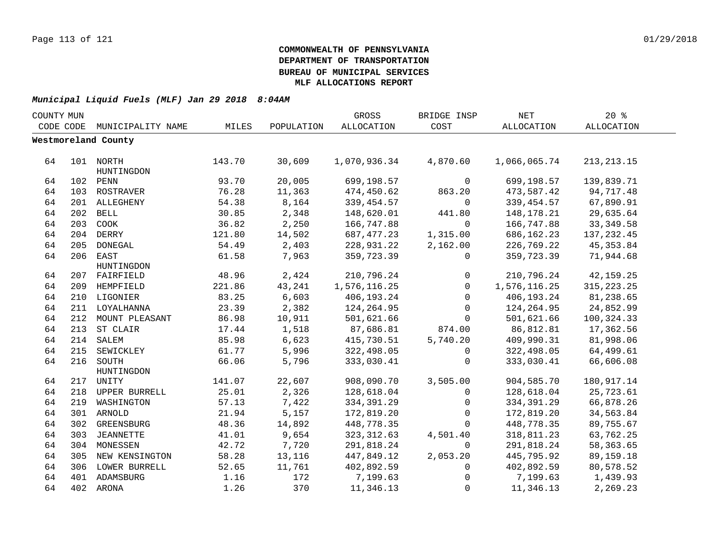| COUNTY MUN |     |                         |        |            | GROSS        | BRIDGE INSP | $\operatorname{NET}$ | 20%          |  |
|------------|-----|-------------------------|--------|------------|--------------|-------------|----------------------|--------------|--|
| CODE CODE  |     | MUNICIPALITY NAME       | MILES  | POPULATION | ALLOCATION   | COST        | ALLOCATION           | ALLOCATION   |  |
|            |     | Westmoreland County     |        |            |              |             |                      |              |  |
|            |     |                         |        |            |              |             |                      |              |  |
| 64         |     | 101 NORTH<br>HUNTINGDON | 143.70 | 30,609     | 1,070,936.34 | 4,870.60    | 1,066,065.74         | 213, 213. 15 |  |
| 64         |     | 102 PENN                | 93.70  | 20,005     | 699,198.57   | 0           | 699,198.57           | 139,839.71   |  |
| 64         |     | 103 ROSTRAVER           | 76.28  | 11,363     | 474,450.62   | 863.20      | 473,587.42           | 94,717.48    |  |
| 64         |     | 201 ALLEGHENY           | 54.38  | 8,164      | 339, 454.57  | $\mathbf 0$ | 339, 454.57          | 67,890.91    |  |
| 64         |     | 202 BELL                | 30.85  | 2,348      | 148,620.01   | 441.80      | 148,178.21           | 29,635.64    |  |
| 64         | 203 | COOK                    | 36.82  | 2,250      | 166,747.88   | 0           | 166,747.88           | 33, 349.58   |  |
| 64         |     | 204 DERRY               | 121.80 | 14,502     | 687, 477.23  | 1,315.00    | 686, 162. 23         | 137, 232.45  |  |
| 64         | 205 | DONEGAL                 | 54.49  | 2,403      | 228,931.22   | 2,162.00    | 226,769.22           | 45, 353.84   |  |
| 64         | 206 | EAST                    | 61.58  | 7,963      | 359,723.39   | 0           | 359,723.39           | 71,944.68    |  |
|            |     | HUNTINGDON              |        |            |              |             |                      |              |  |
| 64         |     | 207 FAIRFIELD           | 48.96  | 2,424      | 210,796.24   | 0           | 210,796.24           | 42,159.25    |  |
| 64         |     | 209 HEMPFIELD           | 221.86 | 43,241     | 1,576,116.25 | $\mathbf 0$ | 1,576,116.25         | 315, 223. 25 |  |
| 64         | 210 | LIGONIER                | 83.25  | 6,603      | 406,193.24   | $\Omega$    | 406, 193. 24         | 81,238.65    |  |
| 64         | 211 | LOYALHANNA              | 23.39  | 2,382      | 124,264.95   | $\mathbf 0$ | 124, 264.95          | 24,852.99    |  |
| 64         |     | 212 MOUNT PLEASANT      | 86.98  | 10,911     | 501,621.66   | $\Omega$    | 501,621.66           | 100,324.33   |  |
| 64         |     | 213 ST CLAIR            | 17.44  | 1,518      | 87,686.81    | 874.00      | 86,812.81            | 17,362.56    |  |
| 64         |     | 214 SALEM               | 85.98  | 6,623      | 415,730.51   | 5,740.20    | 409,990.31           | 81,998.06    |  |
| 64         |     | 215 SEWICKLEY           | 61.77  | 5,996      | 322,498.05   | 0           | 322,498.05           | 64,499.61    |  |
| 64         |     | 216 SOUTH<br>HUNTINGDON | 66.06  | 5,796      | 333,030.41   | $\mathbf 0$ | 333,030.41           | 66,606.08    |  |
| 64         |     | 217 UNITY               | 141.07 | 22,607     | 908,090.70   | 3,505.00    | 904,585.70           | 180,917.14   |  |
| 64         |     | 218 UPPER BURRELL       | 25.01  | 2,326      | 128,618.04   | 0           | 128,618.04           | 25,723.61    |  |
| 64         | 219 | WASHINGTON              | 57.13  | 7,422      | 334, 391.29  | 0           | 334, 391.29          | 66,878.26    |  |
| 64         |     | 301 ARNOLD              | 21.94  | 5,157      | 172,819.20   | 0           | 172,819.20           | 34,563.84    |  |
| 64         | 302 | GREENSBURG              | 48.36  | 14,892     | 448,778.35   | $\Omega$    | 448,778.35           | 89,755.67    |  |
| 64         | 303 | JEANNETTE               | 41.01  | 9,654      | 323, 312.63  | 4,501.40    | 318,811.23           | 63,762.25    |  |
| 64         |     | 304 MONESSEN            | 42.72  | 7,720      | 291,818.24   | $\mathbf 0$ | 291,818.24           | 58,363.65    |  |
| 64         | 305 | NEW KENSINGTON          | 58.28  | 13,116     | 447,849.12   | 2,053.20    | 445,795.92           | 89,159.18    |  |
| 64         | 306 | LOWER BURRELL           | 52.65  | 11,761     | 402,892.59   | 0           | 402,892.59           | 80,578.52    |  |
| 64         |     | 401 ADAMSBURG           | 1.16   | 172        | 7,199.63     | 0           | 7,199.63             | 1,439.93     |  |
| 64         |     | 402 ARONA               | 1.26   | 370        | 11,346.13    | $\mathbf 0$ | 11,346.13            | 2,269.23     |  |
|            |     |                         |        |            |              |             |                      |              |  |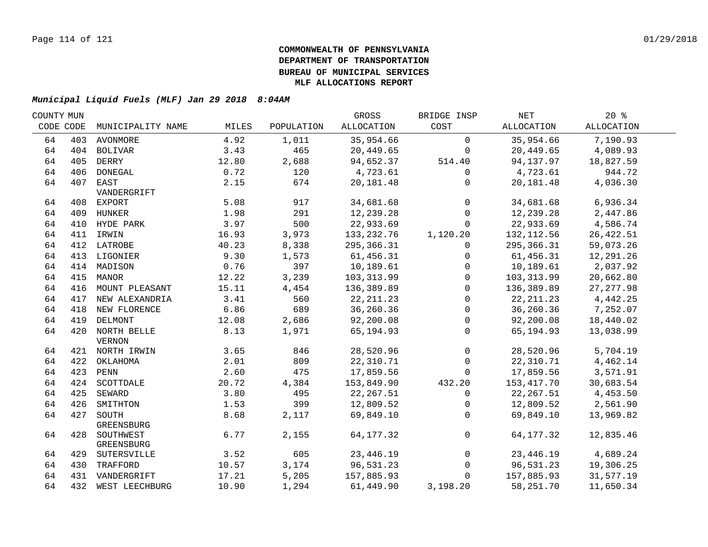| COUNTY MUN |           |                    |       |            | GROSS      | BRIDGE INSP  | NET         | $20*$      |  |
|------------|-----------|--------------------|-------|------------|------------|--------------|-------------|------------|--|
|            | CODE CODE | MUNICIPALITY NAME  | MILES | POPULATION | ALLOCATION | COST         | ALLOCATION  | ALLOCATION |  |
| 64         |           | 403 AVONMORE       | 4.92  | 1,011      | 35,954.66  | $\mathbf 0$  | 35,954.66   | 7,190.93   |  |
| 64         |           | 404 BOLIVAR        | 3.43  | 465        | 20,449.65  | $\mathbf 0$  | 20,449.65   | 4,089.93   |  |
| 64         |           | 405 DERRY          | 12.80 | 2,688      | 94,652.37  | 514.40       | 94,137.97   | 18,827.59  |  |
| 64         |           | 406 DONEGAL        | 0.72  | 120        | 4,723.61   | $\mathbf 0$  | 4,723.61    | 944.72     |  |
| 64         |           | 407 EAST           | 2.15  | 674        | 20,181.48  | 0            | 20,181.48   | 4,036.30   |  |
|            |           | VANDERGRIFT        |       |            |            |              |             |            |  |
| 64         |           | 408 EXPORT         | 5.08  | 917        | 34,681.68  | $\mathbf 0$  | 34,681.68   | 6,936.34   |  |
| 64         |           | 409 HUNKER         | 1.98  | 291        | 12,239.28  | $\mathsf{O}$ | 12,239.28   | 2,447.86   |  |
| 64         |           | 410 HYDE PARK      | 3.97  | 500        | 22,933.69  | $\mathbf 0$  | 22,933.69   | 4,586.74   |  |
| 64         |           | 411 IRWIN          | 16.93 | 3,973      | 133,232.76 | 1,120.20     | 132, 112.56 | 26, 422.51 |  |
| 64         |           | 412 LATROBE        | 40.23 | 8,338      | 295,366.31 | $\mathbf{0}$ | 295,366.31  | 59,073.26  |  |
| 64         |           | 413 LIGONIER       | 9.30  | 1,573      | 61,456.31  | $\mathbf{0}$ | 61,456.31   | 12,291.26  |  |
| 64         |           | 414 MADISON        | 0.76  | 397        | 10,189.61  | $\mathbf{0}$ | 10,189.61   | 2,037.92   |  |
| 64         | 415       | MANOR              | 12.22 | 3,239      | 103,313.99 | $\mathbf 0$  | 103,313.99  | 20,662.80  |  |
| 64         | 416       | MOUNT PLEASANT     | 15.11 | 4,454      | 136,389.89 | $\Omega$     | 136,389.89  | 27, 277.98 |  |
| 64         | 417       | NEW ALEXANDRIA     | 3.41  | 560        | 22, 211.23 | $\Omega$     | 22, 211.23  | 4,442.25   |  |
| 64         |           | 418 NEW FLORENCE   | 6.86  | 689        | 36,260.36  | $\mathbf 0$  | 36,260.36   | 7,252.07   |  |
| 64         |           | 419 DELMONT        | 12.08 | 2,686      | 92,200.08  | $\mathbf 0$  | 92,200.08   | 18,440.02  |  |
| 64         |           | 420 NORTH BELLE    | 8.13  | 1,971      | 65,194.93  | $\mathbf{0}$ | 65,194.93   | 13,038.99  |  |
|            |           | <b>VERNON</b>      |       |            |            |              |             |            |  |
| 64         |           | 421 NORTH IRWIN    | 3.65  | 846        | 28,520.96  | $\mathsf{O}$ | 28,520.96   | 5,704.19   |  |
| 64         |           | 422 OKLAHOMA       | 2.01  | 809        | 22,310.71  | $\mathbf 0$  | 22,310.71   | 4,462.14   |  |
| 64         |           | 423 PENN           | 2.60  | 475        | 17,859.56  | $\Omega$     | 17,859.56   | 3,571.91   |  |
| 64         |           | 424 SCOTTDALE      | 20.72 | 4,384      | 153,849.90 | 432.20       | 153,417.70  | 30,683.54  |  |
| 64         |           | 425 SEWARD         | 3.80  | 495        | 22, 267.51 | $\mathbf 0$  | 22, 267.51  | 4,453.50   |  |
| 64         |           | 426 SMITHTON       | 1.53  | 399        | 12,809.52  | $\mathbf{0}$ | 12,809.52   | 2,561.90   |  |
| 64         | 427       | SOUTH              | 8.68  | 2,117      | 69,849.10  | $\mathbf 0$  | 69,849.10   | 13,969.82  |  |
|            |           | GREENSBURG         |       |            |            |              |             |            |  |
| 64         |           | 428 SOUTHWEST      | 6.77  | 2,155      | 64, 177.32 | $\mathbf 0$  | 64, 177. 32 | 12,835.46  |  |
|            |           | GREENSBURG         |       |            |            |              |             |            |  |
| 64         |           | 429 SUTERSVILLE    | 3.52  | 605        | 23, 446.19 | $\mathbf 0$  | 23,446.19   | 4,689.24   |  |
| 64         |           | 430 TRAFFORD       | 10.57 | 3,174      | 96,531.23  | $\mathbf 0$  | 96,531.23   | 19,306.25  |  |
| 64         |           | 431 VANDERGRIFT    | 17.21 | 5,205      | 157,885.93 | $\mathbf 0$  | 157,885.93  | 31,577.19  |  |
| 64         |           | 432 WEST LEECHBURG | 10.90 | 1,294      | 61,449.90  | 3,198.20     | 58,251.70   | 11,650.34  |  |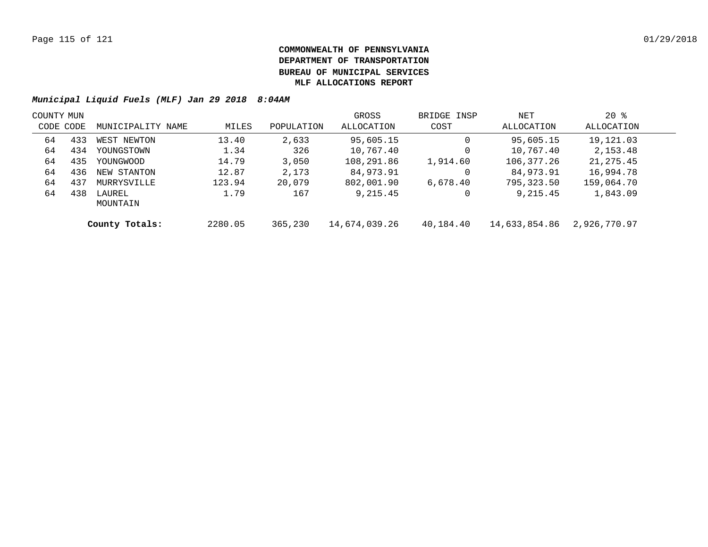| COUNTY MUN |     |                    |         |            | GROSS         | BRIDGE INSP | NET           | $20*$        |  |
|------------|-----|--------------------|---------|------------|---------------|-------------|---------------|--------------|--|
| CODE CODE  |     | MUNICIPALITY NAME  | MILES   | POPULATION | ALLOCATION    | COST        | ALLOCATION    | ALLOCATION   |  |
| 64         | 433 | WEST NEWTON        | 13.40   | 2,633      | 95,605.15     |             | 95,605.15     | 19,121.03    |  |
| 64         | 434 | YOUNGSTOWN         | 1.34    | 326        | 10,767.40     |             | 10,767.40     | 2,153.48     |  |
| 64         | 435 | YOUNGWOOD          | 14.79   | 3,050      | 108,291.86    | 1,914.60    | 106,377.26    | 21, 275.45   |  |
| 64         | 436 | NEW STANTON        | 12.87   | 2,173      | 84,973.91     |             | 84,973.91     | 16,994.78    |  |
| 64         | 437 | MURRYSVILLE        | 123.94  | 20,079     | 802,001.90    | 6,678.40    | 795,323.50    | 159,064.70   |  |
| 64         | 438 | LAUREL<br>MOUNTAIN | 1.79    | 167        | 9,215.45      |             | 9,215.45      | 1,843.09     |  |
|            |     | County Totals:     | 2280.05 | 365,230    | 14,674,039.26 | 40,184.40   | 14,633,854.86 | 2,926,770.97 |  |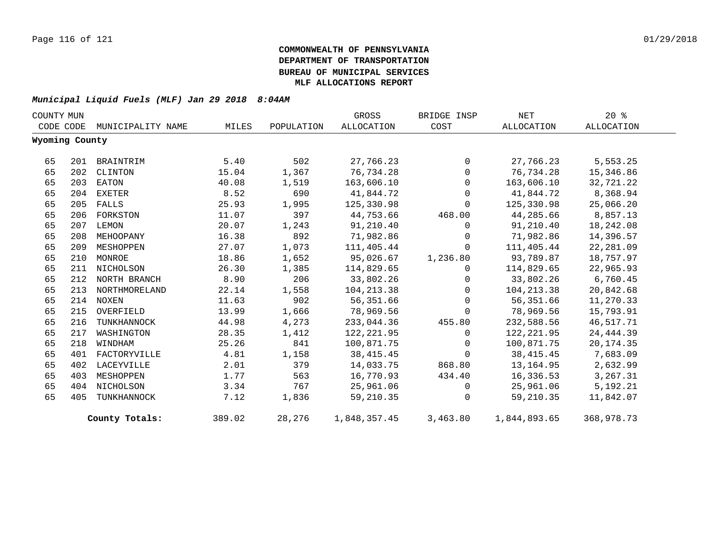| COUNTY MUN |                |                   |        |            | GROSS        | BRIDGE INSP | NET          | $20*$      |
|------------|----------------|-------------------|--------|------------|--------------|-------------|--------------|------------|
|            | CODE CODE      | MUNICIPALITY NAME | MILES  | POPULATION | ALLOCATION   | COST        | ALLOCATION   | ALLOCATION |
|            | Wyoming County |                   |        |            |              |             |              |            |
| 65         | 201            | BRAINTRIM         | 5.40   | 502        | 27,766.23    | $\mathbf 0$ | 27,766.23    | 5,553.25   |
| 65         | 202            | CLINTON           | 15.04  | 1,367      | 76,734.28    | $\mathbf 0$ | 76,734.28    | 15,346.86  |
| 65         | 203            | EATON             | 40.08  | 1,519      | 163,606.10   | $\Omega$    | 163,606.10   | 32,721.22  |
| 65         | 204            | EXETER            | 8.52   | 690        | 41,844.72    | $\mathbf 0$ | 41,844.72    | 8,368.94   |
| 65         | 205            | FALLS             | 25.93  | 1,995      | 125,330.98   | $\Omega$    | 125,330.98   | 25,066.20  |
| 65         | 206            | FORKSTON          | 11.07  | 397        | 44,753.66    | 468.00      | 44,285.66    | 8,857.13   |
| 65         | 207            | LEMON             | 20.07  | 1,243      | 91,210.40    | 0           | 91,210.40    | 18,242.08  |
| 65         | 208            | MEHOOPANY         | 16.38  | 892        | 71,982.86    | $\mathbf 0$ | 71,982.86    | 14,396.57  |
| 65         | 209            | MESHOPPEN         | 27.07  | 1,073      | 111,405.44   | $\Omega$    | 111,405.44   | 22, 281.09 |
| 65         | 210            | MONROE            | 18.86  | 1,652      | 95,026.67    | 1,236.80    | 93,789.87    | 18,757.97  |
| 65         | 211            | NICHOLSON         | 26.30  | 1,385      | 114,829.65   | $\mathbf 0$ | 114,829.65   | 22,965.93  |
| 65         |                | 212 NORTH BRANCH  | 8.90   | 206        | 33,802.26    | $\Omega$    | 33,802.26    | 6,760.45   |
| 65         | 213            | NORTHMORELAND     | 22.14  | 1,558      | 104, 213.38  | $\mathbf 0$ | 104,213.38   | 20,842.68  |
| 65         |                | 214 NOXEN         | 11.63  | 902        | 56,351.66    | $\Omega$    | 56,351.66    | 11,270.33  |
| 65         | 215            | OVERFIELD         | 13.99  | 1,666      | 78,969.56    | $\mathbf 0$ | 78,969.56    | 15,793.91  |
| 65         | 216            | TUNKHANNOCK       | 44.98  | 4,273      | 233,044.36   | 455.80      | 232,588.56   | 46,517.71  |
| 65         | 217            | WASHINGTON        | 28.35  | 1,412      | 122, 221.95  | $\Omega$    | 122,221.95   | 24, 444.39 |
| 65         | 218            | WINDHAM           | 25.26  | 841        | 100,871.75   | $\Omega$    | 100,871.75   | 20, 174.35 |
| 65         | 401            | FACTORYVILLE      | 4.81   | 1,158      | 38, 415. 45  | $\Omega$    | 38, 415.45   | 7,683.09   |
| 65         | 402            | LACEYVILLE        | 2.01   | 379        | 14,033.75    | 868.80      | 13,164.95    | 2,632.99   |
| 65         | 403            | MESHOPPEN         | 1.77   | 563        | 16,770.93    | 434.40      | 16,336.53    | 3,267.31   |
| 65         | 404            | NICHOLSON         | 3.34   | 767        | 25,961.06    | $\mathbf 0$ | 25,961.06    | 5,192.21   |
| 65         | 405            | TUNKHANNOCK       | 7.12   | 1,836      | 59, 210.35   | $\Omega$    | 59,210.35    | 11,842.07  |
|            |                | County Totals:    | 389.02 | 28,276     | 1,848,357.45 | 3,463.80    | 1,844,893.65 | 368,978.73 |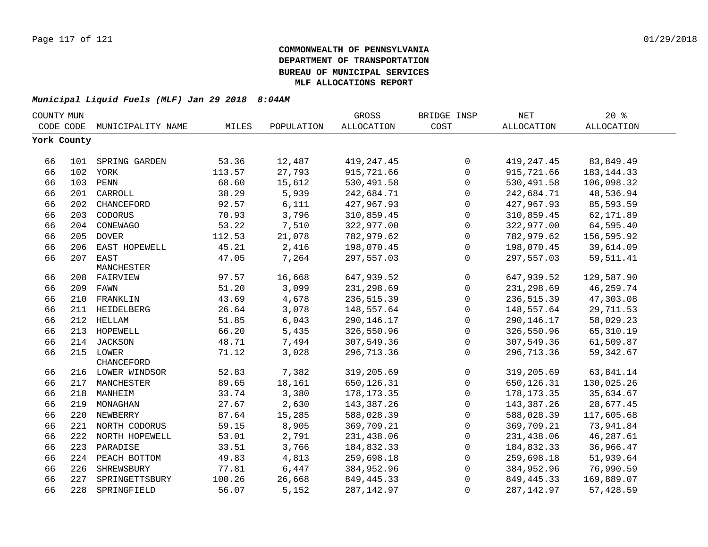| COUNTY MUN |             |                    |        |            | GROSS        | BRIDGE INSP  | <b>NET</b>   | $20*$             |  |
|------------|-------------|--------------------|--------|------------|--------------|--------------|--------------|-------------------|--|
| CODE CODE  |             | MUNICIPALITY NAME  | MILES  | POPULATION | ALLOCATION   | COST         | ALLOCATION   | <b>ALLOCATION</b> |  |
|            | York County |                    |        |            |              |              |              |                   |  |
|            |             |                    |        |            |              |              |              |                   |  |
| 66         |             | 101 SPRING GARDEN  | 53.36  | 12,487     | 419, 247.45  | $\mathbf 0$  | 419, 247.45  | 83,849.49         |  |
| 66         |             | 102 YORK           | 113.57 | 27,793     | 915,721.66   | $\mathbf{0}$ | 915,721.66   | 183, 144. 33      |  |
| 66         |             | 103 PENN           | 68.60  | 15,612     | 530,491.58   | $\mathbf 0$  | 530,491.58   | 106,098.32        |  |
| 66         | 201         | CARROLL            | 38.29  | 5,939      | 242,684.71   | $\mathbf 0$  | 242,684.71   | 48,536.94         |  |
| 66         | 202         | CHANCEFORD         | 92.57  | 6,111      | 427,967.93   | $\mathbf 0$  | 427,967.93   | 85,593.59         |  |
| 66         | 203         | CODORUS            | 70.93  | 3,796      | 310,859.45   | $\mathbf 0$  | 310,859.45   | 62,171.89         |  |
| 66         | 204         | CONEWAGO           | 53.22  | 7,510      | 322,977.00   | $\Omega$     | 322,977.00   | 64,595.40         |  |
| 66         | 205         | <b>DOVER</b>       | 112.53 | 21,078     | 782,979.62   | $\mathbf 0$  | 782,979.62   | 156,595.92        |  |
| 66         | 206         | EAST HOPEWELL      | 45.21  | 2,416      | 198,070.45   | $\mathbf 0$  | 198,070.45   | 39,614.09         |  |
| 66         | 207         | EAST               | 47.05  | 7,264      | 297,557.03   | $\Omega$     | 297,557.03   | 59,511.41         |  |
|            |             | MANCHESTER         |        |            |              |              |              |                   |  |
| 66         |             | 208 FAIRVIEW       | 97.57  | 16,668     | 647,939.52   | 0            | 647,939.52   | 129,587.90        |  |
| 66         |             | 209 FAWN           | 51.20  | 3,099      | 231,298.69   | $\mathbf 0$  | 231,298.69   | 46,259.74         |  |
| 66         | 210         | FRANKLIN           | 43.69  | 4,678      | 236,515.39   | $\mathbf 0$  | 236,515.39   | 47,303.08         |  |
| 66         | 211         | HEIDELBERG         | 26.64  | 3,078      | 148,557.64   | $\mathbf 0$  | 148,557.64   | 29,711.53         |  |
| 66         |             | 212 HELLAM         | 51.85  | 6,043      | 290, 146. 17 | $\mathbf 0$  | 290,146.17   | 58,029.23         |  |
| 66         |             | 213 HOPEWELL       | 66.20  | 5,435      | 326,550.96   | $\mathbf 0$  | 326,550.96   | 65, 310.19        |  |
| 66         |             | 214 JACKSON        | 48.71  | 7,494      | 307,549.36   | $\mathbf 0$  | 307,549.36   | 61,509.87         |  |
| 66         |             | 215 LOWER          | 71.12  | 3,028      | 296,713.36   | $\mathbf 0$  | 296,713.36   | 59, 342.67        |  |
|            |             | CHANCEFORD         |        |            |              |              |              |                   |  |
| 66         |             | 216 LOWER WINDSOR  | 52.83  | 7,382      | 319,205.69   | $\mathbf 0$  | 319,205.69   | 63,841.14         |  |
| 66         |             | 217 MANCHESTER     | 89.65  | 18,161     | 650, 126.31  | $\mathbf 0$  | 650,126.31   | 130,025.26        |  |
| 66         |             | 218 MANHEIM        | 33.74  | 3,380      | 178, 173. 35 | $\mathbf 0$  | 178, 173. 35 | 35,634.67         |  |
| 66         |             | 219 MONAGHAN       | 27.67  | 2,630      | 143,387.26   | 0            | 143,387.26   | 28,677.45         |  |
| 66         |             | 220 NEWBERRY       | 87.64  | 15,285     | 588,028.39   | $\mathbf 0$  | 588,028.39   | 117,605.68        |  |
| 66         |             | 221 NORTH CODORUS  | 59.15  | 8,905      | 369,709.21   | $\mathbf 0$  | 369,709.21   | 73,941.84         |  |
| 66         |             | 222 NORTH HOPEWELL | 53.01  | 2,791      | 231,438.06   | $\mathbf 0$  | 231,438.06   | 46,287.61         |  |
| 66         | 223         | PARADISE           | 33.51  | 3,766      | 184,832.33   | $\Omega$     | 184,832.33   | 36,966.47         |  |
| 66         | 224         | PEACH BOTTOM       | 49.83  | 4,813      | 259,698.18   | 0            | 259,698.18   | 51,939.64         |  |
| 66         | 226         | SHREWSBURY         | 77.81  | 6,447      | 384,952.96   | $\mathbf 0$  | 384,952.96   | 76,990.59         |  |
| 66         | 227         | SPRINGETTSBURY     | 100.26 | 26,668     | 849, 445. 33 | $\Omega$     | 849, 445. 33 | 169,889.07        |  |
| 66         | 228         | SPRINGFIELD        | 56.07  | 5,152      | 287, 142.97  | $\Omega$     | 287, 142.97  | 57,428.59         |  |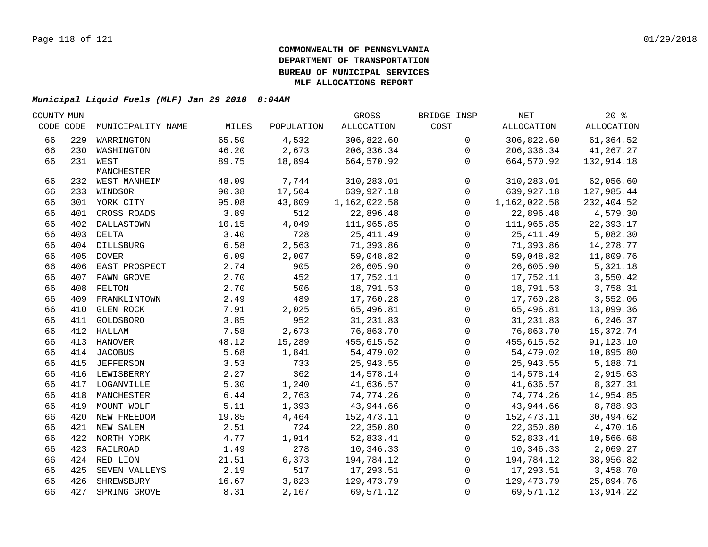| COUNTY MUN |     |                   |       |            | GROSS        | BRIDGE INSP         | NET               | 20%               |  |
|------------|-----|-------------------|-------|------------|--------------|---------------------|-------------------|-------------------|--|
| CODE CODE  |     | MUNICIPALITY NAME | MILES | POPULATION | ALLOCATION   | COST                | <b>ALLOCATION</b> | <b>ALLOCATION</b> |  |
| 66         | 229 | WARRINGTON        | 65.50 | 4,532      | 306,822.60   | $\mathsf{O}$        | 306,822.60        | 61,364.52         |  |
| 66         |     | 230 WASHINGTON    | 46.20 | 2,673      | 206,336.34   | $\mathbf 0$         | 206,336.34        | 41,267.27         |  |
| 66         |     | 231 WEST          | 89.75 | 18,894     | 664,570.92   | $\mathbf{0}$        | 664,570.92        | 132,914.18        |  |
|            |     | MANCHESTER        |       |            |              |                     |                   |                   |  |
| 66         |     | 232 WEST MANHEIM  | 48.09 | 7,744      | 310,283.01   | $\mathbf 0$         | 310,283.01        | 62,056.60         |  |
| 66         |     | 233 WINDSOR       | 90.38 | 17,504     | 639,927.18   | $\mathbf 0$         | 639,927.18        | 127,985.44        |  |
| 66         |     | 301 YORK CITY     | 95.08 | 43,809     | 1,162,022.58 | $\mathbf 0$         | 1,162,022.58      | 232,404.52        |  |
| 66         | 401 | CROSS ROADS       | 3.89  | 512        | 22,896.48    | $\mathbf{0}$        | 22,896.48         | 4,579.30          |  |
| 66         |     | 402 DALLASTOWN    | 10.15 | 4,049      | 111,965.85   | $\mathbf 0$         | 111,965.85        | 22,393.17         |  |
| 66         |     | 403 DELTA         | 3.40  | 728        | 25, 411.49   | 0                   | 25, 411.49        | 5,082.30          |  |
| 66         |     | 404 DILLSBURG     | 6.58  | 2,563      | 71,393.86    | 0                   | 71,393.86         | 14,278.77         |  |
| 66         |     | 405 DOVER         | 6.09  | 2,007      | 59,048.82    | $\mathsf{O}\xspace$ | 59,048.82         | 11,809.76         |  |
| 66         |     | 406 EAST PROSPECT | 2.74  | 905        | 26,605.90    | $\mathsf{O}$        | 26,605.90         | 5,321.18          |  |
| 66         | 407 | FAWN GROVE        | 2.70  | 452        | 17,752.11    | $\mathsf{O}$        | 17,752.11         | 3,550.42          |  |
| 66         | 408 | FELTON            | 2.70  | 506        | 18,791.53    | $\mathsf{O}$        | 18,791.53         | 3,758.31          |  |
| 66         | 409 | FRANKLINTOWN      | 2.49  | 489        | 17,760.28    | $\mathbf 0$         | 17,760.28         | 3,552.06          |  |
| 66         | 410 | <b>GLEN ROCK</b>  | 7.91  | 2,025      | 65,496.81    | $\mathbf 0$         | 65,496.81         | 13,099.36         |  |
| 66         | 411 | GOLDSBORO         | 3.85  | 952        | 31, 231.83   | $\mathbf 0$         | 31,231.83         | 6,246.37          |  |
| 66         | 412 | HALLAM            | 7.58  | 2,673      | 76,863.70    | $\mathbf 0$         | 76,863.70         | 15,372.74         |  |
| 66         | 413 | HANOVER           | 48.12 | 15,289     | 455,615.52   | $\mathbf 0$         | 455,615.52        | 91,123.10         |  |
| 66         |     | 414 JACOBUS       | 5.68  | 1,841      | 54,479.02    | 0                   | 54,479.02         | 10,895.80         |  |
| 66         |     | 415 JEFFERSON     | 3.53  | 733        | 25,943.55    | 0                   | 25,943.55         | 5,188.71          |  |
| 66         |     | 416 LEWISBERRY    | 2.27  | 362        | 14,578.14    | $\mathsf{O}$        | 14,578.14         | 2,915.63          |  |
| 66         |     | 417 LOGANVILLE    | 5.30  | 1,240      | 41,636.57    | 0                   | 41,636.57         | 8,327.31          |  |
| 66         |     | 418 MANCHESTER    | 6.44  | 2,763      | 74,774.26    | $\mathsf{O}\xspace$ | 74,774.26         | 14,954.85         |  |
| 66         |     | 419 MOUNT WOLF    | 5.11  | 1,393      | 43,944.66    | $\mathbf 0$         | 43,944.66         | 8,788.93          |  |
| 66         |     | 420 NEW FREEDOM   | 19.85 | 4,464      | 152, 473.11  | $\mathbf 0$         | 152,473.11        | 30,494.62         |  |
| 66         |     | 421 NEW SALEM     | 2.51  | 724        | 22,350.80    | $\mathbf 0$         | 22,350.80         | 4,470.16          |  |
| 66         |     | 422 NORTH YORK    | 4.77  | 1,914      | 52,833.41    | $\mathbf 0$         | 52,833.41         | 10,566.68         |  |
| 66         |     | 423 RAILROAD      | 1.49  | 278        | 10,346.33    | $\mathbf 0$         | 10,346.33         | 2,069.27          |  |
| 66         |     | 424 RED LION      | 21.51 | 6,373      | 194,784.12   | 0                   | 194,784.12        | 38,956.82         |  |
| 66         | 425 | SEVEN VALLEYS     | 2.19  | 517        | 17,293.51    | $\mathbf 0$         | 17,293.51         | 3,458.70          |  |
| 66         |     | 426 SHREWSBURY    | 16.67 | 3,823      | 129, 473. 79 | $\Omega$            | 129,473.79        | 25,894.76         |  |
| 66         |     | 427 SPRING GROVE  | 8.31  | 2,167      | 69,571.12    | $\Omega$            | 69,571.12         | 13,914.22         |  |
|            |     |                   |       |            |              |                     |                   |                   |  |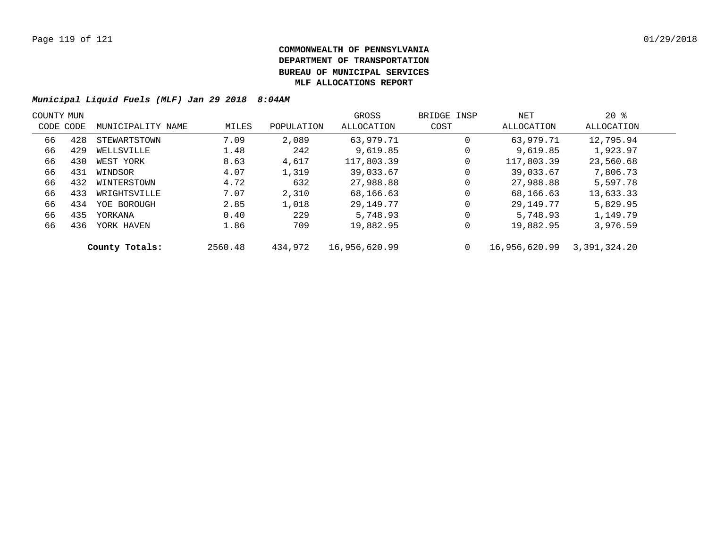| COUNTY MUN |           |                   |         |            | GROSS         | BRIDGE INSP | NET           | $20*$        |  |
|------------|-----------|-------------------|---------|------------|---------------|-------------|---------------|--------------|--|
|            | CODE CODE | MUNICIPALITY NAME | MILES   | POPULATION | ALLOCATION    | COST        | ALLOCATION    | ALLOCATION   |  |
| 66         | 428       | STEWARTSTOWN      | 7.09    | 2,089      | 63,979.71     | 0           | 63,979.71     | 12,795.94    |  |
| 66         | 429       | WELLSVILLE        | 1.48    | 242        | 9.619.85      | 0           | 9,619.85      | 1,923.97     |  |
| 66         | 430       | WEST YORK         | 8.63    | 4,617      | 117,803.39    | 0           | 117,803.39    | 23,560.68    |  |
| 66         | 431       | WINDSOR           | 4.07    | 1,319      | 39,033.67     | 0           | 39,033.67     | 7,806.73     |  |
| 66         | 432       | WINTERSTOWN       | 4.72    | 632        | 27,988.88     | 0           | 27,988.88     | 5,597.78     |  |
| 66         | 433       | WRIGHTSVILLE      | 7.07    | 2,310      | 68,166.63     | 0           | 68,166.63     | 13,633.33    |  |
| 66         | 434       | YOE BOROUGH       | 2.85    | 1,018      | 29,149.77     | 0           | 29,149.77     | 5,829.95     |  |
| 66         | 435       | YORKANA           | 0.40    | 229        | 5,748.93      | 0           | 5,748.93      | 1,149.79     |  |
| 66         | 436       | YORK HAVEN        | 1.86    | 709        | 19,882.95     | 0           | 19,882.95     | 3,976.59     |  |
|            |           | County Totals:    | 2560.48 | 434,972    | 16,956,620.99 | 0           | 16,956,620.99 | 3,391,324.20 |  |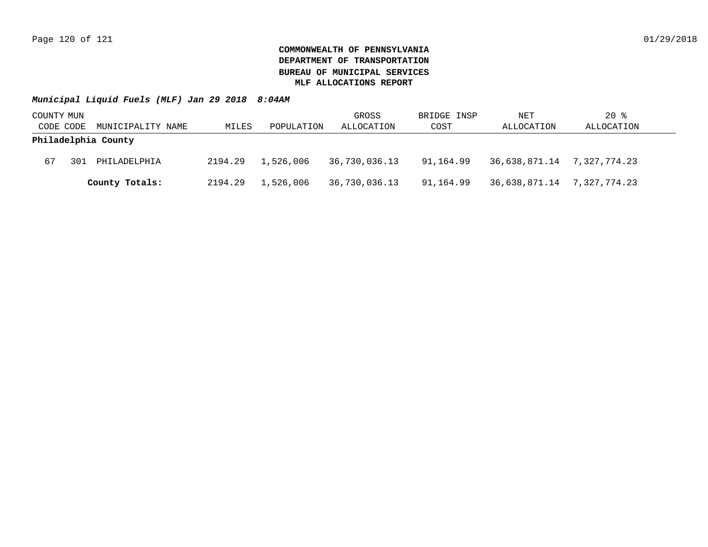| COUNTY MUN |     |                     |         |            | GROSS         | BRIDGE INSP | NET                        | $20$ %     |
|------------|-----|---------------------|---------|------------|---------------|-------------|----------------------------|------------|
| CODE CODE  |     | MUNICIPALITY NAME   | MILES   | POPULATION | ALLOCATION    | COST        | ALLOCATION                 | ALLOCATION |
|            |     | Philadelphia County |         |            |               |             |                            |            |
| 67         | 301 | PHILADELPHIA        | 2194.29 | 1,526,006  | 36,730,036.13 | 91,164.99   | 36,638,871.14 7,327,774.23 |            |
|            |     | County Totals:      | 2194.29 | 1,526,006  | 36,730,036.13 | 91,164.99   | 36,638,871.14 7,327,774.23 |            |